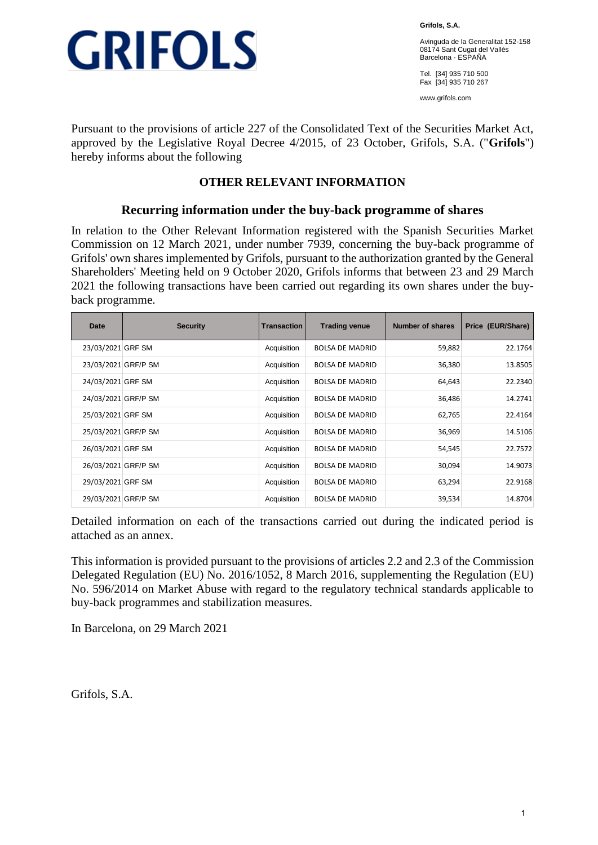

**Grifols, S.A.**

Avinguda de la Generalitat 152-158 08174 Sant Cugat del Vallès Barcelona - ESPAÑA

Tel. [34] 935 710 500 Fax [34] 935 710 267

www.grifols.com

Pursuant to the provisions of article 227 of the Consolidated Text of the Securities Market Act, approved by the Legislative Royal Decree 4/2015, of 23 October, Grifols, S.A. ("**Grifols**") hereby informs about the following

### **OTHER RELEVANT INFORMATION**

### **Recurring information under the buy-back programme of shares**

In relation to the Other Relevant Information registered with the Spanish Securities Market Commission on 12 March 2021, under number 7939, concerning the buy-back programme of Grifols' own shares implemented by Grifols, pursuant to the authorization granted by the General Shareholders' Meeting held on 9 October 2020, Grifols informs that between 23 and 29 March 2021 the following transactions have been carried out regarding its own shares under the buyback programme.

| Date                | <b>Security</b> | <b>Transaction</b> | Trading venue          | Number of shares | Price (EUR/Share) |
|---------------------|-----------------|--------------------|------------------------|------------------|-------------------|
| 23/03/2021 GRF SM   |                 | Acquisition        | <b>BOLSA DE MADRID</b> | 59,882           | 22.1764           |
| 23/03/2021 GRF/P SM |                 | Acquisition        | <b>BOLSA DE MADRID</b> | 36,380           | 13.8505           |
| 24/03/2021 GRF SM   |                 | Acquisition        | <b>BOLSA DE MADRID</b> | 64,643           | 22.2340           |
| 24/03/2021 GRF/P SM |                 | Acquisition        | <b>BOLSA DE MADRID</b> | 36,486           | 14.2741           |
| 25/03/2021 GRF SM   |                 | Acquisition        | <b>BOLSA DE MADRID</b> | 62,765           | 22.4164           |
| 25/03/2021 GRF/P SM |                 | Acquisition        | <b>BOLSA DE MADRID</b> | 36,969           | 14.5106           |
| 26/03/2021 GRF SM   |                 | Acquisition        | <b>BOLSA DE MADRID</b> | 54,545           | 22.7572           |
| 26/03/2021 GRF/P SM |                 | Acquisition        | <b>BOLSA DE MADRID</b> | 30,094           | 14.9073           |
| 29/03/2021 GRF SM   |                 | Acquisition        | <b>BOLSA DE MADRID</b> | 63,294           | 22.9168           |
| 29/03/2021 GRF/P SM |                 | Acquisition        | <b>BOLSA DE MADRID</b> | 39,534           | 14.8704           |

Detailed information on each of the transactions carried out during the indicated period is attached as an annex.

This information is provided pursuant to the provisions of articles 2.2 and 2.3 of the Commission Delegated Regulation (EU) No. 2016/1052, 8 March 2016, supplementing the Regulation (EU) No. 596/2014 on Market Abuse with regard to the regulatory technical standards applicable to buy-back programmes and stabilization measures.

In Barcelona, on 29 March 2021

Grifols, S.A.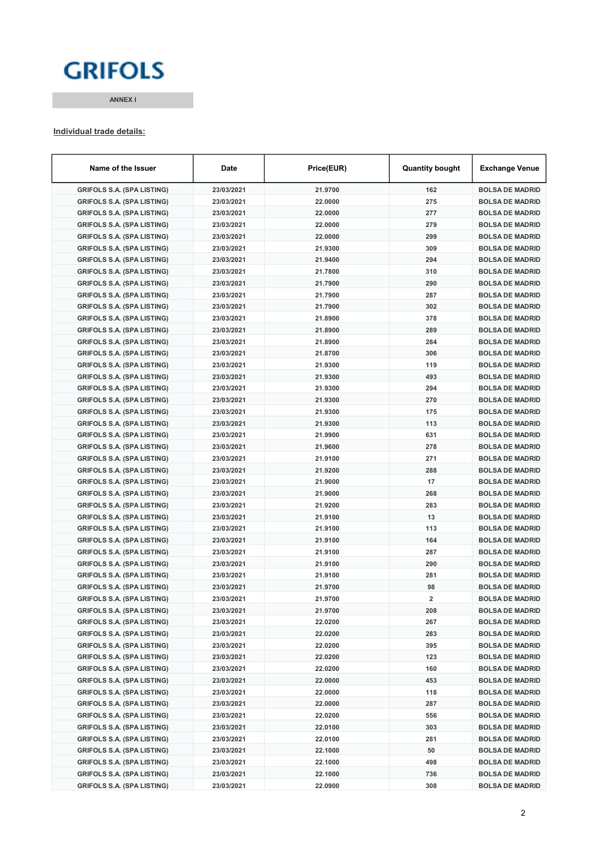# **GRIFOLS**

ANNEX I

#### Individual trade details:

| Name of the Issuer                | Date       | Price(EUR) | <b>Quantity bought</b>  | <b>Exchange Venue</b>  |
|-----------------------------------|------------|------------|-------------------------|------------------------|
| <b>GRIFOLS S.A. (SPA LISTING)</b> | 23/03/2021 | 21.9700    | 162                     | <b>BOLSA DE MADRID</b> |
| <b>GRIFOLS S.A. (SPA LISTING)</b> | 23/03/2021 | 22.0000    | 275                     | <b>BOLSA DE MADRID</b> |
| <b>GRIFOLS S.A. (SPA LISTING)</b> | 23/03/2021 | 22.0000    | 277                     | <b>BOLSA DE MADRID</b> |
| <b>GRIFOLS S.A. (SPA LISTING)</b> | 23/03/2021 | 22.0000    | 279                     | <b>BOLSA DE MADRID</b> |
| <b>GRIFOLS S.A. (SPA LISTING)</b> | 23/03/2021 | 22.0000    | 299                     | <b>BOLSA DE MADRID</b> |
| <b>GRIFOLS S.A. (SPA LISTING)</b> | 23/03/2021 | 21.9300    | 309                     | <b>BOLSA DE MADRID</b> |
| <b>GRIFOLS S.A. (SPA LISTING)</b> | 23/03/2021 | 21.9400    | 294                     | <b>BOLSA DE MADRID</b> |
| <b>GRIFOLS S.A. (SPA LISTING)</b> | 23/03/2021 | 21.7800    | 310                     | <b>BOLSA DE MADRID</b> |
| <b>GRIFOLS S.A. (SPA LISTING)</b> | 23/03/2021 | 21.7900    | 290                     | <b>BOLSA DE MADRID</b> |
| <b>GRIFOLS S.A. (SPA LISTING)</b> | 23/03/2021 | 21.7900    | 287                     | <b>BOLSA DE MADRID</b> |
| <b>GRIFOLS S.A. (SPA LISTING)</b> | 23/03/2021 | 21.7900    | 302                     | <b>BOLSA DE MADRID</b> |
| <b>GRIFOLS S.A. (SPA LISTING)</b> | 23/03/2021 | 21.8900    | 378                     | <b>BOLSA DE MADRID</b> |
| <b>GRIFOLS S.A. (SPA LISTING)</b> | 23/03/2021 | 21.8900    | 289                     | <b>BOLSA DE MADRID</b> |
| <b>GRIFOLS S.A. (SPA LISTING)</b> | 23/03/2021 | 21.8900    | 284                     | <b>BOLSA DE MADRID</b> |
| <b>GRIFOLS S.A. (SPA LISTING)</b> | 23/03/2021 | 21.8700    | 306                     | <b>BOLSA DE MADRID</b> |
| <b>GRIFOLS S.A. (SPA LISTING)</b> | 23/03/2021 | 21.9300    | 119                     | <b>BOLSA DE MADRID</b> |
| <b>GRIFOLS S.A. (SPA LISTING)</b> | 23/03/2021 | 21.9300    | 493                     | <b>BOLSA DE MADRID</b> |
| <b>GRIFOLS S.A. (SPA LISTING)</b> | 23/03/2021 | 21.9300    | 294                     | <b>BOLSA DE MADRID</b> |
| <b>GRIFOLS S.A. (SPA LISTING)</b> | 23/03/2021 | 21.9300    | 270                     | <b>BOLSA DE MADRID</b> |
| <b>GRIFOLS S.A. (SPA LISTING)</b> | 23/03/2021 | 21.9300    | 175                     | <b>BOLSA DE MADRID</b> |
| <b>GRIFOLS S.A. (SPA LISTING)</b> | 23/03/2021 | 21.9300    | 113                     | <b>BOLSA DE MADRID</b> |
| <b>GRIFOLS S.A. (SPA LISTING)</b> | 23/03/2021 | 21.9900    | 631                     | <b>BOLSA DE MADRID</b> |
| <b>GRIFOLS S.A. (SPA LISTING)</b> | 23/03/2021 | 21.9600    | 278                     | <b>BOLSA DE MADRID</b> |
| <b>GRIFOLS S.A. (SPA LISTING)</b> | 23/03/2021 | 21.9100    | 271                     | <b>BOLSA DE MADRID</b> |
| <b>GRIFOLS S.A. (SPA LISTING)</b> | 23/03/2021 | 21.9200    | 288                     | <b>BOLSA DE MADRID</b> |
| <b>GRIFOLS S.A. (SPA LISTING)</b> | 23/03/2021 | 21.9000    | 17                      | <b>BOLSA DE MADRID</b> |
| <b>GRIFOLS S.A. (SPA LISTING)</b> | 23/03/2021 | 21.9000    | 268                     | <b>BOLSA DE MADRID</b> |
| <b>GRIFOLS S.A. (SPA LISTING)</b> | 23/03/2021 | 21.9200    | 283                     | <b>BOLSA DE MADRID</b> |
| <b>GRIFOLS S.A. (SPA LISTING)</b> | 23/03/2021 | 21.9100    | 13                      | <b>BOLSA DE MADRID</b> |
| <b>GRIFOLS S.A. (SPA LISTING)</b> | 23/03/2021 | 21.9100    | 113                     | <b>BOLSA DE MADRID</b> |
| <b>GRIFOLS S.A. (SPA LISTING)</b> | 23/03/2021 | 21.9100    | 164                     | <b>BOLSA DE MADRID</b> |
| <b>GRIFOLS S.A. (SPA LISTING)</b> | 23/03/2021 | 21.9100    | 287                     | <b>BOLSA DE MADRID</b> |
| <b>GRIFOLS S.A. (SPA LISTING)</b> | 23/03/2021 | 21.9100    | 290                     | <b>BOLSA DE MADRID</b> |
| <b>GRIFOLS S.A. (SPA LISTING)</b> | 23/03/2021 | 21.9100    | 281                     | <b>BOLSA DE MADRID</b> |
| <b>GRIFOLS S.A. (SPA LISTING)</b> | 23/03/2021 | 21.9700    | 98                      | <b>BOLSA DE MADRID</b> |
| <b>GRIFOLS S.A. (SPA LISTING)</b> | 23/03/2021 | 21.9700    | $\overline{\mathbf{2}}$ | <b>BOLSA DE MADRID</b> |
| <b>GRIFOLS S.A. (SPA LISTING)</b> | 23/03/2021 | 21.9700    | 208                     | <b>BOLSA DE MADRID</b> |
| <b>GRIFOLS S.A. (SPA LISTING)</b> | 23/03/2021 | 22.0200    | 267                     | <b>BOLSA DE MADRID</b> |
| <b>GRIFOLS S.A. (SPA LISTING)</b> | 23/03/2021 | 22.0200    | 283                     | <b>BOLSA DE MADRID</b> |
| <b>GRIFOLS S.A. (SPA LISTING)</b> | 23/03/2021 | 22.0200    | 395                     | <b>BOLSA DE MADRID</b> |
| <b>GRIFOLS S.A. (SPA LISTING)</b> | 23/03/2021 | 22.0200    | 123                     | <b>BOLSA DE MADRID</b> |
| <b>GRIFOLS S.A. (SPA LISTING)</b> | 23/03/2021 | 22.0200    | 160                     | <b>BOLSA DE MADRID</b> |
| <b>GRIFOLS S.A. (SPA LISTING)</b> | 23/03/2021 | 22.0000    | 453                     | <b>BOLSA DE MADRID</b> |
| <b>GRIFOLS S.A. (SPA LISTING)</b> | 23/03/2021 | 22.0000    | 118                     | <b>BOLSA DE MADRID</b> |
| <b>GRIFOLS S.A. (SPA LISTING)</b> | 23/03/2021 | 22.0000    | 287                     | <b>BOLSA DE MADRID</b> |
| <b>GRIFOLS S.A. (SPA LISTING)</b> | 23/03/2021 | 22.0200    | 556                     | <b>BOLSA DE MADRID</b> |
| <b>GRIFOLS S.A. (SPA LISTING)</b> | 23/03/2021 | 22.0100    | 303                     | <b>BOLSA DE MADRID</b> |
| <b>GRIFOLS S.A. (SPA LISTING)</b> | 23/03/2021 | 22.0100    | 281                     | <b>BOLSA DE MADRID</b> |
| <b>GRIFOLS S.A. (SPA LISTING)</b> | 23/03/2021 | 22.1000    | 50                      | <b>BOLSA DE MADRID</b> |
| <b>GRIFOLS S.A. (SPA LISTING)</b> | 23/03/2021 | 22.1000    | 498                     | <b>BOLSA DE MADRID</b> |
| <b>GRIFOLS S.A. (SPA LISTING)</b> | 23/03/2021 | 22.1000    | 736                     | <b>BOLSA DE MADRID</b> |
| <b>GRIFOLS S.A. (SPA LISTING)</b> | 23/03/2021 | 22.0900    | 308                     | <b>BOLSA DE MADRID</b> |
|                                   |            |            |                         |                        |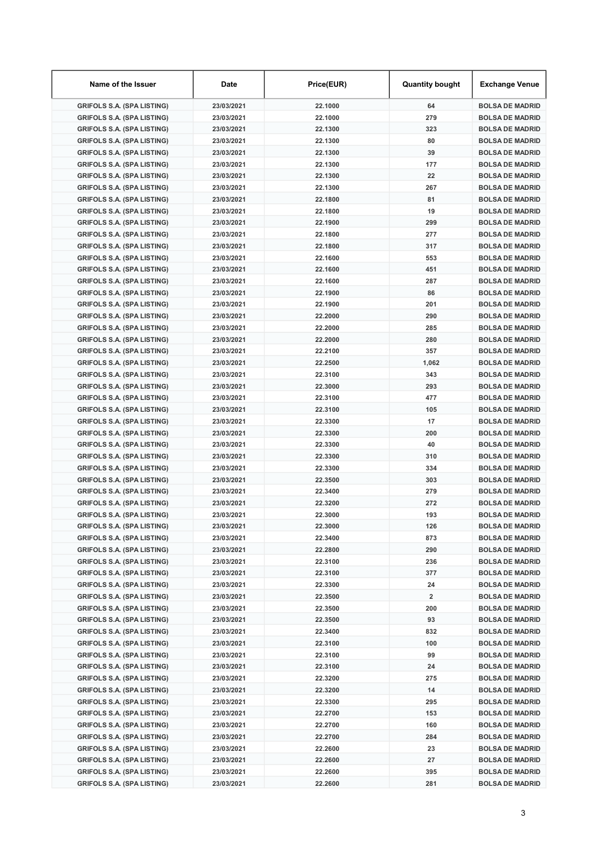| Name of the Issuer                | Date       | Price(EUR) | <b>Quantity bought</b> | <b>Exchange Venue</b>  |
|-----------------------------------|------------|------------|------------------------|------------------------|
| <b>GRIFOLS S.A. (SPA LISTING)</b> | 23/03/2021 | 22.1000    | 64                     | <b>BOLSA DE MADRID</b> |
| <b>GRIFOLS S.A. (SPA LISTING)</b> | 23/03/2021 | 22.1000    | 279                    | <b>BOLSA DE MADRID</b> |
| <b>GRIFOLS S.A. (SPA LISTING)</b> | 23/03/2021 | 22.1300    | 323                    | <b>BOLSA DE MADRID</b> |
| <b>GRIFOLS S.A. (SPA LISTING)</b> | 23/03/2021 | 22.1300    | 80                     | <b>BOLSA DE MADRID</b> |
| <b>GRIFOLS S.A. (SPA LISTING)</b> | 23/03/2021 | 22.1300    | 39                     | <b>BOLSA DE MADRID</b> |
| <b>GRIFOLS S.A. (SPA LISTING)</b> | 23/03/2021 | 22.1300    | 177                    | <b>BOLSA DE MADRID</b> |
| <b>GRIFOLS S.A. (SPA LISTING)</b> | 23/03/2021 | 22.1300    | 22                     | <b>BOLSA DE MADRID</b> |
| <b>GRIFOLS S.A. (SPA LISTING)</b> | 23/03/2021 | 22.1300    | 267                    | <b>BOLSA DE MADRID</b> |
| <b>GRIFOLS S.A. (SPA LISTING)</b> | 23/03/2021 | 22.1800    | 81                     | <b>BOLSA DE MADRID</b> |
| <b>GRIFOLS S.A. (SPA LISTING)</b> | 23/03/2021 | 22.1800    | 19                     | <b>BOLSA DE MADRID</b> |
| <b>GRIFOLS S.A. (SPA LISTING)</b> | 23/03/2021 | 22.1900    | 299                    | <b>BOLSA DE MADRID</b> |
| <b>GRIFOLS S.A. (SPA LISTING)</b> | 23/03/2021 | 22.1800    | 277                    | <b>BOLSA DE MADRID</b> |
| <b>GRIFOLS S.A. (SPA LISTING)</b> | 23/03/2021 | 22.1800    | 317                    | <b>BOLSA DE MADRID</b> |
| <b>GRIFOLS S.A. (SPA LISTING)</b> | 23/03/2021 | 22.1600    | 553                    | <b>BOLSA DE MADRID</b> |
| <b>GRIFOLS S.A. (SPA LISTING)</b> | 23/03/2021 | 22.1600    | 451                    | <b>BOLSA DE MADRID</b> |
| <b>GRIFOLS S.A. (SPA LISTING)</b> | 23/03/2021 | 22.1600    | 287                    | <b>BOLSA DE MADRID</b> |
| <b>GRIFOLS S.A. (SPA LISTING)</b> | 23/03/2021 | 22.1900    | 86                     | <b>BOLSA DE MADRID</b> |
| <b>GRIFOLS S.A. (SPA LISTING)</b> | 23/03/2021 | 22.1900    | 201                    | <b>BOLSA DE MADRID</b> |
| <b>GRIFOLS S.A. (SPA LISTING)</b> | 23/03/2021 | 22.2000    | 290                    | <b>BOLSA DE MADRID</b> |
| <b>GRIFOLS S.A. (SPA LISTING)</b> | 23/03/2021 | 22.2000    | 285                    | <b>BOLSA DE MADRID</b> |
| <b>GRIFOLS S.A. (SPA LISTING)</b> | 23/03/2021 | 22.2000    | 280                    | <b>BOLSA DE MADRID</b> |
| <b>GRIFOLS S.A. (SPA LISTING)</b> | 23/03/2021 | 22.2100    | 357                    | <b>BOLSA DE MADRID</b> |
| <b>GRIFOLS S.A. (SPA LISTING)</b> | 23/03/2021 | 22.2500    | 1,062                  | <b>BOLSA DE MADRID</b> |
| <b>GRIFOLS S.A. (SPA LISTING)</b> | 23/03/2021 | 22.3100    | 343                    | <b>BOLSA DE MADRID</b> |
| <b>GRIFOLS S.A. (SPA LISTING)</b> | 23/03/2021 | 22.3000    | 293                    | <b>BOLSA DE MADRID</b> |
| <b>GRIFOLS S.A. (SPA LISTING)</b> | 23/03/2021 | 22.3100    | 477                    | <b>BOLSA DE MADRID</b> |
| <b>GRIFOLS S.A. (SPA LISTING)</b> | 23/03/2021 | 22.3100    | 105                    | <b>BOLSA DE MADRID</b> |
|                                   | 23/03/2021 | 22.3300    | 17                     | <b>BOLSA DE MADRID</b> |
| <b>GRIFOLS S.A. (SPA LISTING)</b> | 23/03/2021 | 22.3300    | 200                    | <b>BOLSA DE MADRID</b> |
| <b>GRIFOLS S.A. (SPA LISTING)</b> |            |            |                        |                        |
| <b>GRIFOLS S.A. (SPA LISTING)</b> | 23/03/2021 | 22.3300    | 40                     | <b>BOLSA DE MADRID</b> |
| <b>GRIFOLS S.A. (SPA LISTING)</b> | 23/03/2021 | 22.3300    | 310                    | <b>BOLSA DE MADRID</b> |
| <b>GRIFOLS S.A. (SPA LISTING)</b> | 23/03/2021 | 22.3300    | 334                    | <b>BOLSA DE MADRID</b> |
| <b>GRIFOLS S.A. (SPA LISTING)</b> | 23/03/2021 | 22.3500    | 303                    | <b>BOLSA DE MADRID</b> |
| <b>GRIFOLS S.A. (SPA LISTING)</b> | 23/03/2021 | 22.3400    | 279                    | <b>BOLSA DE MADRID</b> |
| <b>GRIFOLS S.A. (SPA LISTING)</b> | 23/03/2021 | 22.3200    | 272                    | <b>BOLSA DE MADRID</b> |
| <b>GRIFOLS S.A. (SPA LISTING)</b> | 23/03/2021 | 22.3000    | 193                    | <b>BOLSA DE MADRID</b> |
| <b>GRIFOLS S.A. (SPA LISTING)</b> | 23/03/2021 | 22.3000    | 126                    | <b>BOLSA DE MADRID</b> |
| <b>GRIFOLS S.A. (SPA LISTING)</b> | 23/03/2021 | 22.3400    | 873                    | <b>BOLSA DE MADRID</b> |
| <b>GRIFOLS S.A. (SPA LISTING)</b> | 23/03/2021 | 22.2800    | 290                    | <b>BOLSA DE MADRID</b> |
| <b>GRIFOLS S.A. (SPA LISTING)</b> | 23/03/2021 | 22.3100    | 236                    | <b>BOLSA DE MADRID</b> |
| <b>GRIFOLS S.A. (SPA LISTING)</b> | 23/03/2021 | 22.3100    | 377                    | <b>BOLSA DE MADRID</b> |
| <b>GRIFOLS S.A. (SPA LISTING)</b> | 23/03/2021 | 22.3300    | 24                     | <b>BOLSA DE MADRID</b> |
| <b>GRIFOLS S.A. (SPA LISTING)</b> | 23/03/2021 | 22.3500    | 2                      | <b>BOLSA DE MADRID</b> |
| <b>GRIFOLS S.A. (SPA LISTING)</b> | 23/03/2021 | 22.3500    | 200                    | <b>BOLSA DE MADRID</b> |
| <b>GRIFOLS S.A. (SPA LISTING)</b> | 23/03/2021 | 22.3500    | 93                     | <b>BOLSA DE MADRID</b> |
| <b>GRIFOLS S.A. (SPA LISTING)</b> | 23/03/2021 | 22.3400    | 832                    | <b>BOLSA DE MADRID</b> |
| <b>GRIFOLS S.A. (SPA LISTING)</b> | 23/03/2021 | 22.3100    | 100                    | <b>BOLSA DE MADRID</b> |
| <b>GRIFOLS S.A. (SPA LISTING)</b> | 23/03/2021 | 22.3100    | 99                     | <b>BOLSA DE MADRID</b> |
| <b>GRIFOLS S.A. (SPA LISTING)</b> | 23/03/2021 | 22.3100    | 24                     | <b>BOLSA DE MADRID</b> |
| <b>GRIFOLS S.A. (SPA LISTING)</b> | 23/03/2021 | 22.3200    | 275                    | <b>BOLSA DE MADRID</b> |
| <b>GRIFOLS S.A. (SPA LISTING)</b> | 23/03/2021 | 22.3200    | 14                     | <b>BOLSA DE MADRID</b> |
| <b>GRIFOLS S.A. (SPA LISTING)</b> | 23/03/2021 | 22.3300    | 295                    | <b>BOLSA DE MADRID</b> |
| <b>GRIFOLS S.A. (SPA LISTING)</b> | 23/03/2021 | 22.2700    | 153                    | <b>BOLSA DE MADRID</b> |
| <b>GRIFOLS S.A. (SPA LISTING)</b> | 23/03/2021 | 22.2700    | 160                    | <b>BOLSA DE MADRID</b> |
| <b>GRIFOLS S.A. (SPA LISTING)</b> | 23/03/2021 | 22.2700    | 284                    | <b>BOLSA DE MADRID</b> |
| <b>GRIFOLS S.A. (SPA LISTING)</b> | 23/03/2021 | 22.2600    | 23                     | <b>BOLSA DE MADRID</b> |
| <b>GRIFOLS S.A. (SPA LISTING)</b> | 23/03/2021 | 22.2600    | 27                     | <b>BOLSA DE MADRID</b> |
| <b>GRIFOLS S.A. (SPA LISTING)</b> | 23/03/2021 | 22.2600    | 395                    | <b>BOLSA DE MADRID</b> |
| <b>GRIFOLS S.A. (SPA LISTING)</b> | 23/03/2021 | 22.2600    | 281                    | <b>BOLSA DE MADRID</b> |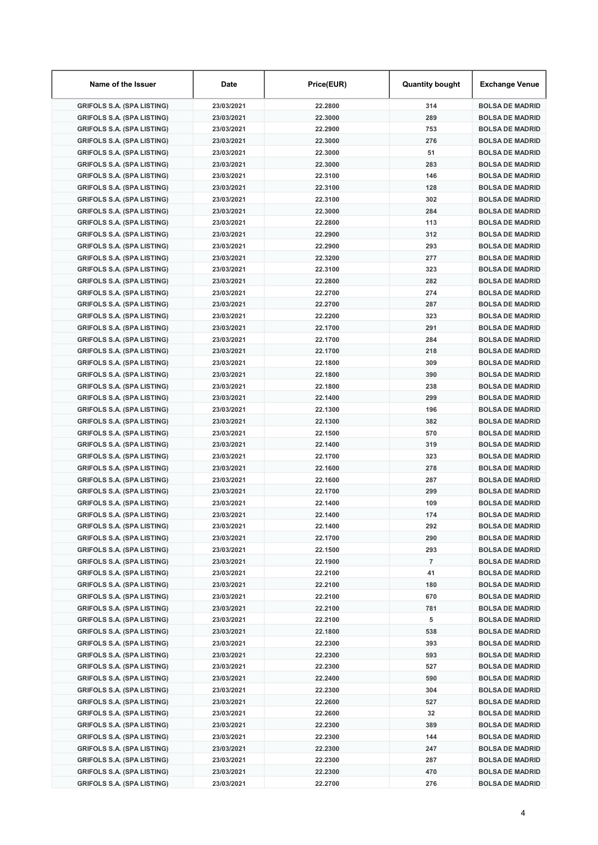| Name of the Issuer                | Date       | Price(EUR) | <b>Quantity bought</b> | Exchange Venue         |
|-----------------------------------|------------|------------|------------------------|------------------------|
| <b>GRIFOLS S.A. (SPA LISTING)</b> | 23/03/2021 | 22.2800    | 314                    | <b>BOLSA DE MADRID</b> |
| <b>GRIFOLS S.A. (SPA LISTING)</b> | 23/03/2021 | 22.3000    | 289                    | <b>BOLSA DE MADRID</b> |
| <b>GRIFOLS S.A. (SPA LISTING)</b> | 23/03/2021 | 22.2900    | 753                    | <b>BOLSA DE MADRID</b> |
| <b>GRIFOLS S.A. (SPA LISTING)</b> | 23/03/2021 | 22.3000    | 276                    | <b>BOLSA DE MADRID</b> |
| <b>GRIFOLS S.A. (SPA LISTING)</b> | 23/03/2021 | 22.3000    | 51                     | <b>BOLSA DE MADRID</b> |
| <b>GRIFOLS S.A. (SPA LISTING)</b> | 23/03/2021 | 22.3000    | 283                    | <b>BOLSA DE MADRID</b> |
| <b>GRIFOLS S.A. (SPA LISTING)</b> | 23/03/2021 | 22.3100    | 146                    | <b>BOLSA DE MADRID</b> |
| <b>GRIFOLS S.A. (SPA LISTING)</b> | 23/03/2021 | 22.3100    | 128                    | <b>BOLSA DE MADRID</b> |
| <b>GRIFOLS S.A. (SPA LISTING)</b> | 23/03/2021 | 22.3100    | 302                    | <b>BOLSA DE MADRID</b> |
| <b>GRIFOLS S.A. (SPA LISTING)</b> | 23/03/2021 | 22.3000    | 284                    | <b>BOLSA DE MADRID</b> |
| <b>GRIFOLS S.A. (SPA LISTING)</b> | 23/03/2021 | 22.2800    | 113                    | <b>BOLSA DE MADRID</b> |
| <b>GRIFOLS S.A. (SPA LISTING)</b> | 23/03/2021 | 22.2900    | 312                    | <b>BOLSA DE MADRID</b> |
| <b>GRIFOLS S.A. (SPA LISTING)</b> | 23/03/2021 | 22.2900    | 293                    | <b>BOLSA DE MADRID</b> |
| <b>GRIFOLS S.A. (SPA LISTING)</b> | 23/03/2021 | 22.3200    | 277                    | <b>BOLSA DE MADRID</b> |
| <b>GRIFOLS S.A. (SPA LISTING)</b> | 23/03/2021 | 22.3100    | 323                    | <b>BOLSA DE MADRID</b> |
| <b>GRIFOLS S.A. (SPA LISTING)</b> | 23/03/2021 | 22.2800    | 282                    | <b>BOLSA DE MADRID</b> |
|                                   |            |            | 274                    |                        |
| <b>GRIFOLS S.A. (SPA LISTING)</b> | 23/03/2021 | 22.2700    |                        | <b>BOLSA DE MADRID</b> |
| <b>GRIFOLS S.A. (SPA LISTING)</b> | 23/03/2021 | 22.2700    | 287                    | <b>BOLSA DE MADRID</b> |
| <b>GRIFOLS S.A. (SPA LISTING)</b> | 23/03/2021 | 22.2200    | 323                    | <b>BOLSA DE MADRID</b> |
| <b>GRIFOLS S.A. (SPA LISTING)</b> | 23/03/2021 | 22.1700    | 291                    | <b>BOLSA DE MADRID</b> |
| <b>GRIFOLS S.A. (SPA LISTING)</b> | 23/03/2021 | 22.1700    | 284                    | <b>BOLSA DE MADRID</b> |
| <b>GRIFOLS S.A. (SPA LISTING)</b> | 23/03/2021 | 22.1700    | 218                    | <b>BOLSA DE MADRID</b> |
| <b>GRIFOLS S.A. (SPA LISTING)</b> | 23/03/2021 | 22.1800    | 309                    | <b>BOLSA DE MADRID</b> |
| <b>GRIFOLS S.A. (SPA LISTING)</b> | 23/03/2021 | 22.1800    | 390                    | <b>BOLSA DE MADRID</b> |
| <b>GRIFOLS S.A. (SPA LISTING)</b> | 23/03/2021 | 22.1800    | 238                    | <b>BOLSA DE MADRID</b> |
| <b>GRIFOLS S.A. (SPA LISTING)</b> | 23/03/2021 | 22.1400    | 299                    | <b>BOLSA DE MADRID</b> |
| <b>GRIFOLS S.A. (SPA LISTING)</b> | 23/03/2021 | 22.1300    | 196                    | <b>BOLSA DE MADRID</b> |
| <b>GRIFOLS S.A. (SPA LISTING)</b> | 23/03/2021 | 22.1300    | 382                    | <b>BOLSA DE MADRID</b> |
| <b>GRIFOLS S.A. (SPA LISTING)</b> | 23/03/2021 | 22.1500    | 570                    | <b>BOLSA DE MADRID</b> |
| <b>GRIFOLS S.A. (SPA LISTING)</b> | 23/03/2021 | 22.1400    | 319                    | <b>BOLSA DE MADRID</b> |
| <b>GRIFOLS S.A. (SPA LISTING)</b> | 23/03/2021 | 22.1700    | 323                    | <b>BOLSA DE MADRID</b> |
| <b>GRIFOLS S.A. (SPA LISTING)</b> | 23/03/2021 | 22.1600    | 278                    | <b>BOLSA DE MADRID</b> |
| <b>GRIFOLS S.A. (SPA LISTING)</b> | 23/03/2021 | 22.1600    | 287                    | <b>BOLSA DE MADRID</b> |
| <b>GRIFOLS S.A. (SPA LISTING)</b> | 23/03/2021 | 22.1700    | 299                    | <b>BOLSA DE MADRID</b> |
| <b>GRIFOLS S.A. (SPA LISTING)</b> | 23/03/2021 | 22.1400    | 109                    | <b>BOLSA DE MADRID</b> |
| <b>GRIFOLS S.A. (SPA LISTING)</b> | 23/03/2021 | 22.1400    | 174                    | <b>BOLSA DE MADRID</b> |
| <b>GRIFOLS S.A. (SPA LISTING)</b> | 23/03/2021 | 22.1400    | 292                    | <b>BOLSA DE MADRID</b> |
| <b>GRIFOLS S.A. (SPA LISTING)</b> | 23/03/2021 | 22.1700    | 290                    | <b>BOLSA DE MADRID</b> |
| <b>GRIFOLS S.A. (SPA LISTING)</b> | 23/03/2021 | 22.1500    | 293                    | <b>BOLSA DE MADRID</b> |
| <b>GRIFOLS S.A. (SPA LISTING)</b> | 23/03/2021 | 22.1900    | $\overline{7}$         | <b>BOLSA DE MADRID</b> |
| <b>GRIFOLS S.A. (SPA LISTING)</b> | 23/03/2021 | 22.2100    | 41                     | <b>BOLSA DE MADRID</b> |
| <b>GRIFOLS S.A. (SPA LISTING)</b> | 23/03/2021 | 22.2100    | 180                    | <b>BOLSA DE MADRID</b> |
| <b>GRIFOLS S.A. (SPA LISTING)</b> | 23/03/2021 | 22.2100    | 670                    | <b>BOLSA DE MADRID</b> |
| <b>GRIFOLS S.A. (SPA LISTING)</b> | 23/03/2021 | 22.2100    | 781                    | <b>BOLSA DE MADRID</b> |
| <b>GRIFOLS S.A. (SPA LISTING)</b> | 23/03/2021 | 22.2100    | 5                      | <b>BOLSA DE MADRID</b> |
| <b>GRIFOLS S.A. (SPA LISTING)</b> | 23/03/2021 | 22.1800    | 538                    | <b>BOLSA DE MADRID</b> |
|                                   |            |            |                        |                        |
| <b>GRIFOLS S.A. (SPA LISTING)</b> | 23/03/2021 | 22.2300    | 393                    | <b>BOLSA DE MADRID</b> |
| <b>GRIFOLS S.A. (SPA LISTING)</b> | 23/03/2021 | 22.2300    | 593                    | <b>BOLSA DE MADRID</b> |
| <b>GRIFOLS S.A. (SPA LISTING)</b> | 23/03/2021 | 22.2300    | 527                    | <b>BOLSA DE MADRID</b> |
| <b>GRIFOLS S.A. (SPA LISTING)</b> | 23/03/2021 | 22.2400    | 590                    | <b>BOLSA DE MADRID</b> |
| <b>GRIFOLS S.A. (SPA LISTING)</b> | 23/03/2021 | 22.2300    | 304                    | <b>BOLSA DE MADRID</b> |
| <b>GRIFOLS S.A. (SPA LISTING)</b> | 23/03/2021 | 22.2600    | 527                    | <b>BOLSA DE MADRID</b> |
| <b>GRIFOLS S.A. (SPA LISTING)</b> | 23/03/2021 | 22.2600    | 32                     | <b>BOLSA DE MADRID</b> |
| <b>GRIFOLS S.A. (SPA LISTING)</b> | 23/03/2021 | 22.2300    | 389                    | <b>BOLSA DE MADRID</b> |
| <b>GRIFOLS S.A. (SPA LISTING)</b> | 23/03/2021 | 22.2300    | 144                    | <b>BOLSA DE MADRID</b> |
| <b>GRIFOLS S.A. (SPA LISTING)</b> | 23/03/2021 | 22.2300    | 247                    | <b>BOLSA DE MADRID</b> |
| <b>GRIFOLS S.A. (SPA LISTING)</b> | 23/03/2021 | 22.2300    | 287                    | <b>BOLSA DE MADRID</b> |
| <b>GRIFOLS S.A. (SPA LISTING)</b> | 23/03/2021 | 22.2300    | 470                    | <b>BOLSA DE MADRID</b> |
| <b>GRIFOLS S.A. (SPA LISTING)</b> | 23/03/2021 | 22.2700    | 276                    | <b>BOLSA DE MADRID</b> |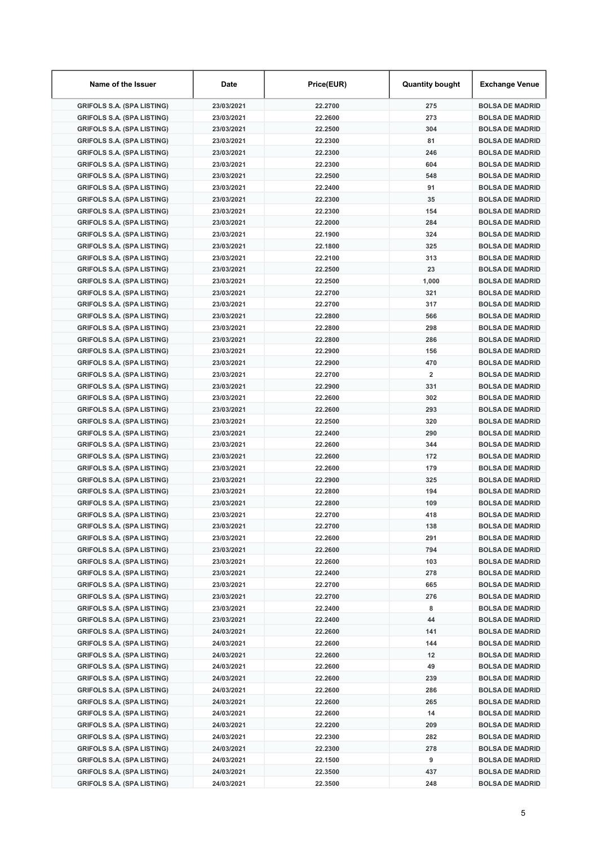| Name of the Issuer                | Date                     | Price(EUR)         | <b>Quantity bought</b>  | Exchange Venue                                   |
|-----------------------------------|--------------------------|--------------------|-------------------------|--------------------------------------------------|
| <b>GRIFOLS S.A. (SPA LISTING)</b> | 23/03/2021               | 22.2700            | 275                     | <b>BOLSA DE MADRID</b>                           |
| <b>GRIFOLS S.A. (SPA LISTING)</b> | 23/03/2021               | 22.2600            | 273                     | <b>BOLSA DE MADRID</b>                           |
| <b>GRIFOLS S.A. (SPA LISTING)</b> | 23/03/2021               | 22.2500            | 304                     | <b>BOLSA DE MADRID</b>                           |
| <b>GRIFOLS S.A. (SPA LISTING)</b> | 23/03/2021               | 22.2300            | 81                      | <b>BOLSA DE MADRID</b>                           |
| <b>GRIFOLS S.A. (SPA LISTING)</b> | 23/03/2021               | 22.2300            | 246                     | <b>BOLSA DE MADRID</b>                           |
| <b>GRIFOLS S.A. (SPA LISTING)</b> | 23/03/2021               | 22.2300            | 604                     | <b>BOLSA DE MADRID</b>                           |
| <b>GRIFOLS S.A. (SPA LISTING)</b> | 23/03/2021               | 22.2500            | 548                     | <b>BOLSA DE MADRID</b>                           |
| <b>GRIFOLS S.A. (SPA LISTING)</b> | 23/03/2021               | 22.2400            | 91                      | <b>BOLSA DE MADRID</b>                           |
| <b>GRIFOLS S.A. (SPA LISTING)</b> | 23/03/2021               | 22.2300            | 35                      | <b>BOLSA DE MADRID</b>                           |
| <b>GRIFOLS S.A. (SPA LISTING)</b> | 23/03/2021               | 22.2300            | 154                     | <b>BOLSA DE MADRID</b>                           |
| <b>GRIFOLS S.A. (SPA LISTING)</b> | 23/03/2021               | 22.2000            | 284                     | <b>BOLSA DE MADRID</b>                           |
| <b>GRIFOLS S.A. (SPA LISTING)</b> | 23/03/2021               | 22.1900            | 324                     | <b>BOLSA DE MADRID</b>                           |
| <b>GRIFOLS S.A. (SPA LISTING)</b> | 23/03/2021               | 22.1800            | 325                     | <b>BOLSA DE MADRID</b>                           |
| <b>GRIFOLS S.A. (SPA LISTING)</b> | 23/03/2021               | 22.2100            | 313                     | <b>BOLSA DE MADRID</b>                           |
| <b>GRIFOLS S.A. (SPA LISTING)</b> | 23/03/2021               | 22.2500            | 23                      | <b>BOLSA DE MADRID</b>                           |
| <b>GRIFOLS S.A. (SPA LISTING)</b> | 23/03/2021               | 22.2500            | 1,000                   | <b>BOLSA DE MADRID</b>                           |
| <b>GRIFOLS S.A. (SPA LISTING)</b> | 23/03/2021               | 22.2700            | 321                     | <b>BOLSA DE MADRID</b>                           |
| <b>GRIFOLS S.A. (SPA LISTING)</b> | 23/03/2021               | 22.2700            | 317                     | <b>BOLSA DE MADRID</b>                           |
| <b>GRIFOLS S.A. (SPA LISTING)</b> | 23/03/2021               | 22.2800            | 566                     | <b>BOLSA DE MADRID</b>                           |
| <b>GRIFOLS S.A. (SPA LISTING)</b> | 23/03/2021               | 22.2800            | 298                     | <b>BOLSA DE MADRID</b>                           |
| <b>GRIFOLS S.A. (SPA LISTING)</b> | 23/03/2021               | 22.2800            | 286                     | <b>BOLSA DE MADRID</b>                           |
| <b>GRIFOLS S.A. (SPA LISTING)</b> | 23/03/2021               | 22.2900            | 156                     | <b>BOLSA DE MADRID</b>                           |
| <b>GRIFOLS S.A. (SPA LISTING)</b> | 23/03/2021               | 22.2900            | 470                     | <b>BOLSA DE MADRID</b>                           |
| <b>GRIFOLS S.A. (SPA LISTING)</b> | 23/03/2021               | 22.2700            | $\overline{\mathbf{2}}$ | <b>BOLSA DE MADRID</b>                           |
| <b>GRIFOLS S.A. (SPA LISTING)</b> | 23/03/2021               | 22.2900            | 331                     | <b>BOLSA DE MADRID</b>                           |
| <b>GRIFOLS S.A. (SPA LISTING)</b> | 23/03/2021               | 22.2600            | 302                     | <b>BOLSA DE MADRID</b>                           |
| <b>GRIFOLS S.A. (SPA LISTING)</b> | 23/03/2021               | 22.2600            | 293                     | <b>BOLSA DE MADRID</b>                           |
| <b>GRIFOLS S.A. (SPA LISTING)</b> | 23/03/2021               | 22.2500            | 320                     | <b>BOLSA DE MADRID</b>                           |
| <b>GRIFOLS S.A. (SPA LISTING)</b> | 23/03/2021               | 22.2400            | 290                     | <b>BOLSA DE MADRID</b>                           |
|                                   |                          | 22.2600            | 344                     |                                                  |
| <b>GRIFOLS S.A. (SPA LISTING)</b> | 23/03/2021               |                    | 172                     | <b>BOLSA DE MADRID</b>                           |
| <b>GRIFOLS S.A. (SPA LISTING)</b> | 23/03/2021<br>23/03/2021 | 22.2600            | 179                     | <b>BOLSA DE MADRID</b>                           |
| <b>GRIFOLS S.A. (SPA LISTING)</b> |                          | 22.2600            |                         | <b>BOLSA DE MADRID</b><br><b>BOLSA DE MADRID</b> |
| <b>GRIFOLS S.A. (SPA LISTING)</b> | 23/03/2021               | 22.2900            | 325                     |                                                  |
| <b>GRIFOLS S.A. (SPA LISTING)</b> | 23/03/2021               | 22.2800            | 194                     | <b>BOLSA DE MADRID</b>                           |
| <b>GRIFOLS S.A. (SPA LISTING)</b> | 23/03/2021               | 22.2800<br>22.2700 | 109                     | <b>BOLSA DE MADRID</b>                           |
| <b>GRIFOLS S.A. (SPA LISTING)</b> | 23/03/2021               |                    | 418                     | <b>BOLSA DE MADRID</b>                           |
| <b>GRIFOLS S.A. (SPA LISTING)</b> | 23/03/2021               | 22.2700            | 138                     | <b>BOLSA DE MADRID</b>                           |
| <b>GRIFOLS S.A. (SPA LISTING)</b> | 23/03/2021               | 22.2600            | 291                     | <b>BOLSA DE MADRID</b>                           |
| <b>GRIFOLS S.A. (SPA LISTING)</b> | 23/03/2021               | 22.2600            | 794                     | <b>BOLSA DE MADRID</b>                           |
| <b>GRIFOLS S.A. (SPA LISTING)</b> | 23/03/2021               | 22.2600            | 103                     | <b>BOLSA DE MADRID</b>                           |
| <b>GRIFOLS S.A. (SPA LISTING)</b> | 23/03/2021               | 22.2400            | 278                     | <b>BOLSA DE MADRID</b>                           |
| <b>GRIFOLS S.A. (SPA LISTING)</b> | 23/03/2021               | 22.2700            | 665                     | <b>BOLSA DE MADRID</b>                           |
| <b>GRIFOLS S.A. (SPA LISTING)</b> | 23/03/2021               | 22.2700            | 276                     | <b>BOLSA DE MADRID</b>                           |
| <b>GRIFOLS S.A. (SPA LISTING)</b> | 23/03/2021               | 22.2400            | 8                       | <b>BOLSA DE MADRID</b>                           |
| <b>GRIFOLS S.A. (SPA LISTING)</b> | 23/03/2021               | 22.2400            | 44                      | <b>BOLSA DE MADRID</b>                           |
| <b>GRIFOLS S.A. (SPA LISTING)</b> | 24/03/2021               | 22.2600            | 141                     | <b>BOLSA DE MADRID</b>                           |
| <b>GRIFOLS S.A. (SPA LISTING)</b> | 24/03/2021               | 22.2600            | 144                     | <b>BOLSA DE MADRID</b>                           |
| <b>GRIFOLS S.A. (SPA LISTING)</b> | 24/03/2021               | 22.2600            | 12                      | <b>BOLSA DE MADRID</b>                           |
| <b>GRIFOLS S.A. (SPA LISTING)</b> | 24/03/2021               | 22.2600            | 49                      | <b>BOLSA DE MADRID</b>                           |
| <b>GRIFOLS S.A. (SPA LISTING)</b> | 24/03/2021               | 22.2600            | 239                     | <b>BOLSA DE MADRID</b>                           |
| <b>GRIFOLS S.A. (SPA LISTING)</b> | 24/03/2021               | 22.2600            | 286                     | <b>BOLSA DE MADRID</b>                           |
| <b>GRIFOLS S.A. (SPA LISTING)</b> | 24/03/2021               | 22.2600            | 265                     | <b>BOLSA DE MADRID</b>                           |
| <b>GRIFOLS S.A. (SPA LISTING)</b> | 24/03/2021               | 22.2600            | 14                      | <b>BOLSA DE MADRID</b>                           |
| <b>GRIFOLS S.A. (SPA LISTING)</b> | 24/03/2021               | 22.2200            | 209                     | <b>BOLSA DE MADRID</b>                           |
| <b>GRIFOLS S.A. (SPA LISTING)</b> | 24/03/2021               | 22.2300            | 282                     | <b>BOLSA DE MADRID</b>                           |
| <b>GRIFOLS S.A. (SPA LISTING)</b> | 24/03/2021               | 22.2300            | 278                     | <b>BOLSA DE MADRID</b>                           |
| <b>GRIFOLS S.A. (SPA LISTING)</b> | 24/03/2021               | 22.1500            | 9                       | <b>BOLSA DE MADRID</b>                           |
| <b>GRIFOLS S.A. (SPA LISTING)</b> | 24/03/2021               | 22.3500            | 437                     | <b>BOLSA DE MADRID</b>                           |
| <b>GRIFOLS S.A. (SPA LISTING)</b> | 24/03/2021               | 22.3500            | 248                     | <b>BOLSA DE MADRID</b>                           |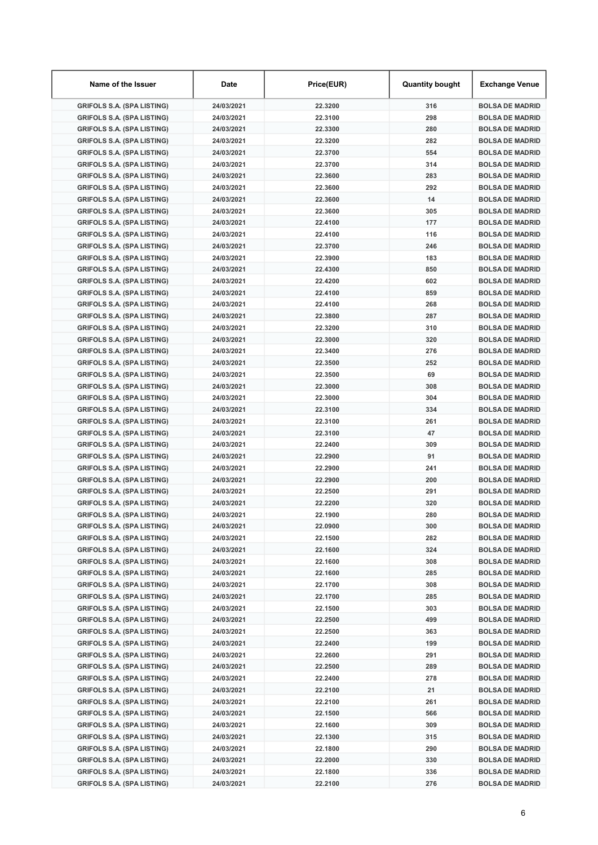| Name of the Issuer                | Date       | Price(EUR) | <b>Quantity bought</b> | Exchange Venue         |
|-----------------------------------|------------|------------|------------------------|------------------------|
| <b>GRIFOLS S.A. (SPA LISTING)</b> | 24/03/2021 | 22.3200    | 316                    | <b>BOLSA DE MADRID</b> |
| <b>GRIFOLS S.A. (SPA LISTING)</b> | 24/03/2021 | 22.3100    | 298                    | <b>BOLSA DE MADRID</b> |
| <b>GRIFOLS S.A. (SPA LISTING)</b> | 24/03/2021 | 22.3300    | 280                    | <b>BOLSA DE MADRID</b> |
| <b>GRIFOLS S.A. (SPA LISTING)</b> | 24/03/2021 | 22.3200    | 282                    | <b>BOLSA DE MADRID</b> |
| <b>GRIFOLS S.A. (SPA LISTING)</b> | 24/03/2021 | 22.3700    | 554                    | <b>BOLSA DE MADRID</b> |
| <b>GRIFOLS S.A. (SPA LISTING)</b> | 24/03/2021 | 22.3700    | 314                    | <b>BOLSA DE MADRID</b> |
| <b>GRIFOLS S.A. (SPA LISTING)</b> | 24/03/2021 | 22.3600    | 283                    | <b>BOLSA DE MADRID</b> |
| <b>GRIFOLS S.A. (SPA LISTING)</b> | 24/03/2021 | 22.3600    | 292                    | <b>BOLSA DE MADRID</b> |
| <b>GRIFOLS S.A. (SPA LISTING)</b> | 24/03/2021 | 22.3600    | 14                     | <b>BOLSA DE MADRID</b> |
| <b>GRIFOLS S.A. (SPA LISTING)</b> | 24/03/2021 | 22.3600    | 305                    | <b>BOLSA DE MADRID</b> |
| <b>GRIFOLS S.A. (SPA LISTING)</b> | 24/03/2021 | 22.4100    | 177                    | <b>BOLSA DE MADRID</b> |
| <b>GRIFOLS S.A. (SPA LISTING)</b> | 24/03/2021 | 22.4100    | 116                    | <b>BOLSA DE MADRID</b> |
| <b>GRIFOLS S.A. (SPA LISTING)</b> | 24/03/2021 | 22.3700    | 246                    | <b>BOLSA DE MADRID</b> |
| <b>GRIFOLS S.A. (SPA LISTING)</b> | 24/03/2021 | 22.3900    | 183                    | <b>BOLSA DE MADRID</b> |
| <b>GRIFOLS S.A. (SPA LISTING)</b> | 24/03/2021 | 22.4300    | 850                    | <b>BOLSA DE MADRID</b> |
| <b>GRIFOLS S.A. (SPA LISTING)</b> | 24/03/2021 | 22.4200    | 602                    | <b>BOLSA DE MADRID</b> |
| <b>GRIFOLS S.A. (SPA LISTING)</b> | 24/03/2021 | 22.4100    | 859                    | <b>BOLSA DE MADRID</b> |
| <b>GRIFOLS S.A. (SPA LISTING)</b> | 24/03/2021 | 22.4100    | 268                    | <b>BOLSA DE MADRID</b> |
| <b>GRIFOLS S.A. (SPA LISTING)</b> | 24/03/2021 | 22.3800    | 287                    | <b>BOLSA DE MADRID</b> |
| <b>GRIFOLS S.A. (SPA LISTING)</b> | 24/03/2021 | 22.3200    | 310                    | <b>BOLSA DE MADRID</b> |
| <b>GRIFOLS S.A. (SPA LISTING)</b> | 24/03/2021 | 22.3000    | 320                    | <b>BOLSA DE MADRID</b> |
| <b>GRIFOLS S.A. (SPA LISTING)</b> | 24/03/2021 | 22.3400    | 276                    | <b>BOLSA DE MADRID</b> |
| <b>GRIFOLS S.A. (SPA LISTING)</b> | 24/03/2021 | 22.3500    | 252                    | <b>BOLSA DE MADRID</b> |
| <b>GRIFOLS S.A. (SPA LISTING)</b> | 24/03/2021 | 22.3500    | 69                     | <b>BOLSA DE MADRID</b> |
| <b>GRIFOLS S.A. (SPA LISTING)</b> | 24/03/2021 | 22.3000    | 308                    | <b>BOLSA DE MADRID</b> |
| <b>GRIFOLS S.A. (SPA LISTING)</b> | 24/03/2021 | 22.3000    | 304                    | <b>BOLSA DE MADRID</b> |
| <b>GRIFOLS S.A. (SPA LISTING)</b> | 24/03/2021 | 22.3100    | 334                    | <b>BOLSA DE MADRID</b> |
| <b>GRIFOLS S.A. (SPA LISTING)</b> | 24/03/2021 | 22.3100    | 261                    | <b>BOLSA DE MADRID</b> |
| <b>GRIFOLS S.A. (SPA LISTING)</b> | 24/03/2021 | 22.3100    | 47                     | <b>BOLSA DE MADRID</b> |
| <b>GRIFOLS S.A. (SPA LISTING)</b> | 24/03/2021 | 22.2400    | 309                    | <b>BOLSA DE MADRID</b> |
| <b>GRIFOLS S.A. (SPA LISTING)</b> | 24/03/2021 | 22.2900    | 91                     | <b>BOLSA DE MADRID</b> |
| <b>GRIFOLS S.A. (SPA LISTING)</b> | 24/03/2021 | 22.2900    | 241                    | <b>BOLSA DE MADRID</b> |
| <b>GRIFOLS S.A. (SPA LISTING)</b> | 24/03/2021 | 22.2900    | 200                    | <b>BOLSA DE MADRID</b> |
| <b>GRIFOLS S.A. (SPA LISTING)</b> | 24/03/2021 | 22.2500    | 291                    | <b>BOLSA DE MADRID</b> |
| <b>GRIFOLS S.A. (SPA LISTING)</b> | 24/03/2021 | 22.2200    | 320                    | <b>BOLSA DE MADRID</b> |
| <b>GRIFOLS S.A. (SPA LISTING)</b> | 24/03/2021 | 22.1900    | 280                    | <b>BOLSA DE MADRID</b> |
| <b>GRIFOLS S.A. (SPA LISTING)</b> | 24/03/2021 | 22.0900    | 300                    | <b>BOLSA DE MADRID</b> |
| <b>GRIFOLS S.A. (SPA LISTING)</b> | 24/03/2021 | 22.1500    | 282                    | <b>BOLSA DE MADRID</b> |
| <b>GRIFOLS S.A. (SPA LISTING)</b> | 24/03/2021 | 22.1600    | 324                    | <b>BOLSA DE MADRID</b> |
| <b>GRIFOLS S.A. (SPA LISTING)</b> | 24/03/2021 | 22.1600    | 308                    | <b>BOLSA DE MADRID</b> |
| <b>GRIFOLS S.A. (SPA LISTING)</b> | 24/03/2021 | 22.1600    | 285                    | <b>BOLSA DE MADRID</b> |
| <b>GRIFOLS S.A. (SPA LISTING)</b> | 24/03/2021 | 22.1700    | 308                    | <b>BOLSA DE MADRID</b> |
| <b>GRIFOLS S.A. (SPA LISTING)</b> | 24/03/2021 | 22.1700    | 285                    | <b>BOLSA DE MADRID</b> |
| <b>GRIFOLS S.A. (SPA LISTING)</b> | 24/03/2021 | 22.1500    | 303                    | <b>BOLSA DE MADRID</b> |
| <b>GRIFOLS S.A. (SPA LISTING)</b> | 24/03/2021 | 22.2500    | 499                    | <b>BOLSA DE MADRID</b> |
| <b>GRIFOLS S.A. (SPA LISTING)</b> | 24/03/2021 | 22.2500    | 363                    | <b>BOLSA DE MADRID</b> |
| <b>GRIFOLS S.A. (SPA LISTING)</b> | 24/03/2021 | 22.2400    | 199                    | <b>BOLSA DE MADRID</b> |
| <b>GRIFOLS S.A. (SPA LISTING)</b> | 24/03/2021 | 22.2600    | 291                    | <b>BOLSA DE MADRID</b> |
| <b>GRIFOLS S.A. (SPA LISTING)</b> | 24/03/2021 | 22.2500    | 289                    | <b>BOLSA DE MADRID</b> |
| <b>GRIFOLS S.A. (SPA LISTING)</b> | 24/03/2021 | 22.2400    | 278                    | <b>BOLSA DE MADRID</b> |
| <b>GRIFOLS S.A. (SPA LISTING)</b> | 24/03/2021 | 22.2100    | 21                     | <b>BOLSA DE MADRID</b> |
| <b>GRIFOLS S.A. (SPA LISTING)</b> | 24/03/2021 | 22.2100    | 261                    | <b>BOLSA DE MADRID</b> |
| <b>GRIFOLS S.A. (SPA LISTING)</b> | 24/03/2021 | 22.1500    | 566                    | <b>BOLSA DE MADRID</b> |
| <b>GRIFOLS S.A. (SPA LISTING)</b> | 24/03/2021 | 22.1600    | 309                    | <b>BOLSA DE MADRID</b> |
| <b>GRIFOLS S.A. (SPA LISTING)</b> | 24/03/2021 | 22.1300    | 315                    | <b>BOLSA DE MADRID</b> |
| <b>GRIFOLS S.A. (SPA LISTING)</b> | 24/03/2021 | 22.1800    | 290                    | <b>BOLSA DE MADRID</b> |
| <b>GRIFOLS S.A. (SPA LISTING)</b> | 24/03/2021 | 22.2000    | 330                    | <b>BOLSA DE MADRID</b> |
| <b>GRIFOLS S.A. (SPA LISTING)</b> | 24/03/2021 | 22.1800    | 336                    | <b>BOLSA DE MADRID</b> |
| <b>GRIFOLS S.A. (SPA LISTING)</b> | 24/03/2021 | 22.2100    | 276                    | <b>BOLSA DE MADRID</b> |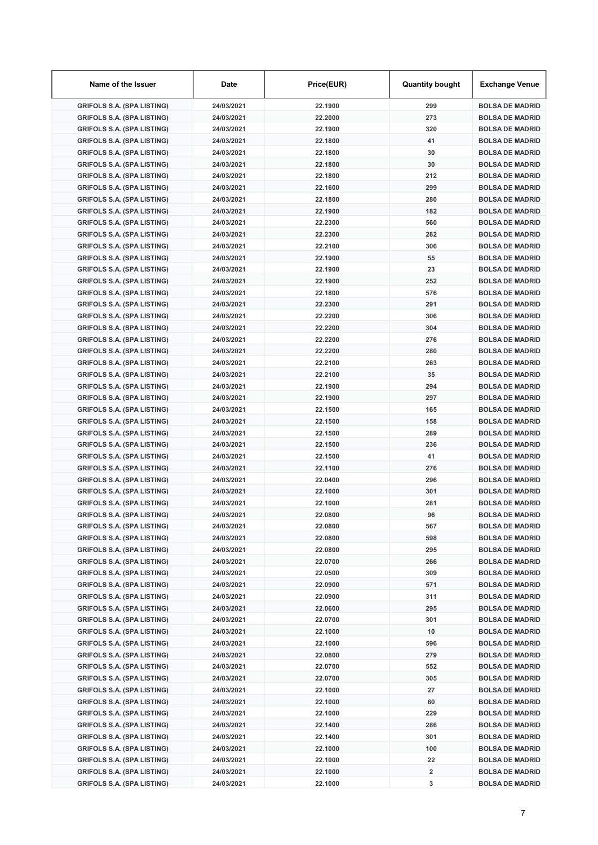| Name of the Issuer                | Date                     | Price(EUR)         | <b>Quantity bought</b> | <b>Exchange Venue</b>  |
|-----------------------------------|--------------------------|--------------------|------------------------|------------------------|
| <b>GRIFOLS S.A. (SPA LISTING)</b> | 24/03/2021               | 22.1900            | 299                    | <b>BOLSA DE MADRID</b> |
| <b>GRIFOLS S.A. (SPA LISTING)</b> | 24/03/2021               | 22.2000            | 273                    | <b>BOLSA DE MADRID</b> |
| <b>GRIFOLS S.A. (SPA LISTING)</b> | 24/03/2021               | 22.1900            | 320                    | <b>BOLSA DE MADRID</b> |
| <b>GRIFOLS S.A. (SPA LISTING)</b> | 24/03/2021               | 22.1800            | 41                     | <b>BOLSA DE MADRID</b> |
| <b>GRIFOLS S.A. (SPA LISTING)</b> | 24/03/2021               | 22.1800            | 30                     | <b>BOLSA DE MADRID</b> |
| <b>GRIFOLS S.A. (SPA LISTING)</b> | 24/03/2021               | 22.1800            | 30                     | <b>BOLSA DE MADRID</b> |
| <b>GRIFOLS S.A. (SPA LISTING)</b> | 24/03/2021               | 22.1800            | 212                    | <b>BOLSA DE MADRID</b> |
| <b>GRIFOLS S.A. (SPA LISTING)</b> | 24/03/2021               | 22.1600            | 299                    | <b>BOLSA DE MADRID</b> |
| <b>GRIFOLS S.A. (SPA LISTING)</b> | 24/03/2021               | 22.1800            | 280                    | <b>BOLSA DE MADRID</b> |
| <b>GRIFOLS S.A. (SPA LISTING)</b> | 24/03/2021               | 22.1900            | 182                    | <b>BOLSA DE MADRID</b> |
| <b>GRIFOLS S.A. (SPA LISTING)</b> | 24/03/2021               | 22.2300            | 560                    | <b>BOLSA DE MADRID</b> |
| <b>GRIFOLS S.A. (SPA LISTING)</b> | 24/03/2021               | 22.2300            | 282                    | <b>BOLSA DE MADRID</b> |
| <b>GRIFOLS S.A. (SPA LISTING)</b> | 24/03/2021               | 22.2100            | 306                    | <b>BOLSA DE MADRID</b> |
| <b>GRIFOLS S.A. (SPA LISTING)</b> | 24/03/2021               | 22.1900            | 55                     | <b>BOLSA DE MADRID</b> |
| <b>GRIFOLS S.A. (SPA LISTING)</b> | 24/03/2021               | 22.1900            | 23                     | <b>BOLSA DE MADRID</b> |
| <b>GRIFOLS S.A. (SPA LISTING)</b> | 24/03/2021               | 22.1900            | 252                    | <b>BOLSA DE MADRID</b> |
| <b>GRIFOLS S.A. (SPA LISTING)</b> | 24/03/2021               | 22.1800            | 576                    | <b>BOLSA DE MADRID</b> |
| <b>GRIFOLS S.A. (SPA LISTING)</b> | 24/03/2021               | 22.2300            | 291                    | <b>BOLSA DE MADRID</b> |
| <b>GRIFOLS S.A. (SPA LISTING)</b> | 24/03/2021               | 22.2200            | 306                    | <b>BOLSA DE MADRID</b> |
| <b>GRIFOLS S.A. (SPA LISTING)</b> | 24/03/2021               | 22.2200            | 304                    | <b>BOLSA DE MADRID</b> |
| <b>GRIFOLS S.A. (SPA LISTING)</b> | 24/03/2021               | 22.2200            | 276                    | <b>BOLSA DE MADRID</b> |
| <b>GRIFOLS S.A. (SPA LISTING)</b> | 24/03/2021               | 22.2200            | 280                    | <b>BOLSA DE MADRID</b> |
| <b>GRIFOLS S.A. (SPA LISTING)</b> | 24/03/2021               | 22.2100            | 263                    | <b>BOLSA DE MADRID</b> |
| <b>GRIFOLS S.A. (SPA LISTING)</b> | 24/03/2021               | 22.2100            | 35                     | <b>BOLSA DE MADRID</b> |
| <b>GRIFOLS S.A. (SPA LISTING)</b> | 24/03/2021               | 22.1900            | 294                    | <b>BOLSA DE MADRID</b> |
| <b>GRIFOLS S.A. (SPA LISTING)</b> | 24/03/2021               | 22.1900            | 297                    | <b>BOLSA DE MADRID</b> |
| <b>GRIFOLS S.A. (SPA LISTING)</b> | 24/03/2021               | 22.1500            | 165                    | <b>BOLSA DE MADRID</b> |
| <b>GRIFOLS S.A. (SPA LISTING)</b> | 24/03/2021               | 22.1500            | 158                    | <b>BOLSA DE MADRID</b> |
| <b>GRIFOLS S.A. (SPA LISTING)</b> | 24/03/2021               | 22.1500            | 289                    | <b>BOLSA DE MADRID</b> |
| <b>GRIFOLS S.A. (SPA LISTING)</b> | 24/03/2021               | 22.1500            | 236                    | <b>BOLSA DE MADRID</b> |
|                                   | 24/03/2021               | 22.1500            | 41                     | <b>BOLSA DE MADRID</b> |
| <b>GRIFOLS S.A. (SPA LISTING)</b> | 24/03/2021               |                    | 276                    | <b>BOLSA DE MADRID</b> |
| <b>GRIFOLS S.A. (SPA LISTING)</b> |                          | 22.1100<br>22.0400 | 296                    |                        |
| <b>GRIFOLS S.A. (SPA LISTING)</b> | 24/03/2021<br>24/03/2021 |                    | 301                    | <b>BOLSA DE MADRID</b> |
| <b>GRIFOLS S.A. (SPA LISTING)</b> | 24/03/2021               | 22.1000            |                        | <b>BOLSA DE MADRID</b> |
| <b>GRIFOLS S.A. (SPA LISTING)</b> | 24/03/2021               | 22.1000            | 281                    | <b>BOLSA DE MADRID</b> |
| <b>GRIFOLS S.A. (SPA LISTING)</b> |                          | 22.0800            | 96                     | <b>BOLSA DE MADRID</b> |
| <b>GRIFOLS S.A. (SPA LISTING)</b> | 24/03/2021               | 22.0800            | 567                    | <b>BOLSA DE MADRID</b> |
| <b>GRIFOLS S.A. (SPA LISTING)</b> | 24/03/2021               | 22.0800            | 598                    | <b>BOLSA DE MADRID</b> |
| <b>GRIFOLS S.A. (SPA LISTING)</b> | 24/03/2021               | 22.0800            | 295                    | <b>BOLSA DE MADRID</b> |
| <b>GRIFOLS S.A. (SPA LISTING)</b> | 24/03/2021               | 22.0700            | 266                    | <b>BOLSA DE MADRID</b> |
| <b>GRIFOLS S.A. (SPA LISTING)</b> | 24/03/2021               | 22.0500            | 309                    | <b>BOLSA DE MADRID</b> |
| <b>GRIFOLS S.A. (SPA LISTING)</b> | 24/03/2021               | 22.0900            | 571                    | <b>BOLSA DE MADRID</b> |
| <b>GRIFOLS S.A. (SPA LISTING)</b> | 24/03/2021               | 22.0900            | 311                    | <b>BOLSA DE MADRID</b> |
| <b>GRIFOLS S.A. (SPA LISTING)</b> | 24/03/2021               | 22.0600            | 295                    | <b>BOLSA DE MADRID</b> |
| <b>GRIFOLS S.A. (SPA LISTING)</b> | 24/03/2021               | 22.0700            | 301                    | <b>BOLSA DE MADRID</b> |
| <b>GRIFOLS S.A. (SPA LISTING)</b> | 24/03/2021               | 22.1000            | 10                     | <b>BOLSA DE MADRID</b> |
| <b>GRIFOLS S.A. (SPA LISTING)</b> | 24/03/2021               | 22.1000            | 596                    | <b>BOLSA DE MADRID</b> |
| <b>GRIFOLS S.A. (SPA LISTING)</b> | 24/03/2021               | 22.0800            | 279                    | <b>BOLSA DE MADRID</b> |
| <b>GRIFOLS S.A. (SPA LISTING)</b> | 24/03/2021               | 22.0700            | 552                    | <b>BOLSA DE MADRID</b> |
| <b>GRIFOLS S.A. (SPA LISTING)</b> | 24/03/2021               | 22.0700            | 305                    | <b>BOLSA DE MADRID</b> |
| <b>GRIFOLS S.A. (SPA LISTING)</b> | 24/03/2021               | 22.1000            | 27                     | <b>BOLSA DE MADRID</b> |
| <b>GRIFOLS S.A. (SPA LISTING)</b> | 24/03/2021               | 22.1000            | 60                     | <b>BOLSA DE MADRID</b> |
| <b>GRIFOLS S.A. (SPA LISTING)</b> | 24/03/2021               | 22.1000            | 229                    | <b>BOLSA DE MADRID</b> |
| <b>GRIFOLS S.A. (SPA LISTING)</b> | 24/03/2021               | 22.1400            | 286                    | <b>BOLSA DE MADRID</b> |
| <b>GRIFOLS S.A. (SPA LISTING)</b> | 24/03/2021               | 22.1400            | 301                    | <b>BOLSA DE MADRID</b> |
| <b>GRIFOLS S.A. (SPA LISTING)</b> | 24/03/2021               | 22.1000            | 100                    | <b>BOLSA DE MADRID</b> |
| <b>GRIFOLS S.A. (SPA LISTING)</b> | 24/03/2021               | 22.1000            | 22                     | <b>BOLSA DE MADRID</b> |
| <b>GRIFOLS S.A. (SPA LISTING)</b> | 24/03/2021               | 22.1000            | 2                      | <b>BOLSA DE MADRID</b> |
| <b>GRIFOLS S.A. (SPA LISTING)</b> | 24/03/2021               | 22.1000            | 3                      | <b>BOLSA DE MADRID</b> |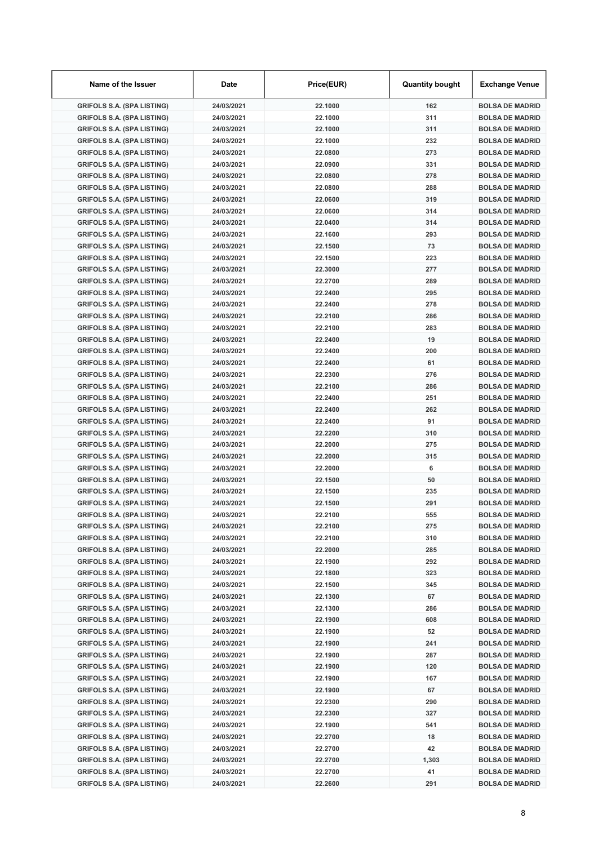| Name of the Issuer                | Date       | Price(EUR) | <b>Quantity bought</b> | Exchange Venue         |
|-----------------------------------|------------|------------|------------------------|------------------------|
| <b>GRIFOLS S.A. (SPA LISTING)</b> | 24/03/2021 | 22.1000    | 162                    | <b>BOLSA DE MADRID</b> |
| <b>GRIFOLS S.A. (SPA LISTING)</b> | 24/03/2021 | 22.1000    | 311                    | <b>BOLSA DE MADRID</b> |
| <b>GRIFOLS S.A. (SPA LISTING)</b> | 24/03/2021 | 22.1000    | 311                    | <b>BOLSA DE MADRID</b> |
| <b>GRIFOLS S.A. (SPA LISTING)</b> | 24/03/2021 | 22.1000    | 232                    | <b>BOLSA DE MADRID</b> |
| <b>GRIFOLS S.A. (SPA LISTING)</b> | 24/03/2021 | 22.0800    | 273                    | <b>BOLSA DE MADRID</b> |
| <b>GRIFOLS S.A. (SPA LISTING)</b> | 24/03/2021 | 22.0900    | 331                    | <b>BOLSA DE MADRID</b> |
| <b>GRIFOLS S.A. (SPA LISTING)</b> | 24/03/2021 | 22.0800    | 278                    | <b>BOLSA DE MADRID</b> |
| <b>GRIFOLS S.A. (SPA LISTING)</b> | 24/03/2021 | 22.0800    | 288                    | <b>BOLSA DE MADRID</b> |
| <b>GRIFOLS S.A. (SPA LISTING)</b> | 24/03/2021 | 22.0600    | 319                    | <b>BOLSA DE MADRID</b> |
| <b>GRIFOLS S.A. (SPA LISTING)</b> | 24/03/2021 | 22.0600    | 314                    | <b>BOLSA DE MADRID</b> |
| <b>GRIFOLS S.A. (SPA LISTING)</b> | 24/03/2021 | 22.0400    | 314                    | <b>BOLSA DE MADRID</b> |
| <b>GRIFOLS S.A. (SPA LISTING)</b> | 24/03/2021 | 22.1600    | 293                    | <b>BOLSA DE MADRID</b> |
| <b>GRIFOLS S.A. (SPA LISTING)</b> | 24/03/2021 | 22.1500    | 73                     | <b>BOLSA DE MADRID</b> |
| <b>GRIFOLS S.A. (SPA LISTING)</b> | 24/03/2021 | 22.1500    | 223                    | <b>BOLSA DE MADRID</b> |
| <b>GRIFOLS S.A. (SPA LISTING)</b> | 24/03/2021 | 22.3000    | 277                    | <b>BOLSA DE MADRID</b> |
| <b>GRIFOLS S.A. (SPA LISTING)</b> | 24/03/2021 | 22.2700    | 289                    | <b>BOLSA DE MADRID</b> |
|                                   |            |            |                        |                        |
| <b>GRIFOLS S.A. (SPA LISTING)</b> | 24/03/2021 | 22.2400    | 295                    | <b>BOLSA DE MADRID</b> |
| <b>GRIFOLS S.A. (SPA LISTING)</b> | 24/03/2021 | 22.2400    | 278                    | <b>BOLSA DE MADRID</b> |
| <b>GRIFOLS S.A. (SPA LISTING)</b> | 24/03/2021 | 22.2100    | 286                    | <b>BOLSA DE MADRID</b> |
| <b>GRIFOLS S.A. (SPA LISTING)</b> | 24/03/2021 | 22.2100    | 283                    | <b>BOLSA DE MADRID</b> |
| <b>GRIFOLS S.A. (SPA LISTING)</b> | 24/03/2021 | 22.2400    | 19                     | <b>BOLSA DE MADRID</b> |
| <b>GRIFOLS S.A. (SPA LISTING)</b> | 24/03/2021 | 22.2400    | 200                    | <b>BOLSA DE MADRID</b> |
| <b>GRIFOLS S.A. (SPA LISTING)</b> | 24/03/2021 | 22.2400    | 61                     | <b>BOLSA DE MADRID</b> |
| <b>GRIFOLS S.A. (SPA LISTING)</b> | 24/03/2021 | 22.2300    | 276                    | <b>BOLSA DE MADRID</b> |
| <b>GRIFOLS S.A. (SPA LISTING)</b> | 24/03/2021 | 22.2100    | 286                    | <b>BOLSA DE MADRID</b> |
| <b>GRIFOLS S.A. (SPA LISTING)</b> | 24/03/2021 | 22.2400    | 251                    | <b>BOLSA DE MADRID</b> |
| <b>GRIFOLS S.A. (SPA LISTING)</b> | 24/03/2021 | 22.2400    | 262                    | <b>BOLSA DE MADRID</b> |
| <b>GRIFOLS S.A. (SPA LISTING)</b> | 24/03/2021 | 22.2400    | 91                     | <b>BOLSA DE MADRID</b> |
| <b>GRIFOLS S.A. (SPA LISTING)</b> | 24/03/2021 | 22.2200    | 310                    | <b>BOLSA DE MADRID</b> |
| <b>GRIFOLS S.A. (SPA LISTING)</b> | 24/03/2021 | 22.2000    | 275                    | <b>BOLSA DE MADRID</b> |
| <b>GRIFOLS S.A. (SPA LISTING)</b> | 24/03/2021 | 22.2000    | 315                    | <b>BOLSA DE MADRID</b> |
| <b>GRIFOLS S.A. (SPA LISTING)</b> | 24/03/2021 | 22.2000    | 6                      | <b>BOLSA DE MADRID</b> |
| <b>GRIFOLS S.A. (SPA LISTING)</b> | 24/03/2021 | 22.1500    | 50                     | <b>BOLSA DE MADRID</b> |
| <b>GRIFOLS S.A. (SPA LISTING)</b> | 24/03/2021 | 22.1500    | 235                    | <b>BOLSA DE MADRID</b> |
| <b>GRIFOLS S.A. (SPA LISTING)</b> | 24/03/2021 | 22.1500    | 291                    | <b>BOLSA DE MADRID</b> |
| <b>GRIFOLS S.A. (SPA LISTING)</b> | 24/03/2021 | 22.2100    | 555                    | <b>BOLSA DE MADRID</b> |
| <b>GRIFOLS S.A. (SPA LISTING)</b> | 24/03/2021 | 22.2100    | 275                    | <b>BOLSA DE MADRID</b> |
| <b>GRIFOLS S.A. (SPA LISTING)</b> | 24/03/2021 | 22.2100    | 310                    | <b>BOLSA DE MADRID</b> |
| <b>GRIFOLS S.A. (SPA LISTING)</b> | 24/03/2021 | 22.2000    | 285                    | <b>BOLSA DE MADRID</b> |
| <b>GRIFOLS S.A. (SPA LISTING)</b> | 24/03/2021 | 22.1900    | 292                    | <b>BOLSA DE MADRID</b> |
| <b>GRIFOLS S.A. (SPA LISTING)</b> | 24/03/2021 | 22.1800    | 323                    | <b>BOLSA DE MADRID</b> |
| <b>GRIFOLS S.A. (SPA LISTING)</b> | 24/03/2021 | 22.1500    | 345                    | <b>BOLSA DE MADRID</b> |
| <b>GRIFOLS S.A. (SPA LISTING)</b> | 24/03/2021 | 22.1300    | 67                     | <b>BOLSA DE MADRID</b> |
| <b>GRIFOLS S.A. (SPA LISTING)</b> | 24/03/2021 | 22.1300    | 286                    | <b>BOLSA DE MADRID</b> |
| <b>GRIFOLS S.A. (SPA LISTING)</b> | 24/03/2021 | 22.1900    | 608                    | <b>BOLSA DE MADRID</b> |
|                                   | 24/03/2021 |            |                        |                        |
| <b>GRIFOLS S.A. (SPA LISTING)</b> |            | 22.1900    | 52                     | <b>BOLSA DE MADRID</b> |
| <b>GRIFOLS S.A. (SPA LISTING)</b> | 24/03/2021 | 22.1900    | 241                    | <b>BOLSA DE MADRID</b> |
| <b>GRIFOLS S.A. (SPA LISTING)</b> | 24/03/2021 | 22.1900    | 287                    | <b>BOLSA DE MADRID</b> |
| <b>GRIFOLS S.A. (SPA LISTING)</b> | 24/03/2021 | 22.1900    | 120                    | <b>BOLSA DE MADRID</b> |
| <b>GRIFOLS S.A. (SPA LISTING)</b> | 24/03/2021 | 22.1900    | 167                    | <b>BOLSA DE MADRID</b> |
| <b>GRIFOLS S.A. (SPA LISTING)</b> | 24/03/2021 | 22.1900    | 67                     | <b>BOLSA DE MADRID</b> |
| <b>GRIFOLS S.A. (SPA LISTING)</b> | 24/03/2021 | 22.2300    | 290                    | <b>BOLSA DE MADRID</b> |
| <b>GRIFOLS S.A. (SPA LISTING)</b> | 24/03/2021 | 22.2300    | 327                    | <b>BOLSA DE MADRID</b> |
| <b>GRIFOLS S.A. (SPA LISTING)</b> | 24/03/2021 | 22.1900    | 541                    | <b>BOLSA DE MADRID</b> |
| <b>GRIFOLS S.A. (SPA LISTING)</b> | 24/03/2021 | 22.2700    | 18                     | <b>BOLSA DE MADRID</b> |
| <b>GRIFOLS S.A. (SPA LISTING)</b> | 24/03/2021 | 22.2700    | 42                     | <b>BOLSA DE MADRID</b> |
| <b>GRIFOLS S.A. (SPA LISTING)</b> | 24/03/2021 | 22.2700    | 1,303                  | <b>BOLSA DE MADRID</b> |
| <b>GRIFOLS S.A. (SPA LISTING)</b> | 24/03/2021 | 22.2700    | 41                     | <b>BOLSA DE MADRID</b> |
| <b>GRIFOLS S.A. (SPA LISTING)</b> | 24/03/2021 | 22.2600    | 291                    | <b>BOLSA DE MADRID</b> |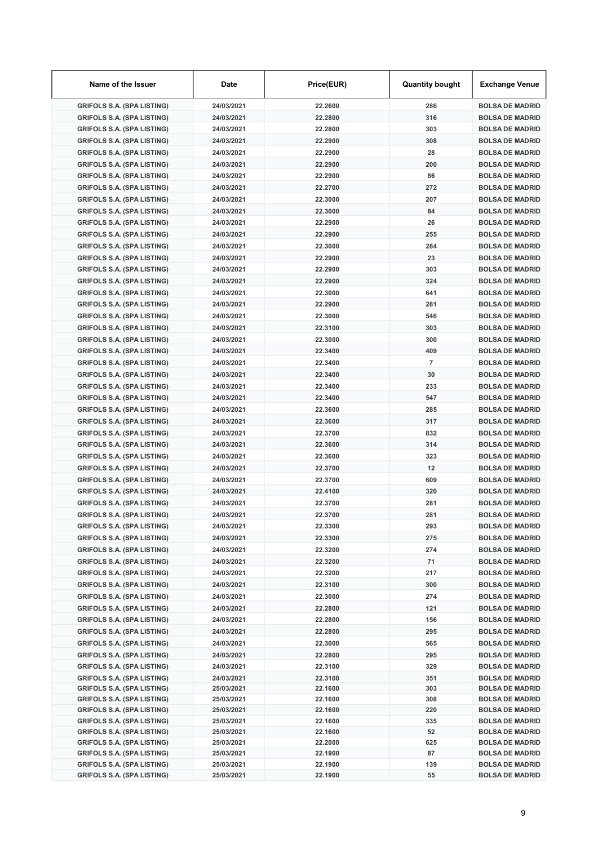| Name of the Issuer                                                     | Date                     | Price(EUR)         | <b>Quantity bought</b> | Exchange Venue                                   |
|------------------------------------------------------------------------|--------------------------|--------------------|------------------------|--------------------------------------------------|
| <b>GRIFOLS S.A. (SPA LISTING)</b>                                      | 24/03/2021               | 22.2600            | 286                    | <b>BOLSA DE MADRID</b>                           |
| <b>GRIFOLS S.A. (SPA LISTING)</b>                                      | 24/03/2021               | 22.2800            | 316                    | <b>BOLSA DE MADRID</b>                           |
| <b>GRIFOLS S.A. (SPA LISTING)</b>                                      | 24/03/2021               | 22.2800            | 303                    | <b>BOLSA DE MADRID</b>                           |
| <b>GRIFOLS S.A. (SPA LISTING)</b>                                      | 24/03/2021               | 22.2900            | 308                    | <b>BOLSA DE MADRID</b>                           |
| <b>GRIFOLS S.A. (SPA LISTING)</b>                                      | 24/03/2021               | 22.2900            | 28                     | <b>BOLSA DE MADRID</b>                           |
| <b>GRIFOLS S.A. (SPA LISTING)</b>                                      | 24/03/2021               | 22.2900            | 200                    | <b>BOLSA DE MADRID</b>                           |
| <b>GRIFOLS S.A. (SPA LISTING)</b>                                      | 24/03/2021               | 22.2900            | 86                     | <b>BOLSA DE MADRID</b>                           |
| <b>GRIFOLS S.A. (SPA LISTING)</b>                                      | 24/03/2021               | 22.2700            | 272                    | <b>BOLSA DE MADRID</b>                           |
| <b>GRIFOLS S.A. (SPA LISTING)</b>                                      | 24/03/2021               | 22.3000            | 207                    | <b>BOLSA DE MADRID</b>                           |
| <b>GRIFOLS S.A. (SPA LISTING)</b>                                      | 24/03/2021               | 22.3000            | 84                     | <b>BOLSA DE MADRID</b>                           |
| <b>GRIFOLS S.A. (SPA LISTING)</b>                                      | 24/03/2021               | 22.2900            | 26                     | <b>BOLSA DE MADRID</b>                           |
| <b>GRIFOLS S.A. (SPA LISTING)</b>                                      | 24/03/2021               | 22.2900            | 255                    | <b>BOLSA DE MADRID</b>                           |
| <b>GRIFOLS S.A. (SPA LISTING)</b>                                      | 24/03/2021               | 22.3000            | 284                    | <b>BOLSA DE MADRID</b>                           |
| <b>GRIFOLS S.A. (SPA LISTING)</b>                                      | 24/03/2021               | 22.2900            | 23                     | <b>BOLSA DE MADRID</b>                           |
| <b>GRIFOLS S.A. (SPA LISTING)</b>                                      | 24/03/2021               | 22.2900            | 303                    | <b>BOLSA DE MADRID</b>                           |
| <b>GRIFOLS S.A. (SPA LISTING)</b>                                      | 24/03/2021               | 22.2900            | 324                    | <b>BOLSA DE MADRID</b>                           |
| <b>GRIFOLS S.A. (SPA LISTING)</b>                                      | 24/03/2021               | 22.3000            | 641                    | <b>BOLSA DE MADRID</b>                           |
| <b>GRIFOLS S.A. (SPA LISTING)</b>                                      | 24/03/2021               | 22.2900            | 281                    | <b>BOLSA DE MADRID</b>                           |
| <b>GRIFOLS S.A. (SPA LISTING)</b>                                      | 24/03/2021               | 22.3000            | 546                    | <b>BOLSA DE MADRID</b>                           |
| <b>GRIFOLS S.A. (SPA LISTING)</b>                                      | 24/03/2021               | 22.3100            | 303                    | <b>BOLSA DE MADRID</b>                           |
| <b>GRIFOLS S.A. (SPA LISTING)</b>                                      | 24/03/2021               | 22.3000            | 300                    | <b>BOLSA DE MADRID</b>                           |
| <b>GRIFOLS S.A. (SPA LISTING)</b>                                      | 24/03/2021               | 22.3400            | 409                    | <b>BOLSA DE MADRID</b>                           |
| <b>GRIFOLS S.A. (SPA LISTING)</b>                                      | 24/03/2021               | 22.3400            | $\overline{7}$         | <b>BOLSA DE MADRID</b>                           |
| <b>GRIFOLS S.A. (SPA LISTING)</b>                                      | 24/03/2021               | 22.3400            | 30                     | <b>BOLSA DE MADRID</b>                           |
| <b>GRIFOLS S.A. (SPA LISTING)</b>                                      | 24/03/2021               | 22.3400            | 233                    | <b>BOLSA DE MADRID</b>                           |
| <b>GRIFOLS S.A. (SPA LISTING)</b>                                      | 24/03/2021               | 22.3400            | 547                    | <b>BOLSA DE MADRID</b>                           |
| <b>GRIFOLS S.A. (SPA LISTING)</b>                                      | 24/03/2021               | 22.3600            | 285                    | <b>BOLSA DE MADRID</b>                           |
| <b>GRIFOLS S.A. (SPA LISTING)</b>                                      | 24/03/2021               | 22.3600            | 317                    | <b>BOLSA DE MADRID</b>                           |
| <b>GRIFOLS S.A. (SPA LISTING)</b>                                      | 24/03/2021               | 22.3700            | 832                    | <b>BOLSA DE MADRID</b>                           |
| <b>GRIFOLS S.A. (SPA LISTING)</b>                                      | 24/03/2021               | 22.3600            | 314                    | <b>BOLSA DE MADRID</b>                           |
| <b>GRIFOLS S.A. (SPA LISTING)</b>                                      | 24/03/2021               | 22.3600            | 323                    | <b>BOLSA DE MADRID</b>                           |
| <b>GRIFOLS S.A. (SPA LISTING)</b>                                      | 24/03/2021               | 22.3700            | 12                     | <b>BOLSA DE MADRID</b>                           |
| <b>GRIFOLS S.A. (SPA LISTING)</b>                                      | 24/03/2021               | 22.3700            | 609                    | <b>BOLSA DE MADRID</b>                           |
| <b>GRIFOLS S.A. (SPA LISTING)</b>                                      | 24/03/2021               | 22.4100            | 320                    | <b>BOLSA DE MADRID</b>                           |
| <b>GRIFOLS S.A. (SPA LISTING)</b>                                      | 24/03/2021               | 22.3700            | 281                    | <b>BOLSA DE MADRID</b>                           |
| <b>GRIFOLS S.A. (SPA LISTING)</b>                                      | 24/03/2021               | 22.3700            | 281                    | <b>BOLSA DE MADRID</b>                           |
| <b>GRIFOLS S.A. (SPA LISTING)</b>                                      | 24/03/2021               | 22.3300            | 293                    | <b>BOLSA DE MADRID</b>                           |
| <b>GRIFOLS S.A. (SPA LISTING)</b>                                      | 24/03/2021               | 22.3300            | 275                    | <b>BOLSA DE MADRID</b>                           |
| <b>GRIFOLS S.A. (SPA LISTING)</b>                                      | 24/03/2021               | 22.3200            | 274                    | <b>BOLSA DE MADRID</b>                           |
| <b>GRIFOLS S.A. (SPA LISTING)</b>                                      | 24/03/2021               | 22.3200            | 71                     | <b>BOLSA DE MADRID</b>                           |
| <b>GRIFOLS S.A. (SPA LISTING)</b>                                      | 24/03/2021               | 22.3200            | 217                    | <b>BOLSA DE MADRID</b>                           |
| <b>GRIFOLS S.A. (SPA LISTING)</b>                                      |                          | 22.3100            | 300                    | <b>BOLSA DE MADRID</b>                           |
| <b>GRIFOLS S.A. (SPA LISTING)</b>                                      | 24/03/2021<br>24/03/2021 | 22.3000            | 274                    |                                                  |
|                                                                        |                          |                    |                        | <b>BOLSA DE MADRID</b>                           |
| <b>GRIFOLS S.A. (SPA LISTING)</b>                                      | 24/03/2021               | 22.2800            | 121                    | <b>BOLSA DE MADRID</b>                           |
| <b>GRIFOLS S.A. (SPA LISTING)</b>                                      | 24/03/2021               | 22.2800            | 156                    | <b>BOLSA DE MADRID</b>                           |
| <b>GRIFOLS S.A. (SPA LISTING)</b>                                      | 24/03/2021               | 22.2800            | 295                    | <b>BOLSA DE MADRID</b>                           |
| <b>GRIFOLS S.A. (SPA LISTING)</b>                                      | 24/03/2021               | 22.3000            | 565                    | <b>BOLSA DE MADRID</b>                           |
| <b>GRIFOLS S.A. (SPA LISTING)</b>                                      | 24/03/2021               | 22.2800            | 295                    | <b>BOLSA DE MADRID</b>                           |
| <b>GRIFOLS S.A. (SPA LISTING)</b>                                      | 24/03/2021               | 22.3100            | 329                    | <b>BOLSA DE MADRID</b>                           |
| <b>GRIFOLS S.A. (SPA LISTING)</b><br><b>GRIFOLS S.A. (SPA LISTING)</b> | 24/03/2021               | 22.3100<br>22.1600 | 351<br>303             | <b>BOLSA DE MADRID</b>                           |
| <b>GRIFOLS S.A. (SPA LISTING)</b>                                      | 25/03/2021<br>25/03/2021 | 22.1600            | 308                    | <b>BOLSA DE MADRID</b><br><b>BOLSA DE MADRID</b> |
| <b>GRIFOLS S.A. (SPA LISTING)</b>                                      | 25/03/2021               | 22.1600            | 220                    | <b>BOLSA DE MADRID</b>                           |
| <b>GRIFOLS S.A. (SPA LISTING)</b>                                      | 25/03/2021               | 22.1600            | 335                    | <b>BOLSA DE MADRID</b>                           |
| <b>GRIFOLS S.A. (SPA LISTING)</b>                                      | 25/03/2021               | 22.1600            | 52                     | <b>BOLSA DE MADRID</b>                           |
| <b>GRIFOLS S.A. (SPA LISTING)</b>                                      | 25/03/2021               | 22.2000            | 625                    | <b>BOLSA DE MADRID</b>                           |
| <b>GRIFOLS S.A. (SPA LISTING)</b>                                      | 25/03/2021               | 22.1900            | 87                     | <b>BOLSA DE MADRID</b>                           |
| <b>GRIFOLS S.A. (SPA LISTING)</b>                                      | 25/03/2021               | 22.1900            | 139                    | <b>BOLSA DE MADRID</b>                           |
| <b>GRIFOLS S.A. (SPA LISTING)</b>                                      | 25/03/2021               | 22.1900            | 55                     | <b>BOLSA DE MADRID</b>                           |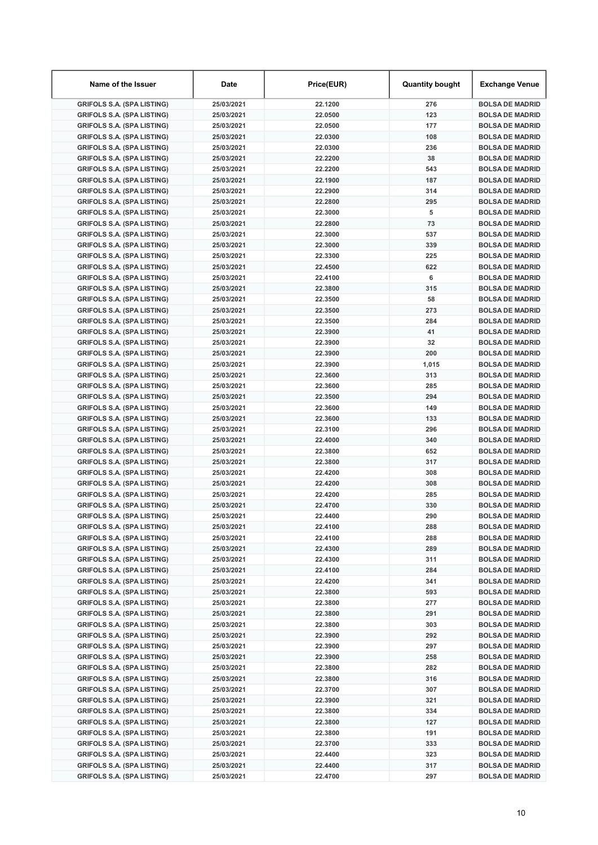| Name of the Issuer                                                     | Date                     | Price(EUR)         | <b>Quantity bought</b> | <b>Exchange Venue</b>                            |
|------------------------------------------------------------------------|--------------------------|--------------------|------------------------|--------------------------------------------------|
| <b>GRIFOLS S.A. (SPA LISTING)</b>                                      | 25/03/2021               | 22.1200            | 276                    | <b>BOLSA DE MADRID</b>                           |
| <b>GRIFOLS S.A. (SPA LISTING)</b>                                      | 25/03/2021               | 22.0500            | 123                    | <b>BOLSA DE MADRID</b>                           |
| <b>GRIFOLS S.A. (SPA LISTING)</b>                                      | 25/03/2021               | 22.0500            | 177                    | <b>BOLSA DE MADRID</b>                           |
| <b>GRIFOLS S.A. (SPA LISTING)</b>                                      | 25/03/2021               | 22.0300            | 108                    | <b>BOLSA DE MADRID</b>                           |
| <b>GRIFOLS S.A. (SPA LISTING)</b>                                      | 25/03/2021               | 22.0300            | 236                    | <b>BOLSA DE MADRID</b>                           |
| <b>GRIFOLS S.A. (SPA LISTING)</b>                                      | 25/03/2021               | 22.2200            | 38                     | <b>BOLSA DE MADRID</b>                           |
| <b>GRIFOLS S.A. (SPA LISTING)</b>                                      | 25/03/2021               | 22.2200            | 543                    | <b>BOLSA DE MADRID</b>                           |
| <b>GRIFOLS S.A. (SPA LISTING)</b>                                      | 25/03/2021               | 22.1900            | 187                    | <b>BOLSA DE MADRID</b>                           |
| <b>GRIFOLS S.A. (SPA LISTING)</b>                                      | 25/03/2021               | 22.2900            | 314                    | <b>BOLSA DE MADRID</b>                           |
| <b>GRIFOLS S.A. (SPA LISTING)</b>                                      | 25/03/2021               | 22.2800            | 295                    | <b>BOLSA DE MADRID</b>                           |
| <b>GRIFOLS S.A. (SPA LISTING)</b>                                      | 25/03/2021               | 22.3000            | 5                      | <b>BOLSA DE MADRID</b>                           |
| <b>GRIFOLS S.A. (SPA LISTING)</b>                                      | 25/03/2021               | 22.2800            | 73                     | <b>BOLSA DE MADRID</b>                           |
| <b>GRIFOLS S.A. (SPA LISTING)</b>                                      | 25/03/2021               | 22.3000            | 537                    | <b>BOLSA DE MADRID</b>                           |
| <b>GRIFOLS S.A. (SPA LISTING)</b>                                      | 25/03/2021               | 22.3000            | 339                    | <b>BOLSA DE MADRID</b>                           |
| <b>GRIFOLS S.A. (SPA LISTING)</b>                                      | 25/03/2021               | 22.3300            | 225                    | <b>BOLSA DE MADRID</b>                           |
| <b>GRIFOLS S.A. (SPA LISTING)</b>                                      | 25/03/2021               | 22.4500            | 622                    | <b>BOLSA DE MADRID</b>                           |
| <b>GRIFOLS S.A. (SPA LISTING)</b>                                      | 25/03/2021               | 22.4100            | 6                      | <b>BOLSA DE MADRID</b>                           |
| <b>GRIFOLS S.A. (SPA LISTING)</b>                                      | 25/03/2021               | 22.3800            | 315                    | <b>BOLSA DE MADRID</b>                           |
| <b>GRIFOLS S.A. (SPA LISTING)</b>                                      | 25/03/2021               | 22.3500            | 58                     | <b>BOLSA DE MADRID</b>                           |
| <b>GRIFOLS S.A. (SPA LISTING)</b>                                      | 25/03/2021               | 22.3500            | 273                    | <b>BOLSA DE MADRID</b>                           |
| <b>GRIFOLS S.A. (SPA LISTING)</b>                                      | 25/03/2021               | 22.3500            | 284                    | <b>BOLSA DE MADRID</b>                           |
| <b>GRIFOLS S.A. (SPA LISTING)</b>                                      | 25/03/2021               | 22.3900            | 41                     | <b>BOLSA DE MADRID</b>                           |
| <b>GRIFOLS S.A. (SPA LISTING)</b>                                      | 25/03/2021               | 22.3900            | 32                     | <b>BOLSA DE MADRID</b>                           |
| <b>GRIFOLS S.A. (SPA LISTING)</b>                                      | 25/03/2021               | 22.3900            | 200                    | <b>BOLSA DE MADRID</b>                           |
| <b>GRIFOLS S.A. (SPA LISTING)</b>                                      | 25/03/2021               | 22.3900            | 1,015                  | <b>BOLSA DE MADRID</b>                           |
| <b>GRIFOLS S.A. (SPA LISTING)</b>                                      | 25/03/2021               | 22.3600            | 313                    | <b>BOLSA DE MADRID</b>                           |
| <b>GRIFOLS S.A. (SPA LISTING)</b>                                      | 25/03/2021               | 22.3600            | 285                    | <b>BOLSA DE MADRID</b>                           |
| <b>GRIFOLS S.A. (SPA LISTING)</b>                                      | 25/03/2021               | 22.3500            | 294                    | <b>BOLSA DE MADRID</b>                           |
| <b>GRIFOLS S.A. (SPA LISTING)</b>                                      | 25/03/2021               | 22.3600            | 149                    | <b>BOLSA DE MADRID</b>                           |
| <b>GRIFOLS S.A. (SPA LISTING)</b>                                      | 25/03/2021               | 22.3600            | 133<br>296             | <b>BOLSA DE MADRID</b>                           |
| <b>GRIFOLS S.A. (SPA LISTING)</b>                                      | 25/03/2021               | 22.3100<br>22.4000 | 340                    | <b>BOLSA DE MADRID</b>                           |
| <b>GRIFOLS S.A. (SPA LISTING)</b>                                      | 25/03/2021<br>25/03/2021 | 22.3800            | 652                    | <b>BOLSA DE MADRID</b><br><b>BOLSA DE MADRID</b> |
| <b>GRIFOLS S.A. (SPA LISTING)</b><br><b>GRIFOLS S.A. (SPA LISTING)</b> | 25/03/2021               | 22.3800            | 317                    | <b>BOLSA DE MADRID</b>                           |
| <b>GRIFOLS S.A. (SPA LISTING)</b>                                      | 25/03/2021               | 22.4200            | 308                    | <b>BOLSA DE MADRID</b>                           |
| <b>GRIFOLS S.A. (SPA LISTING)</b>                                      | 25/03/2021               | 22.4200            | 308                    | <b>BOLSA DE MADRID</b>                           |
| <b>GRIFOLS S.A. (SPA LISTING)</b>                                      | 25/03/2021               | 22.4200            | 285                    | <b>BOLSA DE MADRID</b>                           |
| <b>GRIFOLS S.A. (SPA LISTING)</b>                                      | 25/03/2021               | 22.4700            | 330                    | <b>BOLSA DE MADRID</b>                           |
| <b>GRIFOLS S.A. (SPA LISTING)</b>                                      | 25/03/2021               | 22.4400            | 290                    | <b>BOLSA DE MADRID</b>                           |
| <b>GRIFOLS S.A. (SPA LISTING)</b>                                      | 25/03/2021               | 22.4100            | 288                    | <b>BOLSA DE MADRID</b>                           |
| <b>GRIFOLS S.A. (SPA LISTING)</b>                                      | 25/03/2021               | 22.4100            | 288                    | <b>BOLSA DE MADRID</b>                           |
| <b>GRIFOLS S.A. (SPA LISTING)</b>                                      | 25/03/2021               | 22.4300            | 289                    | <b>BOLSA DE MADRID</b>                           |
| <b>GRIFOLS S.A. (SPA LISTING)</b>                                      | 25/03/2021               | 22.4300            | 311                    | <b>BOLSA DE MADRID</b>                           |
| <b>GRIFOLS S.A. (SPA LISTING)</b>                                      | 25/03/2021               | 22.4100            | 284                    | <b>BOLSA DE MADRID</b>                           |
| <b>GRIFOLS S.A. (SPA LISTING)</b>                                      | 25/03/2021               | 22.4200            | 341                    | <b>BOLSA DE MADRID</b>                           |
| <b>GRIFOLS S.A. (SPA LISTING)</b>                                      | 25/03/2021               | 22.3800            | 593                    | <b>BOLSA DE MADRID</b>                           |
| <b>GRIFOLS S.A. (SPA LISTING)</b>                                      | 25/03/2021               | 22.3800            | 277                    | <b>BOLSA DE MADRID</b>                           |
| <b>GRIFOLS S.A. (SPA LISTING)</b>                                      | 25/03/2021               | 22.3800            | 291                    | <b>BOLSA DE MADRID</b>                           |
| <b>GRIFOLS S.A. (SPA LISTING)</b>                                      | 25/03/2021               | 22.3800            | 303                    | <b>BOLSA DE MADRID</b>                           |
| <b>GRIFOLS S.A. (SPA LISTING)</b>                                      | 25/03/2021               | 22.3900            | 292                    | <b>BOLSA DE MADRID</b>                           |
| <b>GRIFOLS S.A. (SPA LISTING)</b>                                      | 25/03/2021               | 22.3900            | 297                    | <b>BOLSA DE MADRID</b>                           |
| <b>GRIFOLS S.A. (SPA LISTING)</b>                                      | 25/03/2021               | 22.3900            | 258                    | <b>BOLSA DE MADRID</b>                           |
| <b>GRIFOLS S.A. (SPA LISTING)</b>                                      | 25/03/2021               | 22.3800            | 282                    | <b>BOLSA DE MADRID</b>                           |
| <b>GRIFOLS S.A. (SPA LISTING)</b>                                      | 25/03/2021               | 22.3800            | 316                    | <b>BOLSA DE MADRID</b>                           |
| <b>GRIFOLS S.A. (SPA LISTING)</b>                                      | 25/03/2021               | 22.3700            | 307                    | <b>BOLSA DE MADRID</b>                           |
| <b>GRIFOLS S.A. (SPA LISTING)</b>                                      | 25/03/2021               | 22.3900            | 321                    | <b>BOLSA DE MADRID</b>                           |
| <b>GRIFOLS S.A. (SPA LISTING)</b>                                      | 25/03/2021               | 22.3800            | 334                    | <b>BOLSA DE MADRID</b>                           |
| <b>GRIFOLS S.A. (SPA LISTING)</b>                                      | 25/03/2021               | 22.3800            | 127                    | <b>BOLSA DE MADRID</b>                           |
| <b>GRIFOLS S.A. (SPA LISTING)</b>                                      | 25/03/2021               | 22.3800            | 191                    | <b>BOLSA DE MADRID</b>                           |
| <b>GRIFOLS S.A. (SPA LISTING)</b>                                      | 25/03/2021               | 22.3700            | 333                    | <b>BOLSA DE MADRID</b>                           |
| <b>GRIFOLS S.A. (SPA LISTING)</b>                                      | 25/03/2021               | 22.4400            | 323                    | <b>BOLSA DE MADRID</b>                           |
| <b>GRIFOLS S.A. (SPA LISTING)</b>                                      | 25/03/2021               | 22.4400            | 317                    | <b>BOLSA DE MADRID</b>                           |
| <b>GRIFOLS S.A. (SPA LISTING)</b>                                      | 25/03/2021               | 22.4700            | 297                    | <b>BOLSA DE MADRID</b>                           |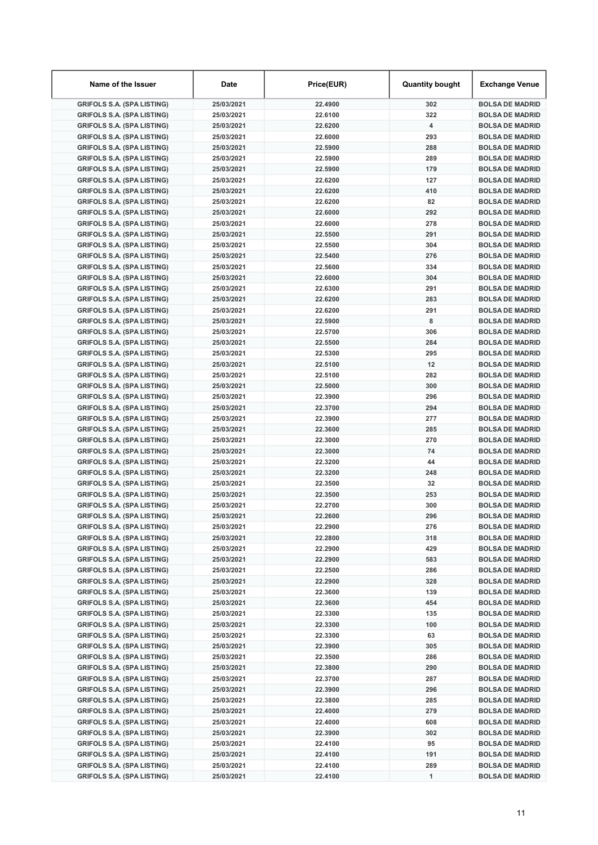| Name of the Issuer                                                     | Date                     | Price(EUR)         | <b>Quantity bought</b>  | <b>Exchange Venue</b>                            |
|------------------------------------------------------------------------|--------------------------|--------------------|-------------------------|--------------------------------------------------|
| <b>GRIFOLS S.A. (SPA LISTING)</b>                                      | 25/03/2021               | 22.4900            | 302                     | <b>BOLSA DE MADRID</b>                           |
| <b>GRIFOLS S.A. (SPA LISTING)</b>                                      | 25/03/2021               | 22.6100            | 322                     | <b>BOLSA DE MADRID</b>                           |
| <b>GRIFOLS S.A. (SPA LISTING)</b>                                      | 25/03/2021               | 22.6200            | $\overline{\mathbf{4}}$ | <b>BOLSA DE MADRID</b>                           |
| <b>GRIFOLS S.A. (SPA LISTING)</b>                                      | 25/03/2021               | 22.6000            | 293                     | <b>BOLSA DE MADRID</b>                           |
| <b>GRIFOLS S.A. (SPA LISTING)</b>                                      | 25/03/2021               | 22.5900            | 288                     | <b>BOLSA DE MADRID</b>                           |
| <b>GRIFOLS S.A. (SPA LISTING)</b>                                      | 25/03/2021               | 22.5900            | 289                     | <b>BOLSA DE MADRID</b>                           |
| <b>GRIFOLS S.A. (SPA LISTING)</b>                                      | 25/03/2021               | 22.5900            | 179                     | <b>BOLSA DE MADRID</b>                           |
| <b>GRIFOLS S.A. (SPA LISTING)</b>                                      | 25/03/2021               | 22.6200            | 127                     | <b>BOLSA DE MADRID</b>                           |
| <b>GRIFOLS S.A. (SPA LISTING)</b>                                      | 25/03/2021               | 22.6200            | 410                     | <b>BOLSA DE MADRID</b>                           |
| <b>GRIFOLS S.A. (SPA LISTING)</b>                                      | 25/03/2021               | 22.6200            | 82                      | <b>BOLSA DE MADRID</b>                           |
| <b>GRIFOLS S.A. (SPA LISTING)</b>                                      | 25/03/2021               | 22.6000            | 292                     | <b>BOLSA DE MADRID</b>                           |
| <b>GRIFOLS S.A. (SPA LISTING)</b>                                      | 25/03/2021               | 22.6000            | 278                     | <b>BOLSA DE MADRID</b>                           |
| <b>GRIFOLS S.A. (SPA LISTING)</b>                                      | 25/03/2021               | 22.5500            | 291                     | <b>BOLSA DE MADRID</b>                           |
| <b>GRIFOLS S.A. (SPA LISTING)</b>                                      | 25/03/2021               | 22.5500            | 304                     | <b>BOLSA DE MADRID</b>                           |
| <b>GRIFOLS S.A. (SPA LISTING)</b>                                      | 25/03/2021               | 22.5400            | 276                     | <b>BOLSA DE MADRID</b>                           |
| <b>GRIFOLS S.A. (SPA LISTING)</b>                                      | 25/03/2021               | 22.5600            | 334                     | <b>BOLSA DE MADRID</b>                           |
| <b>GRIFOLS S.A. (SPA LISTING)</b><br><b>GRIFOLS S.A. (SPA LISTING)</b> | 25/03/2021               | 22.6000<br>22.6300 | 304<br>291              | <b>BOLSA DE MADRID</b><br><b>BOLSA DE MADRID</b> |
| <b>GRIFOLS S.A. (SPA LISTING)</b>                                      | 25/03/2021<br>25/03/2021 | 22.6200            | 283                     | <b>BOLSA DE MADRID</b>                           |
| <b>GRIFOLS S.A. (SPA LISTING)</b>                                      | 25/03/2021               | 22.6200            | 291                     | <b>BOLSA DE MADRID</b>                           |
| <b>GRIFOLS S.A. (SPA LISTING)</b>                                      | 25/03/2021               | 22.5900            | 8                       | <b>BOLSA DE MADRID</b>                           |
| <b>GRIFOLS S.A. (SPA LISTING)</b>                                      | 25/03/2021               | 22.5700            | 306                     | <b>BOLSA DE MADRID</b>                           |
| <b>GRIFOLS S.A. (SPA LISTING)</b>                                      | 25/03/2021               | 22.5500            | 284                     | <b>BOLSA DE MADRID</b>                           |
| <b>GRIFOLS S.A. (SPA LISTING)</b>                                      | 25/03/2021               | 22.5300            | 295                     | <b>BOLSA DE MADRID</b>                           |
| <b>GRIFOLS S.A. (SPA LISTING)</b>                                      | 25/03/2021               | 22.5100            | 12                      | <b>BOLSA DE MADRID</b>                           |
| <b>GRIFOLS S.A. (SPA LISTING)</b>                                      | 25/03/2021               | 22.5100            | 282                     | <b>BOLSA DE MADRID</b>                           |
| <b>GRIFOLS S.A. (SPA LISTING)</b>                                      | 25/03/2021               | 22.5000            | 300                     | <b>BOLSA DE MADRID</b>                           |
| <b>GRIFOLS S.A. (SPA LISTING)</b>                                      | 25/03/2021               | 22.3900            | 296                     | <b>BOLSA DE MADRID</b>                           |
| <b>GRIFOLS S.A. (SPA LISTING)</b>                                      | 25/03/2021               | 22.3700            | 294                     | <b>BOLSA DE MADRID</b>                           |
| <b>GRIFOLS S.A. (SPA LISTING)</b>                                      | 25/03/2021               | 22.3900            | 277                     | <b>BOLSA DE MADRID</b>                           |
| <b>GRIFOLS S.A. (SPA LISTING)</b>                                      | 25/03/2021               | 22.3600            | 285                     | <b>BOLSA DE MADRID</b>                           |
| <b>GRIFOLS S.A. (SPA LISTING)</b>                                      | 25/03/2021               | 22.3000            | 270                     | <b>BOLSA DE MADRID</b>                           |
| <b>GRIFOLS S.A. (SPA LISTING)</b>                                      | 25/03/2021               | 22.3000            | 74                      | <b>BOLSA DE MADRID</b>                           |
| <b>GRIFOLS S.A. (SPA LISTING)</b>                                      | 25/03/2021               | 22.3200            | 44                      | <b>BOLSA DE MADRID</b>                           |
| <b>GRIFOLS S.A. (SPA LISTING)</b>                                      | 25/03/2021               | 22.3200            | 248                     | <b>BOLSA DE MADRID</b>                           |
| <b>GRIFOLS S.A. (SPA LISTING)</b>                                      | 25/03/2021               | 22.3500            | 32                      | <b>BOLSA DE MADRID</b>                           |
| <b>GRIFOLS S.A. (SPA LISTING)</b>                                      | 25/03/2021               | 22.3500            | 253                     | <b>BOLSA DE MADRID</b>                           |
| <b>GRIFOLS S.A. (SPA LISTING)</b>                                      | 25/03/2021               | 22.2700            | 300                     | <b>BOLSA DE MADRID</b>                           |
| <b>GRIFOLS S.A. (SPA LISTING)</b>                                      | 25/03/2021               | 22.2600            | 296                     | <b>BOLSA DE MADRID</b>                           |
| <b>GRIFOLS S.A. (SPA LISTING)</b>                                      | 25/03/2021               | 22.2900            | 276                     | <b>BOLSA DE MADRID</b>                           |
| <b>GRIFOLS S.A. (SPA LISTING)</b>                                      | 25/03/2021               | 22.2800            | 318                     | <b>BOLSA DE MADRID</b>                           |
| <b>GRIFOLS S.A. (SPA LISTING)</b>                                      | 25/03/2021               | 22.2900            | 429                     | <b>BOLSA DE MADRID</b>                           |
| <b>GRIFOLS S.A. (SPA LISTING)</b>                                      | 25/03/2021               | 22.2900            | 583                     | <b>BOLSA DE MADRID</b>                           |
| <b>GRIFOLS S.A. (SPA LISTING)</b>                                      | 25/03/2021               | 22.2500            | 286                     | <b>BOLSA DE MADRID</b>                           |
| <b>GRIFOLS S.A. (SPA LISTING)</b>                                      | 25/03/2021               | 22.2900            | 328                     | <b>BOLSA DE MADRID</b>                           |
| <b>GRIFOLS S.A. (SPA LISTING)</b>                                      | 25/03/2021               | 22.3600            | 139                     | <b>BOLSA DE MADRID</b>                           |
| <b>GRIFOLS S.A. (SPA LISTING)</b>                                      | 25/03/2021               | 22.3600            | 454                     | <b>BOLSA DE MADRID</b>                           |
| <b>GRIFOLS S.A. (SPA LISTING)</b>                                      | 25/03/2021               | 22.3300            | 135                     | <b>BOLSA DE MADRID</b>                           |
| <b>GRIFOLS S.A. (SPA LISTING)</b>                                      | 25/03/2021               | 22.3300            | 100                     | <b>BOLSA DE MADRID</b>                           |
| <b>GRIFOLS S.A. (SPA LISTING)</b>                                      | 25/03/2021               | 22.3300            | 63                      | <b>BOLSA DE MADRID</b>                           |
| <b>GRIFOLS S.A. (SPA LISTING)</b>                                      | 25/03/2021               | 22.3900            | 305                     | <b>BOLSA DE MADRID</b>                           |
| <b>GRIFOLS S.A. (SPA LISTING)</b>                                      | 25/03/2021               | 22.3500            | 286                     | <b>BOLSA DE MADRID</b>                           |
| <b>GRIFOLS S.A. (SPA LISTING)</b><br><b>GRIFOLS S.A. (SPA LISTING)</b> | 25/03/2021               | 22.3800<br>22.3700 | 290<br>287              | <b>BOLSA DE MADRID</b>                           |
| <b>GRIFOLS S.A. (SPA LISTING)</b>                                      | 25/03/2021<br>25/03/2021 | 22.3900            | 296                     | <b>BOLSA DE MADRID</b><br><b>BOLSA DE MADRID</b> |
| <b>GRIFOLS S.A. (SPA LISTING)</b>                                      | 25/03/2021               | 22.3800            | 285                     | <b>BOLSA DE MADRID</b>                           |
| <b>GRIFOLS S.A. (SPA LISTING)</b>                                      | 25/03/2021               | 22.4000            | 279                     | <b>BOLSA DE MADRID</b>                           |
| <b>GRIFOLS S.A. (SPA LISTING)</b>                                      | 25/03/2021               | 22.4000            | 608                     | <b>BOLSA DE MADRID</b>                           |
| <b>GRIFOLS S.A. (SPA LISTING)</b>                                      | 25/03/2021               | 22.3900            | 302                     | <b>BOLSA DE MADRID</b>                           |
| <b>GRIFOLS S.A. (SPA LISTING)</b>                                      | 25/03/2021               | 22.4100            | 95                      | <b>BOLSA DE MADRID</b>                           |
| <b>GRIFOLS S.A. (SPA LISTING)</b>                                      | 25/03/2021               | 22.4100            | 191                     | <b>BOLSA DE MADRID</b>                           |
| <b>GRIFOLS S.A. (SPA LISTING)</b>                                      | 25/03/2021               | 22.4100            | 289                     | <b>BOLSA DE MADRID</b>                           |
| <b>GRIFOLS S.A. (SPA LISTING)</b>                                      | 25/03/2021               | 22.4100            | 1                       | <b>BOLSA DE MADRID</b>                           |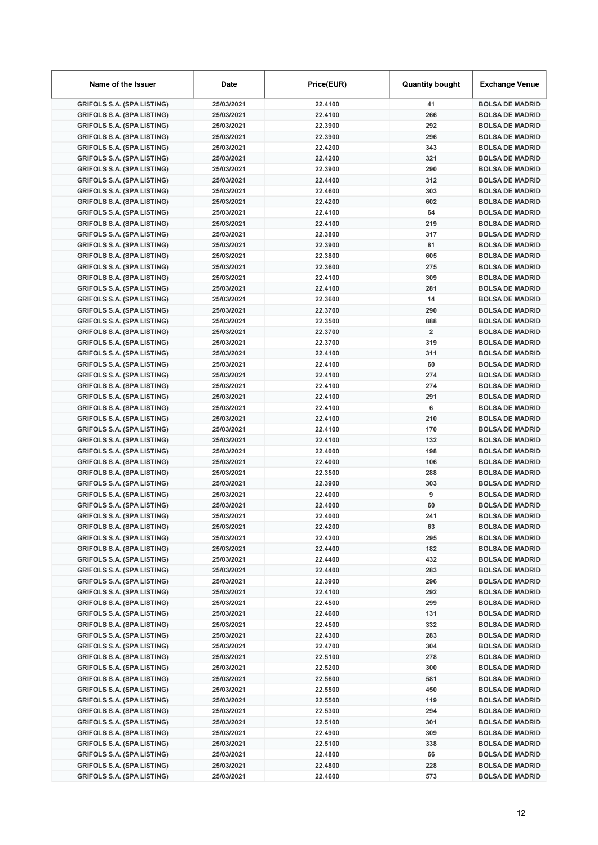| Name of the Issuer                                                     | Date                     | Price(EUR)         | <b>Quantity bought</b> | <b>Exchange Venue</b>                            |
|------------------------------------------------------------------------|--------------------------|--------------------|------------------------|--------------------------------------------------|
| <b>GRIFOLS S.A. (SPA LISTING)</b>                                      | 25/03/2021               | 22.4100            | 41                     | <b>BOLSA DE MADRID</b>                           |
| <b>GRIFOLS S.A. (SPA LISTING)</b>                                      | 25/03/2021               | 22.4100            | 266                    | <b>BOLSA DE MADRID</b>                           |
| <b>GRIFOLS S.A. (SPA LISTING)</b>                                      | 25/03/2021               | 22.3900            | 292                    | <b>BOLSA DE MADRID</b>                           |
| <b>GRIFOLS S.A. (SPA LISTING)</b>                                      | 25/03/2021               | 22.3900            | 296                    | <b>BOLSA DE MADRID</b>                           |
| <b>GRIFOLS S.A. (SPA LISTING)</b>                                      | 25/03/2021               | 22.4200            | 343                    | <b>BOLSA DE MADRID</b>                           |
| <b>GRIFOLS S.A. (SPA LISTING)</b>                                      | 25/03/2021               | 22.4200            | 321                    | <b>BOLSA DE MADRID</b>                           |
| <b>GRIFOLS S.A. (SPA LISTING)</b>                                      | 25/03/2021               | 22.3900            | 290                    | <b>BOLSA DE MADRID</b>                           |
| <b>GRIFOLS S.A. (SPA LISTING)</b>                                      | 25/03/2021               | 22.4400            | 312                    | <b>BOLSA DE MADRID</b>                           |
| <b>GRIFOLS S.A. (SPA LISTING)</b>                                      | 25/03/2021               | 22.4600            | 303                    | <b>BOLSA DE MADRID</b>                           |
| <b>GRIFOLS S.A. (SPA LISTING)</b>                                      | 25/03/2021               | 22.4200            | 602                    | <b>BOLSA DE MADRID</b>                           |
| <b>GRIFOLS S.A. (SPA LISTING)</b>                                      | 25/03/2021               | 22.4100            | 64                     | <b>BOLSA DE MADRID</b>                           |
| <b>GRIFOLS S.A. (SPA LISTING)</b>                                      | 25/03/2021               | 22.4100            | 219                    | <b>BOLSA DE MADRID</b>                           |
| <b>GRIFOLS S.A. (SPA LISTING)</b>                                      | 25/03/2021               | 22.3800            | 317                    | <b>BOLSA DE MADRID</b>                           |
| <b>GRIFOLS S.A. (SPA LISTING)</b>                                      | 25/03/2021               | 22.3900            | 81                     | <b>BOLSA DE MADRID</b>                           |
| <b>GRIFOLS S.A. (SPA LISTING)</b>                                      | 25/03/2021               | 22.3800            | 605                    | <b>BOLSA DE MADRID</b>                           |
| <b>GRIFOLS S.A. (SPA LISTING)</b>                                      | 25/03/2021               | 22.3600            | 275                    | <b>BOLSA DE MADRID</b>                           |
| <b>GRIFOLS S.A. (SPA LISTING)</b><br><b>GRIFOLS S.A. (SPA LISTING)</b> | 25/03/2021               | 22.4100            | 309<br>281             | <b>BOLSA DE MADRID</b><br><b>BOLSA DE MADRID</b> |
| <b>GRIFOLS S.A. (SPA LISTING)</b>                                      | 25/03/2021<br>25/03/2021 | 22.4100<br>22.3600 | 14                     | <b>BOLSA DE MADRID</b>                           |
| <b>GRIFOLS S.A. (SPA LISTING)</b>                                      | 25/03/2021               | 22.3700            | 290                    | <b>BOLSA DE MADRID</b>                           |
| <b>GRIFOLS S.A. (SPA LISTING)</b>                                      | 25/03/2021               | 22.3500            | 888                    | <b>BOLSA DE MADRID</b>                           |
| <b>GRIFOLS S.A. (SPA LISTING)</b>                                      | 25/03/2021               | 22.3700            | $\overline{2}$         | <b>BOLSA DE MADRID</b>                           |
| <b>GRIFOLS S.A. (SPA LISTING)</b>                                      | 25/03/2021               | 22.3700            | 319                    | <b>BOLSA DE MADRID</b>                           |
| <b>GRIFOLS S.A. (SPA LISTING)</b>                                      | 25/03/2021               | 22.4100            | 311                    | <b>BOLSA DE MADRID</b>                           |
| <b>GRIFOLS S.A. (SPA LISTING)</b>                                      | 25/03/2021               | 22.4100            | 60                     | <b>BOLSA DE MADRID</b>                           |
| <b>GRIFOLS S.A. (SPA LISTING)</b>                                      | 25/03/2021               | 22.4100            | 274                    | <b>BOLSA DE MADRID</b>                           |
| <b>GRIFOLS S.A. (SPA LISTING)</b>                                      | 25/03/2021               | 22.4100            | 274                    | <b>BOLSA DE MADRID</b>                           |
| <b>GRIFOLS S.A. (SPA LISTING)</b>                                      | 25/03/2021               | 22.4100            | 291                    | <b>BOLSA DE MADRID</b>                           |
| <b>GRIFOLS S.A. (SPA LISTING)</b>                                      | 25/03/2021               | 22.4100            | 6                      | <b>BOLSA DE MADRID</b>                           |
| <b>GRIFOLS S.A. (SPA LISTING)</b>                                      | 25/03/2021               | 22.4100            | 210                    | <b>BOLSA DE MADRID</b>                           |
| <b>GRIFOLS S.A. (SPA LISTING)</b>                                      | 25/03/2021               | 22.4100            | 170                    | <b>BOLSA DE MADRID</b>                           |
| <b>GRIFOLS S.A. (SPA LISTING)</b>                                      | 25/03/2021               | 22.4100            | 132                    | <b>BOLSA DE MADRID</b>                           |
| <b>GRIFOLS S.A. (SPA LISTING)</b>                                      | 25/03/2021               | 22.4000            | 198                    | <b>BOLSA DE MADRID</b>                           |
| <b>GRIFOLS S.A. (SPA LISTING)</b>                                      | 25/03/2021               | 22.4000            | 106                    | <b>BOLSA DE MADRID</b>                           |
| <b>GRIFOLS S.A. (SPA LISTING)</b>                                      | 25/03/2021               | 22.3500            | 288                    | <b>BOLSA DE MADRID</b>                           |
| <b>GRIFOLS S.A. (SPA LISTING)</b>                                      | 25/03/2021               | 22.3900            | 303                    | <b>BOLSA DE MADRID</b>                           |
| <b>GRIFOLS S.A. (SPA LISTING)</b>                                      | 25/03/2021               | 22.4000            | 9                      | <b>BOLSA DE MADRID</b>                           |
| <b>GRIFOLS S.A. (SPA LISTING)</b>                                      | 25/03/2021               | 22.4000            | 60                     | <b>BOLSA DE MADRID</b>                           |
| <b>GRIFOLS S.A. (SPA LISTING)</b>                                      | 25/03/2021               | 22.4000            | 241                    | <b>BOLSA DE MADRID</b>                           |
| <b>GRIFOLS S.A. (SPA LISTING)</b>                                      | 25/03/2021               | 22.4200            | 63                     | <b>BOLSA DE MADRID</b>                           |
| <b>GRIFOLS S.A. (SPA LISTING)</b>                                      | 25/03/2021               | 22.4200            | 295                    | <b>BOLSA DE MADRID</b>                           |
| <b>GRIFOLS S.A. (SPA LISTING)</b>                                      | 25/03/2021               | 22.4400            | 182                    | <b>BOLSA DE MADRID</b>                           |
| <b>GRIFOLS S.A. (SPA LISTING)</b>                                      | 25/03/2021               | 22.4400            | 432                    | <b>BOLSA DE MADRID</b>                           |
| <b>GRIFOLS S.A. (SPA LISTING)</b>                                      | 25/03/2021               | 22.4400            | 283                    | <b>BOLSA DE MADRID</b>                           |
| <b>GRIFOLS S.A. (SPA LISTING)</b>                                      | 25/03/2021               | 22.3900            | 296                    | <b>BOLSA DE MADRID</b>                           |
| <b>GRIFOLS S.A. (SPA LISTING)</b>                                      | 25/03/2021               | 22.4100            | 292                    | <b>BOLSA DE MADRID</b>                           |
| <b>GRIFOLS S.A. (SPA LISTING)</b>                                      | 25/03/2021               | 22.4500            | 299                    | <b>BOLSA DE MADRID</b>                           |
| <b>GRIFOLS S.A. (SPA LISTING)</b>                                      | 25/03/2021               | 22.4600            | 131                    | <b>BOLSA DE MADRID</b>                           |
| <b>GRIFOLS S.A. (SPA LISTING)</b>                                      | 25/03/2021               | 22.4500            | 332                    | <b>BOLSA DE MADRID</b>                           |
| <b>GRIFOLS S.A. (SPA LISTING)</b>                                      | 25/03/2021               | 22.4300            | 283                    | <b>BOLSA DE MADRID</b>                           |
| <b>GRIFOLS S.A. (SPA LISTING)</b>                                      | 25/03/2021               | 22.4700            | 304                    | <b>BOLSA DE MADRID</b>                           |
| <b>GRIFOLS S.A. (SPA LISTING)</b>                                      | 25/03/2021               | 22.5100            | 278                    | <b>BOLSA DE MADRID</b>                           |
| <b>GRIFOLS S.A. (SPA LISTING)</b><br><b>GRIFOLS S.A. (SPA LISTING)</b> | 25/03/2021               | 22.5200<br>22.5600 | 300<br>581             | <b>BOLSA DE MADRID</b>                           |
| <b>GRIFOLS S.A. (SPA LISTING)</b>                                      | 25/03/2021<br>25/03/2021 | 22.5500            | 450                    | <b>BOLSA DE MADRID</b><br><b>BOLSA DE MADRID</b> |
| <b>GRIFOLS S.A. (SPA LISTING)</b>                                      | 25/03/2021               | 22.5500            | 119                    | <b>BOLSA DE MADRID</b>                           |
| <b>GRIFOLS S.A. (SPA LISTING)</b>                                      | 25/03/2021               | 22.5300            | 294                    | <b>BOLSA DE MADRID</b>                           |
| <b>GRIFOLS S.A. (SPA LISTING)</b>                                      | 25/03/2021               | 22.5100            | 301                    | <b>BOLSA DE MADRID</b>                           |
| <b>GRIFOLS S.A. (SPA LISTING)</b>                                      | 25/03/2021               | 22.4900            | 309                    | <b>BOLSA DE MADRID</b>                           |
| <b>GRIFOLS S.A. (SPA LISTING)</b>                                      | 25/03/2021               | 22.5100            | 338                    | <b>BOLSA DE MADRID</b>                           |
| <b>GRIFOLS S.A. (SPA LISTING)</b>                                      | 25/03/2021               | 22.4800            | 66                     | <b>BOLSA DE MADRID</b>                           |
| <b>GRIFOLS S.A. (SPA LISTING)</b>                                      | 25/03/2021               | 22.4800            | 228                    | <b>BOLSA DE MADRID</b>                           |
| <b>GRIFOLS S.A. (SPA LISTING)</b>                                      | 25/03/2021               | 22.4600            | 573                    | <b>BOLSA DE MADRID</b>                           |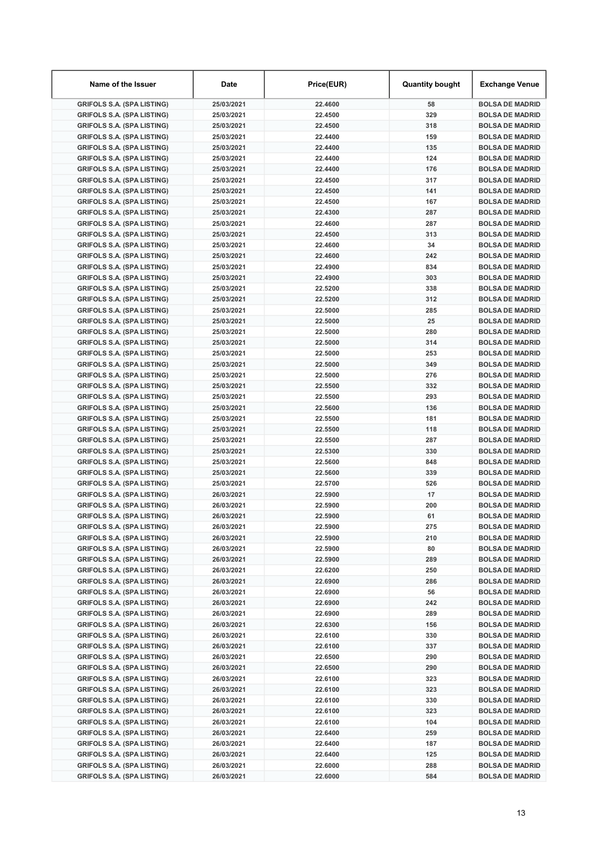| Name of the Issuer                                                     | Date                     | Price(EUR)         | <b>Quantity bought</b> | <b>Exchange Venue</b>                            |
|------------------------------------------------------------------------|--------------------------|--------------------|------------------------|--------------------------------------------------|
| <b>GRIFOLS S.A. (SPA LISTING)</b>                                      | 25/03/2021               | 22.4600            | 58                     | <b>BOLSA DE MADRID</b>                           |
| <b>GRIFOLS S.A. (SPA LISTING)</b>                                      | 25/03/2021               | 22.4500            | 329                    | <b>BOLSA DE MADRID</b>                           |
| <b>GRIFOLS S.A. (SPA LISTING)</b>                                      | 25/03/2021               | 22.4500            | 318                    | <b>BOLSA DE MADRID</b>                           |
| <b>GRIFOLS S.A. (SPA LISTING)</b>                                      | 25/03/2021               | 22.4400            | 159                    | <b>BOLSA DE MADRID</b>                           |
| <b>GRIFOLS S.A. (SPA LISTING)</b>                                      | 25/03/2021               | 22.4400            | 135                    | <b>BOLSA DE MADRID</b>                           |
| <b>GRIFOLS S.A. (SPA LISTING)</b>                                      | 25/03/2021               | 22.4400            | 124                    | <b>BOLSA DE MADRID</b>                           |
| <b>GRIFOLS S.A. (SPA LISTING)</b>                                      | 25/03/2021               | 22.4400            | 176                    | <b>BOLSA DE MADRID</b>                           |
| <b>GRIFOLS S.A. (SPA LISTING)</b>                                      | 25/03/2021               | 22.4500            | 317                    | <b>BOLSA DE MADRID</b>                           |
| <b>GRIFOLS S.A. (SPA LISTING)</b>                                      | 25/03/2021               | 22.4500            | 141                    | <b>BOLSA DE MADRID</b>                           |
| <b>GRIFOLS S.A. (SPA LISTING)</b>                                      | 25/03/2021               | 22.4500            | 167                    | <b>BOLSA DE MADRID</b>                           |
| <b>GRIFOLS S.A. (SPA LISTING)</b>                                      | 25/03/2021               | 22.4300            | 287                    | <b>BOLSA DE MADRID</b>                           |
| <b>GRIFOLS S.A. (SPA LISTING)</b>                                      | 25/03/2021               | 22.4600            | 287                    | <b>BOLSA DE MADRID</b>                           |
| <b>GRIFOLS S.A. (SPA LISTING)</b>                                      | 25/03/2021               | 22.4500            | 313                    | <b>BOLSA DE MADRID</b>                           |
| <b>GRIFOLS S.A. (SPA LISTING)</b>                                      | 25/03/2021               | 22.4600            | 34                     | <b>BOLSA DE MADRID</b>                           |
| <b>GRIFOLS S.A. (SPA LISTING)</b>                                      | 25/03/2021               | 22.4600            | 242                    | <b>BOLSA DE MADRID</b>                           |
| <b>GRIFOLS S.A. (SPA LISTING)</b>                                      | 25/03/2021               | 22.4900            | 834                    | <b>BOLSA DE MADRID</b>                           |
| <b>GRIFOLS S.A. (SPA LISTING)</b>                                      | 25/03/2021               | 22.4900<br>22.5200 | 303<br>338             | <b>BOLSA DE MADRID</b><br><b>BOLSA DE MADRID</b> |
| <b>GRIFOLS S.A. (SPA LISTING)</b><br><b>GRIFOLS S.A. (SPA LISTING)</b> | 25/03/2021<br>25/03/2021 | 22.5200            | 312                    | <b>BOLSA DE MADRID</b>                           |
| <b>GRIFOLS S.A. (SPA LISTING)</b>                                      | 25/03/2021               | 22.5000            | 285                    | <b>BOLSA DE MADRID</b>                           |
| <b>GRIFOLS S.A. (SPA LISTING)</b>                                      | 25/03/2021               | 22.5000            | 25                     | <b>BOLSA DE MADRID</b>                           |
| <b>GRIFOLS S.A. (SPA LISTING)</b>                                      | 25/03/2021               | 22.5000            | 280                    | <b>BOLSA DE MADRID</b>                           |
| <b>GRIFOLS S.A. (SPA LISTING)</b>                                      | 25/03/2021               | 22.5000            | 314                    | <b>BOLSA DE MADRID</b>                           |
| <b>GRIFOLS S.A. (SPA LISTING)</b>                                      | 25/03/2021               | 22.5000            | 253                    | <b>BOLSA DE MADRID</b>                           |
| <b>GRIFOLS S.A. (SPA LISTING)</b>                                      | 25/03/2021               | 22.5000            | 349                    | <b>BOLSA DE MADRID</b>                           |
| <b>GRIFOLS S.A. (SPA LISTING)</b>                                      | 25/03/2021               | 22.5000            | 276                    | <b>BOLSA DE MADRID</b>                           |
| <b>GRIFOLS S.A. (SPA LISTING)</b>                                      | 25/03/2021               | 22.5500            | 332                    | <b>BOLSA DE MADRID</b>                           |
| <b>GRIFOLS S.A. (SPA LISTING)</b>                                      | 25/03/2021               | 22.5500            | 293                    | <b>BOLSA DE MADRID</b>                           |
| <b>GRIFOLS S.A. (SPA LISTING)</b>                                      | 25/03/2021               | 22.5600            | 136                    | <b>BOLSA DE MADRID</b>                           |
| <b>GRIFOLS S.A. (SPA LISTING)</b>                                      | 25/03/2021               | 22.5500            | 181                    | <b>BOLSA DE MADRID</b>                           |
| <b>GRIFOLS S.A. (SPA LISTING)</b>                                      | 25/03/2021               | 22.5500            | 118                    | <b>BOLSA DE MADRID</b>                           |
| <b>GRIFOLS S.A. (SPA LISTING)</b>                                      | 25/03/2021               | 22.5500            | 287                    | <b>BOLSA DE MADRID</b>                           |
| <b>GRIFOLS S.A. (SPA LISTING)</b>                                      | 25/03/2021               | 22.5300            | 330                    | <b>BOLSA DE MADRID</b>                           |
| <b>GRIFOLS S.A. (SPA LISTING)</b>                                      | 25/03/2021               | 22.5600            | 848                    | <b>BOLSA DE MADRID</b>                           |
| <b>GRIFOLS S.A. (SPA LISTING)</b>                                      | 25/03/2021               | 22.5600            | 339                    | <b>BOLSA DE MADRID</b>                           |
| <b>GRIFOLS S.A. (SPA LISTING)</b>                                      | 25/03/2021               | 22.5700            | 526                    | <b>BOLSA DE MADRID</b>                           |
| <b>GRIFOLS S.A. (SPA LISTING)</b>                                      | 26/03/2021               | 22.5900            | 17                     | <b>BOLSA DE MADRID</b>                           |
| <b>GRIFOLS S.A. (SPA LISTING)</b>                                      | 26/03/2021               | 22.5900            | 200                    | <b>BOLSA DE MADRID</b>                           |
| <b>GRIFOLS S.A. (SPA LISTING)</b>                                      | 26/03/2021               | 22.5900            | 61                     | <b>BOLSA DE MADRID</b>                           |
| <b>GRIFOLS S.A. (SPA LISTING)</b>                                      | 26/03/2021               | 22.5900            | 275                    | <b>BOLSA DE MADRID</b>                           |
| <b>GRIFOLS S.A. (SPA LISTING)</b>                                      | 26/03/2021               | 22.5900            | 210                    | <b>BOLSA DE MADRID</b>                           |
| <b>GRIFOLS S.A. (SPA LISTING)</b>                                      | 26/03/2021               | 22.5900            | 80                     | <b>BOLSA DE MADRID</b>                           |
| <b>GRIFOLS S.A. (SPA LISTING)</b>                                      | 26/03/2021               | 22.5900            | 289                    | <b>BOLSA DE MADRID</b>                           |
| <b>GRIFOLS S.A. (SPA LISTING)</b>                                      | 26/03/2021               | 22.6200            | 250                    | <b>BOLSA DE MADRID</b>                           |
| <b>GRIFOLS S.A. (SPA LISTING)</b>                                      | 26/03/2021               | 22.6900            | 286                    | <b>BOLSA DE MADRID</b>                           |
| <b>GRIFOLS S.A. (SPA LISTING)</b>                                      | 26/03/2021               | 22.6900            | 56                     | <b>BOLSA DE MADRID</b>                           |
| <b>GRIFOLS S.A. (SPA LISTING)</b>                                      | 26/03/2021               | 22.6900            | 242                    | <b>BOLSA DE MADRID</b>                           |
| <b>GRIFOLS S.A. (SPA LISTING)</b>                                      | 26/03/2021               | 22.6900            | 289                    | <b>BOLSA DE MADRID</b>                           |
| <b>GRIFOLS S.A. (SPA LISTING)</b>                                      | 26/03/2021               | 22.6300            | 156                    | <b>BOLSA DE MADRID</b>                           |
| <b>GRIFOLS S.A. (SPA LISTING)</b>                                      | 26/03/2021               | 22.6100            | 330<br>337             | <b>BOLSA DE MADRID</b>                           |
| <b>GRIFOLS S.A. (SPA LISTING)</b>                                      | 26/03/2021               | 22.6100            |                        | <b>BOLSA DE MADRID</b>                           |
| <b>GRIFOLS S.A. (SPA LISTING)</b><br><b>GRIFOLS S.A. (SPA LISTING)</b> | 26/03/2021<br>26/03/2021 | 22.6500<br>22.6500 | 290<br>290             | <b>BOLSA DE MADRID</b><br><b>BOLSA DE MADRID</b> |
| <b>GRIFOLS S.A. (SPA LISTING)</b>                                      | 26/03/2021               | 22.6100            | 323                    | <b>BOLSA DE MADRID</b>                           |
| <b>GRIFOLS S.A. (SPA LISTING)</b>                                      | 26/03/2021               | 22.6100            | 323                    | <b>BOLSA DE MADRID</b>                           |
| <b>GRIFOLS S.A. (SPA LISTING)</b>                                      | 26/03/2021               | 22.6100            | 330                    | <b>BOLSA DE MADRID</b>                           |
| <b>GRIFOLS S.A. (SPA LISTING)</b>                                      | 26/03/2021               | 22.6100            | 323                    | <b>BOLSA DE MADRID</b>                           |
| <b>GRIFOLS S.A. (SPA LISTING)</b>                                      | 26/03/2021               | 22.6100            | 104                    | <b>BOLSA DE MADRID</b>                           |
| <b>GRIFOLS S.A. (SPA LISTING)</b>                                      | 26/03/2021               | 22.6400            | 259                    | <b>BOLSA DE MADRID</b>                           |
| <b>GRIFOLS S.A. (SPA LISTING)</b>                                      | 26/03/2021               | 22.6400            | 187                    | <b>BOLSA DE MADRID</b>                           |
| <b>GRIFOLS S.A. (SPA LISTING)</b>                                      | 26/03/2021               | 22.6400            | 125                    | <b>BOLSA DE MADRID</b>                           |
| <b>GRIFOLS S.A. (SPA LISTING)</b>                                      | 26/03/2021               | 22.6000            | 288                    | <b>BOLSA DE MADRID</b>                           |
| <b>GRIFOLS S.A. (SPA LISTING)</b>                                      | 26/03/2021               | 22.6000            | 584                    | <b>BOLSA DE MADRID</b>                           |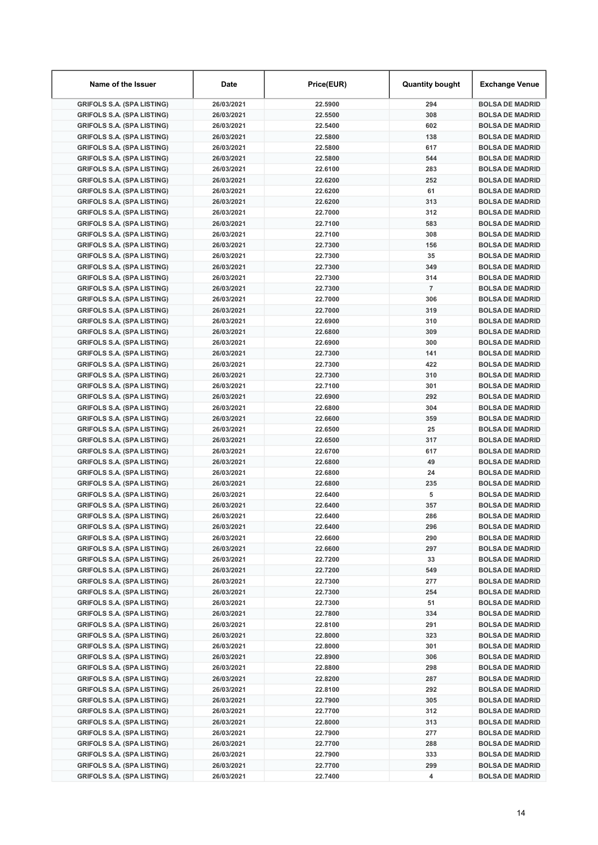| Name of the Issuer                                                     | Date                     | Price(EUR)         | <b>Quantity bought</b> | <b>Exchange Venue</b>                            |
|------------------------------------------------------------------------|--------------------------|--------------------|------------------------|--------------------------------------------------|
| <b>GRIFOLS S.A. (SPA LISTING)</b>                                      | 26/03/2021               | 22.5900            | 294                    | <b>BOLSA DE MADRID</b>                           |
| <b>GRIFOLS S.A. (SPA LISTING)</b>                                      | 26/03/2021               | 22.5500            | 308                    | <b>BOLSA DE MADRID</b>                           |
| <b>GRIFOLS S.A. (SPA LISTING)</b>                                      | 26/03/2021               | 22.5400            | 602                    | <b>BOLSA DE MADRID</b>                           |
| <b>GRIFOLS S.A. (SPA LISTING)</b>                                      | 26/03/2021               | 22.5800            | 138                    | <b>BOLSA DE MADRID</b>                           |
| <b>GRIFOLS S.A. (SPA LISTING)</b>                                      | 26/03/2021               | 22.5800            | 617                    | <b>BOLSA DE MADRID</b>                           |
| <b>GRIFOLS S.A. (SPA LISTING)</b>                                      | 26/03/2021               | 22.5800            | 544                    | <b>BOLSA DE MADRID</b>                           |
| <b>GRIFOLS S.A. (SPA LISTING)</b>                                      | 26/03/2021               | 22.6100            | 283                    | <b>BOLSA DE MADRID</b>                           |
| <b>GRIFOLS S.A. (SPA LISTING)</b>                                      | 26/03/2021               | 22.6200            | 252                    | <b>BOLSA DE MADRID</b>                           |
| <b>GRIFOLS S.A. (SPA LISTING)</b>                                      | 26/03/2021               | 22.6200            | 61                     | <b>BOLSA DE MADRID</b>                           |
| <b>GRIFOLS S.A. (SPA LISTING)</b>                                      | 26/03/2021               | 22.6200            | 313                    | <b>BOLSA DE MADRID</b>                           |
| <b>GRIFOLS S.A. (SPA LISTING)</b>                                      | 26/03/2021               | 22.7000            | 312                    | <b>BOLSA DE MADRID</b>                           |
| <b>GRIFOLS S.A. (SPA LISTING)</b>                                      | 26/03/2021               | 22.7100            | 583                    | <b>BOLSA DE MADRID</b>                           |
| <b>GRIFOLS S.A. (SPA LISTING)</b>                                      | 26/03/2021               | 22.7100            | 308                    | <b>BOLSA DE MADRID</b>                           |
| <b>GRIFOLS S.A. (SPA LISTING)</b>                                      | 26/03/2021               | 22.7300            | 156                    | <b>BOLSA DE MADRID</b>                           |
| <b>GRIFOLS S.A. (SPA LISTING)</b>                                      | 26/03/2021               | 22.7300            | 35                     | <b>BOLSA DE MADRID</b>                           |
| <b>GRIFOLS S.A. (SPA LISTING)</b>                                      | 26/03/2021               | 22.7300            | 349                    | <b>BOLSA DE MADRID</b>                           |
| <b>GRIFOLS S.A. (SPA LISTING)</b>                                      | 26/03/2021               | 22.7300            | 314                    | <b>BOLSA DE MADRID</b>                           |
| <b>GRIFOLS S.A. (SPA LISTING)</b>                                      | 26/03/2021               | 22.7300            | $\overline{7}$         | <b>BOLSA DE MADRID</b>                           |
| <b>GRIFOLS S.A. (SPA LISTING)</b>                                      | 26/03/2021               | 22.7000            | 306                    | <b>BOLSA DE MADRID</b>                           |
| <b>GRIFOLS S.A. (SPA LISTING)</b>                                      | 26/03/2021               | 22.7000            | 319                    | <b>BOLSA DE MADRID</b>                           |
| <b>GRIFOLS S.A. (SPA LISTING)</b>                                      | 26/03/2021               | 22.6900            | 310                    | <b>BOLSA DE MADRID</b>                           |
| <b>GRIFOLS S.A. (SPA LISTING)</b>                                      | 26/03/2021               | 22.6800            | 309                    | <b>BOLSA DE MADRID</b>                           |
| <b>GRIFOLS S.A. (SPA LISTING)</b>                                      | 26/03/2021               | 22.6900            | 300                    | <b>BOLSA DE MADRID</b>                           |
| <b>GRIFOLS S.A. (SPA LISTING)</b>                                      | 26/03/2021               | 22.7300            | 141                    | <b>BOLSA DE MADRID</b>                           |
| <b>GRIFOLS S.A. (SPA LISTING)</b>                                      | 26/03/2021               | 22.7300            | 422                    | <b>BOLSA DE MADRID</b>                           |
| <b>GRIFOLS S.A. (SPA LISTING)</b>                                      | 26/03/2021               | 22.7300            | 310                    | <b>BOLSA DE MADRID</b>                           |
| <b>GRIFOLS S.A. (SPA LISTING)</b>                                      | 26/03/2021               | 22.7100            | 301                    | <b>BOLSA DE MADRID</b>                           |
| <b>GRIFOLS S.A. (SPA LISTING)</b>                                      | 26/03/2021               | 22.6900            | 292                    | <b>BOLSA DE MADRID</b>                           |
| <b>GRIFOLS S.A. (SPA LISTING)</b>                                      | 26/03/2021               | 22.6800            | 304                    | <b>BOLSA DE MADRID</b>                           |
| <b>GRIFOLS S.A. (SPA LISTING)</b>                                      | 26/03/2021               | 22.6600            | 359                    | <b>BOLSA DE MADRID</b>                           |
| <b>GRIFOLS S.A. (SPA LISTING)</b>                                      | 26/03/2021               | 22.6500            | 25                     | <b>BOLSA DE MADRID</b>                           |
| <b>GRIFOLS S.A. (SPA LISTING)</b>                                      | 26/03/2021               | 22.6500            | 317                    | <b>BOLSA DE MADRID</b>                           |
| <b>GRIFOLS S.A. (SPA LISTING)</b>                                      | 26/03/2021               | 22.6700            | 617                    | <b>BOLSA DE MADRID</b>                           |
| <b>GRIFOLS S.A. (SPA LISTING)</b>                                      | 26/03/2021               | 22.6800            | 49                     | <b>BOLSA DE MADRID</b>                           |
| <b>GRIFOLS S.A. (SPA LISTING)</b>                                      | 26/03/2021               | 22.6800            | 24                     | <b>BOLSA DE MADRID</b>                           |
| <b>GRIFOLS S.A. (SPA LISTING)</b><br><b>GRIFOLS S.A. (SPA LISTING)</b> | 26/03/2021<br>26/03/2021 | 22.6800<br>22.6400 | 235<br>5               | <b>BOLSA DE MADRID</b>                           |
| <b>GRIFOLS S.A. (SPA LISTING)</b>                                      | 26/03/2021               | 22.6400            | 357                    | <b>BOLSA DE MADRID</b><br><b>BOLSA DE MADRID</b> |
| <b>GRIFOLS S.A. (SPA LISTING)</b>                                      | 26/03/2021               | 22.6400            | 286                    | <b>BOLSA DE MADRID</b>                           |
| <b>GRIFOLS S.A. (SPA LISTING)</b>                                      | 26/03/2021               | 22.6400            | 296                    | <b>BOLSA DE MADRID</b>                           |
| <b>GRIFOLS S.A. (SPA LISTING)</b>                                      | 26/03/2021               | 22.6600            | 290                    | <b>BOLSA DE MADRID</b>                           |
| <b>GRIFOLS S.A. (SPA LISTING)</b>                                      | 26/03/2021               | 22.6600            | 297                    | <b>BOLSA DE MADRID</b>                           |
| <b>GRIFOLS S.A. (SPA LISTING)</b>                                      | 26/03/2021               | 22.7200            | 33                     | <b>BOLSA DE MADRID</b>                           |
| <b>GRIFOLS S.A. (SPA LISTING)</b>                                      | 26/03/2021               | 22.7200            | 549                    | <b>BOLSA DE MADRID</b>                           |
| <b>GRIFOLS S.A. (SPA LISTING)</b>                                      | 26/03/2021               | 22.7300            | 277                    | <b>BOLSA DE MADRID</b>                           |
| <b>GRIFOLS S.A. (SPA LISTING)</b>                                      | 26/03/2021               | 22.7300            | 254                    | <b>BOLSA DE MADRID</b>                           |
| <b>GRIFOLS S.A. (SPA LISTING)</b>                                      | 26/03/2021               | 22.7300            | 51                     | <b>BOLSA DE MADRID</b>                           |
| <b>GRIFOLS S.A. (SPA LISTING)</b>                                      | 26/03/2021               | 22.7800            | 334                    | <b>BOLSA DE MADRID</b>                           |
| <b>GRIFOLS S.A. (SPA LISTING)</b>                                      | 26/03/2021               | 22.8100            | 291                    | <b>BOLSA DE MADRID</b>                           |
| <b>GRIFOLS S.A. (SPA LISTING)</b>                                      | 26/03/2021               | 22.8000            | 323                    | <b>BOLSA DE MADRID</b>                           |
| <b>GRIFOLS S.A. (SPA LISTING)</b>                                      | 26/03/2021               | 22.8000            | 301                    | <b>BOLSA DE MADRID</b>                           |
| <b>GRIFOLS S.A. (SPA LISTING)</b>                                      | 26/03/2021               | 22.8900            | 306                    | <b>BOLSA DE MADRID</b>                           |
| <b>GRIFOLS S.A. (SPA LISTING)</b>                                      | 26/03/2021               | 22.8800            | 298                    | <b>BOLSA DE MADRID</b>                           |
| <b>GRIFOLS S.A. (SPA LISTING)</b>                                      | 26/03/2021               | 22.8200            | 287                    | <b>BOLSA DE MADRID</b>                           |
| <b>GRIFOLS S.A. (SPA LISTING)</b>                                      | 26/03/2021               | 22.8100            | 292                    | <b>BOLSA DE MADRID</b>                           |
| <b>GRIFOLS S.A. (SPA LISTING)</b>                                      | 26/03/2021               | 22.7900            | 305                    | <b>BOLSA DE MADRID</b>                           |
| <b>GRIFOLS S.A. (SPA LISTING)</b>                                      | 26/03/2021               | 22.7700            | 312                    | <b>BOLSA DE MADRID</b>                           |
| <b>GRIFOLS S.A. (SPA LISTING)</b>                                      | 26/03/2021               | 22.8000            | 313                    | <b>BOLSA DE MADRID</b>                           |
| <b>GRIFOLS S.A. (SPA LISTING)</b>                                      | 26/03/2021               | 22.7900            | 277                    | <b>BOLSA DE MADRID</b>                           |
| <b>GRIFOLS S.A. (SPA LISTING)</b>                                      | 26/03/2021               | 22.7700            | 288                    | <b>BOLSA DE MADRID</b>                           |
| <b>GRIFOLS S.A. (SPA LISTING)</b>                                      | 26/03/2021               | 22.7900            | 333                    | <b>BOLSA DE MADRID</b>                           |
| <b>GRIFOLS S.A. (SPA LISTING)</b>                                      | 26/03/2021               | 22.7700            | 299                    | <b>BOLSA DE MADRID</b>                           |
| <b>GRIFOLS S.A. (SPA LISTING)</b>                                      | 26/03/2021               | 22.7400            | 4                      | <b>BOLSA DE MADRID</b>                           |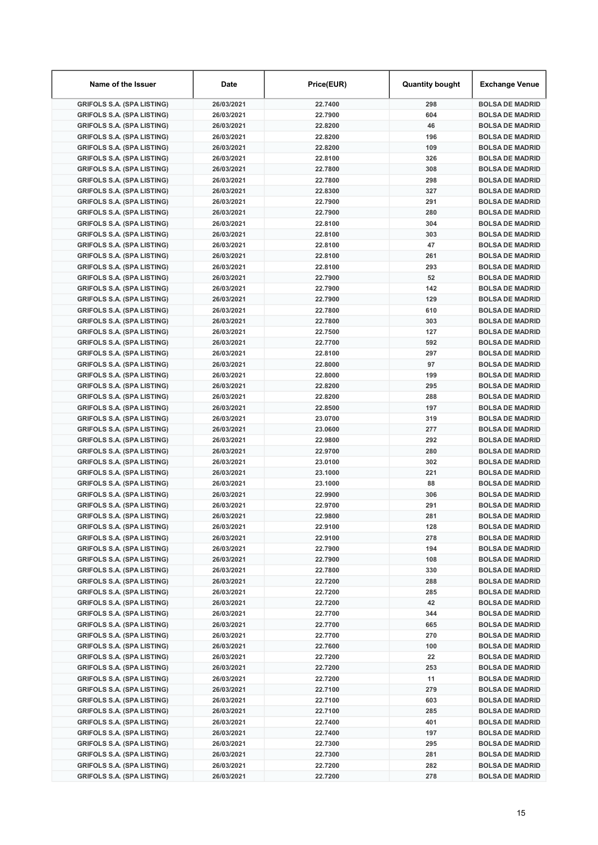| Name of the Issuer                                                     | Date                     | Price(EUR)         | <b>Quantity bought</b> | <b>Exchange Venue</b>                            |
|------------------------------------------------------------------------|--------------------------|--------------------|------------------------|--------------------------------------------------|
| <b>GRIFOLS S.A. (SPA LISTING)</b>                                      | 26/03/2021               | 22.7400            | 298                    | <b>BOLSA DE MADRID</b>                           |
| <b>GRIFOLS S.A. (SPA LISTING)</b>                                      | 26/03/2021               | 22.7900            | 604                    | <b>BOLSA DE MADRID</b>                           |
| <b>GRIFOLS S.A. (SPA LISTING)</b>                                      | 26/03/2021               | 22.8200            | 46                     | <b>BOLSA DE MADRID</b>                           |
| <b>GRIFOLS S.A. (SPA LISTING)</b>                                      | 26/03/2021               | 22.8200            | 196                    | <b>BOLSA DE MADRID</b>                           |
| <b>GRIFOLS S.A. (SPA LISTING)</b>                                      | 26/03/2021               | 22.8200            | 109                    | <b>BOLSA DE MADRID</b>                           |
| <b>GRIFOLS S.A. (SPA LISTING)</b>                                      | 26/03/2021               | 22.8100            | 326                    | <b>BOLSA DE MADRID</b>                           |
| <b>GRIFOLS S.A. (SPA LISTING)</b>                                      | 26/03/2021               | 22.7800            | 308                    | <b>BOLSA DE MADRID</b>                           |
| <b>GRIFOLS S.A. (SPA LISTING)</b>                                      | 26/03/2021               | 22.7800            | 298                    | <b>BOLSA DE MADRID</b>                           |
| <b>GRIFOLS S.A. (SPA LISTING)</b>                                      | 26/03/2021               | 22.8300            | 327                    | <b>BOLSA DE MADRID</b>                           |
| <b>GRIFOLS S.A. (SPA LISTING)</b>                                      | 26/03/2021               | 22.7900            | 291                    | <b>BOLSA DE MADRID</b>                           |
| <b>GRIFOLS S.A. (SPA LISTING)</b>                                      | 26/03/2021               | 22.7900            | 280                    | <b>BOLSA DE MADRID</b>                           |
| <b>GRIFOLS S.A. (SPA LISTING)</b>                                      | 26/03/2021               | 22.8100            | 304                    | <b>BOLSA DE MADRID</b>                           |
| <b>GRIFOLS S.A. (SPA LISTING)</b>                                      | 26/03/2021               | 22.8100            | 303                    | <b>BOLSA DE MADRID</b>                           |
| <b>GRIFOLS S.A. (SPA LISTING)</b>                                      | 26/03/2021               | 22.8100            | 47                     | <b>BOLSA DE MADRID</b>                           |
| <b>GRIFOLS S.A. (SPA LISTING)</b>                                      | 26/03/2021               | 22.8100            | 261                    | <b>BOLSA DE MADRID</b>                           |
| <b>GRIFOLS S.A. (SPA LISTING)</b>                                      | 26/03/2021               | 22.8100            | 293                    | <b>BOLSA DE MADRID</b>                           |
| <b>GRIFOLS S.A. (SPA LISTING)</b>                                      | 26/03/2021               | 22.7900            | 52<br>142              | <b>BOLSA DE MADRID</b><br><b>BOLSA DE MADRID</b> |
| <b>GRIFOLS S.A. (SPA LISTING)</b><br><b>GRIFOLS S.A. (SPA LISTING)</b> | 26/03/2021<br>26/03/2021 | 22.7900<br>22.7900 | 129                    | <b>BOLSA DE MADRID</b>                           |
| <b>GRIFOLS S.A. (SPA LISTING)</b>                                      | 26/03/2021               | 22.7800            | 610                    | <b>BOLSA DE MADRID</b>                           |
| <b>GRIFOLS S.A. (SPA LISTING)</b>                                      | 26/03/2021               | 22.7800            | 303                    | <b>BOLSA DE MADRID</b>                           |
| <b>GRIFOLS S.A. (SPA LISTING)</b>                                      | 26/03/2021               | 22.7500            | 127                    | <b>BOLSA DE MADRID</b>                           |
| <b>GRIFOLS S.A. (SPA LISTING)</b>                                      | 26/03/2021               | 22.7700            | 592                    | <b>BOLSA DE MADRID</b>                           |
| <b>GRIFOLS S.A. (SPA LISTING)</b>                                      | 26/03/2021               | 22.8100            | 297                    | <b>BOLSA DE MADRID</b>                           |
| <b>GRIFOLS S.A. (SPA LISTING)</b>                                      | 26/03/2021               | 22.8000            | 97                     | <b>BOLSA DE MADRID</b>                           |
| <b>GRIFOLS S.A. (SPA LISTING)</b>                                      | 26/03/2021               | 22.8000            | 199                    | <b>BOLSA DE MADRID</b>                           |
| <b>GRIFOLS S.A. (SPA LISTING)</b>                                      | 26/03/2021               | 22.8200            | 295                    | <b>BOLSA DE MADRID</b>                           |
| <b>GRIFOLS S.A. (SPA LISTING)</b>                                      | 26/03/2021               | 22.8200            | 288                    | <b>BOLSA DE MADRID</b>                           |
| <b>GRIFOLS S.A. (SPA LISTING)</b>                                      | 26/03/2021               | 22.8500            | 197                    | <b>BOLSA DE MADRID</b>                           |
| <b>GRIFOLS S.A. (SPA LISTING)</b>                                      | 26/03/2021               | 23.0700            | 319                    | <b>BOLSA DE MADRID</b>                           |
| <b>GRIFOLS S.A. (SPA LISTING)</b>                                      | 26/03/2021               | 23.0600            | 277                    | <b>BOLSA DE MADRID</b>                           |
| <b>GRIFOLS S.A. (SPA LISTING)</b>                                      | 26/03/2021               | 22.9800            | 292                    | <b>BOLSA DE MADRID</b>                           |
| <b>GRIFOLS S.A. (SPA LISTING)</b>                                      | 26/03/2021               | 22.9700            | 280                    | <b>BOLSA DE MADRID</b>                           |
| <b>GRIFOLS S.A. (SPA LISTING)</b>                                      | 26/03/2021               | 23.0100            | 302                    | <b>BOLSA DE MADRID</b>                           |
| <b>GRIFOLS S.A. (SPA LISTING)</b>                                      | 26/03/2021               | 23.1000            | 221                    | <b>BOLSA DE MADRID</b>                           |
| <b>GRIFOLS S.A. (SPA LISTING)</b>                                      | 26/03/2021               | 23.1000            | 88                     | <b>BOLSA DE MADRID</b>                           |
| <b>GRIFOLS S.A. (SPA LISTING)</b>                                      | 26/03/2021               | 22.9900            | 306                    | <b>BOLSA DE MADRID</b>                           |
| <b>GRIFOLS S.A. (SPA LISTING)</b>                                      | 26/03/2021               | 22.9700            | 291                    | <b>BOLSA DE MADRID</b>                           |
| <b>GRIFOLS S.A. (SPA LISTING)</b>                                      | 26/03/2021               | 22.9800            | 281                    | <b>BOLSA DE MADRID</b>                           |
| <b>GRIFOLS S.A. (SPA LISTING)</b>                                      | 26/03/2021               | 22.9100            | 128                    | <b>BOLSA DE MADRID</b>                           |
| <b>GRIFOLS S.A. (SPA LISTING)</b>                                      | 26/03/2021               | 22.9100            | 278                    | <b>BOLSA DE MADRID</b>                           |
| <b>GRIFOLS S.A. (SPA LISTING)</b>                                      | 26/03/2021               | 22.7900            | 194                    | <b>BOLSA DE MADRID</b>                           |
| <b>GRIFOLS S.A. (SPA LISTING)</b>                                      | 26/03/2021               | 22.7900            | 108                    | <b>BOLSA DE MADRID</b>                           |
| <b>GRIFOLS S.A. (SPA LISTING)</b>                                      | 26/03/2021               | 22.7800            | 330                    | <b>BOLSA DE MADRID</b>                           |
| <b>GRIFOLS S.A. (SPA LISTING)</b>                                      | 26/03/2021               | 22.7200            | 288                    | <b>BOLSA DE MADRID</b>                           |
| <b>GRIFOLS S.A. (SPA LISTING)</b>                                      | 26/03/2021               | 22.7200            | 285                    | <b>BOLSA DE MADRID</b>                           |
| <b>GRIFOLS S.A. (SPA LISTING)</b>                                      | 26/03/2021               | 22.7200            | 42                     | <b>BOLSA DE MADRID</b>                           |
| <b>GRIFOLS S.A. (SPA LISTING)</b>                                      | 26/03/2021               | 22.7700            | 344                    | <b>BOLSA DE MADRID</b>                           |
| <b>GRIFOLS S.A. (SPA LISTING)</b>                                      | 26/03/2021               | 22.7700            | 665                    | <b>BOLSA DE MADRID</b>                           |
| <b>GRIFOLS S.A. (SPA LISTING)</b>                                      | 26/03/2021               | 22.7700            | 270                    | <b>BOLSA DE MADRID</b>                           |
| <b>GRIFOLS S.A. (SPA LISTING)</b>                                      | 26/03/2021               | 22.7600            | 100                    | <b>BOLSA DE MADRID</b>                           |
| <b>GRIFOLS S.A. (SPA LISTING)</b>                                      | 26/03/2021               | 22.7200            | 22                     | <b>BOLSA DE MADRID</b>                           |
| <b>GRIFOLS S.A. (SPA LISTING)</b><br><b>GRIFOLS S.A. (SPA LISTING)</b> | 26/03/2021               | 22.7200            | 253<br>11              | <b>BOLSA DE MADRID</b>                           |
| <b>GRIFOLS S.A. (SPA LISTING)</b>                                      | 26/03/2021<br>26/03/2021 | 22.7200<br>22.7100 | 279                    | <b>BOLSA DE MADRID</b><br><b>BOLSA DE MADRID</b> |
| <b>GRIFOLS S.A. (SPA LISTING)</b>                                      | 26/03/2021               | 22.7100            | 603                    | <b>BOLSA DE MADRID</b>                           |
| <b>GRIFOLS S.A. (SPA LISTING)</b>                                      | 26/03/2021               | 22.7100            | 285                    | <b>BOLSA DE MADRID</b>                           |
| <b>GRIFOLS S.A. (SPA LISTING)</b>                                      | 26/03/2021               | 22.7400            | 401                    | <b>BOLSA DE MADRID</b>                           |
| <b>GRIFOLS S.A. (SPA LISTING)</b>                                      | 26/03/2021               | 22.7400            | 197                    | <b>BOLSA DE MADRID</b>                           |
| <b>GRIFOLS S.A. (SPA LISTING)</b>                                      | 26/03/2021               | 22.7300            | 295                    | <b>BOLSA DE MADRID</b>                           |
| <b>GRIFOLS S.A. (SPA LISTING)</b>                                      | 26/03/2021               | 22.7300            | 281                    | <b>BOLSA DE MADRID</b>                           |
| <b>GRIFOLS S.A. (SPA LISTING)</b>                                      | 26/03/2021               | 22.7200            | 282                    | <b>BOLSA DE MADRID</b>                           |
| <b>GRIFOLS S.A. (SPA LISTING)</b>                                      | 26/03/2021               | 22.7200            | 278                    | <b>BOLSA DE MADRID</b>                           |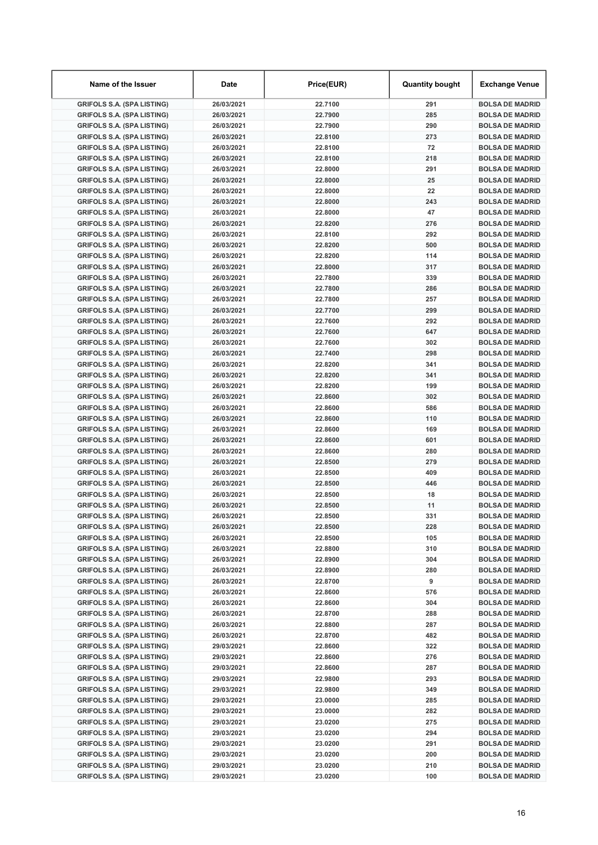| Name of the Issuer                                                     | Date                     | Price(EUR)         | <b>Quantity bought</b> | <b>Exchange Venue</b>                            |
|------------------------------------------------------------------------|--------------------------|--------------------|------------------------|--------------------------------------------------|
| <b>GRIFOLS S.A. (SPA LISTING)</b>                                      | 26/03/2021               | 22.7100            | 291                    | <b>BOLSA DE MADRID</b>                           |
| <b>GRIFOLS S.A. (SPA LISTING)</b>                                      | 26/03/2021               | 22.7900            | 285                    | <b>BOLSA DE MADRID</b>                           |
| <b>GRIFOLS S.A. (SPA LISTING)</b>                                      | 26/03/2021               | 22.7900            | 290                    | <b>BOLSA DE MADRID</b>                           |
| <b>GRIFOLS S.A. (SPA LISTING)</b>                                      | 26/03/2021               | 22.8100            | 273                    | <b>BOLSA DE MADRID</b>                           |
| <b>GRIFOLS S.A. (SPA LISTING)</b>                                      | 26/03/2021               | 22.8100            | 72                     | <b>BOLSA DE MADRID</b>                           |
| <b>GRIFOLS S.A. (SPA LISTING)</b>                                      | 26/03/2021               | 22.8100            | 218                    | <b>BOLSA DE MADRID</b>                           |
| <b>GRIFOLS S.A. (SPA LISTING)</b>                                      | 26/03/2021               | 22.8000            | 291                    | <b>BOLSA DE MADRID</b>                           |
| <b>GRIFOLS S.A. (SPA LISTING)</b>                                      | 26/03/2021               | 22.8000            | 25                     | <b>BOLSA DE MADRID</b>                           |
| <b>GRIFOLS S.A. (SPA LISTING)</b>                                      | 26/03/2021               | 22.8000            | 22                     | <b>BOLSA DE MADRID</b>                           |
| <b>GRIFOLS S.A. (SPA LISTING)</b>                                      | 26/03/2021               | 22.8000            | 243                    | <b>BOLSA DE MADRID</b>                           |
| <b>GRIFOLS S.A. (SPA LISTING)</b>                                      | 26/03/2021               | 22.8000            | 47                     | <b>BOLSA DE MADRID</b>                           |
| <b>GRIFOLS S.A. (SPA LISTING)</b>                                      | 26/03/2021               | 22.8200            | 276                    | <b>BOLSA DE MADRID</b>                           |
| <b>GRIFOLS S.A. (SPA LISTING)</b>                                      | 26/03/2021               | 22.8100            | 292                    | <b>BOLSA DE MADRID</b>                           |
| <b>GRIFOLS S.A. (SPA LISTING)</b>                                      | 26/03/2021               | 22.8200            | 500                    | <b>BOLSA DE MADRID</b>                           |
| <b>GRIFOLS S.A. (SPA LISTING)</b>                                      | 26/03/2021               | 22.8200            | 114                    | <b>BOLSA DE MADRID</b>                           |
| <b>GRIFOLS S.A. (SPA LISTING)</b>                                      | 26/03/2021               | 22.8000            | 317                    | <b>BOLSA DE MADRID</b>                           |
| <b>GRIFOLS S.A. (SPA LISTING)</b>                                      | 26/03/2021               | 22.7800            | 339                    | <b>BOLSA DE MADRID</b>                           |
| <b>GRIFOLS S.A. (SPA LISTING)</b>                                      | 26/03/2021               | 22.7800            | 286                    | <b>BOLSA DE MADRID</b>                           |
| <b>GRIFOLS S.A. (SPA LISTING)</b>                                      | 26/03/2021               | 22.7800            | 257                    | <b>BOLSA DE MADRID</b>                           |
| <b>GRIFOLS S.A. (SPA LISTING)</b>                                      | 26/03/2021               | 22.7700            | 299                    | <b>BOLSA DE MADRID</b>                           |
| <b>GRIFOLS S.A. (SPA LISTING)</b>                                      | 26/03/2021               | 22.7600            | 292                    | <b>BOLSA DE MADRID</b>                           |
| <b>GRIFOLS S.A. (SPA LISTING)</b>                                      | 26/03/2021               | 22.7600            | 647                    | <b>BOLSA DE MADRID</b>                           |
| <b>GRIFOLS S.A. (SPA LISTING)</b>                                      | 26/03/2021               | 22.7600            | 302                    | <b>BOLSA DE MADRID</b>                           |
| <b>GRIFOLS S.A. (SPA LISTING)</b>                                      | 26/03/2021               | 22.7400            | 298                    | <b>BOLSA DE MADRID</b>                           |
| <b>GRIFOLS S.A. (SPA LISTING)</b>                                      | 26/03/2021               | 22.8200            | 341                    | <b>BOLSA DE MADRID</b>                           |
| <b>GRIFOLS S.A. (SPA LISTING)</b>                                      | 26/03/2021               | 22.8200            | 341                    | <b>BOLSA DE MADRID</b>                           |
| <b>GRIFOLS S.A. (SPA LISTING)</b>                                      | 26/03/2021               | 22.8200            | 199                    | <b>BOLSA DE MADRID</b>                           |
| <b>GRIFOLS S.A. (SPA LISTING)</b>                                      | 26/03/2021               | 22.8600            | 302                    | <b>BOLSA DE MADRID</b>                           |
| <b>GRIFOLS S.A. (SPA LISTING)</b>                                      | 26/03/2021               | 22.8600            | 586                    | <b>BOLSA DE MADRID</b>                           |
| <b>GRIFOLS S.A. (SPA LISTING)</b>                                      | 26/03/2021               | 22.8600            | 110                    | <b>BOLSA DE MADRID</b>                           |
| <b>GRIFOLS S.A. (SPA LISTING)</b>                                      | 26/03/2021               | 22.8600            | 169                    | <b>BOLSA DE MADRID</b>                           |
| <b>GRIFOLS S.A. (SPA LISTING)</b>                                      | 26/03/2021               | 22.8600            | 601                    | <b>BOLSA DE MADRID</b>                           |
| <b>GRIFOLS S.A. (SPA LISTING)</b>                                      | 26/03/2021               | 22.8600            | 280                    | <b>BOLSA DE MADRID</b>                           |
| <b>GRIFOLS S.A. (SPA LISTING)</b>                                      | 26/03/2021               | 22.8500            | 279                    | <b>BOLSA DE MADRID</b>                           |
| <b>GRIFOLS S.A. (SPA LISTING)</b>                                      | 26/03/2021               | 22.8500            | 409                    | <b>BOLSA DE MADRID</b>                           |
| <b>GRIFOLS S.A. (SPA LISTING)</b>                                      | 26/03/2021               | 22.8500            | 446                    | <b>BOLSA DE MADRID</b>                           |
| <b>GRIFOLS S.A. (SPA LISTING)</b>                                      | 26/03/2021               | 22.8500            | 18                     | <b>BOLSA DE MADRID</b>                           |
| <b>GRIFOLS S.A. (SPA LISTING)</b><br><b>GRIFOLS S.A. (SPA LISTING)</b> | 26/03/2021<br>26/03/2021 | 22.8500<br>22.8500 | 11<br>331              | <b>BOLSA DE MADRID</b><br><b>BOLSA DE MADRID</b> |
|                                                                        |                          |                    | 228                    |                                                  |
| <b>GRIFOLS S.A. (SPA LISTING)</b>                                      | 26/03/2021<br>26/03/2021 | 22.8500            |                        | <b>BOLSA DE MADRID</b>                           |
| <b>GRIFOLS S.A. (SPA LISTING)</b>                                      | 26/03/2021               | 22.8500            | 105                    | <b>BOLSA DE MADRID</b>                           |
| <b>GRIFOLS S.A. (SPA LISTING)</b><br><b>GRIFOLS S.A. (SPA LISTING)</b> | 26/03/2021               | 22.8800            | 310<br>304             | <b>BOLSA DE MADRID</b><br><b>BOLSA DE MADRID</b> |
| <b>GRIFOLS S.A. (SPA LISTING)</b>                                      | 26/03/2021               | 22.8900<br>22.8900 | 280                    | <b>BOLSA DE MADRID</b>                           |
| <b>GRIFOLS S.A. (SPA LISTING)</b>                                      | 26/03/2021               | 22.8700            | 9                      | <b>BOLSA DE MADRID</b>                           |
| <b>GRIFOLS S.A. (SPA LISTING)</b>                                      | 26/03/2021               | 22.8600            | 576                    | <b>BOLSA DE MADRID</b>                           |
| <b>GRIFOLS S.A. (SPA LISTING)</b>                                      | 26/03/2021               | 22.8600            | 304                    | <b>BOLSA DE MADRID</b>                           |
| <b>GRIFOLS S.A. (SPA LISTING)</b>                                      | 26/03/2021               | 22.8700            | 288                    | <b>BOLSA DE MADRID</b>                           |
| <b>GRIFOLS S.A. (SPA LISTING)</b>                                      | 26/03/2021               | 22.8800            | 287                    | <b>BOLSA DE MADRID</b>                           |
| <b>GRIFOLS S.A. (SPA LISTING)</b>                                      | 26/03/2021               | 22.8700            | 482                    | <b>BOLSA DE MADRID</b>                           |
| <b>GRIFOLS S.A. (SPA LISTING)</b>                                      | 29/03/2021               | 22.8600            | 322                    | <b>BOLSA DE MADRID</b>                           |
| <b>GRIFOLS S.A. (SPA LISTING)</b>                                      | 29/03/2021               | 22.8600            | 276                    | <b>BOLSA DE MADRID</b>                           |
| <b>GRIFOLS S.A. (SPA LISTING)</b>                                      | 29/03/2021               | 22.8600            | 287                    | <b>BOLSA DE MADRID</b>                           |
| <b>GRIFOLS S.A. (SPA LISTING)</b>                                      | 29/03/2021               | 22.9800            | 293                    | <b>BOLSA DE MADRID</b>                           |
| <b>GRIFOLS S.A. (SPA LISTING)</b>                                      | 29/03/2021               | 22.9800            | 349                    | <b>BOLSA DE MADRID</b>                           |
| <b>GRIFOLS S.A. (SPA LISTING)</b>                                      | 29/03/2021               | 23.0000            | 285                    | <b>BOLSA DE MADRID</b>                           |
| <b>GRIFOLS S.A. (SPA LISTING)</b>                                      | 29/03/2021               | 23.0000            | 282                    | <b>BOLSA DE MADRID</b>                           |
| <b>GRIFOLS S.A. (SPA LISTING)</b>                                      | 29/03/2021               | 23.0200            | 275                    | <b>BOLSA DE MADRID</b>                           |
| <b>GRIFOLS S.A. (SPA LISTING)</b>                                      | 29/03/2021               | 23.0200            | 294                    | <b>BOLSA DE MADRID</b>                           |
| <b>GRIFOLS S.A. (SPA LISTING)</b>                                      | 29/03/2021               | 23.0200            | 291                    | <b>BOLSA DE MADRID</b>                           |
| <b>GRIFOLS S.A. (SPA LISTING)</b>                                      | 29/03/2021               | 23.0200            | 200                    | <b>BOLSA DE MADRID</b>                           |
| <b>GRIFOLS S.A. (SPA LISTING)</b>                                      | 29/03/2021               | 23.0200            | 210                    | <b>BOLSA DE MADRID</b>                           |
| <b>GRIFOLS S.A. (SPA LISTING)</b>                                      | 29/03/2021               | 23.0200            | 100                    | <b>BOLSA DE MADRID</b>                           |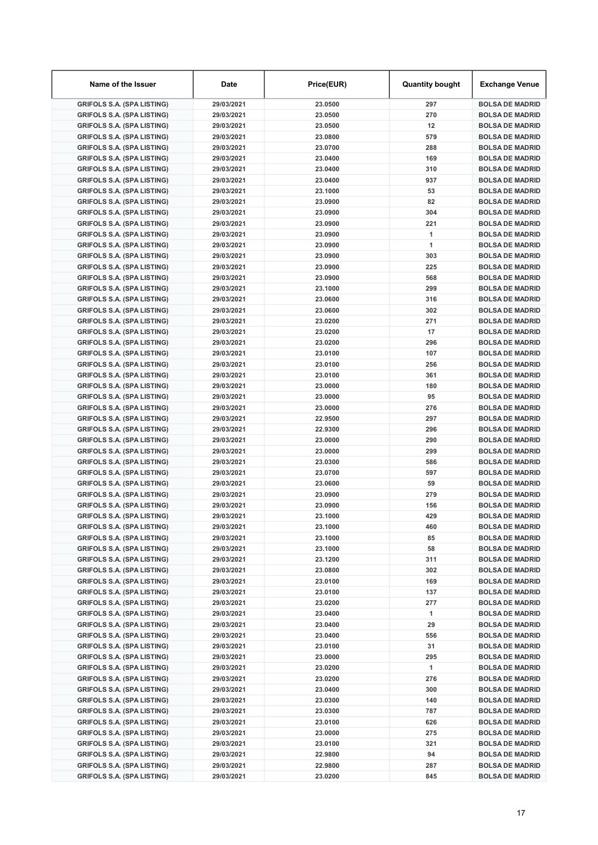| Name of the Issuer                                                     | Date                     | Price(EUR)         | <b>Quantity bought</b> | <b>Exchange Venue</b>                            |
|------------------------------------------------------------------------|--------------------------|--------------------|------------------------|--------------------------------------------------|
| <b>GRIFOLS S.A. (SPA LISTING)</b>                                      | 29/03/2021               | 23.0500            | 297                    | <b>BOLSA DE MADRID</b>                           |
| <b>GRIFOLS S.A. (SPA LISTING)</b>                                      | 29/03/2021               | 23.0500            | 270                    | <b>BOLSA DE MADRID</b>                           |
| <b>GRIFOLS S.A. (SPA LISTING)</b>                                      | 29/03/2021               | 23.0500            | 12                     | <b>BOLSA DE MADRID</b>                           |
| <b>GRIFOLS S.A. (SPA LISTING)</b>                                      | 29/03/2021               | 23.0800            | 579                    | <b>BOLSA DE MADRID</b>                           |
| <b>GRIFOLS S.A. (SPA LISTING)</b>                                      | 29/03/2021               | 23.0700            | 288                    | <b>BOLSA DE MADRID</b>                           |
| <b>GRIFOLS S.A. (SPA LISTING)</b>                                      | 29/03/2021               | 23.0400            | 169                    | <b>BOLSA DE MADRID</b>                           |
| <b>GRIFOLS S.A. (SPA LISTING)</b>                                      | 29/03/2021               | 23.0400            | 310                    | <b>BOLSA DE MADRID</b>                           |
| <b>GRIFOLS S.A. (SPA LISTING)</b>                                      | 29/03/2021               | 23.0400            | 937                    | <b>BOLSA DE MADRID</b>                           |
| <b>GRIFOLS S.A. (SPA LISTING)</b>                                      | 29/03/2021               | 23.1000            | 53                     | <b>BOLSA DE MADRID</b>                           |
| <b>GRIFOLS S.A. (SPA LISTING)</b>                                      | 29/03/2021               | 23.0900            | 82                     | <b>BOLSA DE MADRID</b>                           |
| <b>GRIFOLS S.A. (SPA LISTING)</b>                                      | 29/03/2021               | 23.0900            | 304                    | <b>BOLSA DE MADRID</b>                           |
| <b>GRIFOLS S.A. (SPA LISTING)</b>                                      | 29/03/2021               | 23.0900            | 221                    | <b>BOLSA DE MADRID</b>                           |
| <b>GRIFOLS S.A. (SPA LISTING)</b>                                      | 29/03/2021               | 23.0900            | 1                      | <b>BOLSA DE MADRID</b>                           |
| <b>GRIFOLS S.A. (SPA LISTING)</b>                                      | 29/03/2021               | 23.0900            | 1                      | <b>BOLSA DE MADRID</b>                           |
| <b>GRIFOLS S.A. (SPA LISTING)</b>                                      | 29/03/2021               | 23.0900            | 303                    | <b>BOLSA DE MADRID</b>                           |
| <b>GRIFOLS S.A. (SPA LISTING)</b>                                      | 29/03/2021               | 23.0900            | 225                    | <b>BOLSA DE MADRID</b>                           |
| <b>GRIFOLS S.A. (SPA LISTING)</b><br><b>GRIFOLS S.A. (SPA LISTING)</b> | 29/03/2021               | 23.0900            | 568<br>299             | <b>BOLSA DE MADRID</b><br><b>BOLSA DE MADRID</b> |
| <b>GRIFOLS S.A. (SPA LISTING)</b>                                      | 29/03/2021<br>29/03/2021 | 23.1000<br>23.0600 | 316                    | <b>BOLSA DE MADRID</b>                           |
| <b>GRIFOLS S.A. (SPA LISTING)</b>                                      | 29/03/2021               | 23.0600            | 302                    | <b>BOLSA DE MADRID</b>                           |
| <b>GRIFOLS S.A. (SPA LISTING)</b>                                      | 29/03/2021               | 23.0200            | 271                    | <b>BOLSA DE MADRID</b>                           |
| <b>GRIFOLS S.A. (SPA LISTING)</b>                                      | 29/03/2021               | 23.0200            | 17                     | <b>BOLSA DE MADRID</b>                           |
| <b>GRIFOLS S.A. (SPA LISTING)</b>                                      | 29/03/2021               | 23.0200            | 296                    | <b>BOLSA DE MADRID</b>                           |
| <b>GRIFOLS S.A. (SPA LISTING)</b>                                      | 29/03/2021               | 23.0100            | 107                    | <b>BOLSA DE MADRID</b>                           |
| <b>GRIFOLS S.A. (SPA LISTING)</b>                                      | 29/03/2021               | 23.0100            | 256                    | <b>BOLSA DE MADRID</b>                           |
| <b>GRIFOLS S.A. (SPA LISTING)</b>                                      | 29/03/2021               | 23.0100            | 361                    | <b>BOLSA DE MADRID</b>                           |
| <b>GRIFOLS S.A. (SPA LISTING)</b>                                      | 29/03/2021               | 23.0000            | 180                    | <b>BOLSA DE MADRID</b>                           |
| <b>GRIFOLS S.A. (SPA LISTING)</b>                                      | 29/03/2021               | 23.0000            | 95                     | <b>BOLSA DE MADRID</b>                           |
| <b>GRIFOLS S.A. (SPA LISTING)</b>                                      | 29/03/2021               | 23.0000            | 276                    | <b>BOLSA DE MADRID</b>                           |
| <b>GRIFOLS S.A. (SPA LISTING)</b>                                      | 29/03/2021               | 22.9500            | 297                    | <b>BOLSA DE MADRID</b>                           |
| <b>GRIFOLS S.A. (SPA LISTING)</b>                                      | 29/03/2021               | 22.9300            | 296                    | <b>BOLSA DE MADRID</b>                           |
| <b>GRIFOLS S.A. (SPA LISTING)</b>                                      | 29/03/2021               | 23.0000            | 290                    | <b>BOLSA DE MADRID</b>                           |
| <b>GRIFOLS S.A. (SPA LISTING)</b>                                      | 29/03/2021               | 23.0000            | 299                    | <b>BOLSA DE MADRID</b>                           |
| <b>GRIFOLS S.A. (SPA LISTING)</b>                                      | 29/03/2021               | 23.0300            | 586                    | <b>BOLSA DE MADRID</b>                           |
| <b>GRIFOLS S.A. (SPA LISTING)</b>                                      | 29/03/2021               | 23.0700            | 597                    | <b>BOLSA DE MADRID</b>                           |
| <b>GRIFOLS S.A. (SPA LISTING)</b>                                      | 29/03/2021               | 23.0600            | 59                     | <b>BOLSA DE MADRID</b>                           |
| <b>GRIFOLS S.A. (SPA LISTING)</b>                                      | 29/03/2021               | 23.0900            | 279                    | <b>BOLSA DE MADRID</b>                           |
| <b>GRIFOLS S.A. (SPA LISTING)</b>                                      | 29/03/2021               | 23.0900            | 156                    | <b>BOLSA DE MADRID</b>                           |
| <b>GRIFOLS S.A. (SPA LISTING)</b>                                      | 29/03/2021               | 23.1000            | 429                    | <b>BOLSA DE MADRID</b>                           |
| <b>GRIFOLS S.A. (SPA LISTING)</b>                                      | 29/03/2021               | 23.1000            | 460                    | <b>BOLSA DE MADRID</b>                           |
| <b>GRIFOLS S.A. (SPA LISTING)</b>                                      | 29/03/2021               | 23.1000            | 85                     | <b>BOLSA DE MADRID</b>                           |
| <b>GRIFOLS S.A. (SPA LISTING)</b>                                      | 29/03/2021               | 23.1000            | 58                     | <b>BOLSA DE MADRID</b>                           |
| <b>GRIFOLS S.A. (SPA LISTING)</b>                                      | 29/03/2021               | 23.1200            | 311                    | <b>BOLSA DE MADRID</b>                           |
| <b>GRIFOLS S.A. (SPA LISTING)</b>                                      | 29/03/2021               | 23.0800            | 302                    | <b>BOLSA DE MADRID</b>                           |
| <b>GRIFOLS S.A. (SPA LISTING)</b>                                      | 29/03/2021               | 23.0100            | 169                    | <b>BOLSA DE MADRID</b>                           |
| <b>GRIFOLS S.A. (SPA LISTING)</b>                                      | 29/03/2021               | 23.0100            | 137                    | <b>BOLSA DE MADRID</b>                           |
| <b>GRIFOLS S.A. (SPA LISTING)</b>                                      | 29/03/2021               | 23.0200            | 277                    | <b>BOLSA DE MADRID</b>                           |
| <b>GRIFOLS S.A. (SPA LISTING)</b>                                      | 29/03/2021               | 23.0400            | 1                      | <b>BOLSA DE MADRID</b>                           |
| <b>GRIFOLS S.A. (SPA LISTING)</b>                                      | 29/03/2021               | 23.0400            | 29                     | <b>BOLSA DE MADRID</b>                           |
| <b>GRIFOLS S.A. (SPA LISTING)</b>                                      | 29/03/2021               | 23.0400            | 556                    | <b>BOLSA DE MADRID</b>                           |
| <b>GRIFOLS S.A. (SPA LISTING)</b>                                      | 29/03/2021               | 23.0100            | 31                     | <b>BOLSA DE MADRID</b>                           |
| <b>GRIFOLS S.A. (SPA LISTING)</b>                                      | 29/03/2021               | 23.0000            | 295                    | <b>BOLSA DE MADRID</b>                           |
| <b>GRIFOLS S.A. (SPA LISTING)</b><br><b>GRIFOLS S.A. (SPA LISTING)</b> | 29/03/2021               | 23.0200            | 1<br>276               | <b>BOLSA DE MADRID</b>                           |
| <b>GRIFOLS S.A. (SPA LISTING)</b>                                      | 29/03/2021<br>29/03/2021 | 23.0200<br>23.0400 | 300                    | <b>BOLSA DE MADRID</b><br><b>BOLSA DE MADRID</b> |
| <b>GRIFOLS S.A. (SPA LISTING)</b>                                      | 29/03/2021               | 23.0300            | 140                    | <b>BOLSA DE MADRID</b>                           |
| <b>GRIFOLS S.A. (SPA LISTING)</b>                                      | 29/03/2021               | 23.0300            | 787                    | <b>BOLSA DE MADRID</b>                           |
| <b>GRIFOLS S.A. (SPA LISTING)</b>                                      | 29/03/2021               | 23.0100            | 626                    | <b>BOLSA DE MADRID</b>                           |
| <b>GRIFOLS S.A. (SPA LISTING)</b>                                      | 29/03/2021               | 23.0000            | 275                    | <b>BOLSA DE MADRID</b>                           |
| <b>GRIFOLS S.A. (SPA LISTING)</b>                                      | 29/03/2021               | 23.0100            | 321                    | <b>BOLSA DE MADRID</b>                           |
| <b>GRIFOLS S.A. (SPA LISTING)</b>                                      | 29/03/2021               | 22.9800            | 94                     | <b>BOLSA DE MADRID</b>                           |
| <b>GRIFOLS S.A. (SPA LISTING)</b>                                      | 29/03/2021               | 22.9800            | 287                    | <b>BOLSA DE MADRID</b>                           |
| <b>GRIFOLS S.A. (SPA LISTING)</b>                                      | 29/03/2021               | 23.0200            | 845                    | <b>BOLSA DE MADRID</b>                           |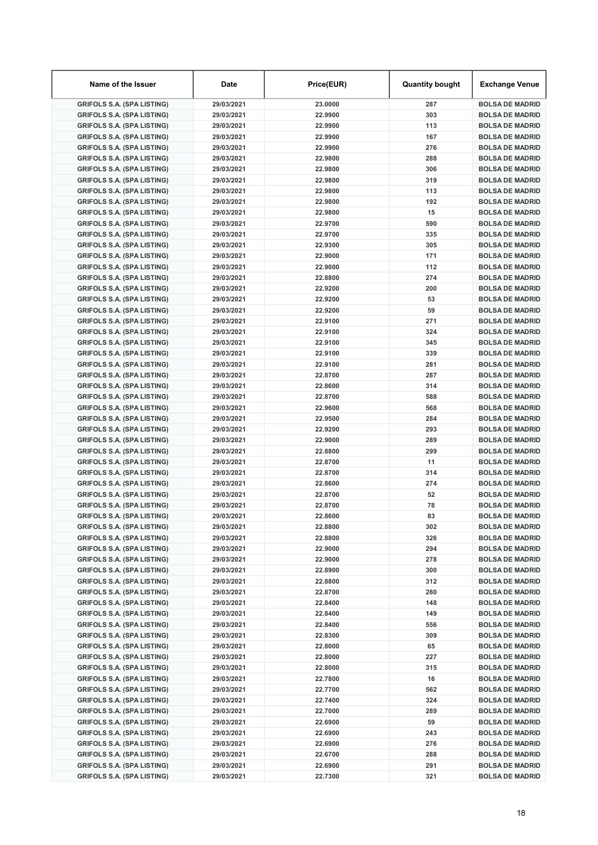| Name of the Issuer                                                     | Date                     | Price(EUR)         | <b>Quantity bought</b> | <b>Exchange Venue</b>                            |
|------------------------------------------------------------------------|--------------------------|--------------------|------------------------|--------------------------------------------------|
| <b>GRIFOLS S.A. (SPA LISTING)</b>                                      | 29/03/2021               | 23.0000            | 287                    | <b>BOLSA DE MADRID</b>                           |
| <b>GRIFOLS S.A. (SPA LISTING)</b>                                      | 29/03/2021               | 22.9900            | 303                    | <b>BOLSA DE MADRID</b>                           |
| <b>GRIFOLS S.A. (SPA LISTING)</b>                                      | 29/03/2021               | 22.9900            | 113                    | <b>BOLSA DE MADRID</b>                           |
| <b>GRIFOLS S.A. (SPA LISTING)</b>                                      | 29/03/2021               | 22.9900            | 167                    | <b>BOLSA DE MADRID</b>                           |
| <b>GRIFOLS S.A. (SPA LISTING)</b>                                      | 29/03/2021               | 22.9900            | 276                    | <b>BOLSA DE MADRID</b>                           |
| <b>GRIFOLS S.A. (SPA LISTING)</b>                                      | 29/03/2021               | 22.9800            | 288                    | <b>BOLSA DE MADRID</b>                           |
| <b>GRIFOLS S.A. (SPA LISTING)</b>                                      | 29/03/2021               | 22.9800            | 306                    | <b>BOLSA DE MADRID</b>                           |
| <b>GRIFOLS S.A. (SPA LISTING)</b>                                      | 29/03/2021               | 22.9800            | 319                    | <b>BOLSA DE MADRID</b>                           |
| <b>GRIFOLS S.A. (SPA LISTING)</b>                                      | 29/03/2021               | 22.9800            | 113                    | <b>BOLSA DE MADRID</b>                           |
| <b>GRIFOLS S.A. (SPA LISTING)</b>                                      | 29/03/2021               | 22.9800            | 192                    | <b>BOLSA DE MADRID</b>                           |
| <b>GRIFOLS S.A. (SPA LISTING)</b>                                      | 29/03/2021               | 22.9800            | 15                     | <b>BOLSA DE MADRID</b>                           |
| <b>GRIFOLS S.A. (SPA LISTING)</b>                                      | 29/03/2021               | 22.9700            | 590                    | <b>BOLSA DE MADRID</b>                           |
| <b>GRIFOLS S.A. (SPA LISTING)</b>                                      | 29/03/2021               | 22.9700            | 335                    | <b>BOLSA DE MADRID</b>                           |
| <b>GRIFOLS S.A. (SPA LISTING)</b>                                      | 29/03/2021               | 22.9300            | 305                    | <b>BOLSA DE MADRID</b>                           |
| <b>GRIFOLS S.A. (SPA LISTING)</b>                                      | 29/03/2021               | 22.9000            | 171                    | <b>BOLSA DE MADRID</b>                           |
| <b>GRIFOLS S.A. (SPA LISTING)</b>                                      | 29/03/2021               | 22.9000            | 112                    | <b>BOLSA DE MADRID</b>                           |
| <b>GRIFOLS S.A. (SPA LISTING)</b>                                      | 29/03/2021               | 22.8800            | 274                    | <b>BOLSA DE MADRID</b>                           |
| <b>GRIFOLS S.A. (SPA LISTING)</b>                                      | 29/03/2021               | 22.9200            | 200                    | <b>BOLSA DE MADRID</b>                           |
| <b>GRIFOLS S.A. (SPA LISTING)</b>                                      | 29/03/2021               | 22.9200            | 53                     | <b>BOLSA DE MADRID</b>                           |
| <b>GRIFOLS S.A. (SPA LISTING)</b>                                      | 29/03/2021               | 22.9200            | 59                     | <b>BOLSA DE MADRID</b>                           |
| <b>GRIFOLS S.A. (SPA LISTING)</b>                                      | 29/03/2021               | 22.9100            | 271                    | <b>BOLSA DE MADRID</b>                           |
| <b>GRIFOLS S.A. (SPA LISTING)</b>                                      | 29/03/2021               | 22.9100            | 324                    | <b>BOLSA DE MADRID</b>                           |
| <b>GRIFOLS S.A. (SPA LISTING)</b>                                      | 29/03/2021               | 22.9100            | 345                    | <b>BOLSA DE MADRID</b>                           |
| <b>GRIFOLS S.A. (SPA LISTING)</b>                                      | 29/03/2021               | 22.9100            | 339                    | <b>BOLSA DE MADRID</b>                           |
| <b>GRIFOLS S.A. (SPA LISTING)</b>                                      | 29/03/2021               | 22.9100            | 281                    | <b>BOLSA DE MADRID</b>                           |
| <b>GRIFOLS S.A. (SPA LISTING)</b>                                      | 29/03/2021               | 22.8700            | 287                    | <b>BOLSA DE MADRID</b>                           |
| <b>GRIFOLS S.A. (SPA LISTING)</b>                                      | 29/03/2021               | 22.8600            | 314                    | <b>BOLSA DE MADRID</b>                           |
| <b>GRIFOLS S.A. (SPA LISTING)</b>                                      | 29/03/2021               | 22.8700            | 588                    | <b>BOLSA DE MADRID</b>                           |
| <b>GRIFOLS S.A. (SPA LISTING)</b>                                      | 29/03/2021               | 22.9600            | 568                    | <b>BOLSA DE MADRID</b>                           |
| <b>GRIFOLS S.A. (SPA LISTING)</b>                                      | 29/03/2021               | 22.9500            | 284                    | <b>BOLSA DE MADRID</b>                           |
| <b>GRIFOLS S.A. (SPA LISTING)</b>                                      | 29/03/2021               | 22.9200            | 293                    | <b>BOLSA DE MADRID</b>                           |
| <b>GRIFOLS S.A. (SPA LISTING)</b>                                      | 29/03/2021               | 22.9000            | 289                    | <b>BOLSA DE MADRID</b>                           |
| <b>GRIFOLS S.A. (SPA LISTING)</b>                                      | 29/03/2021               | 22.8800            | 299                    | <b>BOLSA DE MADRID</b>                           |
| <b>GRIFOLS S.A. (SPA LISTING)</b>                                      | 29/03/2021               | 22.8700            | 11                     | <b>BOLSA DE MADRID</b>                           |
| <b>GRIFOLS S.A. (SPA LISTING)</b>                                      | 29/03/2021               | 22.8700            | 314                    | <b>BOLSA DE MADRID</b>                           |
| <b>GRIFOLS S.A. (SPA LISTING)</b>                                      | 29/03/2021               | 22.8600            | 274                    | <b>BOLSA DE MADRID</b>                           |
| <b>GRIFOLS S.A. (SPA LISTING)</b>                                      | 29/03/2021               | 22.8700            | 52                     | <b>BOLSA DE MADRID</b>                           |
| <b>GRIFOLS S.A. (SPA LISTING)</b>                                      | 29/03/2021               | 22.8700            | 78                     | <b>BOLSA DE MADRID</b>                           |
| <b>GRIFOLS S.A. (SPA LISTING)</b>                                      | 29/03/2021               | 22.8600            | 83                     | <b>BOLSA DE MADRID</b>                           |
| <b>GRIFOLS S.A. (SPA LISTING)</b>                                      | 29/03/2021               | 22.8800            | 302                    | <b>BOLSA DE MADRID</b>                           |
| <b>GRIFOLS S.A. (SPA LISTING)</b>                                      | 29/03/2021               | 22.8800            | 326                    | <b>BOLSA DE MADRID</b>                           |
| <b>GRIFOLS S.A. (SPA LISTING)</b>                                      | 29/03/2021               | 22.9000            | 294                    | <b>BOLSA DE MADRID</b>                           |
| <b>GRIFOLS S.A. (SPA LISTING)</b>                                      | 29/03/2021               | 22.9000            | 278                    | <b>BOLSA DE MADRID</b>                           |
| <b>GRIFOLS S.A. (SPA LISTING)</b>                                      | 29/03/2021               | 22.8900            | 300                    | <b>BOLSA DE MADRID</b>                           |
| <b>GRIFOLS S.A. (SPA LISTING)</b>                                      | 29/03/2021               | 22.8800            | 312                    | <b>BOLSA DE MADRID</b>                           |
| <b>GRIFOLS S.A. (SPA LISTING)</b>                                      | 29/03/2021               | 22.8700            | 280                    | <b>BOLSA DE MADRID</b>                           |
| <b>GRIFOLS S.A. (SPA LISTING)</b>                                      | 29/03/2021               | 22.8400            | 148                    | <b>BOLSA DE MADRID</b>                           |
| <b>GRIFOLS S.A. (SPA LISTING)</b>                                      | 29/03/2021               | 22.8400            | 149                    | <b>BOLSA DE MADRID</b>                           |
| <b>GRIFOLS S.A. (SPA LISTING)</b>                                      | 29/03/2021               | 22.8400            | 556                    | <b>BOLSA DE MADRID</b>                           |
| <b>GRIFOLS S.A. (SPA LISTING)</b>                                      | 29/03/2021               | 22.8300            | 309                    | <b>BOLSA DE MADRID</b>                           |
| <b>GRIFOLS S.A. (SPA LISTING)</b>                                      | 29/03/2021               | 22.8000            | 65                     | <b>BOLSA DE MADRID</b>                           |
| <b>GRIFOLS S.A. (SPA LISTING)</b>                                      | 29/03/2021               | 22.8000            | 227                    | <b>BOLSA DE MADRID</b>                           |
| <b>GRIFOLS S.A. (SPA LISTING)</b>                                      | 29/03/2021               | 22.8000            | 315                    | <b>BOLSA DE MADRID</b>                           |
| <b>GRIFOLS S.A. (SPA LISTING)</b>                                      | 29/03/2021               | 22.7800            | 16                     | <b>BOLSA DE MADRID</b>                           |
| <b>GRIFOLS S.A. (SPA LISTING)</b>                                      | 29/03/2021               | 22.7700            | 562                    | <b>BOLSA DE MADRID</b>                           |
| <b>GRIFOLS S.A. (SPA LISTING)</b>                                      | 29/03/2021               | 22.7400            | 324                    | <b>BOLSA DE MADRID</b>                           |
| <b>GRIFOLS S.A. (SPA LISTING)</b>                                      | 29/03/2021               | 22.7000            | 289                    | <b>BOLSA DE MADRID</b>                           |
| <b>GRIFOLS S.A. (SPA LISTING)</b>                                      | 29/03/2021               | 22.6900            | 59                     | <b>BOLSA DE MADRID</b>                           |
| <b>GRIFOLS S.A. (SPA LISTING)</b>                                      | 29/03/2021               | 22.6900            | 243                    | <b>BOLSA DE MADRID</b>                           |
| <b>GRIFOLS S.A. (SPA LISTING)</b>                                      | 29/03/2021               | 22.6900<br>22.6700 | 276<br>288             | <b>BOLSA DE MADRID</b>                           |
| <b>GRIFOLS S.A. (SPA LISTING)</b><br><b>GRIFOLS S.A. (SPA LISTING)</b> | 29/03/2021<br>29/03/2021 | 22.6900            | 291                    | <b>BOLSA DE MADRID</b><br><b>BOLSA DE MADRID</b> |
| <b>GRIFOLS S.A. (SPA LISTING)</b>                                      | 29/03/2021               | 22.7300            | 321                    | <b>BOLSA DE MADRID</b>                           |
|                                                                        |                          |                    |                        |                                                  |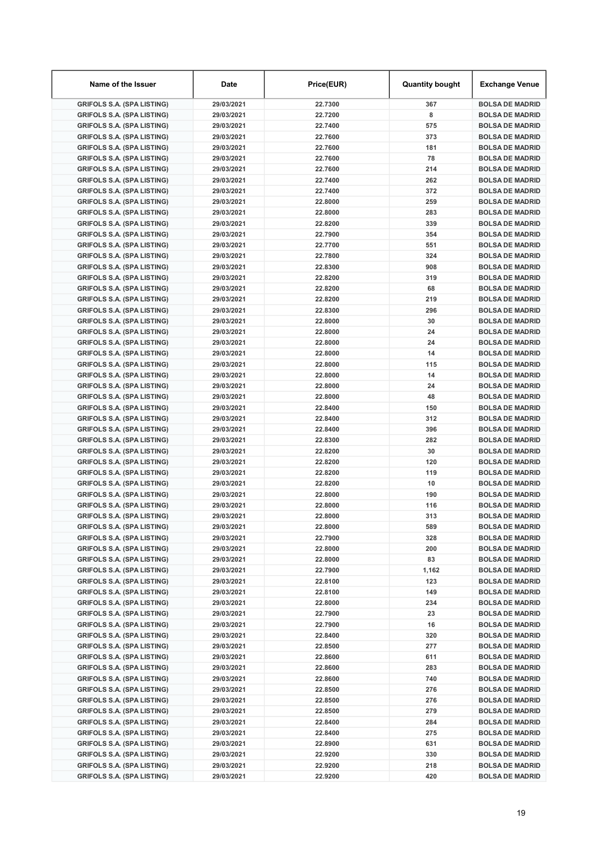| Name of the Issuer                                                     | Date                     | Price(EUR)         | <b>Quantity bought</b> | <b>Exchange Venue</b>                            |
|------------------------------------------------------------------------|--------------------------|--------------------|------------------------|--------------------------------------------------|
| <b>GRIFOLS S.A. (SPA LISTING)</b>                                      | 29/03/2021               | 22.7300            | 367                    | <b>BOLSA DE MADRID</b>                           |
| <b>GRIFOLS S.A. (SPA LISTING)</b>                                      | 29/03/2021               | 22.7200            | 8                      | <b>BOLSA DE MADRID</b>                           |
| <b>GRIFOLS S.A. (SPA LISTING)</b>                                      | 29/03/2021               | 22.7400            | 575                    | <b>BOLSA DE MADRID</b>                           |
| <b>GRIFOLS S.A. (SPA LISTING)</b>                                      | 29/03/2021               | 22.7600            | 373                    | <b>BOLSA DE MADRID</b>                           |
| <b>GRIFOLS S.A. (SPA LISTING)</b>                                      | 29/03/2021               | 22.7600            | 181                    | <b>BOLSA DE MADRID</b>                           |
| <b>GRIFOLS S.A. (SPA LISTING)</b>                                      | 29/03/2021               | 22.7600            | 78                     | <b>BOLSA DE MADRID</b>                           |
| <b>GRIFOLS S.A. (SPA LISTING)</b>                                      | 29/03/2021               | 22.7600            | 214                    | <b>BOLSA DE MADRID</b>                           |
| <b>GRIFOLS S.A. (SPA LISTING)</b>                                      | 29/03/2021               | 22.7400            | 262                    | <b>BOLSA DE MADRID</b>                           |
| <b>GRIFOLS S.A. (SPA LISTING)</b>                                      | 29/03/2021               | 22.7400            | 372                    | <b>BOLSA DE MADRID</b>                           |
| <b>GRIFOLS S.A. (SPA LISTING)</b>                                      | 29/03/2021               | 22.8000            | 259                    | <b>BOLSA DE MADRID</b>                           |
| <b>GRIFOLS S.A. (SPA LISTING)</b>                                      | 29/03/2021               | 22.8000            | 283                    | <b>BOLSA DE MADRID</b>                           |
| <b>GRIFOLS S.A. (SPA LISTING)</b>                                      | 29/03/2021               | 22.8200            | 339                    | <b>BOLSA DE MADRID</b>                           |
| <b>GRIFOLS S.A. (SPA LISTING)</b>                                      | 29/03/2021               | 22.7900            | 354                    | <b>BOLSA DE MADRID</b>                           |
| <b>GRIFOLS S.A. (SPA LISTING)</b>                                      | 29/03/2021               | 22.7700            | 551                    | <b>BOLSA DE MADRID</b>                           |
| <b>GRIFOLS S.A. (SPA LISTING)</b>                                      | 29/03/2021               | 22.7800            | 324                    | <b>BOLSA DE MADRID</b>                           |
| <b>GRIFOLS S.A. (SPA LISTING)</b>                                      | 29/03/2021               | 22.8300            | 908                    | <b>BOLSA DE MADRID</b>                           |
| <b>GRIFOLS S.A. (SPA LISTING)</b>                                      | 29/03/2021               | 22.8200            | 319                    | <b>BOLSA DE MADRID</b>                           |
| <b>GRIFOLS S.A. (SPA LISTING)</b>                                      | 29/03/2021               | 22.8200            | 68                     | <b>BOLSA DE MADRID</b>                           |
| <b>GRIFOLS S.A. (SPA LISTING)</b>                                      | 29/03/2021               | 22.8200            | 219                    | <b>BOLSA DE MADRID</b>                           |
| <b>GRIFOLS S.A. (SPA LISTING)</b>                                      | 29/03/2021               | 22.8300            | 296                    | <b>BOLSA DE MADRID</b>                           |
| <b>GRIFOLS S.A. (SPA LISTING)</b>                                      | 29/03/2021               | 22.8000            | 30                     | <b>BOLSA DE MADRID</b>                           |
| <b>GRIFOLS S.A. (SPA LISTING)</b>                                      | 29/03/2021               | 22.8000            | 24                     | <b>BOLSA DE MADRID</b>                           |
| <b>GRIFOLS S.A. (SPA LISTING)</b>                                      | 29/03/2021               | 22.8000            | 24                     | <b>BOLSA DE MADRID</b>                           |
| <b>GRIFOLS S.A. (SPA LISTING)</b>                                      | 29/03/2021               | 22.8000            | 14                     | <b>BOLSA DE MADRID</b>                           |
| <b>GRIFOLS S.A. (SPA LISTING)</b>                                      | 29/03/2021               | 22.8000            | 115                    | <b>BOLSA DE MADRID</b>                           |
| <b>GRIFOLS S.A. (SPA LISTING)</b>                                      | 29/03/2021               | 22.8000            | 14                     | <b>BOLSA DE MADRID</b>                           |
| <b>GRIFOLS S.A. (SPA LISTING)</b>                                      | 29/03/2021               | 22.8000            | 24                     | <b>BOLSA DE MADRID</b>                           |
| <b>GRIFOLS S.A. (SPA LISTING)</b>                                      | 29/03/2021               | 22.8000            | 48                     | <b>BOLSA DE MADRID</b>                           |
| <b>GRIFOLS S.A. (SPA LISTING)</b>                                      | 29/03/2021               | 22.8400            | 150                    | <b>BOLSA DE MADRID</b>                           |
| <b>GRIFOLS S.A. (SPA LISTING)</b>                                      | 29/03/2021               | 22.8400            | 312                    | <b>BOLSA DE MADRID</b>                           |
| <b>GRIFOLS S.A. (SPA LISTING)</b>                                      | 29/03/2021               | 22.8400            | 396                    | <b>BOLSA DE MADRID</b>                           |
| <b>GRIFOLS S.A. (SPA LISTING)</b>                                      | 29/03/2021               | 22.8300            | 282                    | <b>BOLSA DE MADRID</b>                           |
| <b>GRIFOLS S.A. (SPA LISTING)</b>                                      | 29/03/2021               | 22.8200            | 30                     | <b>BOLSA DE MADRID</b>                           |
| <b>GRIFOLS S.A. (SPA LISTING)</b>                                      | 29/03/2021               | 22.8200            | 120                    | <b>BOLSA DE MADRID</b>                           |
| <b>GRIFOLS S.A. (SPA LISTING)</b>                                      | 29/03/2021               | 22.8200            | 119                    | <b>BOLSA DE MADRID</b>                           |
| <b>GRIFOLS S.A. (SPA LISTING)</b>                                      | 29/03/2021               | 22.8200            | 10                     | <b>BOLSA DE MADRID</b>                           |
| <b>GRIFOLS S.A. (SPA LISTING)</b>                                      | 29/03/2021               | 22.8000            | 190                    | <b>BOLSA DE MADRID</b>                           |
| <b>GRIFOLS S.A. (SPA LISTING)</b>                                      | 29/03/2021               | 22.8000<br>22.8000 | 116                    | <b>BOLSA DE MADRID</b>                           |
| <b>GRIFOLS S.A. (SPA LISTING)</b>                                      | 29/03/2021               |                    | 313                    | <b>BOLSA DE MADRID</b>                           |
| <b>GRIFOLS S.A. (SPA LISTING)</b>                                      | 29/03/2021               | 22.8000            | 589                    | <b>BOLSA DE MADRID</b>                           |
| <b>GRIFOLS S.A. (SPA LISTING)</b>                                      | 29/03/2021<br>29/03/2021 | 22.7900            | 328                    | <b>BOLSA DE MADRID</b><br><b>BOLSA DE MADRID</b> |
| <b>GRIFOLS S.A. (SPA LISTING)</b><br><b>GRIFOLS S.A. (SPA LISTING)</b> |                          | 22.8000<br>22.8000 | 200<br>83              | <b>BOLSA DE MADRID</b>                           |
| <b>GRIFOLS S.A. (SPA LISTING)</b>                                      | 29/03/2021<br>29/03/2021 | 22.7900            | 1,162                  | <b>BOLSA DE MADRID</b>                           |
| <b>GRIFOLS S.A. (SPA LISTING)</b>                                      | 29/03/2021               | 22.8100            | 123                    | <b>BOLSA DE MADRID</b>                           |
| <b>GRIFOLS S.A. (SPA LISTING)</b>                                      | 29/03/2021               | 22.8100            | 149                    | <b>BOLSA DE MADRID</b>                           |
| <b>GRIFOLS S.A. (SPA LISTING)</b>                                      | 29/03/2021               | 22.8000            | 234                    | <b>BOLSA DE MADRID</b>                           |
| <b>GRIFOLS S.A. (SPA LISTING)</b>                                      | 29/03/2021               | 22.7900            | 23                     | <b>BOLSA DE MADRID</b>                           |
| <b>GRIFOLS S.A. (SPA LISTING)</b>                                      | 29/03/2021               | 22.7900            | 16                     | <b>BOLSA DE MADRID</b>                           |
| <b>GRIFOLS S.A. (SPA LISTING)</b>                                      | 29/03/2021               | 22.8400            | 320                    | <b>BOLSA DE MADRID</b>                           |
| <b>GRIFOLS S.A. (SPA LISTING)</b>                                      | 29/03/2021               | 22.8500            | 277                    | <b>BOLSA DE MADRID</b>                           |
| <b>GRIFOLS S.A. (SPA LISTING)</b>                                      | 29/03/2021               | 22.8600            | 611                    | <b>BOLSA DE MADRID</b>                           |
| <b>GRIFOLS S.A. (SPA LISTING)</b>                                      | 29/03/2021               | 22.8600            | 283                    | <b>BOLSA DE MADRID</b>                           |
| <b>GRIFOLS S.A. (SPA LISTING)</b>                                      | 29/03/2021               | 22.8600            | 740                    | <b>BOLSA DE MADRID</b>                           |
| <b>GRIFOLS S.A. (SPA LISTING)</b>                                      | 29/03/2021               | 22.8500            | 276                    | <b>BOLSA DE MADRID</b>                           |
| <b>GRIFOLS S.A. (SPA LISTING)</b>                                      | 29/03/2021               | 22.8500            | 276                    | <b>BOLSA DE MADRID</b>                           |
| <b>GRIFOLS S.A. (SPA LISTING)</b>                                      | 29/03/2021               | 22.8500            | 279                    | <b>BOLSA DE MADRID</b>                           |
| <b>GRIFOLS S.A. (SPA LISTING)</b>                                      | 29/03/2021               | 22.8400            | 284                    | <b>BOLSA DE MADRID</b>                           |
| <b>GRIFOLS S.A. (SPA LISTING)</b>                                      | 29/03/2021               | 22.8400            | 275                    | <b>BOLSA DE MADRID</b>                           |
| <b>GRIFOLS S.A. (SPA LISTING)</b>                                      | 29/03/2021               | 22.8900            | 631                    | <b>BOLSA DE MADRID</b>                           |
| <b>GRIFOLS S.A. (SPA LISTING)</b>                                      | 29/03/2021               | 22.9200            | 330                    | <b>BOLSA DE MADRID</b>                           |
| <b>GRIFOLS S.A. (SPA LISTING)</b>                                      | 29/03/2021               | 22.9200            | 218                    | <b>BOLSA DE MADRID</b>                           |
| <b>GRIFOLS S.A. (SPA LISTING)</b>                                      | 29/03/2021               | 22.9200            | 420                    | <b>BOLSA DE MADRID</b>                           |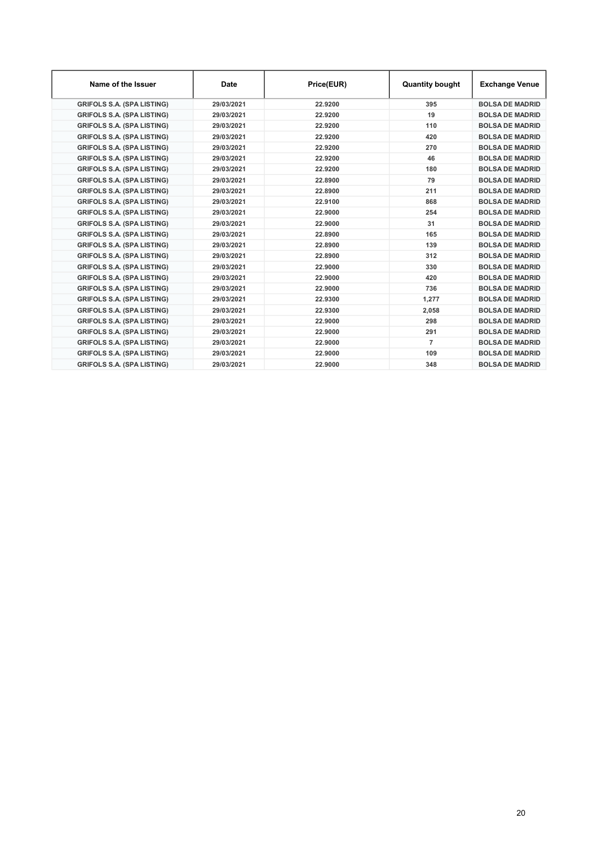| Name of the Issuer                | <b>Date</b> | Price(EUR) | <b>Quantity bought</b> | <b>Exchange Venue</b>  |
|-----------------------------------|-------------|------------|------------------------|------------------------|
| <b>GRIFOLS S.A. (SPA LISTING)</b> | 29/03/2021  | 22.9200    | 395                    | <b>BOLSA DE MADRID</b> |
| <b>GRIFOLS S.A. (SPA LISTING)</b> | 29/03/2021  | 22.9200    | 19                     | <b>BOLSA DE MADRID</b> |
| <b>GRIFOLS S.A. (SPA LISTING)</b> | 29/03/2021  | 22.9200    | 110                    | <b>BOLSA DE MADRID</b> |
| <b>GRIFOLS S.A. (SPA LISTING)</b> | 29/03/2021  | 22.9200    | 420                    | <b>BOLSA DE MADRID</b> |
| <b>GRIFOLS S.A. (SPA LISTING)</b> | 29/03/2021  | 22.9200    | 270                    | <b>BOLSA DE MADRID</b> |
| <b>GRIFOLS S.A. (SPA LISTING)</b> | 29/03/2021  | 22.9200    | 46                     | <b>BOLSA DE MADRID</b> |
| <b>GRIFOLS S.A. (SPA LISTING)</b> | 29/03/2021  | 22.9200    | 180                    | <b>BOLSA DE MADRID</b> |
| <b>GRIFOLS S.A. (SPA LISTING)</b> | 29/03/2021  | 22.8900    | 79                     | <b>BOLSA DE MADRID</b> |
| <b>GRIFOLS S.A. (SPA LISTING)</b> | 29/03/2021  | 22.8900    | 211                    | <b>BOLSA DE MADRID</b> |
| <b>GRIFOLS S.A. (SPA LISTING)</b> | 29/03/2021  | 22.9100    | 868                    | <b>BOLSA DE MADRID</b> |
| <b>GRIFOLS S.A. (SPA LISTING)</b> | 29/03/2021  | 22.9000    | 254                    | <b>BOLSA DE MADRID</b> |
| <b>GRIFOLS S.A. (SPA LISTING)</b> | 29/03/2021  | 22.9000    | 31                     | <b>BOLSA DE MADRID</b> |
| <b>GRIFOLS S.A. (SPA LISTING)</b> | 29/03/2021  | 22.8900    | 165                    | <b>BOLSA DE MADRID</b> |
| <b>GRIFOLS S.A. (SPA LISTING)</b> | 29/03/2021  | 22.8900    | 139                    | <b>BOLSA DE MADRID</b> |
| <b>GRIFOLS S.A. (SPA LISTING)</b> | 29/03/2021  | 22.8900    | 312                    | <b>BOLSA DE MADRID</b> |
| <b>GRIFOLS S.A. (SPA LISTING)</b> | 29/03/2021  | 22.9000    | 330                    | <b>BOLSA DE MADRID</b> |
| <b>GRIFOLS S.A. (SPA LISTING)</b> | 29/03/2021  | 22.9000    | 420                    | <b>BOLSA DE MADRID</b> |
| <b>GRIFOLS S.A. (SPA LISTING)</b> | 29/03/2021  | 22.9000    | 736                    | <b>BOLSA DE MADRID</b> |
| <b>GRIFOLS S.A. (SPA LISTING)</b> | 29/03/2021  | 22.9300    | 1,277                  | <b>BOLSA DE MADRID</b> |
| <b>GRIFOLS S.A. (SPA LISTING)</b> | 29/03/2021  | 22.9300    | 2,058                  | <b>BOLSA DE MADRID</b> |
| <b>GRIFOLS S.A. (SPA LISTING)</b> | 29/03/2021  | 22.9000    | 298                    | <b>BOLSA DE MADRID</b> |
| <b>GRIFOLS S.A. (SPA LISTING)</b> | 29/03/2021  | 22.9000    | 291                    | <b>BOLSA DE MADRID</b> |
| <b>GRIFOLS S.A. (SPA LISTING)</b> | 29/03/2021  | 22.9000    | $\overline{7}$         | <b>BOLSA DE MADRID</b> |
| <b>GRIFOLS S.A. (SPA LISTING)</b> | 29/03/2021  | 22.9000    | 109                    | <b>BOLSA DE MADRID</b> |
| <b>GRIFOLS S.A. (SPA LISTING)</b> | 29/03/2021  | 22.9000    | 348                    | <b>BOLSA DE MADRID</b> |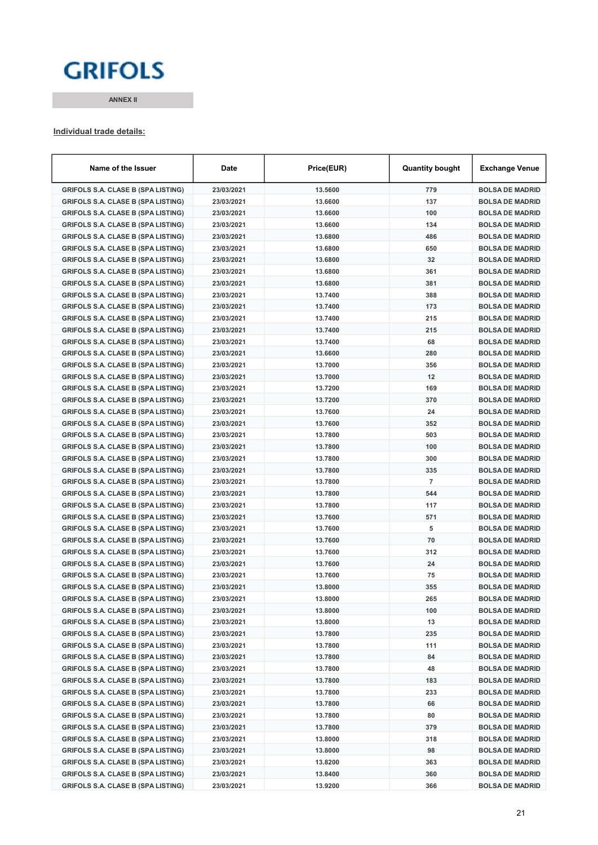# **GRIFOLS**

ANNEX II

#### Individual trade details:

| Name of the Issuer                        | Date       | Price(EUR) | <b>Quantity bought</b> | <b>Exchange Venue</b>  |
|-------------------------------------------|------------|------------|------------------------|------------------------|
| <b>GRIFOLS S.A. CLASE B (SPA LISTING)</b> | 23/03/2021 | 13.5600    | 779                    | <b>BOLSA DE MADRID</b> |
| <b>GRIFOLS S.A. CLASE B (SPA LISTING)</b> | 23/03/2021 | 13.6600    | 137                    | <b>BOLSA DE MADRID</b> |
| <b>GRIFOLS S.A. CLASE B (SPA LISTING)</b> | 23/03/2021 | 13.6600    | 100                    | <b>BOLSA DE MADRID</b> |
| <b>GRIFOLS S.A. CLASE B (SPA LISTING)</b> | 23/03/2021 | 13.6600    | 134                    | <b>BOLSA DE MADRID</b> |
| <b>GRIFOLS S.A. CLASE B (SPA LISTING)</b> | 23/03/2021 | 13.6800    | 486                    | <b>BOLSA DE MADRID</b> |
| <b>GRIFOLS S.A. CLASE B (SPA LISTING)</b> | 23/03/2021 | 13.6800    | 650                    | <b>BOLSA DE MADRID</b> |
| <b>GRIFOLS S.A. CLASE B (SPA LISTING)</b> | 23/03/2021 | 13.6800    | 32                     | <b>BOLSA DE MADRID</b> |
| <b>GRIFOLS S.A. CLASE B (SPA LISTING)</b> | 23/03/2021 | 13.6800    | 361                    | <b>BOLSA DE MADRID</b> |
| <b>GRIFOLS S.A. CLASE B (SPA LISTING)</b> | 23/03/2021 | 13.6800    | 381                    | <b>BOLSA DE MADRID</b> |
| <b>GRIFOLS S.A. CLASE B (SPA LISTING)</b> | 23/03/2021 | 13.7400    | 388                    | <b>BOLSA DE MADRID</b> |
| <b>GRIFOLS S.A. CLASE B (SPA LISTING)</b> | 23/03/2021 | 13.7400    | 173                    | <b>BOLSA DE MADRID</b> |
| <b>GRIFOLS S.A. CLASE B (SPA LISTING)</b> | 23/03/2021 | 13.7400    | 215                    | <b>BOLSA DE MADRID</b> |
| <b>GRIFOLS S.A. CLASE B (SPA LISTING)</b> | 23/03/2021 | 13.7400    | 215                    | <b>BOLSA DE MADRID</b> |
| <b>GRIFOLS S.A. CLASE B (SPA LISTING)</b> | 23/03/2021 | 13.7400    | 68                     | <b>BOLSA DE MADRID</b> |
| <b>GRIFOLS S.A. CLASE B (SPA LISTING)</b> | 23/03/2021 | 13.6600    | 280                    | <b>BOLSA DE MADRID</b> |
| <b>GRIFOLS S.A. CLASE B (SPA LISTING)</b> | 23/03/2021 | 13.7000    | 356                    | <b>BOLSA DE MADRID</b> |
| <b>GRIFOLS S.A. CLASE B (SPA LISTING)</b> | 23/03/2021 | 13.7000    | 12                     | <b>BOLSA DE MADRID</b> |
| <b>GRIFOLS S.A. CLASE B (SPA LISTING)</b> | 23/03/2021 | 13.7200    | 169                    | <b>BOLSA DE MADRID</b> |
| <b>GRIFOLS S.A. CLASE B (SPA LISTING)</b> | 23/03/2021 | 13.7200    | 370                    | <b>BOLSA DE MADRID</b> |
| <b>GRIFOLS S.A. CLASE B (SPA LISTING)</b> | 23/03/2021 | 13.7600    | 24                     | <b>BOLSA DE MADRID</b> |
| <b>GRIFOLS S.A. CLASE B (SPA LISTING)</b> | 23/03/2021 | 13.7600    | 352                    | <b>BOLSA DE MADRID</b> |
| <b>GRIFOLS S.A. CLASE B (SPA LISTING)</b> | 23/03/2021 | 13.7800    | 503                    | <b>BOLSA DE MADRID</b> |
| <b>GRIFOLS S.A. CLASE B (SPA LISTING)</b> | 23/03/2021 | 13.7800    | 100                    | <b>BOLSA DE MADRID</b> |
| <b>GRIFOLS S.A. CLASE B (SPA LISTING)</b> | 23/03/2021 | 13.7800    | 300                    | <b>BOLSA DE MADRID</b> |
| <b>GRIFOLS S.A. CLASE B (SPA LISTING)</b> | 23/03/2021 | 13.7800    | 335                    | <b>BOLSA DE MADRID</b> |
| <b>GRIFOLS S.A. CLASE B (SPA LISTING)</b> | 23/03/2021 | 13.7800    | $\overline{7}$         | <b>BOLSA DE MADRID</b> |
| <b>GRIFOLS S.A. CLASE B (SPA LISTING)</b> | 23/03/2021 | 13.7800    | 544                    | <b>BOLSA DE MADRID</b> |
| <b>GRIFOLS S.A. CLASE B (SPA LISTING)</b> | 23/03/2021 | 13.7800    | 117                    | <b>BOLSA DE MADRID</b> |
| <b>GRIFOLS S.A. CLASE B (SPA LISTING)</b> | 23/03/2021 | 13.7600    | 571                    | <b>BOLSA DE MADRID</b> |
| <b>GRIFOLS S.A. CLASE B (SPA LISTING)</b> | 23/03/2021 | 13.7600    | 5                      | <b>BOLSA DE MADRID</b> |
| <b>GRIFOLS S.A. CLASE B (SPA LISTING)</b> | 23/03/2021 | 13.7600    | 70                     | <b>BOLSA DE MADRID</b> |
| <b>GRIFOLS S.A. CLASE B (SPA LISTING)</b> | 23/03/2021 | 13.7600    | 312                    | <b>BOLSA DE MADRID</b> |
| <b>GRIFOLS S.A. CLASE B (SPA LISTING)</b> | 23/03/2021 | 13.7600    | 24                     | <b>BOLSA DE MADRID</b> |
| <b>GRIFOLS S.A. CLASE B (SPA LISTING)</b> | 23/03/2021 | 13.7600    | 75                     | <b>BOLSA DE MADRID</b> |
| <b>GRIFOLS S.A. CLASE B (SPA LISTING)</b> | 23/03/2021 | 13.8000    | 355                    | <b>BOLSA DE MADRID</b> |
| <b>GRIFOLS S.A. CLASE B (SPA LISTING)</b> | 23/03/2021 | 13.8000    | 265                    | <b>BOLSA DE MADRID</b> |
| <b>GRIFOLS S.A. CLASE B (SPA LISTING)</b> | 23/03/2021 | 13.8000    | 100                    | <b>BOLSA DE MADRID</b> |
| <b>GRIFOLS S.A. CLASE B (SPA LISTING)</b> | 23/03/2021 | 13.8000    | 13                     | <b>BOLSA DE MADRID</b> |
| <b>GRIFOLS S.A. CLASE B (SPA LISTING)</b> | 23/03/2021 | 13.7800    | 235                    | <b>BOLSA DE MADRID</b> |
| <b>GRIFOLS S.A. CLASE B (SPA LISTING)</b> | 23/03/2021 | 13.7800    | 111                    | <b>BOLSA DE MADRID</b> |
| <b>GRIFOLS S.A. CLASE B (SPA LISTING)</b> | 23/03/2021 | 13.7800    | 84                     | <b>BOLSA DE MADRID</b> |
| <b>GRIFOLS S.A. CLASE B (SPA LISTING)</b> | 23/03/2021 | 13.7800    | 48                     | <b>BOLSA DE MADRID</b> |
| <b>GRIFOLS S.A. CLASE B (SPA LISTING)</b> | 23/03/2021 | 13.7800    | 183                    | <b>BOLSA DE MADRID</b> |
| <b>GRIFOLS S.A. CLASE B (SPA LISTING)</b> | 23/03/2021 | 13.7800    | 233                    | <b>BOLSA DE MADRID</b> |
| <b>GRIFOLS S.A. CLASE B (SPA LISTING)</b> | 23/03/2021 | 13.7800    | 66                     | <b>BOLSA DE MADRID</b> |
| <b>GRIFOLS S.A. CLASE B (SPA LISTING)</b> | 23/03/2021 | 13.7800    | 80                     | <b>BOLSA DE MADRID</b> |
| <b>GRIFOLS S.A. CLASE B (SPA LISTING)</b> | 23/03/2021 | 13.7800    | 379                    | <b>BOLSA DE MADRID</b> |
| <b>GRIFOLS S.A. CLASE B (SPA LISTING)</b> | 23/03/2021 | 13.8000    | 318                    | <b>BOLSA DE MADRID</b> |
| <b>GRIFOLS S.A. CLASE B (SPA LISTING)</b> | 23/03/2021 | 13.8000    | 98                     | <b>BOLSA DE MADRID</b> |
| <b>GRIFOLS S.A. CLASE B (SPA LISTING)</b> | 23/03/2021 | 13.8200    | 363                    | <b>BOLSA DE MADRID</b> |
| <b>GRIFOLS S.A. CLASE B (SPA LISTING)</b> | 23/03/2021 | 13.8400    | 360                    | <b>BOLSA DE MADRID</b> |
| <b>GRIFOLS S.A. CLASE B (SPA LISTING)</b> | 23/03/2021 | 13.9200    | 366                    | <b>BOLSA DE MADRID</b> |
|                                           |            |            |                        |                        |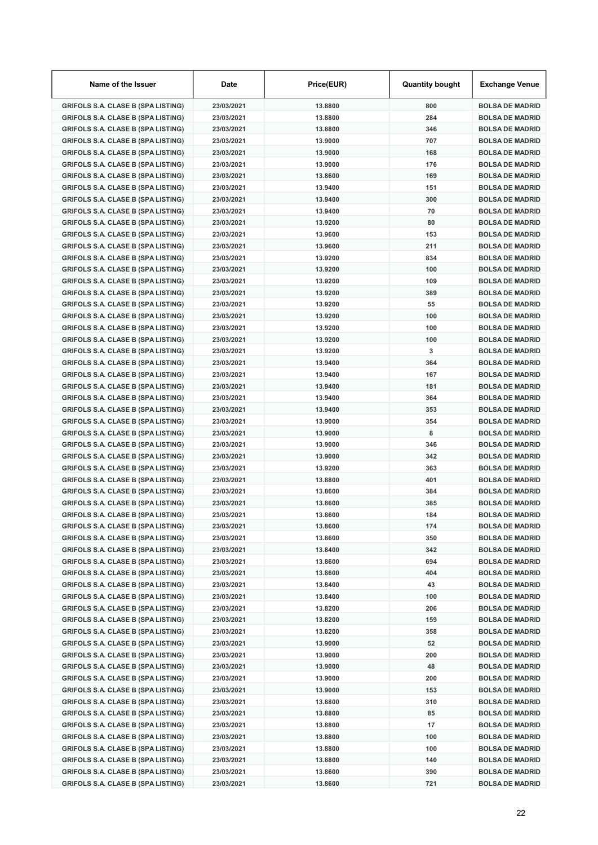| Name of the Issuer                        | <b>Date</b> | Price(EUR) | <b>Quantity bought</b> | Exchange Venue         |
|-------------------------------------------|-------------|------------|------------------------|------------------------|
| <b>GRIFOLS S.A. CLASE B (SPA LISTING)</b> | 23/03/2021  | 13.8800    | 800                    | <b>BOLSA DE MADRID</b> |
| <b>GRIFOLS S.A. CLASE B (SPA LISTING)</b> | 23/03/2021  | 13.8800    | 284                    | <b>BOLSA DE MADRID</b> |
| <b>GRIFOLS S.A. CLASE B (SPA LISTING)</b> | 23/03/2021  | 13,8800    | 346                    | <b>BOLSA DE MADRID</b> |
| <b>GRIFOLS S.A. CLASE B (SPA LISTING)</b> | 23/03/2021  | 13.9000    | 707                    | <b>BOLSA DE MADRID</b> |
| <b>GRIFOLS S.A. CLASE B (SPA LISTING)</b> | 23/03/2021  | 13.9000    | 168                    | <b>BOLSA DE MADRID</b> |
| <b>GRIFOLS S.A. CLASE B (SPA LISTING)</b> | 23/03/2021  | 13.9000    | 176                    | <b>BOLSA DE MADRID</b> |
| <b>GRIFOLS S.A. CLASE B (SPA LISTING)</b> | 23/03/2021  | 13,8600    | 169                    | <b>BOLSA DE MADRID</b> |
| <b>GRIFOLS S.A. CLASE B (SPA LISTING)</b> | 23/03/2021  | 13.9400    | 151                    | <b>BOLSA DE MADRID</b> |
| <b>GRIFOLS S.A. CLASE B (SPA LISTING)</b> | 23/03/2021  | 13.9400    | 300                    | <b>BOLSA DE MADRID</b> |
| <b>GRIFOLS S.A. CLASE B (SPA LISTING)</b> | 23/03/2021  | 13.9400    | 70                     | <b>BOLSA DE MADRID</b> |
| <b>GRIFOLS S.A. CLASE B (SPA LISTING)</b> | 23/03/2021  | 13.9200    | 80                     | <b>BOLSA DE MADRID</b> |
| <b>GRIFOLS S.A. CLASE B (SPA LISTING)</b> | 23/03/2021  | 13.9600    | 153                    | <b>BOLSA DE MADRID</b> |
| <b>GRIFOLS S.A. CLASE B (SPA LISTING)</b> | 23/03/2021  | 13.9600    | 211                    | <b>BOLSA DE MADRID</b> |
| <b>GRIFOLS S.A. CLASE B (SPA LISTING)</b> | 23/03/2021  | 13.9200    | 834                    | <b>BOLSA DE MADRID</b> |
| <b>GRIFOLS S.A. CLASE B (SPA LISTING)</b> | 23/03/2021  | 13.9200    | 100                    | <b>BOLSA DE MADRID</b> |
| <b>GRIFOLS S.A. CLASE B (SPA LISTING)</b> | 23/03/2021  | 13.9200    | 109                    | <b>BOLSA DE MADRID</b> |
| <b>GRIFOLS S.A. CLASE B (SPA LISTING)</b> | 23/03/2021  | 13.9200    | 389                    | <b>BOLSA DE MADRID</b> |
| <b>GRIFOLS S.A. CLASE B (SPA LISTING)</b> | 23/03/2021  | 13.9200    | 55                     | <b>BOLSA DE MADRID</b> |
| <b>GRIFOLS S.A. CLASE B (SPA LISTING)</b> | 23/03/2021  | 13.9200    | 100                    | <b>BOLSA DE MADRID</b> |
| <b>GRIFOLS S.A. CLASE B (SPA LISTING)</b> | 23/03/2021  | 13.9200    | 100                    | <b>BOLSA DE MADRID</b> |
| <b>GRIFOLS S.A. CLASE B (SPA LISTING)</b> | 23/03/2021  | 13.9200    | 100                    | <b>BOLSA DE MADRID</b> |
| <b>GRIFOLS S.A. CLASE B (SPA LISTING)</b> | 23/03/2021  | 13.9200    | 3                      | <b>BOLSA DE MADRID</b> |
| <b>GRIFOLS S.A. CLASE B (SPA LISTING)</b> | 23/03/2021  | 13.9400    | 364                    | <b>BOLSA DE MADRID</b> |
| <b>GRIFOLS S.A. CLASE B (SPA LISTING)</b> | 23/03/2021  | 13.9400    | 167                    | <b>BOLSA DE MADRID</b> |
| <b>GRIFOLS S.A. CLASE B (SPA LISTING)</b> | 23/03/2021  | 13.9400    | 181                    | <b>BOLSA DE MADRID</b> |
| <b>GRIFOLS S.A. CLASE B (SPA LISTING)</b> | 23/03/2021  | 13.9400    | 364                    | <b>BOLSA DE MADRID</b> |
| <b>GRIFOLS S.A. CLASE B (SPA LISTING)</b> | 23/03/2021  | 13.9400    | 353                    | <b>BOLSA DE MADRID</b> |
| <b>GRIFOLS S.A. CLASE B (SPA LISTING)</b> | 23/03/2021  | 13.9000    | 354                    | <b>BOLSA DE MADRID</b> |
| <b>GRIFOLS S.A. CLASE B (SPA LISTING)</b> | 23/03/2021  | 13.9000    | 8                      | <b>BOLSA DE MADRID</b> |
| <b>GRIFOLS S.A. CLASE B (SPA LISTING)</b> | 23/03/2021  | 13.9000    | 346                    | <b>BOLSA DE MADRID</b> |
| <b>GRIFOLS S.A. CLASE B (SPA LISTING)</b> | 23/03/2021  | 13.9000    | 342                    | <b>BOLSA DE MADRID</b> |
| <b>GRIFOLS S.A. CLASE B (SPA LISTING)</b> | 23/03/2021  | 13.9200    | 363                    | <b>BOLSA DE MADRID</b> |
| <b>GRIFOLS S.A. CLASE B (SPA LISTING)</b> | 23/03/2021  | 13,8800    | 401                    | <b>BOLSA DE MADRID</b> |
| <b>GRIFOLS S.A. CLASE B (SPA LISTING)</b> | 23/03/2021  | 13.8600    | 384                    | <b>BOLSA DE MADRID</b> |
| <b>GRIFOLS S.A. CLASE B (SPA LISTING)</b> | 23/03/2021  | 13.8600    | 385                    | <b>BOLSA DE MADRID</b> |
| <b>GRIFOLS S.A. CLASE B (SPA LISTING)</b> | 23/03/2021  | 13,8600    | 184                    | <b>BOLSA DE MADRID</b> |
| <b>GRIFOLS S.A. CLASE B (SPA LISTING)</b> | 23/03/2021  | 13.8600    | 174                    | <b>BOLSA DE MADRID</b> |
| <b>GRIFOLS S.A. CLASE B (SPA LISTING)</b> | 23/03/2021  | 13.8600    | 350                    | <b>BOLSA DE MADRID</b> |
| <b>GRIFOLS S.A. CLASE B (SPA LISTING)</b> | 23/03/2021  | 13.8400    | 342                    | <b>BOLSA DE MADRID</b> |
| <b>GRIFOLS S.A. CLASE B (SPA LISTING)</b> | 23/03/2021  | 13.8600    | 694                    | <b>BOLSA DE MADRID</b> |
| <b>GRIFOLS S.A. CLASE B (SPA LISTING)</b> | 23/03/2021  | 13.8600    | 404                    | <b>BOLSA DE MADRID</b> |
| <b>GRIFOLS S.A. CLASE B (SPA LISTING)</b> | 23/03/2021  | 13.8400    | 43                     | <b>BOLSA DE MADRID</b> |
| <b>GRIFOLS S.A. CLASE B (SPA LISTING)</b> | 23/03/2021  | 13.8400    | 100                    | <b>BOLSA DE MADRID</b> |
| <b>GRIFOLS S.A. CLASE B (SPA LISTING)</b> | 23/03/2021  | 13.8200    | 206                    | <b>BOLSA DE MADRID</b> |
| <b>GRIFOLS S.A. CLASE B (SPA LISTING)</b> | 23/03/2021  | 13.8200    | 159                    | <b>BOLSA DE MADRID</b> |
| <b>GRIFOLS S.A. CLASE B (SPA LISTING)</b> | 23/03/2021  | 13.8200    | 358                    | <b>BOLSA DE MADRID</b> |
| <b>GRIFOLS S.A. CLASE B (SPA LISTING)</b> | 23/03/2021  | 13.9000    | 52                     | <b>BOLSA DE MADRID</b> |
| <b>GRIFOLS S.A. CLASE B (SPA LISTING)</b> | 23/03/2021  | 13.9000    | 200                    | <b>BOLSA DE MADRID</b> |
| <b>GRIFOLS S.A. CLASE B (SPA LISTING)</b> | 23/03/2021  | 13.9000    | 48                     | <b>BOLSA DE MADRID</b> |
| <b>GRIFOLS S.A. CLASE B (SPA LISTING)</b> | 23/03/2021  | 13.9000    | 200                    | <b>BOLSA DE MADRID</b> |
| <b>GRIFOLS S.A. CLASE B (SPA LISTING)</b> | 23/03/2021  | 13.9000    | 153                    | <b>BOLSA DE MADRID</b> |
| <b>GRIFOLS S.A. CLASE B (SPA LISTING)</b> | 23/03/2021  | 13.8800    | 310                    | <b>BOLSA DE MADRID</b> |
| <b>GRIFOLS S.A. CLASE B (SPA LISTING)</b> | 23/03/2021  | 13.8800    | 85                     | <b>BOLSA DE MADRID</b> |
| <b>GRIFOLS S.A. CLASE B (SPA LISTING)</b> | 23/03/2021  | 13.8800    | 17                     | <b>BOLSA DE MADRID</b> |
| <b>GRIFOLS S.A. CLASE B (SPA LISTING)</b> | 23/03/2021  | 13.8800    | 100                    | <b>BOLSA DE MADRID</b> |
| <b>GRIFOLS S.A. CLASE B (SPA LISTING)</b> | 23/03/2021  | 13.8800    | 100                    | <b>BOLSA DE MADRID</b> |
| <b>GRIFOLS S.A. CLASE B (SPA LISTING)</b> | 23/03/2021  | 13.8800    | 140                    | <b>BOLSA DE MADRID</b> |
| <b>GRIFOLS S.A. CLASE B (SPA LISTING)</b> | 23/03/2021  | 13.8600    | 390                    | <b>BOLSA DE MADRID</b> |
| <b>GRIFOLS S.A. CLASE B (SPA LISTING)</b> | 23/03/2021  | 13.8600    | 721                    | <b>BOLSA DE MADRID</b> |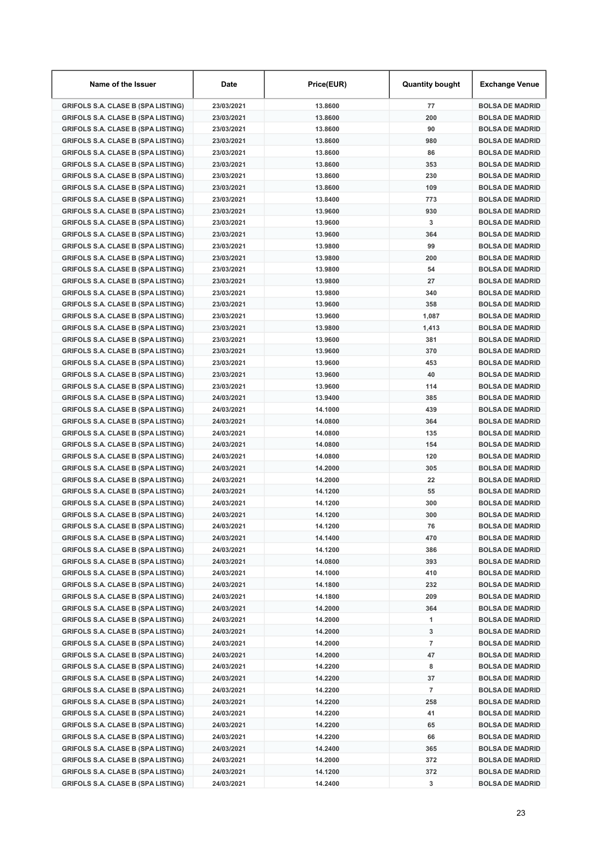| Name of the Issuer                        | Date       | Price(EUR) | <b>Quantity bought</b> | Exchange Venue         |
|-------------------------------------------|------------|------------|------------------------|------------------------|
| <b>GRIFOLS S.A. CLASE B (SPA LISTING)</b> | 23/03/2021 | 13.8600    | 77                     | <b>BOLSA DE MADRID</b> |
| <b>GRIFOLS S.A. CLASE B (SPA LISTING)</b> | 23/03/2021 | 13.8600    | 200                    | <b>BOLSA DE MADRID</b> |
| <b>GRIFOLS S.A. CLASE B (SPA LISTING)</b> | 23/03/2021 | 13,8600    | 90                     | <b>BOLSA DE MADRID</b> |
| <b>GRIFOLS S.A. CLASE B (SPA LISTING)</b> | 23/03/2021 | 13.8600    | 980                    | <b>BOLSA DE MADRID</b> |
| <b>GRIFOLS S.A. CLASE B (SPA LISTING)</b> | 23/03/2021 | 13.8600    | 86                     | <b>BOLSA DE MADRID</b> |
| <b>GRIFOLS S.A. CLASE B (SPA LISTING)</b> | 23/03/2021 | 13.8600    | 353                    | <b>BOLSA DE MADRID</b> |
| <b>GRIFOLS S.A. CLASE B (SPA LISTING)</b> | 23/03/2021 | 13.8600    | 230                    | <b>BOLSA DE MADRID</b> |
| <b>GRIFOLS S.A. CLASE B (SPA LISTING)</b> | 23/03/2021 | 13.8600    | 109                    | <b>BOLSA DE MADRID</b> |
| <b>GRIFOLS S.A. CLASE B (SPA LISTING)</b> | 23/03/2021 | 13.8400    | 773                    | <b>BOLSA DE MADRID</b> |
| <b>GRIFOLS S.A. CLASE B (SPA LISTING)</b> | 23/03/2021 | 13.9600    | 930                    | <b>BOLSA DE MADRID</b> |
| <b>GRIFOLS S.A. CLASE B (SPA LISTING)</b> | 23/03/2021 | 13.9600    | 3                      | <b>BOLSA DE MADRID</b> |
| <b>GRIFOLS S.A. CLASE B (SPA LISTING)</b> | 23/03/2021 | 13.9600    | 364                    | <b>BOLSA DE MADRID</b> |
| <b>GRIFOLS S.A. CLASE B (SPA LISTING)</b> | 23/03/2021 | 13.9800    | 99                     | <b>BOLSA DE MADRID</b> |
| <b>GRIFOLS S.A. CLASE B (SPA LISTING)</b> | 23/03/2021 | 13.9800    | 200                    | <b>BOLSA DE MADRID</b> |
| <b>GRIFOLS S.A. CLASE B (SPA LISTING)</b> | 23/03/2021 | 13.9800    | 54                     | <b>BOLSA DE MADRID</b> |
| <b>GRIFOLS S.A. CLASE B (SPA LISTING)</b> | 23/03/2021 | 13.9800    | 27                     | <b>BOLSA DE MADRID</b> |
| <b>GRIFOLS S.A. CLASE B (SPA LISTING)</b> | 23/03/2021 | 13.9800    | 340                    | <b>BOLSA DE MADRID</b> |
| <b>GRIFOLS S.A. CLASE B (SPA LISTING)</b> | 23/03/2021 | 13.9600    | 358                    | <b>BOLSA DE MADRID</b> |
| <b>GRIFOLS S.A. CLASE B (SPA LISTING)</b> | 23/03/2021 | 13.9600    | 1,087                  | <b>BOLSA DE MADRID</b> |
| <b>GRIFOLS S.A. CLASE B (SPA LISTING)</b> | 23/03/2021 | 13.9800    | 1,413                  | <b>BOLSA DE MADRID</b> |
| <b>GRIFOLS S.A. CLASE B (SPA LISTING)</b> | 23/03/2021 | 13.9600    | 381                    | <b>BOLSA DE MADRID</b> |
| <b>GRIFOLS S.A. CLASE B (SPA LISTING)</b> | 23/03/2021 | 13.9600    | 370                    | <b>BOLSA DE MADRID</b> |
| <b>GRIFOLS S.A. CLASE B (SPA LISTING)</b> | 23/03/2021 | 13.9600    | 453                    | <b>BOLSA DE MADRID</b> |
| <b>GRIFOLS S.A. CLASE B (SPA LISTING)</b> | 23/03/2021 | 13.9600    | 40                     | <b>BOLSA DE MADRID</b> |
| <b>GRIFOLS S.A. CLASE B (SPA LISTING)</b> | 23/03/2021 | 13.9600    | 114                    | <b>BOLSA DE MADRID</b> |
| <b>GRIFOLS S.A. CLASE B (SPA LISTING)</b> | 24/03/2021 | 13.9400    | 385                    | <b>BOLSA DE MADRID</b> |
| <b>GRIFOLS S.A. CLASE B (SPA LISTING)</b> | 24/03/2021 | 14.1000    | 439                    | <b>BOLSA DE MADRID</b> |
| <b>GRIFOLS S.A. CLASE B (SPA LISTING)</b> | 24/03/2021 | 14.0800    | 364                    | <b>BOLSA DE MADRID</b> |
| <b>GRIFOLS S.A. CLASE B (SPA LISTING)</b> | 24/03/2021 | 14.0800    | 135                    | <b>BOLSA DE MADRID</b> |
| <b>GRIFOLS S.A. CLASE B (SPA LISTING)</b> | 24/03/2021 | 14.0800    | 154                    | <b>BOLSA DE MADRID</b> |
| <b>GRIFOLS S.A. CLASE B (SPA LISTING)</b> | 24/03/2021 | 14.0800    | 120                    | <b>BOLSA DE MADRID</b> |
| <b>GRIFOLS S.A. CLASE B (SPA LISTING)</b> | 24/03/2021 | 14.2000    | 305                    | <b>BOLSA DE MADRID</b> |
| <b>GRIFOLS S.A. CLASE B (SPA LISTING)</b> | 24/03/2021 | 14.2000    | 22                     | <b>BOLSA DE MADRID</b> |
| <b>GRIFOLS S.A. CLASE B (SPA LISTING)</b> | 24/03/2021 | 14.1200    | 55                     | <b>BOLSA DE MADRID</b> |
| <b>GRIFOLS S.A. CLASE B (SPA LISTING)</b> | 24/03/2021 | 14.1200    | 300                    | <b>BOLSA DE MADRID</b> |
| <b>GRIFOLS S.A. CLASE B (SPA LISTING)</b> | 24/03/2021 | 14.1200    | 300                    | <b>BOLSA DE MADRID</b> |
| <b>GRIFOLS S.A. CLASE B (SPA LISTING)</b> | 24/03/2021 | 14.1200    | 76                     | <b>BOLSA DE MADRID</b> |
| <b>GRIFOLS S.A. CLASE B (SPA LISTING)</b> | 24/03/2021 | 14.1400    | 470                    | <b>BOLSA DE MADRID</b> |
| <b>GRIFOLS S.A. CLASE B (SPA LISTING)</b> | 24/03/2021 | 14.1200    | 386                    | <b>BOLSA DE MADRID</b> |
| <b>GRIFOLS S.A. CLASE B (SPA LISTING)</b> | 24/03/2021 | 14.0800    | 393                    | <b>BOLSA DE MADRID</b> |
| <b>GRIFOLS S.A. CLASE B (SPA LISTING)</b> | 24/03/2021 | 14.1000    | 410                    | <b>BOLSA DE MADRID</b> |
| <b>GRIFOLS S.A. CLASE B (SPA LISTING)</b> | 24/03/2021 | 14.1800    | 232                    | <b>BOLSA DE MADRID</b> |
| <b>GRIFOLS S.A. CLASE B (SPA LISTING)</b> | 24/03/2021 | 14.1800    | 209                    | <b>BOLSA DE MADRID</b> |
| <b>GRIFOLS S.A. CLASE B (SPA LISTING)</b> | 24/03/2021 | 14.2000    | 364                    | <b>BOLSA DE MADRID</b> |
| <b>GRIFOLS S.A. CLASE B (SPA LISTING)</b> | 24/03/2021 | 14.2000    | 1                      | <b>BOLSA DE MADRID</b> |
| <b>GRIFOLS S.A. CLASE B (SPA LISTING)</b> | 24/03/2021 | 14.2000    | 3                      | <b>BOLSA DE MADRID</b> |
| <b>GRIFOLS S.A. CLASE B (SPA LISTING)</b> | 24/03/2021 | 14.2000    | 7                      | <b>BOLSA DE MADRID</b> |
| <b>GRIFOLS S.A. CLASE B (SPA LISTING)</b> | 24/03/2021 | 14.2000    | 47                     | <b>BOLSA DE MADRID</b> |
| <b>GRIFOLS S.A. CLASE B (SPA LISTING)</b> | 24/03/2021 | 14.2200    | 8                      | <b>BOLSA DE MADRID</b> |
| <b>GRIFOLS S.A. CLASE B (SPA LISTING)</b> | 24/03/2021 | 14.2200    | 37                     | <b>BOLSA DE MADRID</b> |
| <b>GRIFOLS S.A. CLASE B (SPA LISTING)</b> | 24/03/2021 | 14.2200    | $\overline{7}$         | <b>BOLSA DE MADRID</b> |
| <b>GRIFOLS S.A. CLASE B (SPA LISTING)</b> | 24/03/2021 | 14.2200    | 258                    | <b>BOLSA DE MADRID</b> |
| <b>GRIFOLS S.A. CLASE B (SPA LISTING)</b> | 24/03/2021 | 14.2200    | 41                     | <b>BOLSA DE MADRID</b> |
| <b>GRIFOLS S.A. CLASE B (SPA LISTING)</b> | 24/03/2021 | 14.2200    | 65                     | <b>BOLSA DE MADRID</b> |
| <b>GRIFOLS S.A. CLASE B (SPA LISTING)</b> | 24/03/2021 | 14.2200    | 66                     | <b>BOLSA DE MADRID</b> |
| <b>GRIFOLS S.A. CLASE B (SPA LISTING)</b> | 24/03/2021 | 14.2400    | 365                    | <b>BOLSA DE MADRID</b> |
| <b>GRIFOLS S.A. CLASE B (SPA LISTING)</b> | 24/03/2021 | 14.2000    | 372                    | <b>BOLSA DE MADRID</b> |
| <b>GRIFOLS S.A. CLASE B (SPA LISTING)</b> | 24/03/2021 | 14.1200    | 372                    | <b>BOLSA DE MADRID</b> |
| <b>GRIFOLS S.A. CLASE B (SPA LISTING)</b> | 24/03/2021 | 14.2400    | 3                      | <b>BOLSA DE MADRID</b> |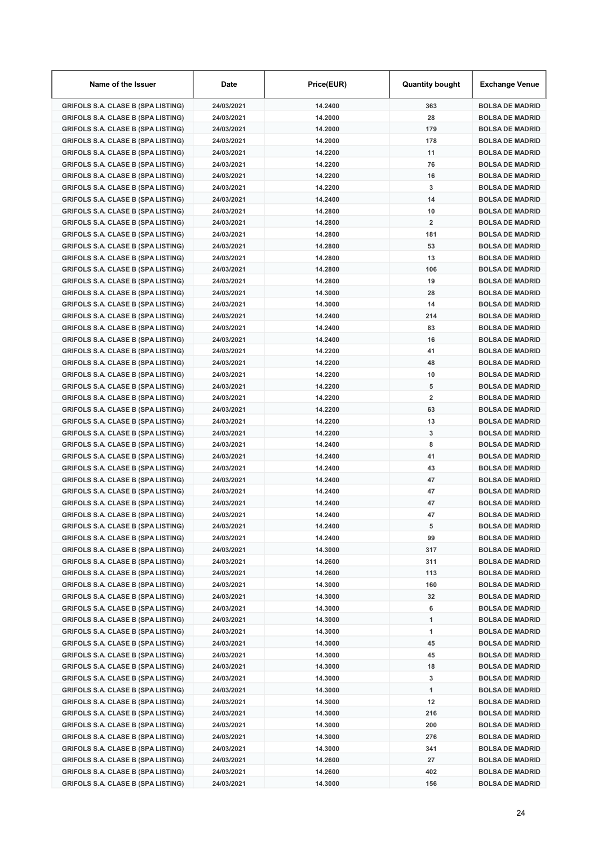| Name of the Issuer                        | Date       | Price(EUR) | <b>Quantity bought</b> | Exchange Venue         |
|-------------------------------------------|------------|------------|------------------------|------------------------|
| <b>GRIFOLS S.A. CLASE B (SPA LISTING)</b> | 24/03/2021 | 14.2400    | 363                    | <b>BOLSA DE MADRID</b> |
| <b>GRIFOLS S.A. CLASE B (SPA LISTING)</b> | 24/03/2021 | 14.2000    | 28                     | <b>BOLSA DE MADRID</b> |
| <b>GRIFOLS S.A. CLASE B (SPA LISTING)</b> | 24/03/2021 | 14.2000    | 179                    | <b>BOLSA DE MADRID</b> |
| <b>GRIFOLS S.A. CLASE B (SPA LISTING)</b> | 24/03/2021 | 14.2000    | 178                    | <b>BOLSA DE MADRID</b> |
| <b>GRIFOLS S.A. CLASE B (SPA LISTING)</b> | 24/03/2021 | 14.2200    | 11                     | <b>BOLSA DE MADRID</b> |
| <b>GRIFOLS S.A. CLASE B (SPA LISTING)</b> | 24/03/2021 | 14.2200    | 76                     | <b>BOLSA DE MADRID</b> |
| <b>GRIFOLS S.A. CLASE B (SPA LISTING)</b> | 24/03/2021 | 14.2200    | 16                     | <b>BOLSA DE MADRID</b> |
| <b>GRIFOLS S.A. CLASE B (SPA LISTING)</b> | 24/03/2021 | 14.2200    | 3                      | <b>BOLSA DE MADRID</b> |
| <b>GRIFOLS S.A. CLASE B (SPA LISTING)</b> | 24/03/2021 | 14.2400    | 14                     | <b>BOLSA DE MADRID</b> |
| <b>GRIFOLS S.A. CLASE B (SPA LISTING)</b> | 24/03/2021 | 14.2800    | 10                     | <b>BOLSA DE MADRID</b> |
| <b>GRIFOLS S.A. CLASE B (SPA LISTING)</b> | 24/03/2021 | 14.2800    | $\overline{2}$         | <b>BOLSA DE MADRID</b> |
| <b>GRIFOLS S.A. CLASE B (SPA LISTING)</b> | 24/03/2021 | 14.2800    | 181                    | <b>BOLSA DE MADRID</b> |
| <b>GRIFOLS S.A. CLASE B (SPA LISTING)</b> | 24/03/2021 | 14.2800    | 53                     | <b>BOLSA DE MADRID</b> |
| <b>GRIFOLS S.A. CLASE B (SPA LISTING)</b> | 24/03/2021 | 14.2800    | 13                     | <b>BOLSA DE MADRID</b> |
| <b>GRIFOLS S.A. CLASE B (SPA LISTING)</b> | 24/03/2021 | 14.2800    | 106                    | <b>BOLSA DE MADRID</b> |
| <b>GRIFOLS S.A. CLASE B (SPA LISTING)</b> | 24/03/2021 | 14.2800    | 19                     | <b>BOLSA DE MADRID</b> |
| <b>GRIFOLS S.A. CLASE B (SPA LISTING)</b> | 24/03/2021 | 14.3000    | 28                     | <b>BOLSA DE MADRID</b> |
| <b>GRIFOLS S.A. CLASE B (SPA LISTING)</b> | 24/03/2021 | 14.3000    | 14                     | <b>BOLSA DE MADRID</b> |
| <b>GRIFOLS S.A. CLASE B (SPA LISTING)</b> | 24/03/2021 | 14.2400    | 214                    | <b>BOLSA DE MADRID</b> |
| <b>GRIFOLS S.A. CLASE B (SPA LISTING)</b> | 24/03/2021 | 14.2400    | 83                     | <b>BOLSA DE MADRID</b> |
| <b>GRIFOLS S.A. CLASE B (SPA LISTING)</b> | 24/03/2021 | 14.2400    | 16                     | <b>BOLSA DE MADRID</b> |
| <b>GRIFOLS S.A. CLASE B (SPA LISTING)</b> | 24/03/2021 | 14.2200    | 41                     | <b>BOLSA DE MADRID</b> |
| <b>GRIFOLS S.A. CLASE B (SPA LISTING)</b> | 24/03/2021 | 14.2200    | 48                     | <b>BOLSA DE MADRID</b> |
| <b>GRIFOLS S.A. CLASE B (SPA LISTING)</b> | 24/03/2021 | 14.2200    | 10                     | <b>BOLSA DE MADRID</b> |
| <b>GRIFOLS S.A. CLASE B (SPA LISTING)</b> | 24/03/2021 | 14.2200    | 5                      | <b>BOLSA DE MADRID</b> |
| <b>GRIFOLS S.A. CLASE B (SPA LISTING)</b> | 24/03/2021 | 14.2200    | $\overline{2}$         | <b>BOLSA DE MADRID</b> |
| <b>GRIFOLS S.A. CLASE B (SPA LISTING)</b> | 24/03/2021 | 14.2200    | 63                     | <b>BOLSA DE MADRID</b> |
| <b>GRIFOLS S.A. CLASE B (SPA LISTING)</b> | 24/03/2021 | 14.2200    | 13                     | <b>BOLSA DE MADRID</b> |
| <b>GRIFOLS S.A. CLASE B (SPA LISTING)</b> | 24/03/2021 | 14.2200    | 3                      | <b>BOLSA DE MADRID</b> |
| <b>GRIFOLS S.A. CLASE B (SPA LISTING)</b> | 24/03/2021 | 14.2400    | 8                      | <b>BOLSA DE MADRID</b> |
| <b>GRIFOLS S.A. CLASE B (SPA LISTING)</b> | 24/03/2021 | 14.2400    | 41                     | <b>BOLSA DE MADRID</b> |
| <b>GRIFOLS S.A. CLASE B (SPA LISTING)</b> | 24/03/2021 | 14.2400    | 43                     | <b>BOLSA DE MADRID</b> |
| <b>GRIFOLS S.A. CLASE B (SPA LISTING)</b> | 24/03/2021 | 14.2400    | 47                     | <b>BOLSA DE MADRID</b> |
| <b>GRIFOLS S.A. CLASE B (SPA LISTING)</b> | 24/03/2021 | 14.2400    | 47                     | <b>BOLSA DE MADRID</b> |
| <b>GRIFOLS S.A. CLASE B (SPA LISTING)</b> | 24/03/2021 | 14.2400    | 47                     | <b>BOLSA DE MADRID</b> |
| <b>GRIFOLS S.A. CLASE B (SPA LISTING)</b> | 24/03/2021 | 14.2400    | 47                     | <b>BOLSA DE MADRID</b> |
| <b>GRIFOLS S.A. CLASE B (SPA LISTING)</b> | 24/03/2021 | 14.2400    | 5                      | <b>BOLSA DE MADRID</b> |
| <b>GRIFOLS S.A. CLASE B (SPA LISTING)</b> | 24/03/2021 | 14.2400    | 99                     | <b>BOLSA DE MADRID</b> |
| <b>GRIFOLS S.A. CLASE B (SPA LISTING)</b> | 24/03/2021 | 14.3000    | 317                    | <b>BOLSA DE MADRID</b> |
| <b>GRIFOLS S.A. CLASE B (SPA LISTING)</b> | 24/03/2021 | 14.2600    | 311                    | <b>BOLSA DE MADRID</b> |
| <b>GRIFOLS S.A. CLASE B (SPA LISTING)</b> | 24/03/2021 | 14.2600    | 113                    | <b>BOLSA DE MADRID</b> |
| <b>GRIFOLS S.A. CLASE B (SPA LISTING)</b> | 24/03/2021 | 14.3000    | 160                    | <b>BOLSA DE MADRID</b> |
| <b>GRIFOLS S.A. CLASE B (SPA LISTING)</b> | 24/03/2021 | 14.3000    | 32                     | <b>BOLSA DE MADRID</b> |
| <b>GRIFOLS S.A. CLASE B (SPA LISTING)</b> | 24/03/2021 | 14.3000    | 6                      | <b>BOLSA DE MADRID</b> |
| <b>GRIFOLS S.A. CLASE B (SPA LISTING)</b> | 24/03/2021 | 14.3000    | 1                      | <b>BOLSA DE MADRID</b> |
| <b>GRIFOLS S.A. CLASE B (SPA LISTING)</b> | 24/03/2021 | 14.3000    | 1                      | <b>BOLSA DE MADRID</b> |
| <b>GRIFOLS S.A. CLASE B (SPA LISTING)</b> | 24/03/2021 | 14.3000    | 45                     | <b>BOLSA DE MADRID</b> |
| <b>GRIFOLS S.A. CLASE B (SPA LISTING)</b> | 24/03/2021 | 14.3000    | 45                     | <b>BOLSA DE MADRID</b> |
| <b>GRIFOLS S.A. CLASE B (SPA LISTING)</b> | 24/03/2021 | 14.3000    | 18                     | <b>BOLSA DE MADRID</b> |
| <b>GRIFOLS S.A. CLASE B (SPA LISTING)</b> | 24/03/2021 | 14.3000    | 3                      | <b>BOLSA DE MADRID</b> |
| <b>GRIFOLS S.A. CLASE B (SPA LISTING)</b> | 24/03/2021 | 14.3000    | 1                      | <b>BOLSA DE MADRID</b> |
| <b>GRIFOLS S.A. CLASE B (SPA LISTING)</b> | 24/03/2021 | 14.3000    | 12                     | <b>BOLSA DE MADRID</b> |
| <b>GRIFOLS S.A. CLASE B (SPA LISTING)</b> | 24/03/2021 | 14.3000    | 216                    | <b>BOLSA DE MADRID</b> |
| <b>GRIFOLS S.A. CLASE B (SPA LISTING)</b> | 24/03/2021 | 14.3000    | 200                    | <b>BOLSA DE MADRID</b> |
| <b>GRIFOLS S.A. CLASE B (SPA LISTING)</b> | 24/03/2021 | 14.3000    | 276                    | <b>BOLSA DE MADRID</b> |
| <b>GRIFOLS S.A. CLASE B (SPA LISTING)</b> | 24/03/2021 | 14.3000    | 341                    | <b>BOLSA DE MADRID</b> |
| <b>GRIFOLS S.A. CLASE B (SPA LISTING)</b> | 24/03/2021 | 14.2600    | 27                     | <b>BOLSA DE MADRID</b> |
| <b>GRIFOLS S.A. CLASE B (SPA LISTING)</b> | 24/03/2021 | 14.2600    | 402                    | <b>BOLSA DE MADRID</b> |
| <b>GRIFOLS S.A. CLASE B (SPA LISTING)</b> | 24/03/2021 | 14.3000    | 156                    | <b>BOLSA DE MADRID</b> |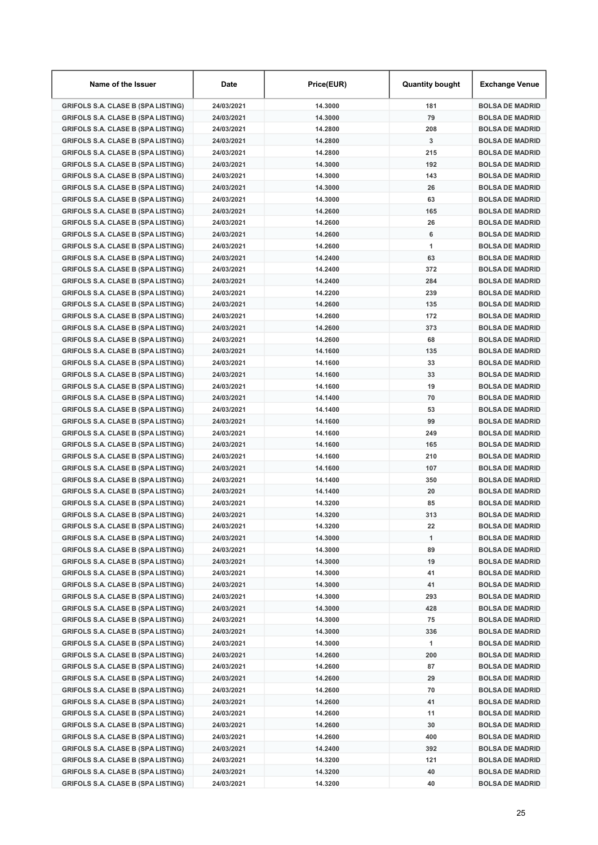| Name of the Issuer                        | Date       | Price(EUR) | <b>Quantity bought</b> | Exchange Venue         |
|-------------------------------------------|------------|------------|------------------------|------------------------|
| <b>GRIFOLS S.A. CLASE B (SPA LISTING)</b> | 24/03/2021 | 14.3000    | 181                    | <b>BOLSA DE MADRID</b> |
| <b>GRIFOLS S.A. CLASE B (SPA LISTING)</b> | 24/03/2021 | 14.3000    | 79                     | <b>BOLSA DE MADRID</b> |
| <b>GRIFOLS S.A. CLASE B (SPA LISTING)</b> | 24/03/2021 | 14.2800    | 208                    | <b>BOLSA DE MADRID</b> |
| <b>GRIFOLS S.A. CLASE B (SPA LISTING)</b> | 24/03/2021 | 14.2800    | 3                      | <b>BOLSA DE MADRID</b> |
| <b>GRIFOLS S.A. CLASE B (SPA LISTING)</b> | 24/03/2021 | 14.2800    | 215                    | <b>BOLSA DE MADRID</b> |
| <b>GRIFOLS S.A. CLASE B (SPA LISTING)</b> | 24/03/2021 | 14.3000    | 192                    | <b>BOLSA DE MADRID</b> |
| <b>GRIFOLS S.A. CLASE B (SPA LISTING)</b> | 24/03/2021 | 14.3000    | 143                    | <b>BOLSA DE MADRID</b> |
| <b>GRIFOLS S.A. CLASE B (SPA LISTING)</b> | 24/03/2021 | 14.3000    | 26                     | <b>BOLSA DE MADRID</b> |
| <b>GRIFOLS S.A. CLASE B (SPA LISTING)</b> | 24/03/2021 | 14.3000    | 63                     | <b>BOLSA DE MADRID</b> |
| <b>GRIFOLS S.A. CLASE B (SPA LISTING)</b> | 24/03/2021 | 14.2600    | 165                    | <b>BOLSA DE MADRID</b> |
| <b>GRIFOLS S.A. CLASE B (SPA LISTING)</b> | 24/03/2021 | 14.2600    | 26                     | <b>BOLSA DE MADRID</b> |
| <b>GRIFOLS S.A. CLASE B (SPA LISTING)</b> | 24/03/2021 | 14.2600    | 6                      | <b>BOLSA DE MADRID</b> |
| <b>GRIFOLS S.A. CLASE B (SPA LISTING)</b> | 24/03/2021 | 14.2600    | 1                      | <b>BOLSA DE MADRID</b> |
| <b>GRIFOLS S.A. CLASE B (SPA LISTING)</b> | 24/03/2021 | 14.2400    | 63                     | <b>BOLSA DE MADRID</b> |
| <b>GRIFOLS S.A. CLASE B (SPA LISTING)</b> | 24/03/2021 | 14.2400    | 372                    | <b>BOLSA DE MADRID</b> |
| <b>GRIFOLS S.A. CLASE B (SPA LISTING)</b> | 24/03/2021 | 14.2400    | 284                    | <b>BOLSA DE MADRID</b> |
| <b>GRIFOLS S.A. CLASE B (SPA LISTING)</b> | 24/03/2021 | 14.2200    | 239                    | <b>BOLSA DE MADRID</b> |
| <b>GRIFOLS S.A. CLASE B (SPA LISTING)</b> | 24/03/2021 | 14.2600    | 135                    | <b>BOLSA DE MADRID</b> |
| <b>GRIFOLS S.A. CLASE B (SPA LISTING)</b> | 24/03/2021 | 14.2600    | 172                    | <b>BOLSA DE MADRID</b> |
| <b>GRIFOLS S.A. CLASE B (SPA LISTING)</b> | 24/03/2021 | 14.2600    | 373                    | <b>BOLSA DE MADRID</b> |
| <b>GRIFOLS S.A. CLASE B (SPA LISTING)</b> | 24/03/2021 | 14.2600    | 68                     | <b>BOLSA DE MADRID</b> |
| <b>GRIFOLS S.A. CLASE B (SPA LISTING)</b> | 24/03/2021 | 14.1600    | 135                    | <b>BOLSA DE MADRID</b> |
| <b>GRIFOLS S.A. CLASE B (SPA LISTING)</b> | 24/03/2021 | 14.1600    | 33                     | <b>BOLSA DE MADRID</b> |
| <b>GRIFOLS S.A. CLASE B (SPA LISTING)</b> | 24/03/2021 | 14.1600    | 33                     | <b>BOLSA DE MADRID</b> |
| <b>GRIFOLS S.A. CLASE B (SPA LISTING)</b> | 24/03/2021 | 14.1600    | 19                     | <b>BOLSA DE MADRID</b> |
| <b>GRIFOLS S.A. CLASE B (SPA LISTING)</b> | 24/03/2021 | 14.1400    | 70                     | <b>BOLSA DE MADRID</b> |
| <b>GRIFOLS S.A. CLASE B (SPA LISTING)</b> | 24/03/2021 | 14.1400    | 53                     | <b>BOLSA DE MADRID</b> |
| <b>GRIFOLS S.A. CLASE B (SPA LISTING)</b> | 24/03/2021 | 14.1600    | 99                     | <b>BOLSA DE MADRID</b> |
| <b>GRIFOLS S.A. CLASE B (SPA LISTING)</b> | 24/03/2021 | 14.1600    | 249                    | <b>BOLSA DE MADRID</b> |
| <b>GRIFOLS S.A. CLASE B (SPA LISTING)</b> | 24/03/2021 | 14.1600    | 165                    | <b>BOLSA DE MADRID</b> |
| <b>GRIFOLS S.A. CLASE B (SPA LISTING)</b> | 24/03/2021 | 14.1600    | 210                    | <b>BOLSA DE MADRID</b> |
| <b>GRIFOLS S.A. CLASE B (SPA LISTING)</b> | 24/03/2021 | 14.1600    | 107                    | <b>BOLSA DE MADRID</b> |
| <b>GRIFOLS S.A. CLASE B (SPA LISTING)</b> | 24/03/2021 | 14.1400    | 350                    | <b>BOLSA DE MADRID</b> |
| <b>GRIFOLS S.A. CLASE B (SPA LISTING)</b> | 24/03/2021 | 14.1400    | 20                     | <b>BOLSA DE MADRID</b> |
| <b>GRIFOLS S.A. CLASE B (SPA LISTING)</b> | 24/03/2021 | 14.3200    | 85                     | <b>BOLSA DE MADRID</b> |
| <b>GRIFOLS S.A. CLASE B (SPA LISTING)</b> | 24/03/2021 | 14.3200    | 313                    | <b>BOLSA DE MADRID</b> |
| <b>GRIFOLS S.A. CLASE B (SPA LISTING)</b> | 24/03/2021 | 14.3200    | 22                     | <b>BOLSA DE MADRID</b> |
| <b>GRIFOLS S.A. CLASE B (SPA LISTING)</b> | 24/03/2021 | 14.3000    | 1                      | <b>BOLSA DE MADRID</b> |
| <b>GRIFOLS S.A. CLASE B (SPA LISTING)</b> | 24/03/2021 | 14.3000    | 89                     | <b>BOLSA DE MADRID</b> |
| <b>GRIFOLS S.A. CLASE B (SPA LISTING)</b> | 24/03/2021 | 14.3000    | 19                     | <b>BOLSA DE MADRID</b> |
| <b>GRIFOLS S.A. CLASE B (SPA LISTING)</b> | 24/03/2021 | 14.3000    | 41                     | <b>BOLSA DE MADRID</b> |
| <b>GRIFOLS S.A. CLASE B (SPA LISTING)</b> | 24/03/2021 | 14.3000    | 41                     | <b>BOLSA DE MADRID</b> |
| <b>GRIFOLS S.A. CLASE B (SPA LISTING)</b> | 24/03/2021 | 14.3000    | 293                    | <b>BOLSA DE MADRID</b> |
| <b>GRIFOLS S.A. CLASE B (SPA LISTING)</b> | 24/03/2021 | 14.3000    | 428                    | <b>BOLSA DE MADRID</b> |
| <b>GRIFOLS S.A. CLASE B (SPA LISTING)</b> | 24/03/2021 | 14.3000    | 75                     | <b>BOLSA DE MADRID</b> |
| <b>GRIFOLS S.A. CLASE B (SPA LISTING)</b> | 24/03/2021 | 14.3000    | 336                    | <b>BOLSA DE MADRID</b> |
| <b>GRIFOLS S.A. CLASE B (SPA LISTING)</b> | 24/03/2021 | 14.3000    | 1                      | <b>BOLSA DE MADRID</b> |
| <b>GRIFOLS S.A. CLASE B (SPA LISTING)</b> | 24/03/2021 | 14.2600    | 200                    | <b>BOLSA DE MADRID</b> |
| <b>GRIFOLS S.A. CLASE B (SPA LISTING)</b> | 24/03/2021 | 14.2600    | 87                     | <b>BOLSA DE MADRID</b> |
| <b>GRIFOLS S.A. CLASE B (SPA LISTING)</b> | 24/03/2021 | 14.2600    | 29                     | <b>BOLSA DE MADRID</b> |
| <b>GRIFOLS S.A. CLASE B (SPA LISTING)</b> | 24/03/2021 | 14.2600    | 70                     | <b>BOLSA DE MADRID</b> |
| <b>GRIFOLS S.A. CLASE B (SPA LISTING)</b> | 24/03/2021 | 14.2600    | 41                     | <b>BOLSA DE MADRID</b> |
| <b>GRIFOLS S.A. CLASE B (SPA LISTING)</b> | 24/03/2021 | 14.2600    | 11                     | <b>BOLSA DE MADRID</b> |
| <b>GRIFOLS S.A. CLASE B (SPA LISTING)</b> | 24/03/2021 | 14.2600    | 30                     | <b>BOLSA DE MADRID</b> |
| <b>GRIFOLS S.A. CLASE B (SPA LISTING)</b> | 24/03/2021 | 14.2600    | 400                    | <b>BOLSA DE MADRID</b> |
| <b>GRIFOLS S.A. CLASE B (SPA LISTING)</b> | 24/03/2021 | 14.2400    | 392                    | <b>BOLSA DE MADRID</b> |
| <b>GRIFOLS S.A. CLASE B (SPA LISTING)</b> | 24/03/2021 | 14.3200    | 121                    | <b>BOLSA DE MADRID</b> |
| <b>GRIFOLS S.A. CLASE B (SPA LISTING)</b> | 24/03/2021 | 14.3200    | 40                     | <b>BOLSA DE MADRID</b> |
| <b>GRIFOLS S.A. CLASE B (SPA LISTING)</b> | 24/03/2021 | 14.3200    | 40                     | <b>BOLSA DE MADRID</b> |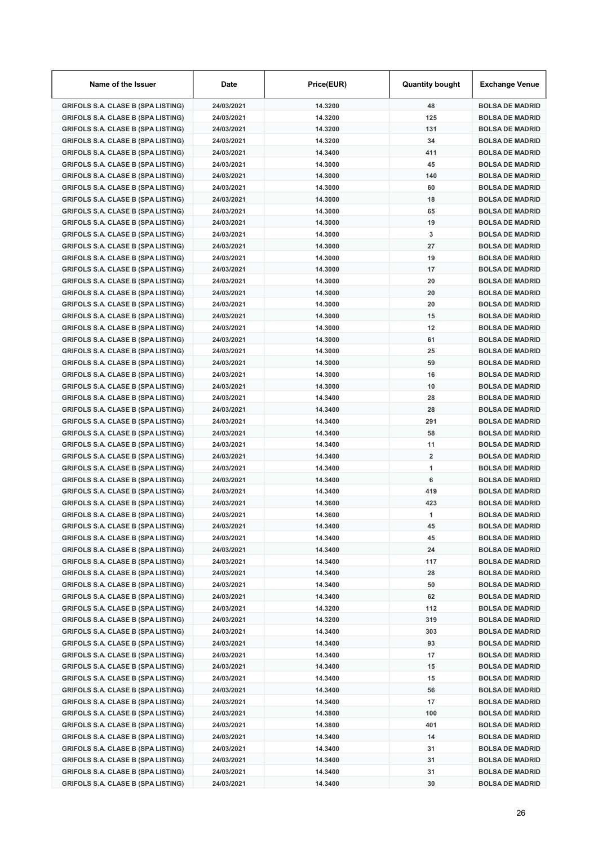| Name of the Issuer                        | Date       | Price(EUR) | <b>Quantity bought</b>  | Exchange Venue         |
|-------------------------------------------|------------|------------|-------------------------|------------------------|
| <b>GRIFOLS S.A. CLASE B (SPA LISTING)</b> | 24/03/2021 | 14.3200    | 48                      | <b>BOLSA DE MADRID</b> |
| <b>GRIFOLS S.A. CLASE B (SPA LISTING)</b> | 24/03/2021 | 14.3200    | 125                     | <b>BOLSA DE MADRID</b> |
| <b>GRIFOLS S.A. CLASE B (SPA LISTING)</b> | 24/03/2021 | 14.3200    | 131                     | <b>BOLSA DE MADRID</b> |
| <b>GRIFOLS S.A. CLASE B (SPA LISTING)</b> | 24/03/2021 | 14.3200    | 34                      | <b>BOLSA DE MADRID</b> |
| <b>GRIFOLS S.A. CLASE B (SPA LISTING)</b> | 24/03/2021 | 14.3400    | 411                     | <b>BOLSA DE MADRID</b> |
| <b>GRIFOLS S.A. CLASE B (SPA LISTING)</b> | 24/03/2021 | 14.3000    | 45                      | <b>BOLSA DE MADRID</b> |
| <b>GRIFOLS S.A. CLASE B (SPA LISTING)</b> | 24/03/2021 | 14.3000    | 140                     | <b>BOLSA DE MADRID</b> |
| <b>GRIFOLS S.A. CLASE B (SPA LISTING)</b> | 24/03/2021 | 14.3000    | 60                      | <b>BOLSA DE MADRID</b> |
| <b>GRIFOLS S.A. CLASE B (SPA LISTING)</b> | 24/03/2021 | 14.3000    | 18                      | <b>BOLSA DE MADRID</b> |
| <b>GRIFOLS S.A. CLASE B (SPA LISTING)</b> | 24/03/2021 | 14.3000    | 65                      | <b>BOLSA DE MADRID</b> |
| <b>GRIFOLS S.A. CLASE B (SPA LISTING)</b> | 24/03/2021 | 14.3000    | 19                      | <b>BOLSA DE MADRID</b> |
| <b>GRIFOLS S.A. CLASE B (SPA LISTING)</b> | 24/03/2021 | 14.3000    | 3                       | <b>BOLSA DE MADRID</b> |
| <b>GRIFOLS S.A. CLASE B (SPA LISTING)</b> | 24/03/2021 | 14.3000    | 27                      | <b>BOLSA DE MADRID</b> |
| <b>GRIFOLS S.A. CLASE B (SPA LISTING)</b> | 24/03/2021 | 14.3000    | 19                      | <b>BOLSA DE MADRID</b> |
| <b>GRIFOLS S.A. CLASE B (SPA LISTING)</b> | 24/03/2021 | 14.3000    | 17                      | <b>BOLSA DE MADRID</b> |
| <b>GRIFOLS S.A. CLASE B (SPA LISTING)</b> | 24/03/2021 | 14.3000    | 20                      | <b>BOLSA DE MADRID</b> |
| <b>GRIFOLS S.A. CLASE B (SPA LISTING)</b> | 24/03/2021 | 14.3000    | 20                      | <b>BOLSA DE MADRID</b> |
| <b>GRIFOLS S.A. CLASE B (SPA LISTING)</b> | 24/03/2021 | 14.3000    | 20                      | <b>BOLSA DE MADRID</b> |
| <b>GRIFOLS S.A. CLASE B (SPA LISTING)</b> | 24/03/2021 | 14.3000    | 15                      | <b>BOLSA DE MADRID</b> |
| <b>GRIFOLS S.A. CLASE B (SPA LISTING)</b> | 24/03/2021 | 14.3000    | 12                      | <b>BOLSA DE MADRID</b> |
| <b>GRIFOLS S.A. CLASE B (SPA LISTING)</b> | 24/03/2021 | 14.3000    | 61                      | <b>BOLSA DE MADRID</b> |
| <b>GRIFOLS S.A. CLASE B (SPA LISTING)</b> | 24/03/2021 | 14.3000    | 25                      | <b>BOLSA DE MADRID</b> |
| <b>GRIFOLS S.A. CLASE B (SPA LISTING)</b> | 24/03/2021 | 14.3000    | 59                      | <b>BOLSA DE MADRID</b> |
| <b>GRIFOLS S.A. CLASE B (SPA LISTING)</b> | 24/03/2021 | 14.3000    | 16                      | <b>BOLSA DE MADRID</b> |
| <b>GRIFOLS S.A. CLASE B (SPA LISTING)</b> | 24/03/2021 | 14.3000    | 10                      | <b>BOLSA DE MADRID</b> |
| <b>GRIFOLS S.A. CLASE B (SPA LISTING)</b> | 24/03/2021 | 14.3400    | 28                      | <b>BOLSA DE MADRID</b> |
| <b>GRIFOLS S.A. CLASE B (SPA LISTING)</b> | 24/03/2021 | 14.3400    | 28                      | <b>BOLSA DE MADRID</b> |
| <b>GRIFOLS S.A. CLASE B (SPA LISTING)</b> | 24/03/2021 | 14.3400    | 291                     | <b>BOLSA DE MADRID</b> |
| <b>GRIFOLS S.A. CLASE B (SPA LISTING)</b> | 24/03/2021 | 14.3400    | 58                      | <b>BOLSA DE MADRID</b> |
| <b>GRIFOLS S.A. CLASE B (SPA LISTING)</b> | 24/03/2021 | 14.3400    | 11                      | <b>BOLSA DE MADRID</b> |
| <b>GRIFOLS S.A. CLASE B (SPA LISTING)</b> | 24/03/2021 | 14.3400    | $\overline{\mathbf{2}}$ | <b>BOLSA DE MADRID</b> |
| <b>GRIFOLS S.A. CLASE B (SPA LISTING)</b> | 24/03/2021 | 14.3400    | 1                       | <b>BOLSA DE MADRID</b> |
| <b>GRIFOLS S.A. CLASE B (SPA LISTING)</b> | 24/03/2021 | 14.3400    | 6                       | <b>BOLSA DE MADRID</b> |
| <b>GRIFOLS S.A. CLASE B (SPA LISTING)</b> | 24/03/2021 | 14.3400    | 419                     | <b>BOLSA DE MADRID</b> |
| <b>GRIFOLS S.A. CLASE B (SPA LISTING)</b> | 24/03/2021 | 14.3600    | 423                     | <b>BOLSA DE MADRID</b> |
| <b>GRIFOLS S.A. CLASE B (SPA LISTING)</b> | 24/03/2021 | 14.3600    | 1                       | <b>BOLSA DE MADRID</b> |
| <b>GRIFOLS S.A. CLASE B (SPA LISTING)</b> | 24/03/2021 | 14.3400    | 45                      | <b>BOLSA DE MADRID</b> |
| <b>GRIFOLS S.A. CLASE B (SPA LISTING)</b> | 24/03/2021 | 14.3400    | 45                      | <b>BOLSA DE MADRID</b> |
| <b>GRIFOLS S.A. CLASE B (SPA LISTING)</b> | 24/03/2021 | 14.3400    | 24                      | <b>BOLSA DE MADRID</b> |
| <b>GRIFOLS S.A. CLASE B (SPA LISTING)</b> | 24/03/2021 | 14.3400    | 117                     | <b>BOLSA DE MADRID</b> |
| <b>GRIFOLS S.A. CLASE B (SPA LISTING)</b> | 24/03/2021 | 14.3400    | 28                      | <b>BOLSA DE MADRID</b> |
| <b>GRIFOLS S.A. CLASE B (SPA LISTING)</b> | 24/03/2021 | 14.3400    | 50                      | <b>BOLSA DE MADRID</b> |
| <b>GRIFOLS S.A. CLASE B (SPA LISTING)</b> | 24/03/2021 | 14.3400    | 62                      | <b>BOLSA DE MADRID</b> |
| <b>GRIFOLS S.A. CLASE B (SPA LISTING)</b> | 24/03/2021 | 14.3200    | 112                     | <b>BOLSA DE MADRID</b> |
| <b>GRIFOLS S.A. CLASE B (SPA LISTING)</b> | 24/03/2021 | 14.3200    | 319                     | <b>BOLSA DE MADRID</b> |
| <b>GRIFOLS S.A. CLASE B (SPA LISTING)</b> | 24/03/2021 | 14.3400    | 303                     | <b>BOLSA DE MADRID</b> |
| <b>GRIFOLS S.A. CLASE B (SPA LISTING)</b> | 24/03/2021 | 14.3400    | 93                      | <b>BOLSA DE MADRID</b> |
| <b>GRIFOLS S.A. CLASE B (SPA LISTING)</b> | 24/03/2021 | 14.3400    | 17                      | <b>BOLSA DE MADRID</b> |
| <b>GRIFOLS S.A. CLASE B (SPA LISTING)</b> | 24/03/2021 | 14.3400    | 15                      | <b>BOLSA DE MADRID</b> |
| <b>GRIFOLS S.A. CLASE B (SPA LISTING)</b> | 24/03/2021 | 14.3400    | 15                      | <b>BOLSA DE MADRID</b> |
| <b>GRIFOLS S.A. CLASE B (SPA LISTING)</b> | 24/03/2021 | 14.3400    | 56                      | <b>BOLSA DE MADRID</b> |
| <b>GRIFOLS S.A. CLASE B (SPA LISTING)</b> | 24/03/2021 | 14.3400    | 17                      | <b>BOLSA DE MADRID</b> |
| <b>GRIFOLS S.A. CLASE B (SPA LISTING)</b> | 24/03/2021 | 14.3800    | 100                     | <b>BOLSA DE MADRID</b> |
| <b>GRIFOLS S.A. CLASE B (SPA LISTING)</b> | 24/03/2021 | 14.3800    | 401                     | <b>BOLSA DE MADRID</b> |
| <b>GRIFOLS S.A. CLASE B (SPA LISTING)</b> | 24/03/2021 | 14.3400    | 14                      | <b>BOLSA DE MADRID</b> |
| <b>GRIFOLS S.A. CLASE B (SPA LISTING)</b> | 24/03/2021 | 14.3400    | 31                      | <b>BOLSA DE MADRID</b> |
| <b>GRIFOLS S.A. CLASE B (SPA LISTING)</b> | 24/03/2021 | 14.3400    | 31                      | <b>BOLSA DE MADRID</b> |
| <b>GRIFOLS S.A. CLASE B (SPA LISTING)</b> | 24/03/2021 | 14.3400    | 31                      | <b>BOLSA DE MADRID</b> |
| <b>GRIFOLS S.A. CLASE B (SPA LISTING)</b> | 24/03/2021 | 14.3400    | 30                      | <b>BOLSA DE MADRID</b> |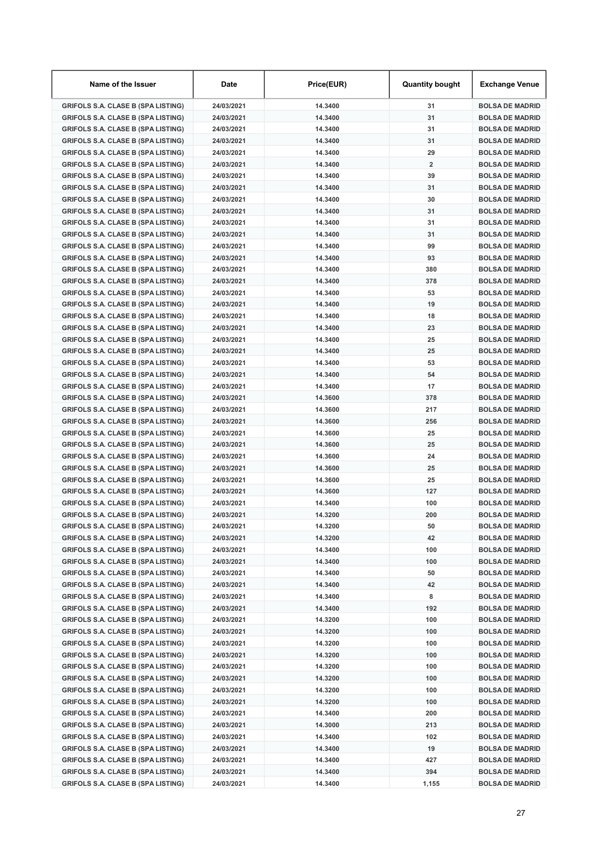| Name of the Issuer                        | Date       | Price(EUR) | <b>Quantity bought</b> | Exchange Venue         |
|-------------------------------------------|------------|------------|------------------------|------------------------|
| <b>GRIFOLS S.A. CLASE B (SPA LISTING)</b> | 24/03/2021 | 14.3400    | 31                     | <b>BOLSA DE MADRID</b> |
| <b>GRIFOLS S.A. CLASE B (SPA LISTING)</b> | 24/03/2021 | 14.3400    | 31                     | <b>BOLSA DE MADRID</b> |
| <b>GRIFOLS S.A. CLASE B (SPA LISTING)</b> | 24/03/2021 | 14.3400    | 31                     | <b>BOLSA DE MADRID</b> |
| <b>GRIFOLS S.A. CLASE B (SPA LISTING)</b> | 24/03/2021 | 14.3400    | 31                     | <b>BOLSA DE MADRID</b> |
| <b>GRIFOLS S.A. CLASE B (SPA LISTING)</b> | 24/03/2021 | 14.3400    | 29                     | <b>BOLSA DE MADRID</b> |
| <b>GRIFOLS S.A. CLASE B (SPA LISTING)</b> | 24/03/2021 | 14.3400    | $\overline{2}$         | <b>BOLSA DE MADRID</b> |
| <b>GRIFOLS S.A. CLASE B (SPA LISTING)</b> | 24/03/2021 | 14.3400    | 39                     | <b>BOLSA DE MADRID</b> |
| <b>GRIFOLS S.A. CLASE B (SPA LISTING)</b> | 24/03/2021 | 14.3400    | 31                     | <b>BOLSA DE MADRID</b> |
| <b>GRIFOLS S.A. CLASE B (SPA LISTING)</b> | 24/03/2021 | 14.3400    | 30                     | <b>BOLSA DE MADRID</b> |
| <b>GRIFOLS S.A. CLASE B (SPA LISTING)</b> | 24/03/2021 | 14.3400    | 31                     | <b>BOLSA DE MADRID</b> |
| <b>GRIFOLS S.A. CLASE B (SPA LISTING)</b> | 24/03/2021 | 14.3400    | 31                     | <b>BOLSA DE MADRID</b> |
| <b>GRIFOLS S.A. CLASE B (SPA LISTING)</b> | 24/03/2021 | 14.3400    | 31                     | <b>BOLSA DE MADRID</b> |
| <b>GRIFOLS S.A. CLASE B (SPA LISTING)</b> | 24/03/2021 | 14.3400    | 99                     | <b>BOLSA DE MADRID</b> |
| <b>GRIFOLS S.A. CLASE B (SPA LISTING)</b> | 24/03/2021 | 14.3400    | 93                     | <b>BOLSA DE MADRID</b> |
| <b>GRIFOLS S.A. CLASE B (SPA LISTING)</b> | 24/03/2021 | 14.3400    | 380                    | <b>BOLSA DE MADRID</b> |
| <b>GRIFOLS S.A. CLASE B (SPA LISTING)</b> | 24/03/2021 | 14.3400    | 378                    | <b>BOLSA DE MADRID</b> |
| <b>GRIFOLS S.A. CLASE B (SPA LISTING)</b> | 24/03/2021 | 14.3400    | 53                     | <b>BOLSA DE MADRID</b> |
| <b>GRIFOLS S.A. CLASE B (SPA LISTING)</b> | 24/03/2021 | 14.3400    | 19                     | <b>BOLSA DE MADRID</b> |
| <b>GRIFOLS S.A. CLASE B (SPA LISTING)</b> | 24/03/2021 | 14.3400    | 18                     | <b>BOLSA DE MADRID</b> |
| <b>GRIFOLS S.A. CLASE B (SPA LISTING)</b> | 24/03/2021 | 14.3400    | 23                     | <b>BOLSA DE MADRID</b> |
| <b>GRIFOLS S.A. CLASE B (SPA LISTING)</b> | 24/03/2021 | 14.3400    | 25                     | <b>BOLSA DE MADRID</b> |
| <b>GRIFOLS S.A. CLASE B (SPA LISTING)</b> | 24/03/2021 | 14.3400    | 25                     | <b>BOLSA DE MADRID</b> |
| <b>GRIFOLS S.A. CLASE B (SPA LISTING)</b> | 24/03/2021 | 14.3400    | 53                     | <b>BOLSA DE MADRID</b> |
| <b>GRIFOLS S.A. CLASE B (SPA LISTING)</b> | 24/03/2021 | 14.3400    | 54                     | <b>BOLSA DE MADRID</b> |
| <b>GRIFOLS S.A. CLASE B (SPA LISTING)</b> | 24/03/2021 | 14.3400    | 17                     | <b>BOLSA DE MADRID</b> |
| <b>GRIFOLS S.A. CLASE B (SPA LISTING)</b> | 24/03/2021 | 14.3600    | 378                    | <b>BOLSA DE MADRID</b> |
| <b>GRIFOLS S.A. CLASE B (SPA LISTING)</b> | 24/03/2021 | 14.3600    | 217                    | <b>BOLSA DE MADRID</b> |
| <b>GRIFOLS S.A. CLASE B (SPA LISTING)</b> | 24/03/2021 | 14.3600    | 256                    | <b>BOLSA DE MADRID</b> |
| <b>GRIFOLS S.A. CLASE B (SPA LISTING)</b> | 24/03/2021 | 14.3600    | 25                     | <b>BOLSA DE MADRID</b> |
| <b>GRIFOLS S.A. CLASE B (SPA LISTING)</b> | 24/03/2021 | 14.3600    | 25                     | <b>BOLSA DE MADRID</b> |
| <b>GRIFOLS S.A. CLASE B (SPA LISTING)</b> | 24/03/2021 | 14.3600    | 24                     | <b>BOLSA DE MADRID</b> |
| <b>GRIFOLS S.A. CLASE B (SPA LISTING)</b> | 24/03/2021 | 14.3600    | 25                     | <b>BOLSA DE MADRID</b> |
| <b>GRIFOLS S.A. CLASE B (SPA LISTING)</b> | 24/03/2021 | 14.3600    | 25                     | <b>BOLSA DE MADRID</b> |
| <b>GRIFOLS S.A. CLASE B (SPA LISTING)</b> | 24/03/2021 | 14.3600    | 127                    | <b>BOLSA DE MADRID</b> |
| <b>GRIFOLS S.A. CLASE B (SPA LISTING)</b> | 24/03/2021 | 14.3400    | 100                    | <b>BOLSA DE MADRID</b> |
| <b>GRIFOLS S.A. CLASE B (SPA LISTING)</b> | 24/03/2021 | 14.3200    | 200                    | <b>BOLSA DE MADRID</b> |
| <b>GRIFOLS S.A. CLASE B (SPA LISTING)</b> | 24/03/2021 | 14.3200    | 50                     | <b>BOLSA DE MADRID</b> |
| <b>GRIFOLS S.A. CLASE B (SPA LISTING)</b> | 24/03/2021 | 14.3200    | 42                     | <b>BOLSA DE MADRID</b> |
| <b>GRIFOLS S.A. CLASE B (SPA LISTING)</b> | 24/03/2021 | 14.3400    | 100                    | <b>BOLSA DE MADRID</b> |
| <b>GRIFOLS S.A. CLASE B (SPA LISTING)</b> | 24/03/2021 | 14.3400    | 100                    | <b>BOLSA DE MADRID</b> |
| <b>GRIFOLS S.A. CLASE B (SPA LISTING)</b> | 24/03/2021 | 14.3400    | 50                     | <b>BOLSA DE MADRID</b> |
| <b>GRIFOLS S.A. CLASE B (SPA LISTING)</b> | 24/03/2021 | 14.3400    | 42                     | <b>BOLSA DE MADRID</b> |
| <b>GRIFOLS S.A. CLASE B (SPA LISTING)</b> | 24/03/2021 | 14.3400    | 8                      | <b>BOLSA DE MADRID</b> |
| <b>GRIFOLS S.A. CLASE B (SPA LISTING)</b> | 24/03/2021 | 14.3400    | 192                    | <b>BOLSA DE MADRID</b> |
| <b>GRIFOLS S.A. CLASE B (SPA LISTING)</b> | 24/03/2021 | 14.3200    | 100                    | <b>BOLSA DE MADRID</b> |
| <b>GRIFOLS S.A. CLASE B (SPA LISTING)</b> | 24/03/2021 | 14.3200    | 100                    | <b>BOLSA DE MADRID</b> |
| <b>GRIFOLS S.A. CLASE B (SPA LISTING)</b> | 24/03/2021 | 14.3200    | 100                    | <b>BOLSA DE MADRID</b> |
| <b>GRIFOLS S.A. CLASE B (SPA LISTING)</b> | 24/03/2021 | 14.3200    | 100                    | <b>BOLSA DE MADRID</b> |
| <b>GRIFOLS S.A. CLASE B (SPA LISTING)</b> | 24/03/2021 | 14.3200    | 100                    | <b>BOLSA DE MADRID</b> |
| <b>GRIFOLS S.A. CLASE B (SPA LISTING)</b> | 24/03/2021 | 14.3200    | 100                    | <b>BOLSA DE MADRID</b> |
| <b>GRIFOLS S.A. CLASE B (SPA LISTING)</b> | 24/03/2021 | 14.3200    | 100                    | <b>BOLSA DE MADRID</b> |
| <b>GRIFOLS S.A. CLASE B (SPA LISTING)</b> | 24/03/2021 | 14.3200    | 100                    | <b>BOLSA DE MADRID</b> |
| <b>GRIFOLS S.A. CLASE B (SPA LISTING)</b> | 24/03/2021 | 14.3400    | 200                    | <b>BOLSA DE MADRID</b> |
| <b>GRIFOLS S.A. CLASE B (SPA LISTING)</b> | 24/03/2021 | 14.3000    | 213                    | <b>BOLSA DE MADRID</b> |
| <b>GRIFOLS S.A. CLASE B (SPA LISTING)</b> | 24/03/2021 | 14.3400    | 102                    | <b>BOLSA DE MADRID</b> |
| <b>GRIFOLS S.A. CLASE B (SPA LISTING)</b> | 24/03/2021 | 14.3400    | 19                     | <b>BOLSA DE MADRID</b> |
| <b>GRIFOLS S.A. CLASE B (SPA LISTING)</b> | 24/03/2021 | 14.3400    | 427                    | <b>BOLSA DE MADRID</b> |
| <b>GRIFOLS S.A. CLASE B (SPA LISTING)</b> | 24/03/2021 | 14.3400    | 394                    | <b>BOLSA DE MADRID</b> |
| <b>GRIFOLS S.A. CLASE B (SPA LISTING)</b> | 24/03/2021 | 14.3400    | 1,155                  | <b>BOLSA DE MADRID</b> |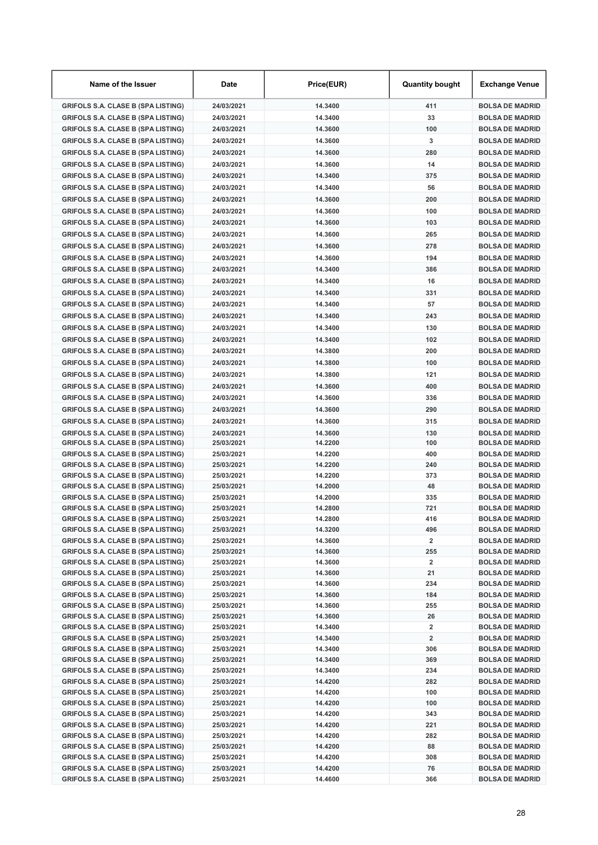| Name of the Issuer                                                                     | Date                     | Price(EUR)         | <b>Quantity bought</b>  | Exchange Venue                                   |
|----------------------------------------------------------------------------------------|--------------------------|--------------------|-------------------------|--------------------------------------------------|
| <b>GRIFOLS S.A. CLASE B (SPA LISTING)</b>                                              | 24/03/2021               | 14.3400            | 411                     | <b>BOLSA DE MADRID</b>                           |
| <b>GRIFOLS S.A. CLASE B (SPA LISTING)</b>                                              | 24/03/2021               | 14.3400            | 33                      | <b>BOLSA DE MADRID</b>                           |
| <b>GRIFOLS S.A. CLASE B (SPA LISTING)</b>                                              | 24/03/2021               | 14.3600            | 100                     | <b>BOLSA DE MADRID</b>                           |
| <b>GRIFOLS S.A. CLASE B (SPA LISTING)</b>                                              | 24/03/2021               | 14.3600            | 3                       | <b>BOLSA DE MADRID</b>                           |
| <b>GRIFOLS S.A. CLASE B (SPA LISTING)</b>                                              | 24/03/2021               | 14.3600            | 280                     | <b>BOLSA DE MADRID</b>                           |
| <b>GRIFOLS S.A. CLASE B (SPA LISTING)</b>                                              | 24/03/2021               | 14.3600            | 14                      | <b>BOLSA DE MADRID</b>                           |
| <b>GRIFOLS S.A. CLASE B (SPA LISTING)</b>                                              | 24/03/2021               | 14.3400            | 375                     | <b>BOLSA DE MADRID</b>                           |
| <b>GRIFOLS S.A. CLASE B (SPA LISTING)</b>                                              | 24/03/2021               | 14.3400            | 56                      | <b>BOLSA DE MADRID</b>                           |
| <b>GRIFOLS S.A. CLASE B (SPA LISTING)</b>                                              | 24/03/2021               | 14.3600            | 200                     | <b>BOLSA DE MADRID</b>                           |
| <b>GRIFOLS S.A. CLASE B (SPA LISTING)</b>                                              | 24/03/2021               | 14.3600            | 100                     | <b>BOLSA DE MADRID</b>                           |
| <b>GRIFOLS S.A. CLASE B (SPA LISTING)</b>                                              | 24/03/2021               | 14.3600            | 103                     | <b>BOLSA DE MADRID</b>                           |
| <b>GRIFOLS S.A. CLASE B (SPA LISTING)</b>                                              | 24/03/2021               | 14.3600            | 265                     | <b>BOLSA DE MADRID</b>                           |
| <b>GRIFOLS S.A. CLASE B (SPA LISTING)</b>                                              | 24/03/2021               | 14.3600            | 278                     | <b>BOLSA DE MADRID</b>                           |
| <b>GRIFOLS S.A. CLASE B (SPA LISTING)</b>                                              | 24/03/2021               | 14.3600            | 194                     | <b>BOLSA DE MADRID</b>                           |
| <b>GRIFOLS S.A. CLASE B (SPA LISTING)</b>                                              | 24/03/2021               | 14.3400            | 386                     | <b>BOLSA DE MADRID</b>                           |
| <b>GRIFOLS S.A. CLASE B (SPA LISTING)</b>                                              | 24/03/2021               | 14.3400            | 16                      | <b>BOLSA DE MADRID</b>                           |
| <b>GRIFOLS S.A. CLASE B (SPA LISTING)</b>                                              | 24/03/2021               | 14.3400            | 331                     | <b>BOLSA DE MADRID</b>                           |
| <b>GRIFOLS S.A. CLASE B (SPA LISTING)</b>                                              | 24/03/2021               | 14.3400            | 57                      | <b>BOLSA DE MADRID</b>                           |
| <b>GRIFOLS S.A. CLASE B (SPA LISTING)</b>                                              | 24/03/2021               | 14.3400            | 243                     | <b>BOLSA DE MADRID</b>                           |
| <b>GRIFOLS S.A. CLASE B (SPA LISTING)</b>                                              | 24/03/2021               | 14.3400            | 130                     | <b>BOLSA DE MADRID</b>                           |
| <b>GRIFOLS S.A. CLASE B (SPA LISTING)</b>                                              | 24/03/2021               | 14.3400            | 102                     | <b>BOLSA DE MADRID</b>                           |
| <b>GRIFOLS S.A. CLASE B (SPA LISTING)</b>                                              | 24/03/2021               | 14.3800            | 200                     | <b>BOLSA DE MADRID</b>                           |
| <b>GRIFOLS S.A. CLASE B (SPA LISTING)</b>                                              | 24/03/2021               | 14.3800            | 100                     | <b>BOLSA DE MADRID</b>                           |
| <b>GRIFOLS S.A. CLASE B (SPA LISTING)</b>                                              | 24/03/2021               | 14.3800            | 121                     | <b>BOLSA DE MADRID</b>                           |
| <b>GRIFOLS S.A. CLASE B (SPA LISTING)</b>                                              | 24/03/2021               | 14.3600            | 400                     | <b>BOLSA DE MADRID</b>                           |
| <b>GRIFOLS S.A. CLASE B (SPA LISTING)</b>                                              | 24/03/2021               | 14.3600            | 336                     | <b>BOLSA DE MADRID</b>                           |
| <b>GRIFOLS S.A. CLASE B (SPA LISTING)</b>                                              | 24/03/2021               | 14.3600            | 290                     | <b>BOLSA DE MADRID</b>                           |
| <b>GRIFOLS S.A. CLASE B (SPA LISTING)</b>                                              | 24/03/2021               | 14.3600            | 315                     | <b>BOLSA DE MADRID</b>                           |
|                                                                                        | 24/03/2021               | 14.3600            | 130                     | <b>BOLSA DE MADRID</b>                           |
| <b>GRIFOLS S.A. CLASE B (SPA LISTING)</b><br><b>GRIFOLS S.A. CLASE B (SPA LISTING)</b> | 25/03/2021               | 14.2200            | 100                     | <b>BOLSA DE MADRID</b>                           |
| <b>GRIFOLS S.A. CLASE B (SPA LISTING)</b>                                              | 25/03/2021               | 14.2200            | 400                     | <b>BOLSA DE MADRID</b>                           |
| <b>GRIFOLS S.A. CLASE B (SPA LISTING)</b>                                              | 25/03/2021               | 14.2200            | 240                     | <b>BOLSA DE MADRID</b>                           |
| <b>GRIFOLS S.A. CLASE B (SPA LISTING)</b>                                              | 25/03/2021               | 14.2200            | 373                     | <b>BOLSA DE MADRID</b>                           |
| <b>GRIFOLS S.A. CLASE B (SPA LISTING)</b>                                              | 25/03/2021               | 14.2000            | 48                      | <b>BOLSA DE MADRID</b>                           |
| <b>GRIFOLS S.A. CLASE B (SPA LISTING)</b>                                              | 25/03/2021               | 14.2000            | 335                     | <b>BOLSA DE MADRID</b>                           |
| <b>GRIFOLS S.A. CLASE B (SPA LISTING)</b>                                              | 25/03/2021               | 14.2800            | 721                     | <b>BOLSA DE MADRID</b>                           |
| <b>GRIFOLS S.A. CLASE B (SPA LISTING)</b>                                              | 25/03/2021               | 14.2800            | 416                     | <b>BOLSA DE MADRID</b>                           |
| <b>GRIFOLS S.A. CLASE B (SPA LISTING)</b>                                              | 25/03/2021               | 14.3200            | 496                     | <b>BOLSA DE MADRID</b>                           |
| <b>GRIFOLS S.A. CLASE B (SPA LISTING)</b>                                              | 25/03/2021               | 14.3600            | $\overline{\mathbf{2}}$ | <b>BOLSA DE MADRID</b>                           |
| <b>GRIFOLS S.A. CLASE B (SPA LISTING)</b>                                              | 25/03/2021               | 14.3600            | 255                     | <b>BOLSA DE MADRID</b>                           |
| <b>GRIFOLS S.A. CLASE B (SPA LISTING)</b>                                              | 25/03/2021               | 14.3600            | $\overline{\mathbf{2}}$ | <b>BOLSA DE MADRID</b>                           |
| <b>GRIFOLS S.A. CLASE B (SPA LISTING)</b>                                              | 25/03/2021               | 14.3600            | 21                      | <b>BOLSA DE MADRID</b>                           |
| <b>GRIFOLS S.A. CLASE B (SPA LISTING)</b>                                              | 25/03/2021               | 14.3600            | 234                     | <b>BOLSA DE MADRID</b>                           |
| <b>GRIFOLS S.A. CLASE B (SPA LISTING)</b><br><b>GRIFOLS S.A. CLASE B (SPA LISTING)</b> | 25/03/2021<br>25/03/2021 | 14.3600<br>14.3600 | 184<br>255              | <b>BOLSA DE MADRID</b><br><b>BOLSA DE MADRID</b> |
| <b>GRIFOLS S.A. CLASE B (SPA LISTING)</b>                                              | 25/03/2021               | 14.3600            | 26                      | <b>BOLSA DE MADRID</b>                           |
| <b>GRIFOLS S.A. CLASE B (SPA LISTING)</b>                                              | 25/03/2021               | 14.3400            | $\overline{\mathbf{2}}$ | <b>BOLSA DE MADRID</b>                           |
| <b>GRIFOLS S.A. CLASE B (SPA LISTING)</b>                                              | 25/03/2021               | 14.3400            | 2                       | <b>BOLSA DE MADRID</b>                           |
| <b>GRIFOLS S.A. CLASE B (SPA LISTING)</b>                                              | 25/03/2021               | 14.3400            | 306                     | <b>BOLSA DE MADRID</b>                           |
| <b>GRIFOLS S.A. CLASE B (SPA LISTING)</b>                                              | 25/03/2021               | 14.3400            | 369                     | <b>BOLSA DE MADRID</b>                           |
| <b>GRIFOLS S.A. CLASE B (SPA LISTING)</b>                                              | 25/03/2021               | 14.3400            | 234                     | <b>BOLSA DE MADRID</b>                           |
| <b>GRIFOLS S.A. CLASE B (SPA LISTING)</b>                                              | 25/03/2021               | 14.4200            | 282                     | <b>BOLSA DE MADRID</b>                           |
| <b>GRIFOLS S.A. CLASE B (SPA LISTING)</b>                                              | 25/03/2021               | 14.4200            | 100                     | <b>BOLSA DE MADRID</b>                           |
| <b>GRIFOLS S.A. CLASE B (SPA LISTING)</b>                                              | 25/03/2021               | 14.4200            | 100                     | <b>BOLSA DE MADRID</b>                           |
| <b>GRIFOLS S.A. CLASE B (SPA LISTING)</b>                                              | 25/03/2021               | 14.4200            | 343                     | <b>BOLSA DE MADRID</b>                           |
| <b>GRIFOLS S.A. CLASE B (SPA LISTING)</b>                                              | 25/03/2021               | 14.4200            | 221                     | <b>BOLSA DE MADRID</b>                           |
| <b>GRIFOLS S.A. CLASE B (SPA LISTING)</b>                                              | 25/03/2021               | 14.4200            | 282                     | <b>BOLSA DE MADRID</b>                           |
| <b>GRIFOLS S.A. CLASE B (SPA LISTING)</b>                                              | 25/03/2021               | 14.4200            | 88                      | <b>BOLSA DE MADRID</b>                           |
| <b>GRIFOLS S.A. CLASE B (SPA LISTING)</b>                                              | 25/03/2021               | 14.4200            | 308                     | <b>BOLSA DE MADRID</b>                           |
| <b>GRIFOLS S.A. CLASE B (SPA LISTING)</b>                                              | 25/03/2021               | 14.4200<br>14.4600 | 76<br>366               | <b>BOLSA DE MADRID</b>                           |
| <b>GRIFOLS S.A. CLASE B (SPA LISTING)</b>                                              | 25/03/2021               |                    |                         | <b>BOLSA DE MADRID</b>                           |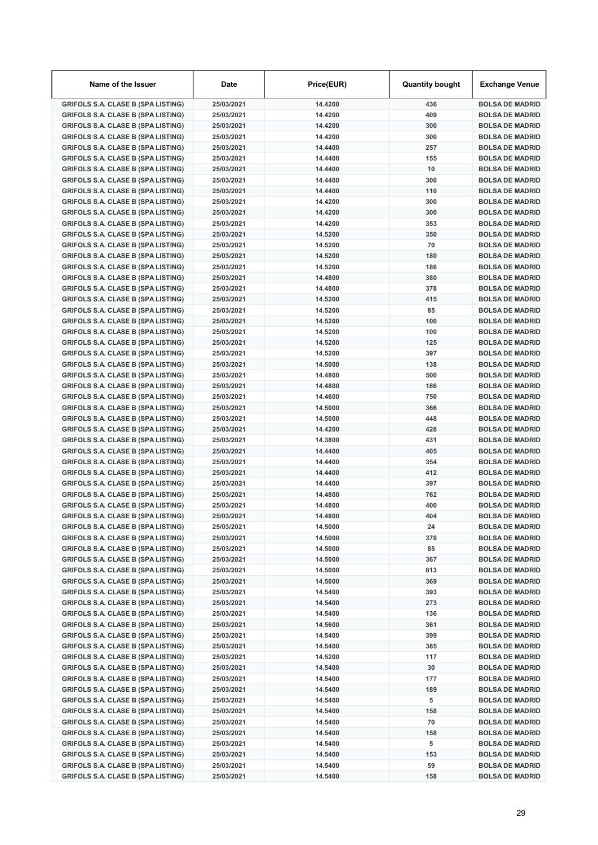| Name of the Issuer                                                                     | <b>Date</b>              | Price(EUR)         | <b>Quantity bought</b> | Exchange Venue                                   |
|----------------------------------------------------------------------------------------|--------------------------|--------------------|------------------------|--------------------------------------------------|
| <b>GRIFOLS S.A. CLASE B (SPA LISTING)</b>                                              | 25/03/2021               | 14.4200            | 436                    | <b>BOLSA DE MADRID</b>                           |
| <b>GRIFOLS S.A. CLASE B (SPA LISTING)</b>                                              | 25/03/2021               | 14.4200            | 409                    | <b>BOLSA DE MADRID</b>                           |
| <b>GRIFOLS S.A. CLASE B (SPA LISTING)</b>                                              | 25/03/2021               | 14.4200            | 300                    | <b>BOLSA DE MADRID</b>                           |
| <b>GRIFOLS S.A. CLASE B (SPA LISTING)</b>                                              | 25/03/2021               | 14.4200            | 300                    | <b>BOLSA DE MADRID</b>                           |
| <b>GRIFOLS S.A. CLASE B (SPA LISTING)</b>                                              | 25/03/2021               | 14.4400            | 257                    | <b>BOLSA DE MADRID</b>                           |
| <b>GRIFOLS S.A. CLASE B (SPA LISTING)</b>                                              | 25/03/2021               | 14.4400            | 155                    | <b>BOLSA DE MADRID</b>                           |
| <b>GRIFOLS S.A. CLASE B (SPA LISTING)</b>                                              | 25/03/2021               | 14.4400            | 10                     | <b>BOLSA DE MADRID</b>                           |
| <b>GRIFOLS S.A. CLASE B (SPA LISTING)</b>                                              | 25/03/2021               | 14.4400            | 300                    | <b>BOLSA DE MADRID</b>                           |
| <b>GRIFOLS S.A. CLASE B (SPA LISTING)</b>                                              | 25/03/2021               | 14.4400            | 110                    | <b>BOLSA DE MADRID</b>                           |
| <b>GRIFOLS S.A. CLASE B (SPA LISTING)</b>                                              | 25/03/2021               | 14.4200            | 300                    | <b>BOLSA DE MADRID</b>                           |
| <b>GRIFOLS S.A. CLASE B (SPA LISTING)</b>                                              | 25/03/2021               | 14.4200            | 300                    | <b>BOLSA DE MADRID</b>                           |
| <b>GRIFOLS S.A. CLASE B (SPA LISTING)</b>                                              | 25/03/2021               | 14.4200            | 353                    | <b>BOLSA DE MADRID</b>                           |
| <b>GRIFOLS S.A. CLASE B (SPA LISTING)</b>                                              | 25/03/2021               | 14.5200            | 350                    | <b>BOLSA DE MADRID</b>                           |
| <b>GRIFOLS S.A. CLASE B (SPA LISTING)</b>                                              | 25/03/2021               | 14.5200            | 70                     | <b>BOLSA DE MADRID</b>                           |
| <b>GRIFOLS S.A. CLASE B (SPA LISTING)</b>                                              | 25/03/2021               | 14.5200            | 180                    | <b>BOLSA DE MADRID</b>                           |
| <b>GRIFOLS S.A. CLASE B (SPA LISTING)</b>                                              | 25/03/2021               | 14.5200            | 186                    | <b>BOLSA DE MADRID</b>                           |
| <b>GRIFOLS S.A. CLASE B (SPA LISTING)</b>                                              | 25/03/2021               | 14.4800            | 380                    | <b>BOLSA DE MADRID</b>                           |
| <b>GRIFOLS S.A. CLASE B (SPA LISTING)</b>                                              | 25/03/2021               | 14.4800            | 378                    | <b>BOLSA DE MADRID</b>                           |
| <b>GRIFOLS S.A. CLASE B (SPA LISTING)</b>                                              | 25/03/2021               | 14.5200            | 415                    | <b>BOLSA DE MADRID</b>                           |
| <b>GRIFOLS S.A. CLASE B (SPA LISTING)</b>                                              | 25/03/2021               | 14.5200            | 85                     | <b>BOLSA DE MADRID</b>                           |
| <b>GRIFOLS S.A. CLASE B (SPA LISTING)</b>                                              | 25/03/2021               | 14.5200            | 100                    | <b>BOLSA DE MADRID</b>                           |
| <b>GRIFOLS S.A. CLASE B (SPA LISTING)</b>                                              | 25/03/2021               | 14.5200            | 100                    | <b>BOLSA DE MADRID</b>                           |
| <b>GRIFOLS S.A. CLASE B (SPA LISTING)</b>                                              | 25/03/2021               | 14.5200            | 125                    | <b>BOLSA DE MADRID</b>                           |
| <b>GRIFOLS S.A. CLASE B (SPA LISTING)</b>                                              | 25/03/2021               | 14.5200            | 397                    | <b>BOLSA DE MADRID</b>                           |
| <b>GRIFOLS S.A. CLASE B (SPA LISTING)</b>                                              | 25/03/2021               | 14.5000            | 138                    | <b>BOLSA DE MADRID</b>                           |
| <b>GRIFOLS S.A. CLASE B (SPA LISTING)</b>                                              | 25/03/2021               | 14.4800            | 500                    | <b>BOLSA DE MADRID</b>                           |
| <b>GRIFOLS S.A. CLASE B (SPA LISTING)</b>                                              | 25/03/2021               | 14.4800            | 186                    | <b>BOLSA DE MADRID</b>                           |
| <b>GRIFOLS S.A. CLASE B (SPA LISTING)</b>                                              | 25/03/2021               | 14.4600            | 750                    | <b>BOLSA DE MADRID</b>                           |
| <b>GRIFOLS S.A. CLASE B (SPA LISTING)</b>                                              | 25/03/2021               | 14.5000            | 366                    | <b>BOLSA DE MADRID</b>                           |
| <b>GRIFOLS S.A. CLASE B (SPA LISTING)</b>                                              | 25/03/2021               | 14.5000            | 448                    | <b>BOLSA DE MADRID</b>                           |
| <b>GRIFOLS S.A. CLASE B (SPA LISTING)</b>                                              | 25/03/2021               | 14.4200            | 428                    | <b>BOLSA DE MADRID</b>                           |
| <b>GRIFOLS S.A. CLASE B (SPA LISTING)</b>                                              | 25/03/2021               | 14.3800            | 431                    | <b>BOLSA DE MADRID</b>                           |
| <b>GRIFOLS S.A. CLASE B (SPA LISTING)</b>                                              | 25/03/2021               | 14.4400<br>14.4400 | 405<br>354             | <b>BOLSA DE MADRID</b><br><b>BOLSA DE MADRID</b> |
| <b>GRIFOLS S.A. CLASE B (SPA LISTING)</b>                                              | 25/03/2021<br>25/03/2021 | 14.4400            | 412                    | <b>BOLSA DE MADRID</b>                           |
| <b>GRIFOLS S.A. CLASE B (SPA LISTING)</b><br><b>GRIFOLS S.A. CLASE B (SPA LISTING)</b> | 25/03/2021               | 14.4400            | 397                    | <b>BOLSA DE MADRID</b>                           |
| <b>GRIFOLS S.A. CLASE B (SPA LISTING)</b>                                              | 25/03/2021               | 14.4800            | 762                    | <b>BOLSA DE MADRID</b>                           |
| <b>GRIFOLS S.A. CLASE B (SPA LISTING)</b>                                              | 25/03/2021               | 14.4800            | 400                    | <b>BOLSA DE MADRID</b>                           |
| <b>GRIFOLS S.A. CLASE B (SPA LISTING)</b>                                              | 25/03/2021               | 14.4800            | 404                    | <b>BOLSA DE MADRID</b>                           |
| <b>GRIFOLS S.A. CLASE B (SPA LISTING)</b>                                              | 25/03/2021               | 14.5000            | 24                     | <b>BOLSA DE MADRID</b>                           |
| <b>GRIFOLS S.A. CLASE B (SPA LISTING)</b>                                              | 25/03/2021               | 14.5000            | 378                    | <b>BOLSA DE MADRID</b>                           |
| <b>GRIFOLS S.A. CLASE B (SPA LISTING)</b>                                              | 25/03/2021               | 14.5000            | 85                     | <b>BOLSA DE MADRID</b>                           |
| <b>GRIFOLS S.A. CLASE B (SPA LISTING)</b>                                              | 25/03/2021               | 14.5000            | 367                    | <b>BOLSA DE MADRID</b>                           |
| <b>GRIFOLS S.A. CLASE B (SPA LISTING)</b>                                              | 25/03/2021               | 14.5000            | 813                    | <b>BOLSA DE MADRID</b>                           |
| <b>GRIFOLS S.A. CLASE B (SPA LISTING)</b>                                              | 25/03/2021               | 14.5000            | 369                    | <b>BOLSA DE MADRID</b>                           |
| <b>GRIFOLS S.A. CLASE B (SPA LISTING)</b>                                              | 25/03/2021               | 14.5400            | 393                    | <b>BOLSA DE MADRID</b>                           |
| <b>GRIFOLS S.A. CLASE B (SPA LISTING)</b>                                              | 25/03/2021               | 14.5400            | 273                    | <b>BOLSA DE MADRID</b>                           |
| <b>GRIFOLS S.A. CLASE B (SPA LISTING)</b>                                              | 25/03/2021               | 14.5400            | 136                    | <b>BOLSA DE MADRID</b>                           |
| <b>GRIFOLS S.A. CLASE B (SPA LISTING)</b>                                              | 25/03/2021               | 14.5600            | 361                    | <b>BOLSA DE MADRID</b>                           |
| <b>GRIFOLS S.A. CLASE B (SPA LISTING)</b>                                              | 25/03/2021               | 14.5400            | 399                    | <b>BOLSA DE MADRID</b>                           |
| <b>GRIFOLS S.A. CLASE B (SPA LISTING)</b>                                              | 25/03/2021               | 14.5400            | 385                    | <b>BOLSA DE MADRID</b>                           |
| <b>GRIFOLS S.A. CLASE B (SPA LISTING)</b>                                              | 25/03/2021               | 14.5200            | 117                    | <b>BOLSA DE MADRID</b>                           |
| <b>GRIFOLS S.A. CLASE B (SPA LISTING)</b>                                              | 25/03/2021               | 14.5400            | 30                     | <b>BOLSA DE MADRID</b>                           |
| <b>GRIFOLS S.A. CLASE B (SPA LISTING)</b>                                              | 25/03/2021               | 14.5400            | 177                    | <b>BOLSA DE MADRID</b>                           |
| <b>GRIFOLS S.A. CLASE B (SPA LISTING)</b>                                              | 25/03/2021               | 14.5400            | 189                    | <b>BOLSA DE MADRID</b>                           |
| <b>GRIFOLS S.A. CLASE B (SPA LISTING)</b>                                              | 25/03/2021               | 14.5400            | 5                      | <b>BOLSA DE MADRID</b>                           |
| <b>GRIFOLS S.A. CLASE B (SPA LISTING)</b>                                              | 25/03/2021               | 14.5400            | 158                    | <b>BOLSA DE MADRID</b>                           |
| <b>GRIFOLS S.A. CLASE B (SPA LISTING)</b>                                              | 25/03/2021               | 14.5400            | 70                     | <b>BOLSA DE MADRID</b>                           |
| <b>GRIFOLS S.A. CLASE B (SPA LISTING)</b>                                              | 25/03/2021               | 14.5400            | 158                    | <b>BOLSA DE MADRID</b>                           |
| <b>GRIFOLS S.A. CLASE B (SPA LISTING)</b>                                              | 25/03/2021               | 14.5400            | 5                      | <b>BOLSA DE MADRID</b>                           |
| <b>GRIFOLS S.A. CLASE B (SPA LISTING)</b>                                              | 25/03/2021               | 14.5400            | 153                    | <b>BOLSA DE MADRID</b>                           |
| <b>GRIFOLS S.A. CLASE B (SPA LISTING)</b>                                              | 25/03/2021               | 14.5400            | 59                     | <b>BOLSA DE MADRID</b>                           |
| <b>GRIFOLS S.A. CLASE B (SPA LISTING)</b>                                              | 25/03/2021               | 14.5400            | 158                    | <b>BOLSA DE MADRID</b>                           |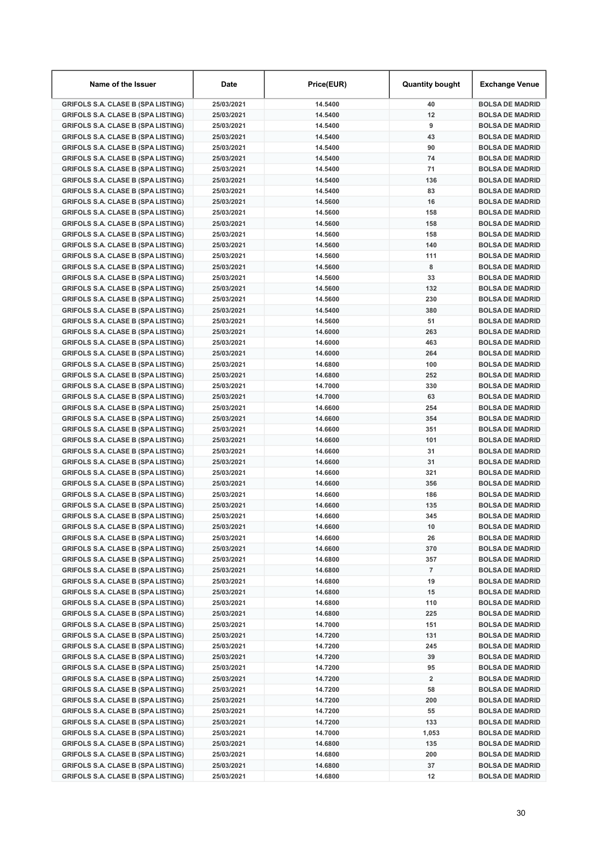| Name of the Issuer                                                                     | Date                     | Price(EUR)         | <b>Quantity bought</b>  | Exchange Venue                                   |
|----------------------------------------------------------------------------------------|--------------------------|--------------------|-------------------------|--------------------------------------------------|
| <b>GRIFOLS S.A. CLASE B (SPA LISTING)</b>                                              | 25/03/2021               | 14.5400            | 40                      | <b>BOLSA DE MADRID</b>                           |
| <b>GRIFOLS S.A. CLASE B (SPA LISTING)</b>                                              | 25/03/2021               | 14.5400            | 12                      | <b>BOLSA DE MADRID</b>                           |
| <b>GRIFOLS S.A. CLASE B (SPA LISTING)</b>                                              | 25/03/2021               | 14.5400            | 9                       | <b>BOLSA DE MADRID</b>                           |
| <b>GRIFOLS S.A. CLASE B (SPA LISTING)</b>                                              | 25/03/2021               | 14.5400            | 43                      | <b>BOLSA DE MADRID</b>                           |
| <b>GRIFOLS S.A. CLASE B (SPA LISTING)</b>                                              | 25/03/2021               | 14.5400            | 90                      | <b>BOLSA DE MADRID</b>                           |
| <b>GRIFOLS S.A. CLASE B (SPA LISTING)</b>                                              | 25/03/2021               | 14.5400            | 74                      | <b>BOLSA DE MADRID</b>                           |
| <b>GRIFOLS S.A. CLASE B (SPA LISTING)</b>                                              | 25/03/2021               | 14.5400            | 71                      | <b>BOLSA DE MADRID</b>                           |
| <b>GRIFOLS S.A. CLASE B (SPA LISTING)</b>                                              | 25/03/2021               | 14.5400            | 136                     | <b>BOLSA DE MADRID</b>                           |
| <b>GRIFOLS S.A. CLASE B (SPA LISTING)</b>                                              | 25/03/2021               | 14.5400            | 83                      | <b>BOLSA DE MADRID</b>                           |
| <b>GRIFOLS S.A. CLASE B (SPA LISTING)</b>                                              | 25/03/2021               | 14.5600            | 16                      | <b>BOLSA DE MADRID</b>                           |
| <b>GRIFOLS S.A. CLASE B (SPA LISTING)</b>                                              | 25/03/2021               | 14.5600            | 158                     | <b>BOLSA DE MADRID</b>                           |
| <b>GRIFOLS S.A. CLASE B (SPA LISTING)</b>                                              | 25/03/2021               | 14.5600            | 158                     | <b>BOLSA DE MADRID</b>                           |
| <b>GRIFOLS S.A. CLASE B (SPA LISTING)</b>                                              | 25/03/2021               | 14.5600            | 158                     | <b>BOLSA DE MADRID</b>                           |
| <b>GRIFOLS S.A. CLASE B (SPA LISTING)</b>                                              | 25/03/2021               | 14.5600            | 140                     | <b>BOLSA DE MADRID</b>                           |
| <b>GRIFOLS S.A. CLASE B (SPA LISTING)</b>                                              | 25/03/2021               | 14.5600            | 111                     | <b>BOLSA DE MADRID</b>                           |
| <b>GRIFOLS S.A. CLASE B (SPA LISTING)</b>                                              | 25/03/2021               | 14.5600            | 8                       | <b>BOLSA DE MADRID</b>                           |
| <b>GRIFOLS S.A. CLASE B (SPA LISTING)</b>                                              | 25/03/2021               | 14.5600            | 33                      | <b>BOLSA DE MADRID</b>                           |
| <b>GRIFOLS S.A. CLASE B (SPA LISTING)</b>                                              | 25/03/2021               | 14.5600            | 132                     | <b>BOLSA DE MADRID</b>                           |
| <b>GRIFOLS S.A. CLASE B (SPA LISTING)</b>                                              | 25/03/2021               | 14.5600            | 230                     | <b>BOLSA DE MADRID</b>                           |
| <b>GRIFOLS S.A. CLASE B (SPA LISTING)</b>                                              | 25/03/2021               | 14.5400            | 380                     | <b>BOLSA DE MADRID</b>                           |
| <b>GRIFOLS S.A. CLASE B (SPA LISTING)</b>                                              | 25/03/2021               | 14.5600            | 51                      | <b>BOLSA DE MADRID</b>                           |
| <b>GRIFOLS S.A. CLASE B (SPA LISTING)</b>                                              | 25/03/2021               | 14.6000            | 263                     | <b>BOLSA DE MADRID</b>                           |
| <b>GRIFOLS S.A. CLASE B (SPA LISTING)</b>                                              | 25/03/2021               | 14.6000            | 463                     | <b>BOLSA DE MADRID</b>                           |
| <b>GRIFOLS S.A. CLASE B (SPA LISTING)</b>                                              | 25/03/2021               | 14.6000            | 264                     | <b>BOLSA DE MADRID</b>                           |
| <b>GRIFOLS S.A. CLASE B (SPA LISTING)</b>                                              | 25/03/2021               | 14.6800            | 100                     | <b>BOLSA DE MADRID</b>                           |
| <b>GRIFOLS S.A. CLASE B (SPA LISTING)</b>                                              | 25/03/2021               | 14.6800            | 252                     | <b>BOLSA DE MADRID</b>                           |
| <b>GRIFOLS S.A. CLASE B (SPA LISTING)</b>                                              | 25/03/2021               | 14.7000            | 330                     | <b>BOLSA DE MADRID</b>                           |
| <b>GRIFOLS S.A. CLASE B (SPA LISTING)</b>                                              | 25/03/2021               | 14.7000            | 63                      | <b>BOLSA DE MADRID</b>                           |
| <b>GRIFOLS S.A. CLASE B (SPA LISTING)</b>                                              | 25/03/2021               | 14.6600            | 254                     | <b>BOLSA DE MADRID</b>                           |
| <b>GRIFOLS S.A. CLASE B (SPA LISTING)</b>                                              | 25/03/2021               | 14.6600            | 354                     | <b>BOLSA DE MADRID</b>                           |
| <b>GRIFOLS S.A. CLASE B (SPA LISTING)</b>                                              | 25/03/2021               | 14.6600            | 351                     | <b>BOLSA DE MADRID</b>                           |
| <b>GRIFOLS S.A. CLASE B (SPA LISTING)</b>                                              | 25/03/2021               | 14.6600            | 101                     | <b>BOLSA DE MADRID</b>                           |
| <b>GRIFOLS S.A. CLASE B (SPA LISTING)</b>                                              | 25/03/2021               | 14.6600            | 31                      | <b>BOLSA DE MADRID</b>                           |
| <b>GRIFOLS S.A. CLASE B (SPA LISTING)</b>                                              | 25/03/2021               | 14.6600            | 31                      | <b>BOLSA DE MADRID</b>                           |
| <b>GRIFOLS S.A. CLASE B (SPA LISTING)</b>                                              | 25/03/2021               | 14.6600            | 321                     | <b>BOLSA DE MADRID</b>                           |
| <b>GRIFOLS S.A. CLASE B (SPA LISTING)</b>                                              | 25/03/2021<br>25/03/2021 | 14.6600<br>14.6600 | 356<br>186              | <b>BOLSA DE MADRID</b><br><b>BOLSA DE MADRID</b> |
| <b>GRIFOLS S.A. CLASE B (SPA LISTING)</b><br><b>GRIFOLS S.A. CLASE B (SPA LISTING)</b> | 25/03/2021               | 14.6600            | 135                     | <b>BOLSA DE MADRID</b>                           |
| <b>GRIFOLS S.A. CLASE B (SPA LISTING)</b>                                              | 25/03/2021               | 14.6600            | 345                     | <b>BOLSA DE MADRID</b>                           |
| <b>GRIFOLS S.A. CLASE B (SPA LISTING)</b>                                              | 25/03/2021               | 14.6600            | 10                      | <b>BOLSA DE MADRID</b>                           |
| <b>GRIFOLS S.A. CLASE B (SPA LISTING)</b>                                              | 25/03/2021               | 14.6600            | 26                      | <b>BOLSA DE MADRID</b>                           |
| <b>GRIFOLS S.A. CLASE B (SPA LISTING)</b>                                              | 25/03/2021               | 14.6600            | 370                     | <b>BOLSA DE MADRID</b>                           |
| <b>GRIFOLS S.A. CLASE B (SPA LISTING)</b>                                              | 25/03/2021               | 14.6800            | 357                     | <b>BOLSA DE MADRID</b>                           |
| <b>GRIFOLS S.A. CLASE B (SPA LISTING)</b>                                              | 25/03/2021               | 14.6800            | $\overline{7}$          | <b>BOLSA DE MADRID</b>                           |
| <b>GRIFOLS S.A. CLASE B (SPA LISTING)</b>                                              | 25/03/2021               | 14.6800            | 19                      | <b>BOLSA DE MADRID</b>                           |
| <b>GRIFOLS S.A. CLASE B (SPA LISTING)</b>                                              | 25/03/2021               | 14.6800            | 15                      | <b>BOLSA DE MADRID</b>                           |
| <b>GRIFOLS S.A. CLASE B (SPA LISTING)</b>                                              | 25/03/2021               | 14.6800            | 110                     | <b>BOLSA DE MADRID</b>                           |
| <b>GRIFOLS S.A. CLASE B (SPA LISTING)</b>                                              | 25/03/2021               | 14.6800            | 225                     | <b>BOLSA DE MADRID</b>                           |
| <b>GRIFOLS S.A. CLASE B (SPA LISTING)</b>                                              | 25/03/2021               | 14.7000            | 151                     | <b>BOLSA DE MADRID</b>                           |
| <b>GRIFOLS S.A. CLASE B (SPA LISTING)</b>                                              | 25/03/2021               | 14.7200            | 131                     | <b>BOLSA DE MADRID</b>                           |
| <b>GRIFOLS S.A. CLASE B (SPA LISTING)</b>                                              | 25/03/2021               | 14.7200            | 245                     | <b>BOLSA DE MADRID</b>                           |
| <b>GRIFOLS S.A. CLASE B (SPA LISTING)</b>                                              | 25/03/2021               | 14.7200            | 39                      | <b>BOLSA DE MADRID</b>                           |
| <b>GRIFOLS S.A. CLASE B (SPA LISTING)</b>                                              | 25/03/2021               | 14.7200            | 95                      | <b>BOLSA DE MADRID</b>                           |
| <b>GRIFOLS S.A. CLASE B (SPA LISTING)</b>                                              | 25/03/2021               | 14.7200            | $\overline{\mathbf{2}}$ | <b>BOLSA DE MADRID</b>                           |
| <b>GRIFOLS S.A. CLASE B (SPA LISTING)</b>                                              | 25/03/2021               | 14.7200            | 58                      | <b>BOLSA DE MADRID</b>                           |
| <b>GRIFOLS S.A. CLASE B (SPA LISTING)</b>                                              | 25/03/2021               | 14.7200            | 200                     | <b>BOLSA DE MADRID</b>                           |
| <b>GRIFOLS S.A. CLASE B (SPA LISTING)</b>                                              | 25/03/2021               | 14.7200            | 55                      | <b>BOLSA DE MADRID</b>                           |
| <b>GRIFOLS S.A. CLASE B (SPA LISTING)</b>                                              | 25/03/2021               | 14.7200            | 133                     | <b>BOLSA DE MADRID</b>                           |
| <b>GRIFOLS S.A. CLASE B (SPA LISTING)</b>                                              | 25/03/2021               | 14.7000            | 1,053                   | <b>BOLSA DE MADRID</b>                           |
| <b>GRIFOLS S.A. CLASE B (SPA LISTING)</b>                                              | 25/03/2021               | 14.6800            | 135                     | <b>BOLSA DE MADRID</b>                           |
| <b>GRIFOLS S.A. CLASE B (SPA LISTING)</b>                                              | 25/03/2021               | 14.6800            | 200                     | <b>BOLSA DE MADRID</b>                           |
| <b>GRIFOLS S.A. CLASE B (SPA LISTING)</b>                                              | 25/03/2021               | 14.6800            | 37                      | <b>BOLSA DE MADRID</b>                           |
| <b>GRIFOLS S.A. CLASE B (SPA LISTING)</b>                                              | 25/03/2021               | 14.6800            | 12                      | <b>BOLSA DE MADRID</b>                           |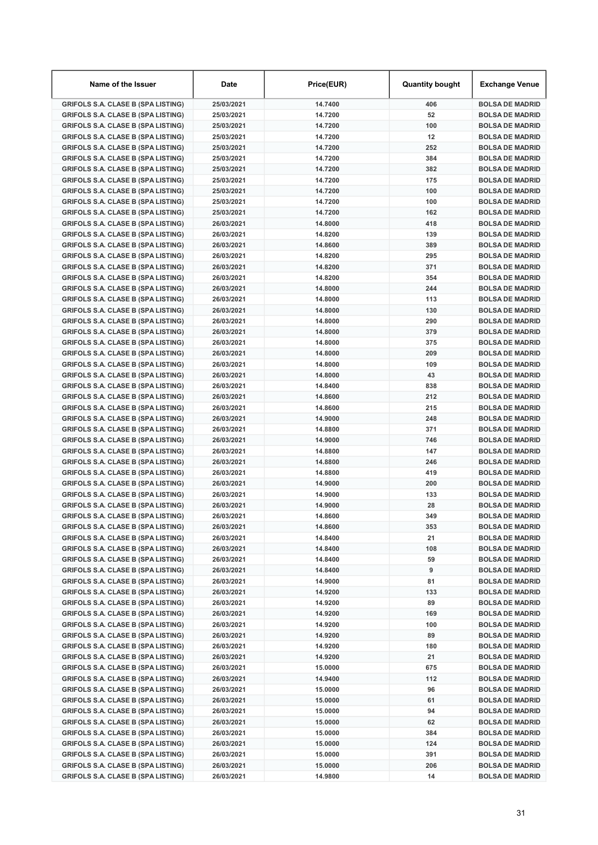| Name of the Issuer                                                                     | Date                     | Price(EUR)         | <b>Quantity bought</b> | Exchange Venue                                   |
|----------------------------------------------------------------------------------------|--------------------------|--------------------|------------------------|--------------------------------------------------|
| <b>GRIFOLS S.A. CLASE B (SPA LISTING)</b>                                              | 25/03/2021               | 14.7400            | 406                    | <b>BOLSA DE MADRID</b>                           |
| <b>GRIFOLS S.A. CLASE B (SPA LISTING)</b>                                              | 25/03/2021               | 14.7200            | 52                     | <b>BOLSA DE MADRID</b>                           |
| <b>GRIFOLS S.A. CLASE B (SPA LISTING)</b>                                              | 25/03/2021               | 14.7200            | 100                    | <b>BOLSA DE MADRID</b>                           |
| <b>GRIFOLS S.A. CLASE B (SPA LISTING)</b>                                              | 25/03/2021               | 14.7200            | 12                     | <b>BOLSA DE MADRID</b>                           |
| <b>GRIFOLS S.A. CLASE B (SPA LISTING)</b>                                              | 25/03/2021               | 14.7200            | 252                    | <b>BOLSA DE MADRID</b>                           |
| <b>GRIFOLS S.A. CLASE B (SPA LISTING)</b>                                              | 25/03/2021               | 14.7200            | 384                    | <b>BOLSA DE MADRID</b>                           |
| <b>GRIFOLS S.A. CLASE B (SPA LISTING)</b>                                              | 25/03/2021               | 14.7200            | 382                    | <b>BOLSA DE MADRID</b>                           |
| <b>GRIFOLS S.A. CLASE B (SPA LISTING)</b>                                              | 25/03/2021               | 14.7200            | 175                    | <b>BOLSA DE MADRID</b>                           |
| <b>GRIFOLS S.A. CLASE B (SPA LISTING)</b>                                              | 25/03/2021               | 14.7200            | 100                    | <b>BOLSA DE MADRID</b>                           |
| <b>GRIFOLS S.A. CLASE B (SPA LISTING)</b>                                              | 25/03/2021               | 14.7200            | 100                    | <b>BOLSA DE MADRID</b>                           |
| <b>GRIFOLS S.A. CLASE B (SPA LISTING)</b>                                              | 25/03/2021               | 14.7200            | 162                    | <b>BOLSA DE MADRID</b>                           |
| <b>GRIFOLS S.A. CLASE B (SPA LISTING)</b>                                              | 26/03/2021               | 14.8000            | 418                    | <b>BOLSA DE MADRID</b>                           |
| <b>GRIFOLS S.A. CLASE B (SPA LISTING)</b>                                              | 26/03/2021               | 14.8200            | 139                    | <b>BOLSA DE MADRID</b>                           |
| <b>GRIFOLS S.A. CLASE B (SPA LISTING)</b>                                              | 26/03/2021               | 14.8600            | 389                    | <b>BOLSA DE MADRID</b>                           |
| <b>GRIFOLS S.A. CLASE B (SPA LISTING)</b>                                              | 26/03/2021               | 14.8200            | 295                    | <b>BOLSA DE MADRID</b>                           |
| <b>GRIFOLS S.A. CLASE B (SPA LISTING)</b>                                              | 26/03/2021               | 14.8200            | 371                    | <b>BOLSA DE MADRID</b>                           |
| <b>GRIFOLS S.A. CLASE B (SPA LISTING)</b>                                              | 26/03/2021               | 14.8200            | 354                    | <b>BOLSA DE MADRID</b>                           |
| <b>GRIFOLS S.A. CLASE B (SPA LISTING)</b>                                              | 26/03/2021               | 14.8000            | 244                    | <b>BOLSA DE MADRID</b>                           |
| <b>GRIFOLS S.A. CLASE B (SPA LISTING)</b>                                              | 26/03/2021               | 14.8000            | 113                    | <b>BOLSA DE MADRID</b>                           |
| <b>GRIFOLS S.A. CLASE B (SPA LISTING)</b>                                              | 26/03/2021               | 14.8000            | 130                    | <b>BOLSA DE MADRID</b>                           |
| <b>GRIFOLS S.A. CLASE B (SPA LISTING)</b>                                              | 26/03/2021               | 14.8000            | 290                    | <b>BOLSA DE MADRID</b>                           |
| <b>GRIFOLS S.A. CLASE B (SPA LISTING)</b>                                              | 26/03/2021               | 14.8000            | 379                    | <b>BOLSA DE MADRID</b>                           |
| <b>GRIFOLS S.A. CLASE B (SPA LISTING)</b>                                              | 26/03/2021               | 14.8000            | 375                    | <b>BOLSA DE MADRID</b>                           |
| <b>GRIFOLS S.A. CLASE B (SPA LISTING)</b>                                              | 26/03/2021               | 14.8000            | 209                    | <b>BOLSA DE MADRID</b>                           |
| <b>GRIFOLS S.A. CLASE B (SPA LISTING)</b>                                              | 26/03/2021               | 14.8000            | 109                    | <b>BOLSA DE MADRID</b>                           |
| <b>GRIFOLS S.A. CLASE B (SPA LISTING)</b>                                              | 26/03/2021               | 14.8000            | 43                     | <b>BOLSA DE MADRID</b>                           |
| <b>GRIFOLS S.A. CLASE B (SPA LISTING)</b>                                              | 26/03/2021               | 14.8400            | 838                    | <b>BOLSA DE MADRID</b>                           |
| <b>GRIFOLS S.A. CLASE B (SPA LISTING)</b>                                              | 26/03/2021               | 14.8600            | 212                    | <b>BOLSA DE MADRID</b>                           |
| <b>GRIFOLS S.A. CLASE B (SPA LISTING)</b>                                              | 26/03/2021               | 14.8600            | 215                    | <b>BOLSA DE MADRID</b>                           |
| <b>GRIFOLS S.A. CLASE B (SPA LISTING)</b>                                              | 26/03/2021               | 14.9000            | 248                    | <b>BOLSA DE MADRID</b>                           |
| <b>GRIFOLS S.A. CLASE B (SPA LISTING)</b>                                              | 26/03/2021               | 14.8800            | 371                    | <b>BOLSA DE MADRID</b>                           |
| <b>GRIFOLS S.A. CLASE B (SPA LISTING)</b>                                              | 26/03/2021               | 14.9000            | 746                    | <b>BOLSA DE MADRID</b>                           |
| <b>GRIFOLS S.A. CLASE B (SPA LISTING)</b>                                              | 26/03/2021               | 14.8800            | 147                    | <b>BOLSA DE MADRID</b>                           |
| <b>GRIFOLS S.A. CLASE B (SPA LISTING)</b>                                              | 26/03/2021               | 14.8800            | 246                    | <b>BOLSA DE MADRID</b>                           |
| <b>GRIFOLS S.A. CLASE B (SPA LISTING)</b>                                              | 26/03/2021               | 14.8800            | 419                    | <b>BOLSA DE MADRID</b>                           |
| <b>GRIFOLS S.A. CLASE B (SPA LISTING)</b>                                              | 26/03/2021<br>26/03/2021 | 14.9000<br>14.9000 | 200<br>133             | <b>BOLSA DE MADRID</b><br><b>BOLSA DE MADRID</b> |
| <b>GRIFOLS S.A. CLASE B (SPA LISTING)</b><br><b>GRIFOLS S.A. CLASE B (SPA LISTING)</b> | 26/03/2021               | 14.9000            | 28                     | <b>BOLSA DE MADRID</b>                           |
| <b>GRIFOLS S.A. CLASE B (SPA LISTING)</b>                                              | 26/03/2021               | 14.8600            | 349                    | <b>BOLSA DE MADRID</b>                           |
| <b>GRIFOLS S.A. CLASE B (SPA LISTING)</b>                                              | 26/03/2021               | 14.8600            | 353                    | <b>BOLSA DE MADRID</b>                           |
| <b>GRIFOLS S.A. CLASE B (SPA LISTING)</b>                                              | 26/03/2021               | 14.8400            | 21                     | <b>BOLSA DE MADRID</b>                           |
| <b>GRIFOLS S.A. CLASE B (SPA LISTING)</b>                                              | 26/03/2021               | 14.8400            | 108                    | <b>BOLSA DE MADRID</b>                           |
| <b>GRIFOLS S.A. CLASE B (SPA LISTING)</b>                                              | 26/03/2021               | 14.8400            | 59                     | <b>BOLSA DE MADRID</b>                           |
| <b>GRIFOLS S.A. CLASE B (SPA LISTING)</b>                                              | 26/03/2021               | 14.8400            | 9                      | <b>BOLSA DE MADRID</b>                           |
| <b>GRIFOLS S.A. CLASE B (SPA LISTING)</b>                                              | 26/03/2021               | 14.9000            | 81                     | <b>BOLSA DE MADRID</b>                           |
| <b>GRIFOLS S.A. CLASE B (SPA LISTING)</b>                                              | 26/03/2021               | 14.9200            | 133                    | <b>BOLSA DE MADRID</b>                           |
| <b>GRIFOLS S.A. CLASE B (SPA LISTING)</b>                                              | 26/03/2021               | 14.9200            | 89                     | <b>BOLSA DE MADRID</b>                           |
| <b>GRIFOLS S.A. CLASE B (SPA LISTING)</b>                                              | 26/03/2021               | 14.9200            | 169                    | <b>BOLSA DE MADRID</b>                           |
| <b>GRIFOLS S.A. CLASE B (SPA LISTING)</b>                                              | 26/03/2021               | 14.9200            | 100                    | <b>BOLSA DE MADRID</b>                           |
| <b>GRIFOLS S.A. CLASE B (SPA LISTING)</b>                                              | 26/03/2021               | 14.9200            | 89                     | <b>BOLSA DE MADRID</b>                           |
| <b>GRIFOLS S.A. CLASE B (SPA LISTING)</b>                                              | 26/03/2021               | 14.9200            | 180                    | <b>BOLSA DE MADRID</b>                           |
| <b>GRIFOLS S.A. CLASE B (SPA LISTING)</b>                                              | 26/03/2021               | 14.9200            | 21                     | <b>BOLSA DE MADRID</b>                           |
| <b>GRIFOLS S.A. CLASE B (SPA LISTING)</b>                                              | 26/03/2021               | 15.0000            | 675                    | <b>BOLSA DE MADRID</b>                           |
| <b>GRIFOLS S.A. CLASE B (SPA LISTING)</b>                                              | 26/03/2021               | 14.9400            | 112                    | <b>BOLSA DE MADRID</b>                           |
| <b>GRIFOLS S.A. CLASE B (SPA LISTING)</b>                                              | 26/03/2021               | 15.0000            | 96                     | <b>BOLSA DE MADRID</b>                           |
| <b>GRIFOLS S.A. CLASE B (SPA LISTING)</b>                                              | 26/03/2021               | 15.0000            | 61                     | <b>BOLSA DE MADRID</b>                           |
| <b>GRIFOLS S.A. CLASE B (SPA LISTING)</b>                                              | 26/03/2021               | 15.0000            | 94                     | <b>BOLSA DE MADRID</b>                           |
| <b>GRIFOLS S.A. CLASE B (SPA LISTING)</b>                                              | 26/03/2021               | 15.0000            | 62                     | <b>BOLSA DE MADRID</b>                           |
| <b>GRIFOLS S.A. CLASE B (SPA LISTING)</b>                                              | 26/03/2021               | 15.0000            | 384                    | <b>BOLSA DE MADRID</b>                           |
| <b>GRIFOLS S.A. CLASE B (SPA LISTING)</b>                                              | 26/03/2021               | 15.0000            | 124                    | <b>BOLSA DE MADRID</b>                           |
| <b>GRIFOLS S.A. CLASE B (SPA LISTING)</b>                                              | 26/03/2021               | 15.0000            | 391                    | <b>BOLSA DE MADRID</b>                           |
| <b>GRIFOLS S.A. CLASE B (SPA LISTING)</b>                                              | 26/03/2021               | 15.0000            | 206                    | <b>BOLSA DE MADRID</b>                           |
| <b>GRIFOLS S.A. CLASE B (SPA LISTING)</b>                                              | 26/03/2021               | 14.9800            | 14                     | <b>BOLSA DE MADRID</b>                           |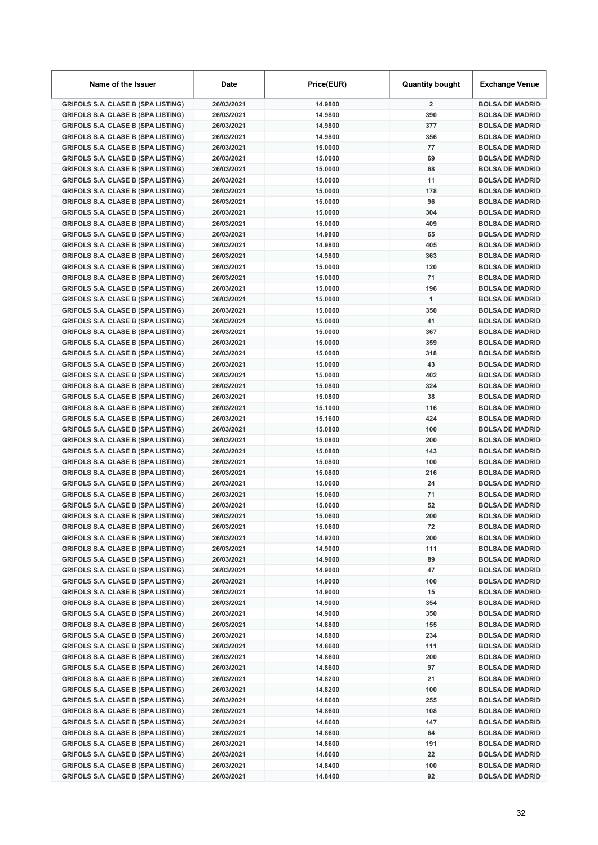| Name of the Issuer                                                                     | <b>Date</b>              | Price(EUR)         | <b>Quantity bought</b> | Exchange Venue                                   |
|----------------------------------------------------------------------------------------|--------------------------|--------------------|------------------------|--------------------------------------------------|
| <b>GRIFOLS S.A. CLASE B (SPA LISTING)</b>                                              | 26/03/2021               | 14.9800            | $\overline{2}$         | <b>BOLSA DE MADRID</b>                           |
| <b>GRIFOLS S.A. CLASE B (SPA LISTING)</b>                                              | 26/03/2021               | 14.9800            | 390                    | <b>BOLSA DE MADRID</b>                           |
| <b>GRIFOLS S.A. CLASE B (SPA LISTING)</b>                                              | 26/03/2021               | 14.9800            | 377                    | <b>BOLSA DE MADRID</b>                           |
| <b>GRIFOLS S.A. CLASE B (SPA LISTING)</b>                                              | 26/03/2021               | 14.9800            | 356                    | <b>BOLSA DE MADRID</b>                           |
| <b>GRIFOLS S.A. CLASE B (SPA LISTING)</b>                                              | 26/03/2021               | 15.0000            | 77                     | <b>BOLSA DE MADRID</b>                           |
| <b>GRIFOLS S.A. CLASE B (SPA LISTING)</b>                                              | 26/03/2021               | 15.0000            | 69                     | <b>BOLSA DE MADRID</b>                           |
| <b>GRIFOLS S.A. CLASE B (SPA LISTING)</b>                                              | 26/03/2021               | 15.0000            | 68                     | <b>BOLSA DE MADRID</b>                           |
| <b>GRIFOLS S.A. CLASE B (SPA LISTING)</b>                                              | 26/03/2021               | 15.0000            | 11                     | <b>BOLSA DE MADRID</b>                           |
| <b>GRIFOLS S.A. CLASE B (SPA LISTING)</b>                                              | 26/03/2021               | 15,0000            | 178                    | <b>BOLSA DE MADRID</b>                           |
| <b>GRIFOLS S.A. CLASE B (SPA LISTING)</b>                                              | 26/03/2021               | 15.0000            | 96                     | <b>BOLSA DE MADRID</b>                           |
| <b>GRIFOLS S.A. CLASE B (SPA LISTING)</b>                                              | 26/03/2021               | 15.0000            | 304                    | <b>BOLSA DE MADRID</b>                           |
| <b>GRIFOLS S.A. CLASE B (SPA LISTING)</b>                                              | 26/03/2021               | 15.0000            | 409                    | <b>BOLSA DE MADRID</b>                           |
| <b>GRIFOLS S.A. CLASE B (SPA LISTING)</b>                                              | 26/03/2021               | 14.9800            | 65                     | <b>BOLSA DE MADRID</b>                           |
| <b>GRIFOLS S.A. CLASE B (SPA LISTING)</b>                                              | 26/03/2021               | 14.9800            | 405                    | <b>BOLSA DE MADRID</b>                           |
| <b>GRIFOLS S.A. CLASE B (SPA LISTING)</b>                                              | 26/03/2021               | 14.9800            | 363                    | <b>BOLSA DE MADRID</b>                           |
| <b>GRIFOLS S.A. CLASE B (SPA LISTING)</b>                                              | 26/03/2021               | 15.0000            | 120                    | <b>BOLSA DE MADRID</b>                           |
| <b>GRIFOLS S.A. CLASE B (SPA LISTING)</b>                                              | 26/03/2021               | 15.0000            | 71                     | <b>BOLSA DE MADRID</b>                           |
| <b>GRIFOLS S.A. CLASE B (SPA LISTING)</b>                                              | 26/03/2021               | 15.0000            | 196                    | <b>BOLSA DE MADRID</b>                           |
| <b>GRIFOLS S.A. CLASE B (SPA LISTING)</b>                                              | 26/03/2021               | 15.0000            | $\overline{1}$         | <b>BOLSA DE MADRID</b>                           |
| <b>GRIFOLS S.A. CLASE B (SPA LISTING)</b>                                              | 26/03/2021               | 15,0000            | 350                    | <b>BOLSA DE MADRID</b>                           |
| <b>GRIFOLS S.A. CLASE B (SPA LISTING)</b>                                              | 26/03/2021               | 15.0000            | 41                     | <b>BOLSA DE MADRID</b>                           |
| <b>GRIFOLS S.A. CLASE B (SPA LISTING)</b>                                              | 26/03/2021               | 15.0000            | 367                    | <b>BOLSA DE MADRID</b>                           |
| <b>GRIFOLS S.A. CLASE B (SPA LISTING)</b>                                              | 26/03/2021               | 15.0000            | 359                    | <b>BOLSA DE MADRID</b>                           |
| <b>GRIFOLS S.A. CLASE B (SPA LISTING)</b>                                              | 26/03/2021               | 15.0000            | 318                    | <b>BOLSA DE MADRID</b>                           |
| <b>GRIFOLS S.A. CLASE B (SPA LISTING)</b>                                              | 26/03/2021               | 15.0000            | 43                     | <b>BOLSA DE MADRID</b>                           |
| <b>GRIFOLS S.A. CLASE B (SPA LISTING)</b>                                              | 26/03/2021               | 15.0000            | 402                    | <b>BOLSA DE MADRID</b>                           |
| <b>GRIFOLS S.A. CLASE B (SPA LISTING)</b>                                              | 26/03/2021               | 15.0800            | 324                    | <b>BOLSA DE MADRID</b>                           |
| <b>GRIFOLS S.A. CLASE B (SPA LISTING)</b>                                              | 26/03/2021               | 15.0800            | 38                     | <b>BOLSA DE MADRID</b>                           |
| <b>GRIFOLS S.A. CLASE B (SPA LISTING)</b>                                              | 26/03/2021               | 15.1000            | 116                    | <b>BOLSA DE MADRID</b>                           |
| <b>GRIFOLS S.A. CLASE B (SPA LISTING)</b>                                              | 26/03/2021               | 15.1600            | 424                    | <b>BOLSA DE MADRID</b>                           |
| <b>GRIFOLS S.A. CLASE B (SPA LISTING)</b>                                              | 26/03/2021               | 15.0800            | 100                    | <b>BOLSA DE MADRID</b>                           |
| <b>GRIFOLS S.A. CLASE B (SPA LISTING)</b>                                              | 26/03/2021               | 15.0800            | 200                    | <b>BOLSA DE MADRID</b>                           |
| <b>GRIFOLS S.A. CLASE B (SPA LISTING)</b>                                              | 26/03/2021               | 15.0800            | 143                    | <b>BOLSA DE MADRID</b>                           |
| <b>GRIFOLS S.A. CLASE B (SPA LISTING)</b>                                              | 26/03/2021               | 15.0800            | 100                    | <b>BOLSA DE MADRID</b>                           |
| <b>GRIFOLS S.A. CLASE B (SPA LISTING)</b>                                              | 26/03/2021               | 15.0800            | 216                    | <b>BOLSA DE MADRID</b>                           |
| <b>GRIFOLS S.A. CLASE B (SPA LISTING)</b>                                              | 26/03/2021               | 15.0600            | 24                     | <b>BOLSA DE MADRID</b>                           |
| <b>GRIFOLS S.A. CLASE B (SPA LISTING)</b>                                              | 26/03/2021               | 15.0600            | 71                     | <b>BOLSA DE MADRID</b>                           |
| <b>GRIFOLS S.A. CLASE B (SPA LISTING)</b>                                              | 26/03/2021               | 15.0600<br>15.0600 | 52<br>200              | <b>BOLSA DE MADRID</b><br><b>BOLSA DE MADRID</b> |
| <b>GRIFOLS S.A. CLASE B (SPA LISTING)</b>                                              | 26/03/2021               |                    |                        |                                                  |
| <b>GRIFOLS S.A. CLASE B (SPA LISTING)</b>                                              | 26/03/2021               | 15.0600            | 72<br>200              | <b>BOLSA DE MADRID</b><br><b>BOLSA DE MADRID</b> |
| <b>GRIFOLS S.A. CLASE B (SPA LISTING)</b>                                              | 26/03/2021               | 14.9200            |                        |                                                  |
| <b>GRIFOLS S.A. CLASE B (SPA LISTING)</b><br><b>GRIFOLS S.A. CLASE B (SPA LISTING)</b> | 26/03/2021               | 14.9000<br>14.9000 | 111<br>89              | <b>BOLSA DE MADRID</b><br><b>BOLSA DE MADRID</b> |
| <b>GRIFOLS S.A. CLASE B (SPA LISTING)</b>                                              | 26/03/2021<br>26/03/2021 | 14.9000            | 47                     |                                                  |
| <b>GRIFOLS S.A. CLASE B (SPA LISTING)</b>                                              | 26/03/2021               | 14.9000            | 100                    | <b>BOLSA DE MADRID</b><br><b>BOLSA DE MADRID</b> |
| <b>GRIFOLS S.A. CLASE B (SPA LISTING)</b>                                              | 26/03/2021               | 14.9000            | 15                     | <b>BOLSA DE MADRID</b>                           |
| <b>GRIFOLS S.A. CLASE B (SPA LISTING)</b>                                              | 26/03/2021               | 14.9000            | 354                    | <b>BOLSA DE MADRID</b>                           |
| <b>GRIFOLS S.A. CLASE B (SPA LISTING)</b>                                              | 26/03/2021               | 14.9000            | 350                    | <b>BOLSA DE MADRID</b>                           |
| <b>GRIFOLS S.A. CLASE B (SPA LISTING)</b>                                              | 26/03/2021               | 14.8800            | 155                    | <b>BOLSA DE MADRID</b>                           |
| <b>GRIFOLS S.A. CLASE B (SPA LISTING)</b>                                              | 26/03/2021               | 14.8800            | 234                    | <b>BOLSA DE MADRID</b>                           |
| <b>GRIFOLS S.A. CLASE B (SPA LISTING)</b>                                              | 26/03/2021               | 14.8600            | 111                    | <b>BOLSA DE MADRID</b>                           |
| <b>GRIFOLS S.A. CLASE B (SPA LISTING)</b>                                              | 26/03/2021               | 14.8600            | 200                    | <b>BOLSA DE MADRID</b>                           |
| <b>GRIFOLS S.A. CLASE B (SPA LISTING)</b>                                              | 26/03/2021               | 14.8600            | 97                     | <b>BOLSA DE MADRID</b>                           |
| <b>GRIFOLS S.A. CLASE B (SPA LISTING)</b>                                              | 26/03/2021               | 14.8200            | 21                     | <b>BOLSA DE MADRID</b>                           |
| <b>GRIFOLS S.A. CLASE B (SPA LISTING)</b>                                              | 26/03/2021               | 14.8200            | 100                    | <b>BOLSA DE MADRID</b>                           |
| <b>GRIFOLS S.A. CLASE B (SPA LISTING)</b>                                              | 26/03/2021               | 14.8600            | 255                    | <b>BOLSA DE MADRID</b>                           |
| <b>GRIFOLS S.A. CLASE B (SPA LISTING)</b>                                              | 26/03/2021               | 14.8600            | 108                    | <b>BOLSA DE MADRID</b>                           |
| <b>GRIFOLS S.A. CLASE B (SPA LISTING)</b>                                              | 26/03/2021               | 14.8600            | 147                    | <b>BOLSA DE MADRID</b>                           |
| <b>GRIFOLS S.A. CLASE B (SPA LISTING)</b>                                              | 26/03/2021               | 14.8600            | 64                     | <b>BOLSA DE MADRID</b>                           |
| <b>GRIFOLS S.A. CLASE B (SPA LISTING)</b>                                              | 26/03/2021               | 14.8600            | 191                    | <b>BOLSA DE MADRID</b>                           |
| <b>GRIFOLS S.A. CLASE B (SPA LISTING)</b>                                              | 26/03/2021               | 14.8600            | 22                     | <b>BOLSA DE MADRID</b>                           |
| <b>GRIFOLS S.A. CLASE B (SPA LISTING)</b>                                              | 26/03/2021               | 14.8400            | 100                    | <b>BOLSA DE MADRID</b>                           |
| <b>GRIFOLS S.A. CLASE B (SPA LISTING)</b>                                              | 26/03/2021               | 14.8400            | 92                     | <b>BOLSA DE MADRID</b>                           |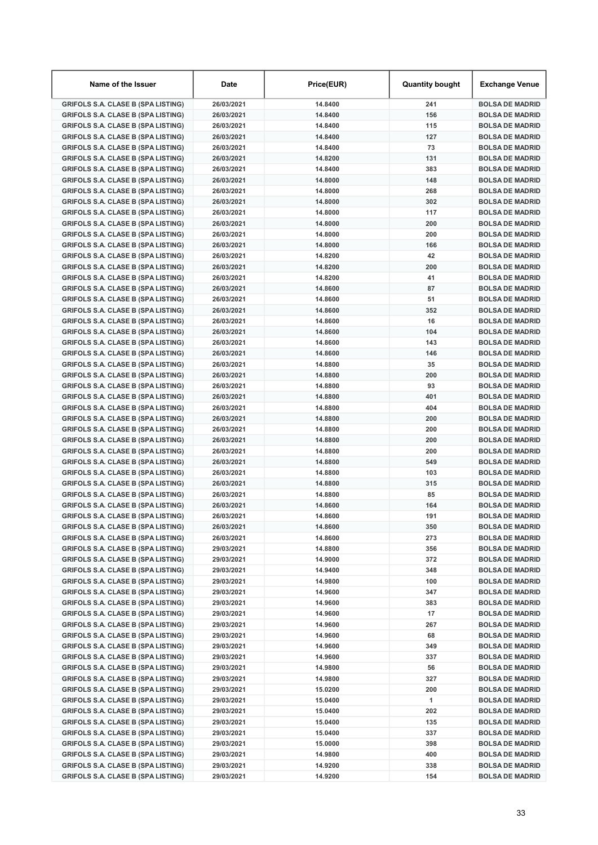| Name of the Issuer                                                                     | <b>Date</b>              | Price(EUR)         | <b>Quantity bought</b> | Exchange Venue                                   |
|----------------------------------------------------------------------------------------|--------------------------|--------------------|------------------------|--------------------------------------------------|
| <b>GRIFOLS S.A. CLASE B (SPA LISTING)</b>                                              | 26/03/2021               | 14.8400            | 241                    | <b>BOLSA DE MADRID</b>                           |
| <b>GRIFOLS S.A. CLASE B (SPA LISTING)</b>                                              | 26/03/2021               | 14.8400            | 156                    | <b>BOLSA DE MADRID</b>                           |
| <b>GRIFOLS S.A. CLASE B (SPA LISTING)</b>                                              | 26/03/2021               | 14.8400            | 115                    | <b>BOLSA DE MADRID</b>                           |
| <b>GRIFOLS S.A. CLASE B (SPA LISTING)</b>                                              | 26/03/2021               | 14.8400            | 127                    | <b>BOLSA DE MADRID</b>                           |
| <b>GRIFOLS S.A. CLASE B (SPA LISTING)</b>                                              | 26/03/2021               | 14.8400            | 73                     | <b>BOLSA DE MADRID</b>                           |
| <b>GRIFOLS S.A. CLASE B (SPA LISTING)</b>                                              | 26/03/2021               | 14.8200            | 131                    | <b>BOLSA DE MADRID</b>                           |
| <b>GRIFOLS S.A. CLASE B (SPA LISTING)</b>                                              | 26/03/2021               | 14.8400            | 383                    | <b>BOLSA DE MADRID</b>                           |
| <b>GRIFOLS S.A. CLASE B (SPA LISTING)</b>                                              | 26/03/2021               | 14.8000            | 148                    | <b>BOLSA DE MADRID</b>                           |
| <b>GRIFOLS S.A. CLASE B (SPA LISTING)</b>                                              | 26/03/2021               | 14.8000            | 268                    | <b>BOLSA DE MADRID</b>                           |
| <b>GRIFOLS S.A. CLASE B (SPA LISTING)</b>                                              | 26/03/2021               | 14.8000            | 302                    | <b>BOLSA DE MADRID</b>                           |
| <b>GRIFOLS S.A. CLASE B (SPA LISTING)</b>                                              | 26/03/2021               | 14.8000            | 117                    | <b>BOLSA DE MADRID</b>                           |
| <b>GRIFOLS S.A. CLASE B (SPA LISTING)</b>                                              | 26/03/2021               | 14.8000            | 200                    | <b>BOLSA DE MADRID</b>                           |
| <b>GRIFOLS S.A. CLASE B (SPA LISTING)</b>                                              | 26/03/2021               | 14.8000            | 200                    | <b>BOLSA DE MADRID</b>                           |
| <b>GRIFOLS S.A. CLASE B (SPA LISTING)</b>                                              | 26/03/2021               | 14.8000            | 166                    | <b>BOLSA DE MADRID</b>                           |
| <b>GRIFOLS S.A. CLASE B (SPA LISTING)</b>                                              | 26/03/2021               | 14.8200            | 42                     | <b>BOLSA DE MADRID</b>                           |
| <b>GRIFOLS S.A. CLASE B (SPA LISTING)</b>                                              | 26/03/2021               | 14.8200            | 200                    | <b>BOLSA DE MADRID</b>                           |
| <b>GRIFOLS S.A. CLASE B (SPA LISTING)</b>                                              | 26/03/2021               | 14.8200            | 41                     | <b>BOLSA DE MADRID</b>                           |
| <b>GRIFOLS S.A. CLASE B (SPA LISTING)</b>                                              | 26/03/2021               | 14.8600            | 87                     | <b>BOLSA DE MADRID</b>                           |
| <b>GRIFOLS S.A. CLASE B (SPA LISTING)</b>                                              | 26/03/2021               | 14.8600            | 51                     | <b>BOLSA DE MADRID</b>                           |
| <b>GRIFOLS S.A. CLASE B (SPA LISTING)</b>                                              | 26/03/2021               | 14.8600            | 352                    | <b>BOLSA DE MADRID</b>                           |
| <b>GRIFOLS S.A. CLASE B (SPA LISTING)</b>                                              | 26/03/2021               | 14.8600            | 16                     | <b>BOLSA DE MADRID</b>                           |
| <b>GRIFOLS S.A. CLASE B (SPA LISTING)</b>                                              | 26/03/2021               | 14.8600            | 104                    | <b>BOLSA DE MADRID</b>                           |
| <b>GRIFOLS S.A. CLASE B (SPA LISTING)</b>                                              | 26/03/2021               | 14.8600            | 143                    | <b>BOLSA DE MADRID</b>                           |
| <b>GRIFOLS S.A. CLASE B (SPA LISTING)</b>                                              | 26/03/2021               | 14.8600            | 146                    | <b>BOLSA DE MADRID</b>                           |
| <b>GRIFOLS S.A. CLASE B (SPA LISTING)</b>                                              | 26/03/2021               | 14.8800            | 35                     | <b>BOLSA DE MADRID</b>                           |
| <b>GRIFOLS S.A. CLASE B (SPA LISTING)</b>                                              | 26/03/2021               | 14.8800            | 200                    | <b>BOLSA DE MADRID</b>                           |
| <b>GRIFOLS S.A. CLASE B (SPA LISTING)</b>                                              | 26/03/2021               | 14.8800            | 93                     | <b>BOLSA DE MADRID</b>                           |
| <b>GRIFOLS S.A. CLASE B (SPA LISTING)</b>                                              | 26/03/2021               | 14.8800            | 401                    | <b>BOLSA DE MADRID</b>                           |
| <b>GRIFOLS S.A. CLASE B (SPA LISTING)</b>                                              | 26/03/2021               | 14.8800            | 404                    | <b>BOLSA DE MADRID</b>                           |
| <b>GRIFOLS S.A. CLASE B (SPA LISTING)</b>                                              | 26/03/2021               | 14.8800            | 200                    | <b>BOLSA DE MADRID</b>                           |
| <b>GRIFOLS S.A. CLASE B (SPA LISTING)</b>                                              | 26/03/2021               | 14.8800            | 200                    | <b>BOLSA DE MADRID</b>                           |
| <b>GRIFOLS S.A. CLASE B (SPA LISTING)</b>                                              | 26/03/2021               | 14.8800            | 200                    | <b>BOLSA DE MADRID</b>                           |
| <b>GRIFOLS S.A. CLASE B (SPA LISTING)</b>                                              | 26/03/2021               | 14.8800            | 200                    | <b>BOLSA DE MADRID</b>                           |
| <b>GRIFOLS S.A. CLASE B (SPA LISTING)</b>                                              | 26/03/2021               | 14.8800            | 549                    | <b>BOLSA DE MADRID</b>                           |
| <b>GRIFOLS S.A. CLASE B (SPA LISTING)</b>                                              | 26/03/2021               | 14.8800            | 103                    | <b>BOLSA DE MADRID</b>                           |
| <b>GRIFOLS S.A. CLASE B (SPA LISTING)</b>                                              | 26/03/2021               | 14.8800            | 315                    | <b>BOLSA DE MADRID</b>                           |
| <b>GRIFOLS S.A. CLASE B (SPA LISTING)</b>                                              | 26/03/2021               | 14.8800            | 85                     | <b>BOLSA DE MADRID</b>                           |
| <b>GRIFOLS S.A. CLASE B (SPA LISTING)</b>                                              | 26/03/2021               | 14.8600            | 164<br>191             | <b>BOLSA DE MADRID</b>                           |
| <b>GRIFOLS S.A. CLASE B (SPA LISTING)</b>                                              | 26/03/2021               | 14.8600            |                        | <b>BOLSA DE MADRID</b>                           |
| <b>GRIFOLS S.A. CLASE B (SPA LISTING)</b>                                              | 26/03/2021               | 14.8600            | 350                    | <b>BOLSA DE MADRID</b>                           |
| <b>GRIFOLS S.A. CLASE B (SPA LISTING)</b>                                              | 26/03/2021               | 14.8600            | 273                    | <b>BOLSA DE MADRID</b>                           |
| <b>GRIFOLS S.A. CLASE B (SPA LISTING)</b>                                              | 29/03/2021               | 14.8800            | 356                    | <b>BOLSA DE MADRID</b>                           |
| <b>GRIFOLS S.A. CLASE B (SPA LISTING)</b>                                              | 29/03/2021               | 14.9000            | 372                    | <b>BOLSA DE MADRID</b>                           |
| <b>GRIFOLS S.A. CLASE B (SPA LISTING)</b><br><b>GRIFOLS S.A. CLASE B (SPA LISTING)</b> | 29/03/2021<br>29/03/2021 | 14.9400<br>14.9800 | 348<br>100             | <b>BOLSA DE MADRID</b><br><b>BOLSA DE MADRID</b> |
|                                                                                        | 29/03/2021               |                    |                        |                                                  |
| <b>GRIFOLS S.A. CLASE B (SPA LISTING)</b><br><b>GRIFOLS S.A. CLASE B (SPA LISTING)</b> | 29/03/2021               | 14.9600<br>14.9600 | 347<br>383             | <b>BOLSA DE MADRID</b><br><b>BOLSA DE MADRID</b> |
| <b>GRIFOLS S.A. CLASE B (SPA LISTING)</b>                                              | 29/03/2021               |                    | 17                     | <b>BOLSA DE MADRID</b>                           |
| <b>GRIFOLS S.A. CLASE B (SPA LISTING)</b>                                              | 29/03/2021               | 14.9600<br>14.9600 | 267                    | <b>BOLSA DE MADRID</b>                           |
| <b>GRIFOLS S.A. CLASE B (SPA LISTING)</b>                                              | 29/03/2021               | 14.9600            | 68                     | <b>BOLSA DE MADRID</b>                           |
| <b>GRIFOLS S.A. CLASE B (SPA LISTING)</b>                                              | 29/03/2021               | 14.9600            | 349                    | <b>BOLSA DE MADRID</b>                           |
| <b>GRIFOLS S.A. CLASE B (SPA LISTING)</b>                                              | 29/03/2021               | 14.9600            | 337                    | <b>BOLSA DE MADRID</b>                           |
| <b>GRIFOLS S.A. CLASE B (SPA LISTING)</b>                                              | 29/03/2021               | 14.9800            | 56                     | <b>BOLSA DE MADRID</b>                           |
| <b>GRIFOLS S.A. CLASE B (SPA LISTING)</b>                                              | 29/03/2021               | 14.9800            | 327                    | <b>BOLSA DE MADRID</b>                           |
| <b>GRIFOLS S.A. CLASE B (SPA LISTING)</b>                                              | 29/03/2021               | 15.0200            | 200                    | <b>BOLSA DE MADRID</b>                           |
| <b>GRIFOLS S.A. CLASE B (SPA LISTING)</b>                                              | 29/03/2021               | 15.0400            | 1                      | <b>BOLSA DE MADRID</b>                           |
| <b>GRIFOLS S.A. CLASE B (SPA LISTING)</b>                                              | 29/03/2021               | 15.0400            | 202                    | <b>BOLSA DE MADRID</b>                           |
| <b>GRIFOLS S.A. CLASE B (SPA LISTING)</b>                                              | 29/03/2021               | 15.0400            | 135                    | <b>BOLSA DE MADRID</b>                           |
| <b>GRIFOLS S.A. CLASE B (SPA LISTING)</b>                                              | 29/03/2021               | 15.0400            | 337                    | <b>BOLSA DE MADRID</b>                           |
| <b>GRIFOLS S.A. CLASE B (SPA LISTING)</b>                                              | 29/03/2021               | 15.0000            | 398                    | <b>BOLSA DE MADRID</b>                           |
| <b>GRIFOLS S.A. CLASE B (SPA LISTING)</b>                                              | 29/03/2021               | 14.9800            | 400                    | <b>BOLSA DE MADRID</b>                           |
| <b>GRIFOLS S.A. CLASE B (SPA LISTING)</b>                                              | 29/03/2021               | 14.9200            | 338                    | <b>BOLSA DE MADRID</b>                           |
| <b>GRIFOLS S.A. CLASE B (SPA LISTING)</b>                                              | 29/03/2021               | 14.9200            | 154                    | <b>BOLSA DE MADRID</b>                           |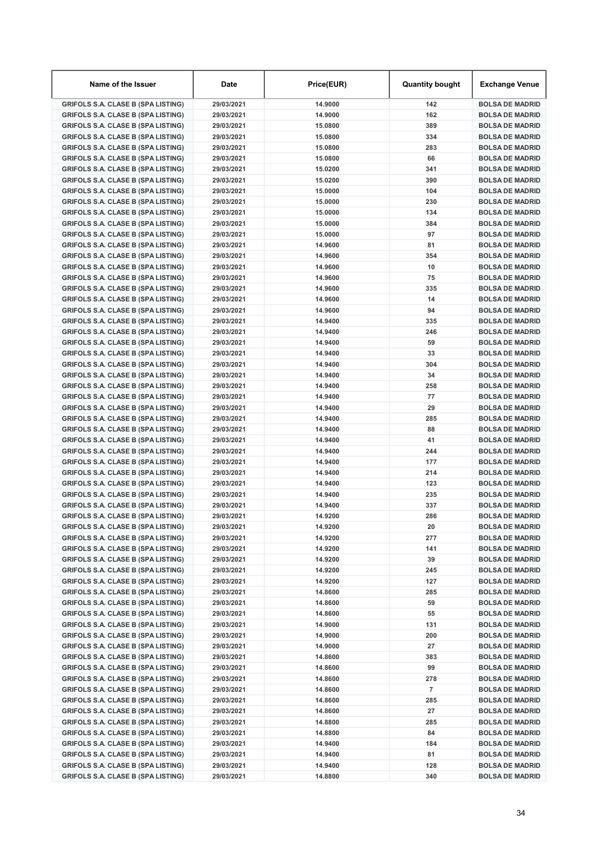| Name of the Issuer                                                                     | <b>Date</b>              | Price(EUR)         | <b>Quantity bought</b> | Exchange Venue                                   |
|----------------------------------------------------------------------------------------|--------------------------|--------------------|------------------------|--------------------------------------------------|
| <b>GRIFOLS S.A. CLASE B (SPA LISTING)</b>                                              | 29/03/2021               | 14.9000            | 142                    | <b>BOLSA DE MADRID</b>                           |
| <b>GRIFOLS S.A. CLASE B (SPA LISTING)</b>                                              | 29/03/2021               | 14.9000            | 162                    | <b>BOLSA DE MADRID</b>                           |
| <b>GRIFOLS S.A. CLASE B (SPA LISTING)</b>                                              | 29/03/2021               | 15,0800            | 389                    | <b>BOLSA DE MADRID</b>                           |
| <b>GRIFOLS S.A. CLASE B (SPA LISTING)</b>                                              | 29/03/2021               | 15,0800            | 334                    | <b>BOLSA DE MADRID</b>                           |
| <b>GRIFOLS S.A. CLASE B (SPA LISTING)</b>                                              | 29/03/2021               | 15.0800            | 283                    | <b>BOLSA DE MADRID</b>                           |
| <b>GRIFOLS S.A. CLASE B (SPA LISTING)</b>                                              | 29/03/2021               | 15.0800            | 66                     | <b>BOLSA DE MADRID</b>                           |
| <b>GRIFOLS S.A. CLASE B (SPA LISTING)</b>                                              | 29/03/2021               | 15.0200            | 341                    | <b>BOLSA DE MADRID</b>                           |
| <b>GRIFOLS S.A. CLASE B (SPA LISTING)</b>                                              | 29/03/2021               | 15.0200            | 390                    | <b>BOLSA DE MADRID</b>                           |
| <b>GRIFOLS S.A. CLASE B (SPA LISTING)</b>                                              | 29/03/2021               | 15.0000            | 104                    | <b>BOLSA DE MADRID</b>                           |
| <b>GRIFOLS S.A. CLASE B (SPA LISTING)</b>                                              | 29/03/2021               | 15.0000            | 230                    | <b>BOLSA DE MADRID</b>                           |
| <b>GRIFOLS S.A. CLASE B (SPA LISTING)</b>                                              | 29/03/2021               | 15,0000            | 134                    | <b>BOLSA DE MADRID</b>                           |
| <b>GRIFOLS S.A. CLASE B (SPA LISTING)</b>                                              | 29/03/2021               | 15.0000            | 384                    | <b>BOLSA DE MADRID</b>                           |
| <b>GRIFOLS S.A. CLASE B (SPA LISTING)</b>                                              | 29/03/2021               | 15.0000            | 97                     | <b>BOLSA DE MADRID</b>                           |
| <b>GRIFOLS S.A. CLASE B (SPA LISTING)</b>                                              | 29/03/2021               | 14.9600            | 81                     | <b>BOLSA DE MADRID</b>                           |
| <b>GRIFOLS S.A. CLASE B (SPA LISTING)</b>                                              | 29/03/2021               | 14.9600            | 354                    | <b>BOLSA DE MADRID</b>                           |
| <b>GRIFOLS S.A. CLASE B (SPA LISTING)</b>                                              | 29/03/2021               | 14.9600            | 10                     | <b>BOLSA DE MADRID</b>                           |
| <b>GRIFOLS S.A. CLASE B (SPA LISTING)</b>                                              | 29/03/2021               | 14.9600            | 75                     | <b>BOLSA DE MADRID</b>                           |
| <b>GRIFOLS S.A. CLASE B (SPA LISTING)</b>                                              | 29/03/2021               | 14.9600            | 335                    | <b>BOLSA DE MADRID</b>                           |
| <b>GRIFOLS S.A. CLASE B (SPA LISTING)</b>                                              | 29/03/2021               | 14.9600            | 14                     | <b>BOLSA DE MADRID</b>                           |
| <b>GRIFOLS S.A. CLASE B (SPA LISTING)</b>                                              | 29/03/2021               | 14.9600            | 94                     | <b>BOLSA DE MADRID</b>                           |
| <b>GRIFOLS S.A. CLASE B (SPA LISTING)</b>                                              | 29/03/2021               | 14.9400            | 335                    | <b>BOLSA DE MADRID</b>                           |
| <b>GRIFOLS S.A. CLASE B (SPA LISTING)</b>                                              | 29/03/2021               | 14.9400            | 246                    | <b>BOLSA DE MADRID</b>                           |
| <b>GRIFOLS S.A. CLASE B (SPA LISTING)</b>                                              | 29/03/2021               | 14.9400            | 59                     | <b>BOLSA DE MADRID</b>                           |
| <b>GRIFOLS S.A. CLASE B (SPA LISTING)</b>                                              | 29/03/2021               | 14.9400            | 33                     | <b>BOLSA DE MADRID</b>                           |
| <b>GRIFOLS S.A. CLASE B (SPA LISTING)</b>                                              | 29/03/2021               | 14.9400            | 304                    | <b>BOLSA DE MADRID</b>                           |
| <b>GRIFOLS S.A. CLASE B (SPA LISTING)</b>                                              | 29/03/2021               | 14.9400            | 34                     | <b>BOLSA DE MADRID</b>                           |
| <b>GRIFOLS S.A. CLASE B (SPA LISTING)</b>                                              | 29/03/2021               | 14.9400            | 258                    | <b>BOLSA DE MADRID</b>                           |
| <b>GRIFOLS S.A. CLASE B (SPA LISTING)</b>                                              | 29/03/2021               | 14.9400            | 77                     | <b>BOLSA DE MADRID</b>                           |
| <b>GRIFOLS S.A. CLASE B (SPA LISTING)</b>                                              | 29/03/2021               | 14.9400            | 29                     | <b>BOLSA DE MADRID</b>                           |
| <b>GRIFOLS S.A. CLASE B (SPA LISTING)</b>                                              | 29/03/2021               | 14.9400            | 285                    | <b>BOLSA DE MADRID</b>                           |
| <b>GRIFOLS S.A. CLASE B (SPA LISTING)</b>                                              | 29/03/2021               | 14.9400            | 88                     | <b>BOLSA DE MADRID</b>                           |
| <b>GRIFOLS S.A. CLASE B (SPA LISTING)</b>                                              | 29/03/2021               | 14.9400            | 41                     | <b>BOLSA DE MADRID</b>                           |
| <b>GRIFOLS S.A. CLASE B (SPA LISTING)</b>                                              | 29/03/2021               | 14.9400            | 244                    | <b>BOLSA DE MADRID</b>                           |
| <b>GRIFOLS S.A. CLASE B (SPA LISTING)</b>                                              | 29/03/2021               | 14.9400            | 177                    | <b>BOLSA DE MADRID</b>                           |
| <b>GRIFOLS S.A. CLASE B (SPA LISTING)</b>                                              | 29/03/2021               | 14.9400            | 214                    | <b>BOLSA DE MADRID</b>                           |
| <b>GRIFOLS S.A. CLASE B (SPA LISTING)</b>                                              | 29/03/2021               | 14.9400<br>14.9400 | 123<br>235             | <b>BOLSA DE MADRID</b><br><b>BOLSA DE MADRID</b> |
| <b>GRIFOLS S.A. CLASE B (SPA LISTING)</b><br><b>GRIFOLS S.A. CLASE B (SPA LISTING)</b> | 29/03/2021<br>29/03/2021 | 14.9400            | 337                    | <b>BOLSA DE MADRID</b>                           |
| <b>GRIFOLS S.A. CLASE B (SPA LISTING)</b>                                              | 29/03/2021               | 14.9200            | 286                    | <b>BOLSA DE MADRID</b>                           |
| <b>GRIFOLS S.A. CLASE B (SPA LISTING)</b>                                              | 29/03/2021               | 14.9200            | 20                     | <b>BOLSA DE MADRID</b>                           |
| <b>GRIFOLS S.A. CLASE B (SPA LISTING)</b>                                              | 29/03/2021               | 14.9200            | 277                    | <b>BOLSA DE MADRID</b>                           |
| <b>GRIFOLS S.A. CLASE B (SPA LISTING)</b>                                              | 29/03/2021               | 14.9200            | 141                    | <b>BOLSA DE MADRID</b>                           |
| <b>GRIFOLS S.A. CLASE B (SPA LISTING)</b>                                              | 29/03/2021               | 14.9200            | 39                     | <b>BOLSA DE MADRID</b>                           |
| <b>GRIFOLS S.A. CLASE B (SPA LISTING)</b>                                              | 29/03/2021               | 14.9200            | 245                    | <b>BOLSA DE MADRID</b>                           |
| <b>GRIFOLS S.A. CLASE B (SPA LISTING)</b>                                              | 29/03/2021               | 14.9200            | 127                    | <b>BOLSA DE MADRID</b>                           |
| <b>GRIFOLS S.A. CLASE B (SPA LISTING)</b>                                              | 29/03/2021               | 14.8600            | 285                    | <b>BOLSA DE MADRID</b>                           |
| <b>GRIFOLS S.A. CLASE B (SPA LISTING)</b>                                              | 29/03/2021               | 14.8600            | 59                     | <b>BOLSA DE MADRID</b>                           |
| <b>GRIFOLS S.A. CLASE B (SPA LISTING)</b>                                              | 29/03/2021               | 14.8600            | 55                     | <b>BOLSA DE MADRID</b>                           |
| <b>GRIFOLS S.A. CLASE B (SPA LISTING)</b>                                              | 29/03/2021               | 14.9000            | 131                    | <b>BOLSA DE MADRID</b>                           |
| <b>GRIFOLS S.A. CLASE B (SPA LISTING)</b>                                              | 29/03/2021               | 14.9000            | 200                    | <b>BOLSA DE MADRID</b>                           |
| <b>GRIFOLS S.A. CLASE B (SPA LISTING)</b>                                              | 29/03/2021               | 14.9000            | 27                     | <b>BOLSA DE MADRID</b>                           |
| <b>GRIFOLS S.A. CLASE B (SPA LISTING)</b>                                              | 29/03/2021               | 14.8600            | 383                    | <b>BOLSA DE MADRID</b>                           |
| <b>GRIFOLS S.A. CLASE B (SPA LISTING)</b>                                              | 29/03/2021               | 14.8600            | 99                     | <b>BOLSA DE MADRID</b>                           |
| <b>GRIFOLS S.A. CLASE B (SPA LISTING)</b>                                              | 29/03/2021               | 14.8600            | 278                    | <b>BOLSA DE MADRID</b>                           |
| <b>GRIFOLS S.A. CLASE B (SPA LISTING)</b>                                              | 29/03/2021               | 14.8600            | $\overline{7}$         | <b>BOLSA DE MADRID</b>                           |
| <b>GRIFOLS S.A. CLASE B (SPA LISTING)</b>                                              | 29/03/2021               | 14.8600            | 285                    | <b>BOLSA DE MADRID</b>                           |
| <b>GRIFOLS S.A. CLASE B (SPA LISTING)</b>                                              | 29/03/2021               | 14.8600            | 27                     | <b>BOLSA DE MADRID</b>                           |
| <b>GRIFOLS S.A. CLASE B (SPA LISTING)</b>                                              | 29/03/2021               | 14.8800            | 285                    | <b>BOLSA DE MADRID</b>                           |
| <b>GRIFOLS S.A. CLASE B (SPA LISTING)</b>                                              | 29/03/2021               | 14.8800            | 84                     | <b>BOLSA DE MADRID</b>                           |
| <b>GRIFOLS S.A. CLASE B (SPA LISTING)</b>                                              | 29/03/2021               | 14.9400            | 184                    | <b>BOLSA DE MADRID</b>                           |
| <b>GRIFOLS S.A. CLASE B (SPA LISTING)</b>                                              | 29/03/2021               | 14.9400            | 81                     | <b>BOLSA DE MADRID</b>                           |
| <b>GRIFOLS S.A. CLASE B (SPA LISTING)</b>                                              | 29/03/2021               | 14.9400            | 128                    | <b>BOLSA DE MADRID</b>                           |
| <b>GRIFOLS S.A. CLASE B (SPA LISTING)</b>                                              | 29/03/2021               | 14.8800            | 340                    | <b>BOLSA DE MADRID</b>                           |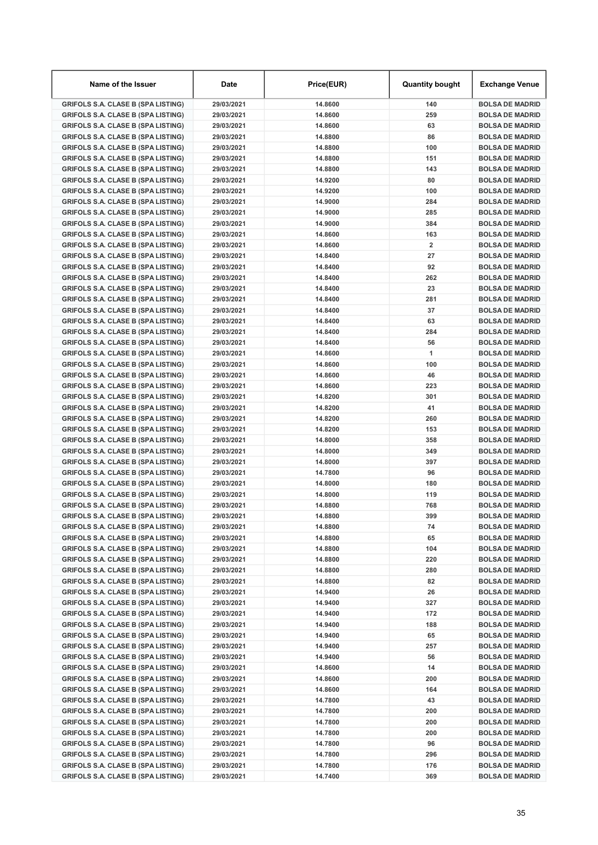| Name of the Issuer                                                                     | <b>Date</b>              | Price(EUR)         | <b>Quantity bought</b> | Exchange Venue                                   |
|----------------------------------------------------------------------------------------|--------------------------|--------------------|------------------------|--------------------------------------------------|
| <b>GRIFOLS S.A. CLASE B (SPA LISTING)</b>                                              | 29/03/2021               | 14.8600            | 140                    | <b>BOLSA DE MADRID</b>                           |
| <b>GRIFOLS S.A. CLASE B (SPA LISTING)</b>                                              | 29/03/2021               | 14.8600            | 259                    | <b>BOLSA DE MADRID</b>                           |
| <b>GRIFOLS S.A. CLASE B (SPA LISTING)</b>                                              | 29/03/2021               | 14.8600            | 63                     | <b>BOLSA DE MADRID</b>                           |
| <b>GRIFOLS S.A. CLASE B (SPA LISTING)</b>                                              | 29/03/2021               | 14.8800            | 86                     | <b>BOLSA DE MADRID</b>                           |
| <b>GRIFOLS S.A. CLASE B (SPA LISTING)</b>                                              | 29/03/2021               | 14.8800            | 100                    | <b>BOLSA DE MADRID</b>                           |
| <b>GRIFOLS S.A. CLASE B (SPA LISTING)</b>                                              | 29/03/2021               | 14.8800            | 151                    | <b>BOLSA DE MADRID</b>                           |
| <b>GRIFOLS S.A. CLASE B (SPA LISTING)</b>                                              | 29/03/2021               | 14.8800            | 143                    | <b>BOLSA DE MADRID</b>                           |
| <b>GRIFOLS S.A. CLASE B (SPA LISTING)</b>                                              | 29/03/2021               | 14.9200            | 80                     | <b>BOLSA DE MADRID</b>                           |
| <b>GRIFOLS S.A. CLASE B (SPA LISTING)</b>                                              | 29/03/2021               | 14.9200            | 100                    | <b>BOLSA DE MADRID</b>                           |
| <b>GRIFOLS S.A. CLASE B (SPA LISTING)</b>                                              | 29/03/2021               | 14.9000            | 284                    | <b>BOLSA DE MADRID</b>                           |
| <b>GRIFOLS S.A. CLASE B (SPA LISTING)</b>                                              | 29/03/2021               | 14.9000            | 285                    | <b>BOLSA DE MADRID</b>                           |
| <b>GRIFOLS S.A. CLASE B (SPA LISTING)</b>                                              | 29/03/2021               | 14.9000            | 384                    | <b>BOLSA DE MADRID</b>                           |
| <b>GRIFOLS S.A. CLASE B (SPA LISTING)</b>                                              | 29/03/2021               | 14.8600            | 163                    | <b>BOLSA DE MADRID</b>                           |
| <b>GRIFOLS S.A. CLASE B (SPA LISTING)</b>                                              | 29/03/2021               | 14.8600            | $\overline{2}$         | <b>BOLSA DE MADRID</b>                           |
| <b>GRIFOLS S.A. CLASE B (SPA LISTING)</b>                                              | 29/03/2021               | 14.8400            | 27                     | <b>BOLSA DE MADRID</b>                           |
| <b>GRIFOLS S.A. CLASE B (SPA LISTING)</b>                                              | 29/03/2021               | 14.8400            | 92                     | <b>BOLSA DE MADRID</b>                           |
| <b>GRIFOLS S.A. CLASE B (SPA LISTING)</b>                                              | 29/03/2021               | 14.8400            | 262                    | <b>BOLSA DE MADRID</b>                           |
| <b>GRIFOLS S.A. CLASE B (SPA LISTING)</b>                                              | 29/03/2021               | 14.8400            | 23                     | <b>BOLSA DE MADRID</b>                           |
| <b>GRIFOLS S.A. CLASE B (SPA LISTING)</b>                                              | 29/03/2021               | 14.8400            | 281                    | <b>BOLSA DE MADRID</b>                           |
| <b>GRIFOLS S.A. CLASE B (SPA LISTING)</b>                                              | 29/03/2021               | 14.8400            | 37                     | <b>BOLSA DE MADRID</b>                           |
| <b>GRIFOLS S.A. CLASE B (SPA LISTING)</b>                                              | 29/03/2021               | 14.8400            | 63                     | <b>BOLSA DE MADRID</b>                           |
| <b>GRIFOLS S.A. CLASE B (SPA LISTING)</b>                                              | 29/03/2021               | 14.8400            | 284                    | <b>BOLSA DE MADRID</b>                           |
| <b>GRIFOLS S.A. CLASE B (SPA LISTING)</b>                                              | 29/03/2021               | 14.8400            | 56                     | <b>BOLSA DE MADRID</b>                           |
| <b>GRIFOLS S.A. CLASE B (SPA LISTING)</b>                                              | 29/03/2021               | 14.8600            | 1                      | <b>BOLSA DE MADRID</b>                           |
| <b>GRIFOLS S.A. CLASE B (SPA LISTING)</b>                                              | 29/03/2021               | 14.8600            | 100                    | <b>BOLSA DE MADRID</b>                           |
| <b>GRIFOLS S.A. CLASE B (SPA LISTING)</b>                                              | 29/03/2021               | 14.8600            | 46                     | <b>BOLSA DE MADRID</b>                           |
| <b>GRIFOLS S.A. CLASE B (SPA LISTING)</b>                                              | 29/03/2021               | 14.8600            | 223                    | <b>BOLSA DE MADRID</b>                           |
| <b>GRIFOLS S.A. CLASE B (SPA LISTING)</b>                                              | 29/03/2021               | 14.8200            | 301                    | <b>BOLSA DE MADRID</b>                           |
| <b>GRIFOLS S.A. CLASE B (SPA LISTING)</b>                                              | 29/03/2021               | 14.8200            | 41                     | <b>BOLSA DE MADRID</b>                           |
| <b>GRIFOLS S.A. CLASE B (SPA LISTING)</b>                                              | 29/03/2021               | 14.8200            | 260                    | <b>BOLSA DE MADRID</b>                           |
| <b>GRIFOLS S.A. CLASE B (SPA LISTING)</b>                                              | 29/03/2021               | 14.8200            | 153                    | <b>BOLSA DE MADRID</b>                           |
| <b>GRIFOLS S.A. CLASE B (SPA LISTING)</b>                                              | 29/03/2021               | 14.8000            | 358                    | <b>BOLSA DE MADRID</b>                           |
| <b>GRIFOLS S.A. CLASE B (SPA LISTING)</b>                                              | 29/03/2021               | 14.8000            | 349                    | <b>BOLSA DE MADRID</b>                           |
| <b>GRIFOLS S.A. CLASE B (SPA LISTING)</b>                                              | 29/03/2021               | 14.8000<br>14.7800 | 397                    | <b>BOLSA DE MADRID</b>                           |
| <b>GRIFOLS S.A. CLASE B (SPA LISTING)</b>                                              | 29/03/2021               |                    | 96                     | <b>BOLSA DE MADRID</b>                           |
| <b>GRIFOLS S.A. CLASE B (SPA LISTING)</b>                                              | 29/03/2021               | 14.8000<br>14.8000 | 180<br>119             | <b>BOLSA DE MADRID</b><br><b>BOLSA DE MADRID</b> |
| <b>GRIFOLS S.A. CLASE B (SPA LISTING)</b><br><b>GRIFOLS S.A. CLASE B (SPA LISTING)</b> | 29/03/2021<br>29/03/2021 | 14.8800            | 768                    | <b>BOLSA DE MADRID</b>                           |
| <b>GRIFOLS S.A. CLASE B (SPA LISTING)</b>                                              | 29/03/2021               | 14.8800            | 399                    | <b>BOLSA DE MADRID</b>                           |
| <b>GRIFOLS S.A. CLASE B (SPA LISTING)</b>                                              | 29/03/2021               | 14.8800            | 74                     | <b>BOLSA DE MADRID</b>                           |
| <b>GRIFOLS S.A. CLASE B (SPA LISTING)</b>                                              | 29/03/2021               | 14.8800            | 65                     | <b>BOLSA DE MADRID</b>                           |
| <b>GRIFOLS S.A. CLASE B (SPA LISTING)</b>                                              | 29/03/2021               | 14.8800            | 104                    | <b>BOLSA DE MADRID</b>                           |
| <b>GRIFOLS S.A. CLASE B (SPA LISTING)</b>                                              | 29/03/2021               | 14.8800            | 220                    | <b>BOLSA DE MADRID</b>                           |
| <b>GRIFOLS S.A. CLASE B (SPA LISTING)</b>                                              | 29/03/2021               | 14.8800            | 280                    | <b>BOLSA DE MADRID</b>                           |
| <b>GRIFOLS S.A. CLASE B (SPA LISTING)</b>                                              | 29/03/2021               | 14.8800            | 82                     | <b>BOLSA DE MADRID</b>                           |
| <b>GRIFOLS S.A. CLASE B (SPA LISTING)</b>                                              | 29/03/2021               | 14.9400            | 26                     | <b>BOLSA DE MADRID</b>                           |
| <b>GRIFOLS S.A. CLASE B (SPA LISTING)</b>                                              | 29/03/2021               | 14.9400            | 327                    | <b>BOLSA DE MADRID</b>                           |
| <b>GRIFOLS S.A. CLASE B (SPA LISTING)</b>                                              | 29/03/2021               | 14.9400            | 172                    | <b>BOLSA DE MADRID</b>                           |
| <b>GRIFOLS S.A. CLASE B (SPA LISTING)</b>                                              | 29/03/2021               | 14.9400            | 188                    | <b>BOLSA DE MADRID</b>                           |
| <b>GRIFOLS S.A. CLASE B (SPA LISTING)</b>                                              | 29/03/2021               | 14.9400            | 65                     | <b>BOLSA DE MADRID</b>                           |
| <b>GRIFOLS S.A. CLASE B (SPA LISTING)</b>                                              | 29/03/2021               | 14.9400            | 257                    | <b>BOLSA DE MADRID</b>                           |
| <b>GRIFOLS S.A. CLASE B (SPA LISTING)</b>                                              | 29/03/2021               | 14.9400            | 56                     | <b>BOLSA DE MADRID</b>                           |
| <b>GRIFOLS S.A. CLASE B (SPA LISTING)</b>                                              | 29/03/2021               | 14.8600            | 14                     | <b>BOLSA DE MADRID</b>                           |
| <b>GRIFOLS S.A. CLASE B (SPA LISTING)</b>                                              | 29/03/2021               | 14.8600            | 200                    | <b>BOLSA DE MADRID</b>                           |
| <b>GRIFOLS S.A. CLASE B (SPA LISTING)</b>                                              | 29/03/2021               | 14.8600            | 164                    | <b>BOLSA DE MADRID</b>                           |
| <b>GRIFOLS S.A. CLASE B (SPA LISTING)</b>                                              | 29/03/2021               | 14.7800            | 43                     | <b>BOLSA DE MADRID</b>                           |
| <b>GRIFOLS S.A. CLASE B (SPA LISTING)</b>                                              | 29/03/2021               | 14.7800            | 200                    | <b>BOLSA DE MADRID</b>                           |
| <b>GRIFOLS S.A. CLASE B (SPA LISTING)</b>                                              | 29/03/2021               | 14.7800            | 200                    | <b>BOLSA DE MADRID</b>                           |
| <b>GRIFOLS S.A. CLASE B (SPA LISTING)</b>                                              | 29/03/2021               | 14.7800            | 200                    | <b>BOLSA DE MADRID</b>                           |
| <b>GRIFOLS S.A. CLASE B (SPA LISTING)</b>                                              | 29/03/2021               | 14.7800            | 96                     | <b>BOLSA DE MADRID</b>                           |
| <b>GRIFOLS S.A. CLASE B (SPA LISTING)</b>                                              | 29/03/2021               | 14.7800            | 296                    | <b>BOLSA DE MADRID</b>                           |
| <b>GRIFOLS S.A. CLASE B (SPA LISTING)</b>                                              | 29/03/2021               | 14.7800            | 176                    | <b>BOLSA DE MADRID</b>                           |
| <b>GRIFOLS S.A. CLASE B (SPA LISTING)</b>                                              | 29/03/2021               | 14.7400            | 369                    | <b>BOLSA DE MADRID</b>                           |